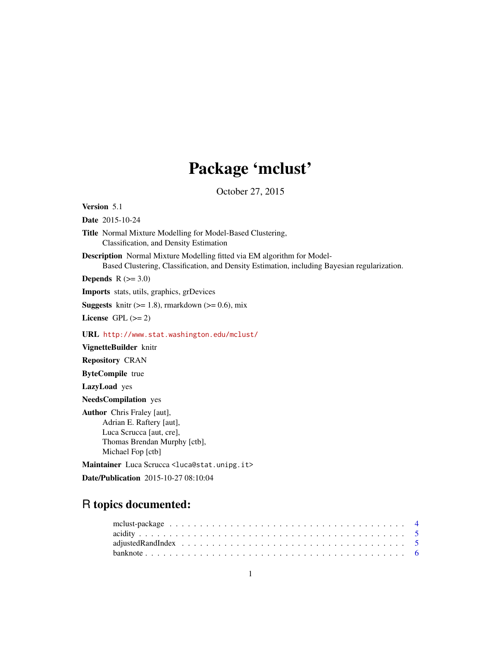# Package 'mclust'

October 27, 2015

<span id="page-0-0"></span>Version 5.1

Date 2015-10-24

Title Normal Mixture Modelling for Model-Based Clustering, Classification, and Density Estimation

Description Normal Mixture Modelling fitted via EM algorithm for Model-Based Clustering, Classification, and Density Estimation, including Bayesian regularization.

**Depends**  $R$  ( $>= 3.0$ )

Imports stats, utils, graphics, grDevices

**Suggests** knitr  $(>= 1.8)$ , rmarkdown  $(>= 0.6)$ , mix

License GPL  $(>= 2)$ 

URL <http://www.stat.washington.edu/mclust/>

VignetteBuilder knitr

Repository CRAN

ByteCompile true

LazyLoad yes

NeedsCompilation yes

Author Chris Fraley [aut], Adrian E. Raftery [aut], Luca Scrucca [aut, cre], Thomas Brendan Murphy [ctb], Michael Fop [ctb]

Maintainer Luca Scrucca <luca@stat.unipg.it>

Date/Publication 2015-10-27 08:10:04

## R topics documented: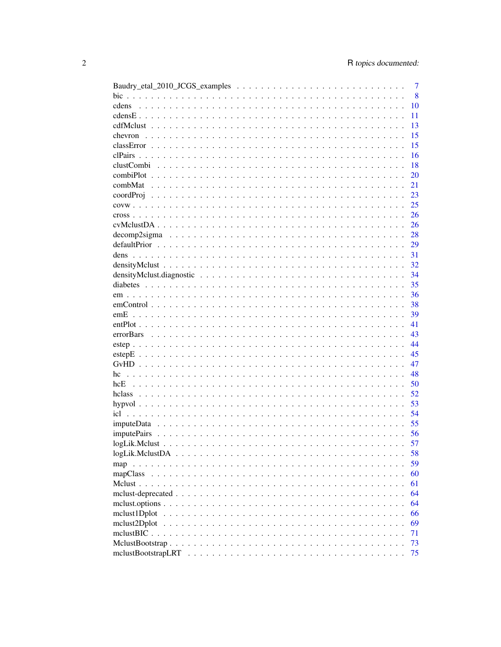|                    | $\overline{7}$ |
|--------------------|----------------|
| bic                | 8              |
| cdens              | 10             |
|                    | 11             |
|                    | 13             |
|                    | 15             |
|                    | 15             |
| clPairs            | 16             |
|                    | 18             |
|                    | 20             |
|                    | 21             |
|                    | 23             |
|                    | 25             |
|                    | 26             |
|                    | 26             |
|                    | 28             |
|                    | 29             |
|                    | 31             |
|                    | 32             |
|                    | 34             |
|                    | 35             |
|                    | 36             |
|                    | 38             |
|                    | 39             |
|                    | 41             |
|                    | 43             |
|                    | 44             |
|                    | 45             |
|                    | 47             |
|                    | 48             |
| hcE                | 50             |
|                    | 52             |
|                    | 53             |
|                    | 54             |
|                    | 55             |
| <i>imputePairs</i> | 56             |
|                    | 57             |
|                    | 58             |
| map                | 59             |
| mapClass           | 60             |
|                    | 61             |
|                    | 64             |
|                    | 64             |
| mclust1Dplot       | 66             |
| mclust2Dplot       | 69             |
|                    | 71             |
|                    | 73             |
|                    | 75             |
|                    |                |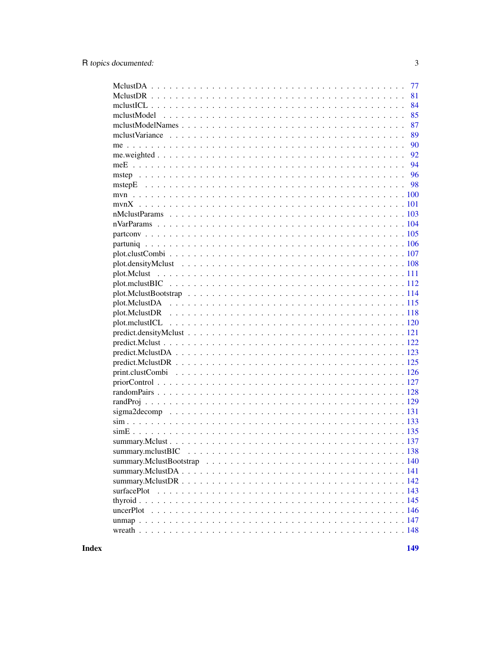| 77 |
|----|
| 81 |
| 84 |
| 85 |
| 87 |
| 89 |
| 90 |
| 92 |
| 94 |
|    |
|    |
|    |
|    |
|    |
|    |
|    |
|    |
|    |
|    |
|    |
|    |
|    |
|    |
|    |
|    |
|    |
|    |
|    |
|    |
|    |
|    |
|    |
|    |
|    |
|    |
|    |
|    |
|    |
|    |
|    |
|    |
|    |
|    |
|    |
|    |
|    |
|    |
|    |

**Index**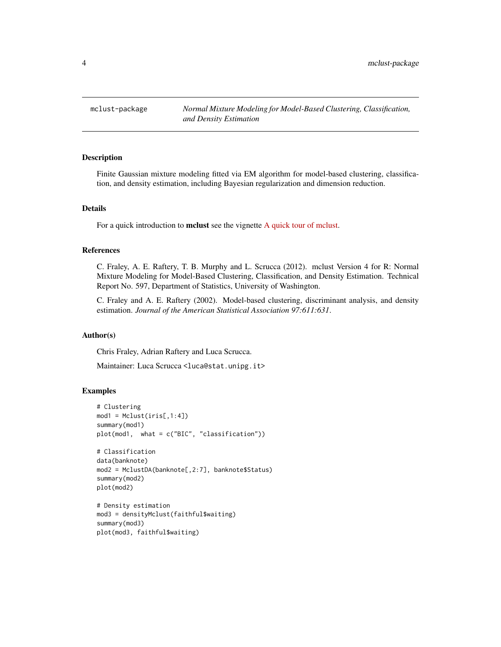<span id="page-3-0"></span>mclust-package *Normal Mixture Modeling for Model-Based Clustering, Classification, and Density Estimation*

#### Description

Finite Gaussian mixture modeling fitted via EM algorithm for model-based clustering, classification, and density estimation, including Bayesian regularization and dimension reduction.

#### Details

For a quick introduction to mclust see the vignette [A quick tour of mclust.](../doc/mclust.html)

#### References

C. Fraley, A. E. Raftery, T. B. Murphy and L. Scrucca (2012). mclust Version 4 for R: Normal Mixture Modeling for Model-Based Clustering, Classification, and Density Estimation. Technical Report No. 597, Department of Statistics, University of Washington.

C. Fraley and A. E. Raftery (2002). Model-based clustering, discriminant analysis, and density estimation. *Journal of the American Statistical Association 97:611:631*.

#### Author(s)

Chris Fraley, Adrian Raftery and Luca Scrucca.

Maintainer: Luca Scrucca <luca@stat.unipg.it>

```
# Clustering
mod1 = Mclust(iris[, 1:4])summary(mod1)
plot(mod1, what = c("BIC", "classification"))
# Classification
data(banknote)
mod2 = MclustDA(banknote[,2:7], banknote$Status)
summary(mod2)
plot(mod2)
# Density estimation
mod3 = densityMclust(faithful$waiting)
summary(mod3)
plot(mod3, faithful$waiting)
```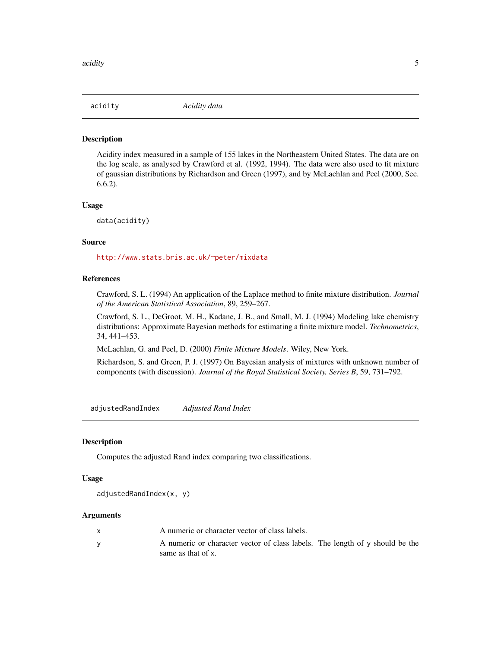<span id="page-4-0"></span>

Acidity index measured in a sample of 155 lakes in the Northeastern United States. The data are on the log scale, as analysed by Crawford et al. (1992, 1994). The data were also used to fit mixture of gaussian distributions by Richardson and Green (1997), and by McLachlan and Peel (2000, Sec. 6.6.2).

#### Usage

data(acidity)

### Source

<http://www.stats.bris.ac.uk/~peter/mixdata>

### References

Crawford, S. L. (1994) An application of the Laplace method to finite mixture distribution. *Journal of the American Statistical Association*, 89, 259–267.

Crawford, S. L., DeGroot, M. H., Kadane, J. B., and Small, M. J. (1994) Modeling lake chemistry distributions: Approximate Bayesian methods for estimating a finite mixture model. *Technometrics*, 34, 441–453.

McLachlan, G. and Peel, D. (2000) *Finite Mixture Models*. Wiley, New York.

Richardson, S. and Green, P. J. (1997) On Bayesian analysis of mixtures with unknown number of components (with discussion). *Journal of the Royal Statistical Society, Series B*, 59, 731–792.

adjustedRandIndex *Adjusted Rand Index*

#### **Description**

Computes the adjusted Rand index comparing two classifications.

#### Usage

adjustedRandIndex(x, y)

| A numeric or character vector of class labels.                                                     |  |
|----------------------------------------------------------------------------------------------------|--|
| A numeric or character vector of class labels. The length of y should be the<br>same as that of x. |  |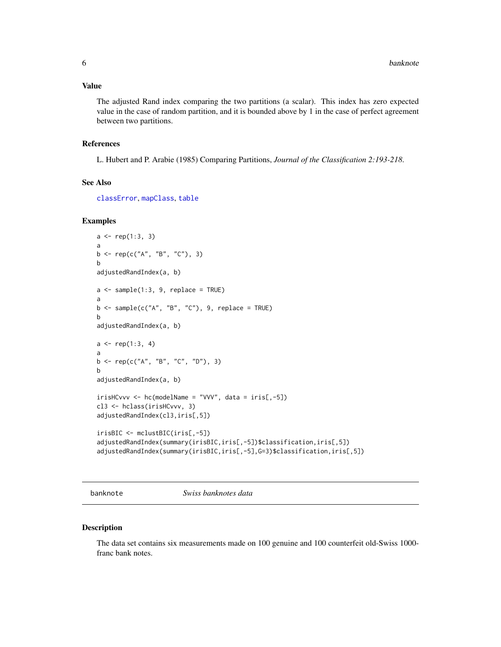### <span id="page-5-0"></span>Value

The adjusted Rand index comparing the two partitions (a scalar). This index has zero expected value in the case of random partition, and it is bounded above by 1 in the case of perfect agreement between two partitions.

### References

L. Hubert and P. Arabie (1985) Comparing Partitions, *Journal of the Classification 2:193-218*.

#### See Also

[classError](#page-14-1), [mapClass](#page-59-1), [table](#page-0-0)

### Examples

```
a \leftarrow rep(1:3, 3)a
b <- rep(c("A", "B", "C"), 3)b
adjustedRandIndex(a, b)
a \leq - sample(1:3, 9, replace = TRUE)
a
b \leq - sample(c("A", "B", "C"), 9, replace = TRUE)
b
adjustedRandIndex(a, b)
a \leq rep(1:3, 4)a
b \leq -\text{rep}(c("A", "B", "C", "D"), 3)b
adjustedRandIndex(a, b)
irisHCvvv \leftarrow hc(modelName = "VVV", data = iris[, -5])cl3 <- hclass(irisHCvvv, 3)
adjustedRandIndex(cl3,iris[,5])
irisBIC <- mclustBIC(iris[,-5])
adjustedRandIndex(summary(irisBIC,iris[,-5])$classification,iris[,5])
adjustedRandIndex(summary(irisBIC,iris[,-5],G=3)$classification,iris[,5])
```
banknote *Swiss banknotes data*

#### Description

The data set contains six measurements made on 100 genuine and 100 counterfeit old-Swiss 1000 franc bank notes.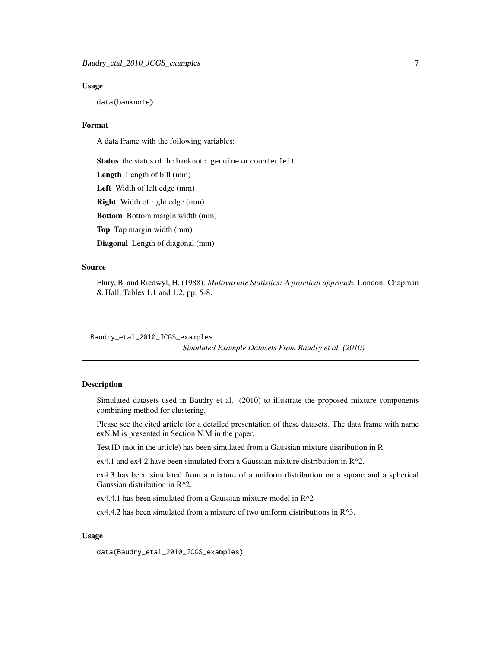#### <span id="page-6-0"></span>Usage

data(banknote)

### Format

A data frame with the following variables:

Status the status of the banknote: genuine or counterfeit

Length Length of bill (mm)

Left Width of left edge (mm)

Right Width of right edge (mm)

Bottom Bottom margin width (mm)

Top Top margin width (mm)

Diagonal Length of diagonal (mm)

#### Source

Flury, B. and Riedwyl, H. (1988). *Multivariate Statistics: A practical approach.* London: Chapman & Hall, Tables 1.1 and 1.2, pp. 5-8.

Baudry\_etal\_2010\_JCGS\_examples

*Simulated Example Datasets From Baudry et al. (2010)*

### **Description**

Simulated datasets used in Baudry et al. (2010) to illustrate the proposed mixture components combining method for clustering.

Please see the cited article for a detailed presentation of these datasets. The data frame with name exN.M is presented in Section N.M in the paper.

Test1D (not in the article) has been simulated from a Gaussian mixture distribution in R.

ex4.1 and ex4.2 have been simulated from a Gaussian mixture distribution in  $R^2$ .

ex4.3 has been simulated from a mixture of a uniform distribution on a square and a spherical Gaussian distribution in R^2.

ex4.4.1 has been simulated from a Gaussian mixture model in  $R^2$ 

ex4.4.2 has been simulated from a mixture of two uniform distributions in R^3.

### Usage

data(Baudry\_etal\_2010\_JCGS\_examples)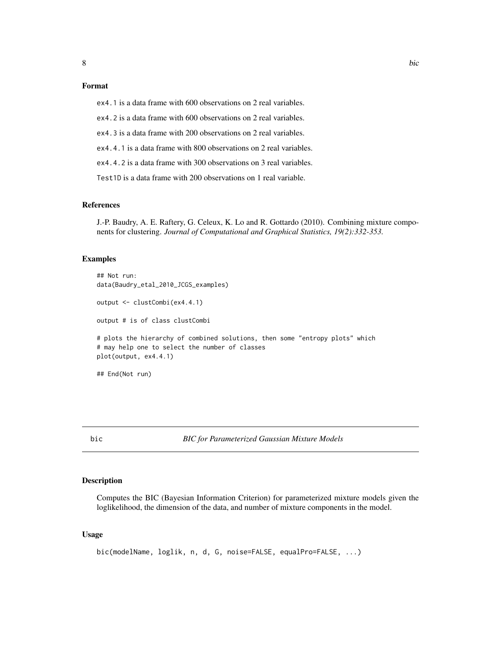### <span id="page-7-0"></span>Format

ex4.1 is a data frame with 600 observations on 2 real variables.

ex4.2 is a data frame with 600 observations on 2 real variables.

ex4.3 is a data frame with 200 observations on 2 real variables.

ex4.4.1 is a data frame with 800 observations on 2 real variables.

ex4.4.2 is a data frame with 300 observations on 3 real variables.

Test1D is a data frame with 200 observations on 1 real variable.

#### References

J.-P. Baudry, A. E. Raftery, G. Celeux, K. Lo and R. Gottardo (2010). Combining mixture components for clustering. *Journal of Computational and Graphical Statistics, 19(2):332-353.*

#### Examples

```
## Not run:
data(Baudry_etal_2010_JCGS_examples)
output <- clustCombi(ex4.4.1)
output # is of class clustCombi
# plots the hierarchy of combined solutions, then some "entropy plots" which
# may help one to select the number of classes
plot(output, ex4.4.1)
## End(Not run)
```
#### bic *BIC for Parameterized Gaussian Mixture Models*

#### Description

Computes the BIC (Bayesian Information Criterion) for parameterized mixture models given the loglikelihood, the dimension of the data, and number of mixture components in the model.

#### Usage

```
bic(modelName, loglik, n, d, G, noise=FALSE, equalPro=FALSE, ...)
```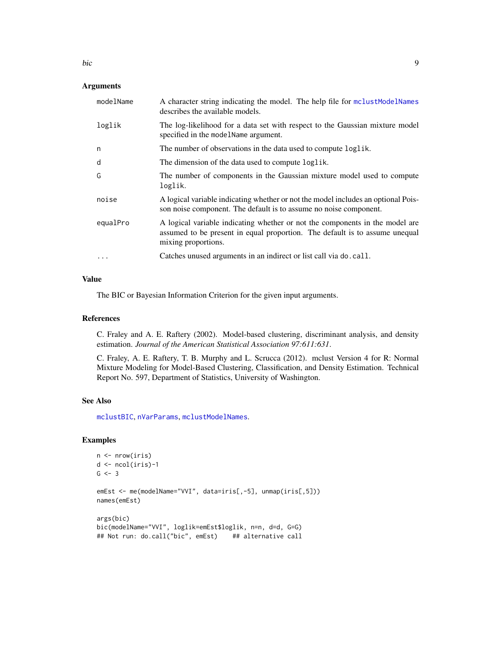| modelName | A character string indicating the model. The help file for mclust ModelNames<br>describes the available models.                                                                    |
|-----------|------------------------------------------------------------------------------------------------------------------------------------------------------------------------------------|
| loglik    | The log-likelihood for a data set with respect to the Gaussian mixture model<br>specified in the model Name argument.                                                              |
| n         | The number of observations in the data used to compute loglik.                                                                                                                     |
| d         | The dimension of the data used to compute loglik.                                                                                                                                  |
| G         | The number of components in the Gaussian mixture model used to compute<br>loglik.                                                                                                  |
| noise     | A logical variable indicating whether or not the model includes an optional Pois-<br>son noise component. The default is to assume no noise component.                             |
| equalPro  | A logical variable indicating whether or not the components in the model are<br>assumed to be present in equal proportion. The default is to assume unequal<br>mixing proportions. |
|           | Catches unused arguments in an indirect or list call via do. call.                                                                                                                 |
|           |                                                                                                                                                                                    |

### Value

The BIC or Bayesian Information Criterion for the given input arguments.

#### References

C. Fraley and A. E. Raftery (2002). Model-based clustering, discriminant analysis, and density estimation. *Journal of the American Statistical Association 97:611:631*.

C. Fraley, A. E. Raftery, T. B. Murphy and L. Scrucca (2012). mclust Version 4 for R: Normal Mixture Modeling for Model-Based Clustering, Classification, and Density Estimation. Technical Report No. 597, Department of Statistics, University of Washington.

### See Also

[mclustBIC](#page-70-1), [nVarParams](#page-103-1), [mclustModelNames](#page-86-1).

```
n <- nrow(iris)
d <- ncol(iris)-1
G \le -3emEst <- me(modelName="VVI", data=iris[,-5], unmap(iris[,5]))
names(emEst)
args(bic)
bic(modelName="VVI", loglik=emEst$loglik, n=n, d=d, G=G)
## Not run: do.call("bic", emEst) ## alternative call
```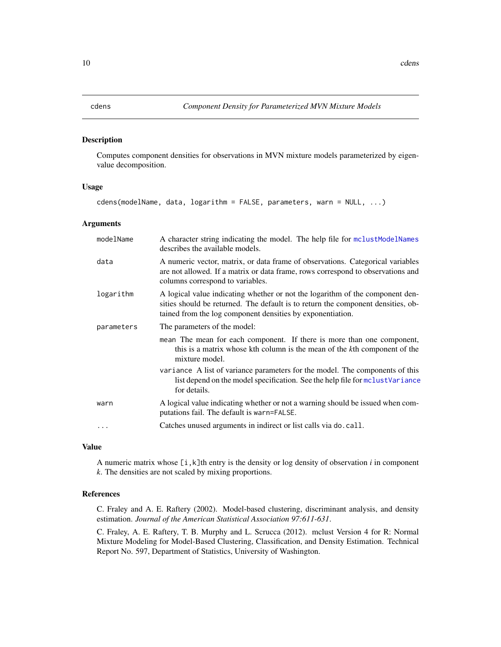<span id="page-9-1"></span><span id="page-9-0"></span>

Computes component densities for observations in MVN mixture models parameterized by eigenvalue decomposition.

#### Usage

cdens(modelName, data, logarithm = FALSE, parameters, warn = NULL, ...)

#### Arguments

| modelName  | A character string indicating the model. The help file for mclust ModelNames<br>describes the available models.                                                                                                                 |
|------------|---------------------------------------------------------------------------------------------------------------------------------------------------------------------------------------------------------------------------------|
| data       | A numeric vector, matrix, or data frame of observations. Categorical variables<br>are not allowed. If a matrix or data frame, rows correspond to observations and<br>columns correspond to variables.                           |
| logarithm  | A logical value indicating whether or not the logarithm of the component den-<br>sities should be returned. The default is to return the component densities, ob-<br>tained from the log component densities by exponentiation. |
| parameters | The parameters of the model:                                                                                                                                                                                                    |
|            | mean The mean for each component. If there is more than one component,<br>this is a matrix whose kth column is the mean of the kth component of the<br>mixture model.                                                           |
|            | variance A list of variance parameters for the model. The components of this<br>list depend on the model specification. See the help file for mclustVariance<br>for details.                                                    |
| warn       | A logical value indicating whether or not a warning should be issued when com-<br>putations fail. The default is warn=FALSE.                                                                                                    |
|            | Catches unused arguments in indirect or list calls via do. call.                                                                                                                                                                |
|            |                                                                                                                                                                                                                                 |

### Value

A numeric matrix whose [i,k]th entry is the density or log density of observation *i* in component *k*. The densities are not scaled by mixing proportions.

#### References

C. Fraley and A. E. Raftery (2002). Model-based clustering, discriminant analysis, and density estimation. *Journal of the American Statistical Association 97:611-631*.

C. Fraley, A. E. Raftery, T. B. Murphy and L. Scrucca (2012). mclust Version 4 for R: Normal Mixture Modeling for Model-Based Clustering, Classification, and Density Estimation. Technical Report No. 597, Department of Statistics, University of Washington.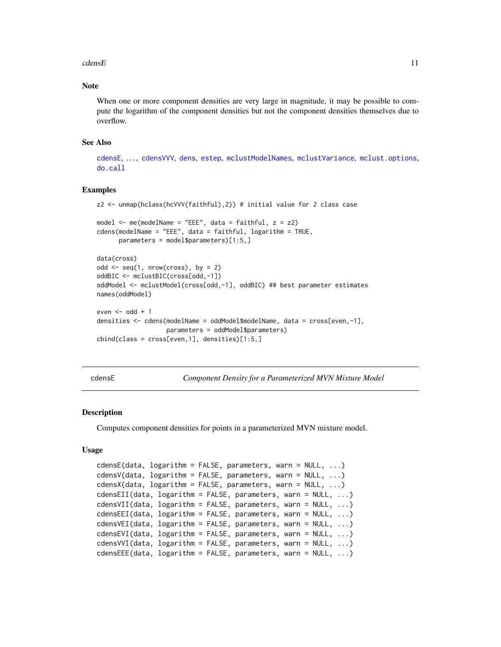#### <span id="page-10-0"></span> $\epsilon$  dens E

### Note

When one or more component densities are very large in magnitude, it may be possible to compute the logarithm of the component densities but not the component densities themselves due to overflow.

#### See Also

[cdensE](#page-10-1), ..., [cdensVVV](#page-10-2), [dens](#page-30-1), [estep](#page-43-1), [mclustModelNames](#page-86-1), [mclustVariance](#page-88-1), [mclust.options](#page-63-1), [do.call](#page-0-0)

#### Examples

```
z2 <- unmap(hclass(hcVVV(faithful),2)) # initial value for 2 class case
model <- me(modelName = "EEE", data = faithful, z = z2)
cdens(modelName = "EEE", data = faithful, logarithm = TRUE,
     parameters = model$parameters)[1:5,]
data(cross)
odd \leq seq(1, nrow(cross), by = 2)
oddBIC <- mclustBIC(cross[odd,-1])
oddModel <- mclustModel(cross[odd,-1], oddBIC) ## best parameter estimates
names(oddModel)
even \leq odd + 1
densities <- cdens(modelName = oddModel$modelName, data = cross[even,-1],
                   parameters = oddModel$parameters)
cbind(class = cross[even,1], densities)[1:5,]
```
<span id="page-10-1"></span>cdensE *Component Density for a Parameterized MVN Mixture Model*

#### <span id="page-10-2"></span>Description

Computes component densities for points in a parameterized MVN mixture model.

#### Usage

```
cdensE(data, logarithm = FALSE, parameters, warn = NULL, ...)cdensV(data, logarithm = FALSE, parameters, warn = NULL, ...)
cdensX(data, logarithm = FALSE, parameters, warn = NULL, ...)cdensEII(data, logarithm = FALSE, parameters, warn = NULL, ...)
cdensVII(data, logarithm = FALSE, parameters, warn = NULL, ...)
cdensEEI(data, logarithm = FALSE, parameters, warn = NULL, ...)
cdensVEI(data, logarithm = FALSE, parameters, warn = NULL, ...)cdensEVI(data, logarithm = FALSE, parameters, warn = NULL, ...)
cdensVVI(data, logarithm = FALSE, parameters, warn = NULL, ...)
cdensEEE(data, logarithm = FALSE, parameters, warn = NULL, ...)
```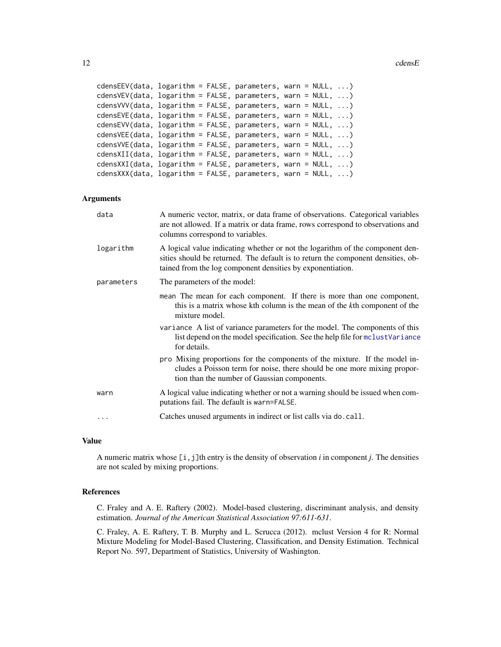12 cdensE

```
cdensEEV(data, logarithm = FALSE, parameters, warn = NULL, ...)
cdensVEV(data, logarithm = FALSE, parameters, warn = NULL, ...)
cdensVVV(data, logarithm = FALSE, parameters, warn = NULL, ...)
cdensEVE(data, logarithm = FALSE, parameters, warn = NULL, ...)
cdensEVV(data, logarithm = FALSE, parameters, warn = NULL, ...)
cdensVEE(data, logarithm = FALSE, parameters, warn = NULL, ...)
cdensVVE(data, logarithm = FALSE, parameters, warn = NULL, ...)
cdensXII(data, logarithm = FALSE, parameters, warn = NULL, ...)
cdensXXI(data, logarithm = FALSE, parameters, warn = NULL, ...)
cdensXXX(data, logarithm = FALSE, parameters, warn = NULL, ...)
```
#### Arguments

| data       | A numeric vector, matrix, or data frame of observations. Categorical variables<br>are not allowed. If a matrix or data frame, rows correspond to observations and<br>columns correspond to variables.                           |
|------------|---------------------------------------------------------------------------------------------------------------------------------------------------------------------------------------------------------------------------------|
| logarithm  | A logical value indicating whether or not the logarithm of the component den-<br>sities should be returned. The default is to return the component densities, ob-<br>tained from the log component densities by exponentiation. |
| parameters | The parameters of the model:                                                                                                                                                                                                    |
|            | mean The mean for each component. If there is more than one component,<br>this is a matrix whose kth column is the mean of the kth component of the<br>mixture model.                                                           |
|            | variance A list of variance parameters for the model. The components of this<br>list depend on the model specification. See the help file for molust Variance<br>for details.                                                   |
|            | pro Mixing proportions for the components of the mixture. If the model in-<br>cludes a Poisson term for noise, there should be one more mixing propor-<br>tion than the number of Gaussian components.                          |
| warn       | A logical value indicating whether or not a warning should be issued when com-<br>putations fail. The default is warn=FALSE.                                                                                                    |
| .          | Catches unused arguments in indirect or list calls via do. call.                                                                                                                                                                |

### Value

A numeric matrix whose [i,j]th entry is the density of observation *i* in component *j*. The densities are not scaled by mixing proportions.

#### References

C. Fraley and A. E. Raftery (2002). Model-based clustering, discriminant analysis, and density estimation. *Journal of the American Statistical Association 97:611-631*.

C. Fraley, A. E. Raftery, T. B. Murphy and L. Scrucca (2012). mclust Version 4 for R: Normal Mixture Modeling for Model-Based Clustering, Classification, and Density Estimation. Technical Report No. 597, Department of Statistics, University of Washington.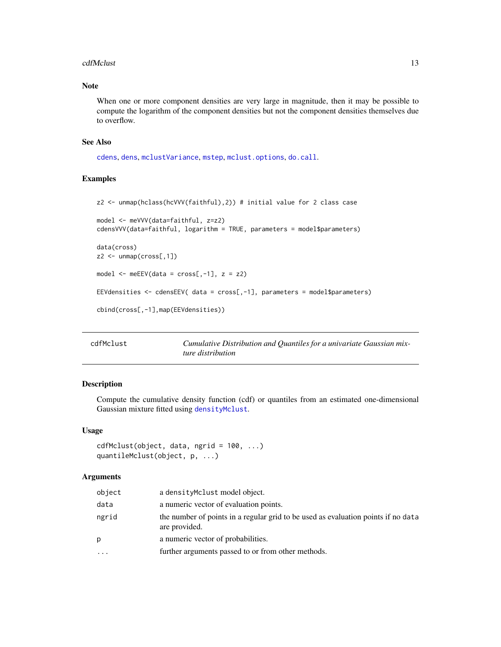#### <span id="page-12-0"></span>cdfMclust 13

### Note

When one or more component densities are very large in magnitude, then it may be possible to compute the logarithm of the component densities but not the component densities themselves due to overflow.

#### See Also

[cdens](#page-9-1), [dens](#page-30-1), [mclustVariance](#page-88-1), [mstep](#page-95-1), [mclust.options](#page-63-1), [do.call](#page-0-0).

#### Examples

```
z2 <- unmap(hclass(hcVVV(faithful),2)) # initial value for 2 class case
model <- meVVV(data=faithful, z=z2)
cdensVVV(data=faithful, logarithm = TRUE, parameters = model$parameters)
data(cross)
z2 <- unmap(cross[,1])
model \leq meEEV(data = cross[,-1], z = z2)
EEVdensities <- cdensEEV( data = cross[,-1], parameters = model$parameters)
cbind(cross[,-1],map(EEVdensities))
```

| cdfMclust | Cumulative Distribution and Quantiles for a univariate Gaussian mix- |
|-----------|----------------------------------------------------------------------|
|           | ture distribution                                                    |

### Description

Compute the cumulative density function (cdf) or quantiles from an estimated one-dimensional Gaussian mixture fitted using [densityMclust](#page-31-1).

### Usage

```
cdfMclust(object, data, ngrid = 100, ...)quantileMclust(object, p, ...)
```

| object  | a densityMclust model object.                                                                      |
|---------|----------------------------------------------------------------------------------------------------|
| data    | a numeric vector of evaluation points.                                                             |
| ngrid   | the number of points in a regular grid to be used as evaluation points if no data<br>are provided. |
| p       | a numeric vector of probabilities.                                                                 |
| $\cdot$ | further arguments passed to or from other methods.                                                 |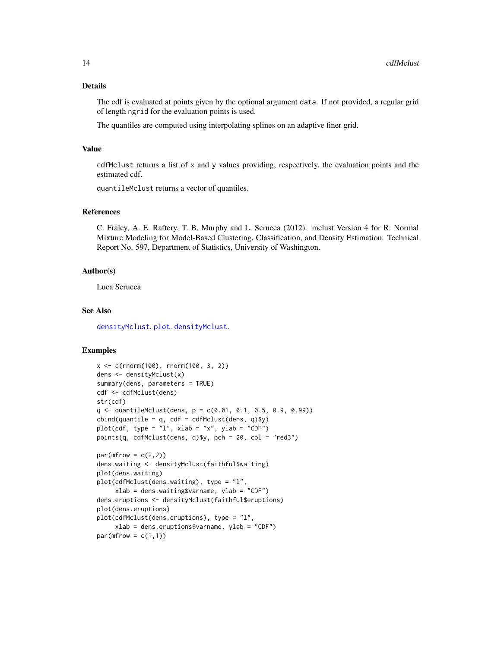### Details

The cdf is evaluated at points given by the optional argument data. If not provided, a regular grid of length ngrid for the evaluation points is used.

The quantiles are computed using interpolating splines on an adaptive finer grid.

#### Value

cdfMclust returns a list of x and y values providing, respectively, the evaluation points and the estimated cdf.

quantileMclust returns a vector of quantiles.

### References

C. Fraley, A. E. Raftery, T. B. Murphy and L. Scrucca (2012). mclust Version 4 for R: Normal Mixture Modeling for Model-Based Clustering, Classification, and Density Estimation. Technical Report No. 597, Department of Statistics, University of Washington.

#### Author(s)

Luca Scrucca

#### See Also

[densityMclust](#page-31-1), [plot.densityMclust](#page-107-1).

```
x <- c(rnorm(100), rnorm(100, 3, 2))
dens <- densityMclust(x)
summary(dens, parameters = TRUE)
cdf <- cdfMclust(dens)
str(cdf)
q \leq quantileMclust(dens, p = c(0.01, 0.1, 0.5, 0.9, 0.99))
cbind(quantile = q, cdf = cdfMclust(dens, q)$y)
plot(cdf, type = "l", xlab = "x", ylab = "CDF")
points(q, cdfMclust(dens, q)$y, pch = 20, col = "red3")
par(mfrow = c(2,2))dens.waiting <- densityMclust(faithful$waiting)
plot(dens.waiting)
plot(cdfMclust(dens.waiting), type = "l",
     xlab = dens.waiting$varname, ylab = "CDF")
dens.eruptions <- densityMclust(faithful$eruptions)
plot(dens.eruptions)
plot(cdfMclust(dens.eruptions), type = "l",
    xlab = dens.eruptions$varname, ylab = "CDF")
par(mfrow = c(1,1))
```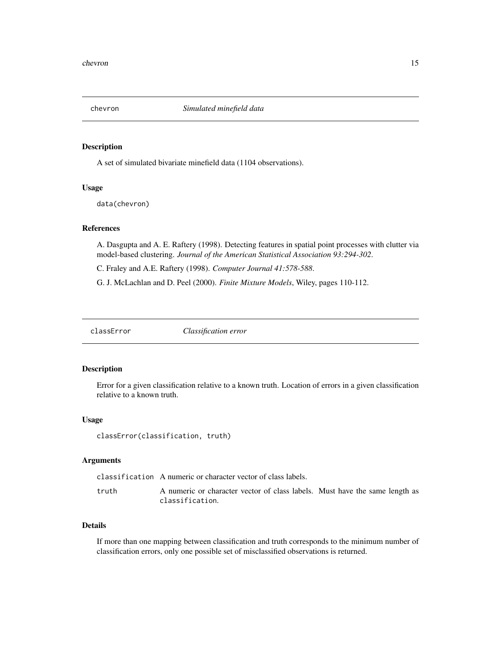<span id="page-14-0"></span>

A set of simulated bivariate minefield data (1104 observations).

#### Usage

data(chevron)

### References

A. Dasgupta and A. E. Raftery (1998). Detecting features in spatial point processes with clutter via model-based clustering. *Journal of the American Statistical Association 93:294-302*.

C. Fraley and A.E. Raftery (1998). *Computer Journal 41:578-588*.

G. J. McLachlan and D. Peel (2000). *Finite Mixture Models*, Wiley, pages 110-112.

<span id="page-14-1"></span>classError *Classification error*

### Description

Error for a given classification relative to a known truth. Location of errors in a given classification relative to a known truth.

#### Usage

classError(classification, truth)

#### Arguments

classification A numeric or character vector of class labels.

truth A numeric or character vector of class labels. Must have the same length as classification.

### Details

If more than one mapping between classification and truth corresponds to the minimum number of classification errors, only one possible set of misclassified observations is returned.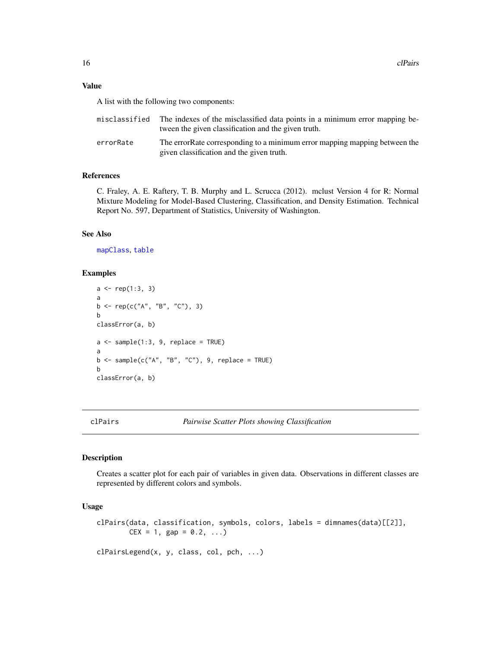#### <span id="page-15-0"></span>Value

A list with the following two components:

|           | misclassified The indexes of the misclassified data points in a minimum error mapping be-<br>tween the given classification and the given truth. |
|-----------|--------------------------------------------------------------------------------------------------------------------------------------------------|
| errorRate | The error Rate corresponding to a minimum error mapping mapping between the<br>given classification and the given truth.                         |

### References

C. Fraley, A. E. Raftery, T. B. Murphy and L. Scrucca (2012). mclust Version 4 for R: Normal Mixture Modeling for Model-Based Clustering, Classification, and Density Estimation. Technical Report No. 597, Department of Statistics, University of Washington.

### See Also

[mapClass](#page-59-1), [table](#page-0-0)

#### Examples

```
a \leftarrow rep(1:3, 3)a
b <- rep(c("A", "B", "C"), 3)b
classError(a, b)
a \leftarrow sample(1:3, 9, replace = TRUE)a
b \leq sample(c("A", "B", "C"), 9, replace = TRUE)
b
classError(a, b)
```
<span id="page-15-1"></span>

### Description

Creates a scatter plot for each pair of variables in given data. Observations in different classes are represented by different colors and symbols.

### Usage

```
clPairs(data, classification, symbols, colors, labels = dimnames(data)[[2]],
       CEX = 1, gap = 0.2, ...
```
clPairsLegend(x, y, class, col, pch, ...)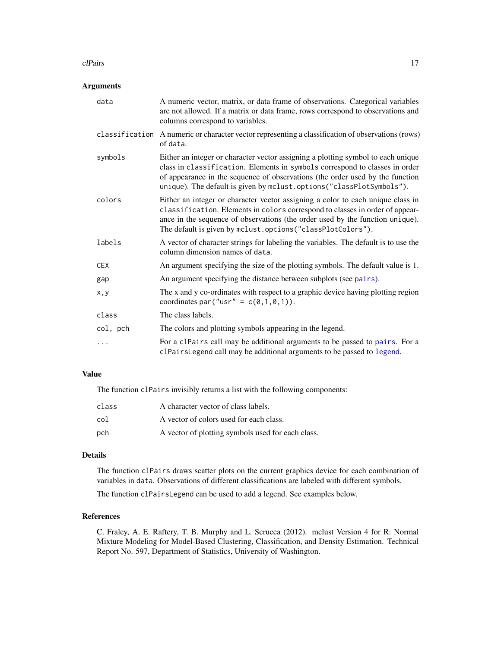#### clPairs 17

### Arguments

| data       | A numeric vector, matrix, or data frame of observations. Categorical variables<br>are not allowed. If a matrix or data frame, rows correspond to observations and<br>columns correspond to variables.                                                                                                                    |
|------------|--------------------------------------------------------------------------------------------------------------------------------------------------------------------------------------------------------------------------------------------------------------------------------------------------------------------------|
|            | classification A numeric or character vector representing a classification of observations (rows)<br>of data.                                                                                                                                                                                                            |
| symbols    | Either an integer or character vector assigning a plotting symbol to each unique<br>class in classification. Elements in symbols correspond to classes in order<br>of appearance in the sequence of observations (the order used by the function<br>unique). The default is given by mclust.options("classPlotSymbols"). |
| colors     | Either an integer or character vector assigning a color to each unique class in<br>classification. Elements in colors correspond to classes in order of appear-<br>ance in the sequence of observations (the order used by the function unique).<br>The default is given by mclust.options("classPlotColors").           |
| labels     | A vector of character strings for labeling the variables. The default is to use the<br>column dimension names of data.                                                                                                                                                                                                   |
| <b>CEX</b> | An argument specifying the size of the plotting symbols. The default value is 1.                                                                                                                                                                                                                                         |
| gap        | An argument specifying the distance between subplots (see pairs).                                                                                                                                                                                                                                                        |
| x, y       | The x and y co-ordinates with respect to a graphic device having plotting region<br>coordinates par ("usr" = $c(\emptyset, 1, \emptyset, 1)$ ).                                                                                                                                                                          |
| class      | The class labels.                                                                                                                                                                                                                                                                                                        |
| col, pch   | The colors and plotting symbols appearing in the legend.                                                                                                                                                                                                                                                                 |
| $\cdots$   | For a clPairs call may be additional arguments to be passed to pairs. For a<br>clPairsLegend call may be additional arguments to be passed to legend.                                                                                                                                                                    |

### Value

The function clPairs invisibly returns a list with the following components:

| class | A character vector of class labels.               |
|-------|---------------------------------------------------|
| col   | A vector of colors used for each class.           |
| pch   | A vector of plotting symbols used for each class. |

### Details

The function clPairs draws scatter plots on the current graphics device for each combination of variables in data. Observations of different classifications are labeled with different symbols.

The function clPairsLegend can be used to add a legend. See examples below.

### References

C. Fraley, A. E. Raftery, T. B. Murphy and L. Scrucca (2012). mclust Version 4 for R: Normal Mixture Modeling for Model-Based Clustering, Classification, and Density Estimation. Technical Report No. 597, Department of Statistics, University of Washington.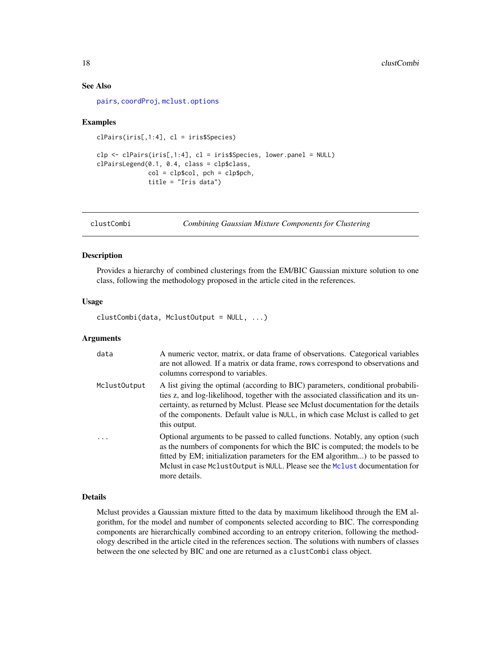### See Also

[pairs](#page-0-0), [coordProj](#page-22-1), [mclust.options](#page-63-1)

### Examples

```
clPairs(iris[,1:4], cl = iris$Species)
clp \leftarrow clPairs(iris[, 1:4], cl = iris$Species, lower.panel = NULL)clPairsLegend(0.1, 0.4, class = clp$class,
              col = clp$col, pch = clp$pch,title = "Iris data")
```
<span id="page-17-1"></span>clustCombi *Combining Gaussian Mixture Components for Clustering*

### Description

Provides a hierarchy of combined clusterings from the EM/BIC Gaussian mixture solution to one class, following the methodology proposed in the article cited in the references.

#### Usage

clustCombi(data, MclustOutput = NULL, ...)

#### Arguments

| data         | A numeric vector, matrix, or data frame of observations. Categorical variables<br>are not allowed. If a matrix or data frame, rows correspond to observations and<br>columns correspond to variables.                                                                                                                                                          |
|--------------|----------------------------------------------------------------------------------------------------------------------------------------------------------------------------------------------------------------------------------------------------------------------------------------------------------------------------------------------------------------|
| MclustOutput | A list giving the optimal (according to BIC) parameters, conditional probabili-<br>ties z, and log-likelihood, together with the associated classification and its un-<br>certainty, as returned by Mclust. Please see Mclust documentation for the details<br>of the components. Default value is NULL, in which case Mclust is called to get<br>this output. |
|              | Optional arguments to be passed to called functions. Notably, any option (such<br>as the numbers of components for which the BIC is computed; the models to be<br>fitted by EM; initialization parameters for the EM algorithm) to be passed to<br>Melust in case Melust0utput is NULL. Please see the Melust documentation for<br>more details.               |

#### Details

Mclust provides a Gaussian mixture fitted to the data by maximum likelihood through the EM algorithm, for the model and number of components selected according to BIC. The corresponding components are hierarchically combined according to an entropy criterion, following the methodology described in the article cited in the references section. The solutions with numbers of classes between the one selected by BIC and one are returned as a clustCombi class object.

<span id="page-17-0"></span>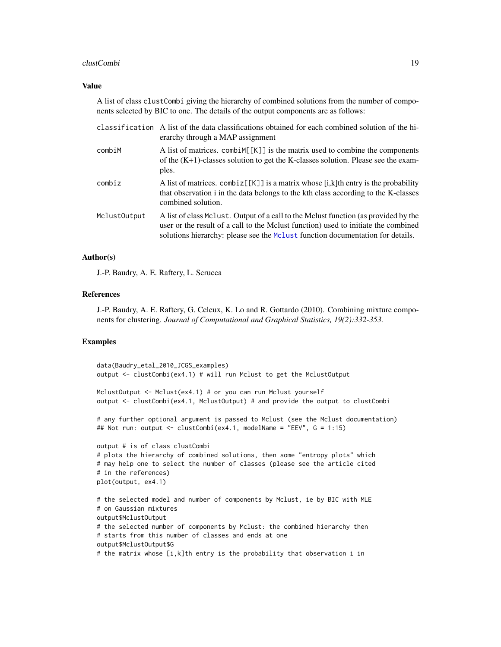#### clustCombi **19**

#### Value

A list of class clustCombi giving the hierarchy of combined solutions from the number of components selected by BIC to one. The details of the output components are as follows:

|              | classification A list of the data classifications obtained for each combined solution of the hi-<br>erarchy through a MAP assignment                                                                                                                        |
|--------------|-------------------------------------------------------------------------------------------------------------------------------------------------------------------------------------------------------------------------------------------------------------|
| combiM       | A list of matrices. combiner [K] is the matrix used to combine the components<br>of the $(K+1)$ -classes solution to get the K-classes solution. Please see the exam-<br>ples.                                                                              |
| combiz       | A list of matrices. $\text{combiz}[\kappa]$ is a matrix whose [i,k]th entry is the probability<br>that observation i in the data belongs to the kth class according to the K-classes<br>combined solution.                                                  |
| MclustOutput | A list of class McLust. Output of a call to the McLust function (as provided by the<br>user or the result of a call to the Mclust function) used to initiate the combined<br>solutions hierarchy: please see the Mclust function documentation for details. |

#### Author(s)

J.-P. Baudry, A. E. Raftery, L. Scrucca

#### References

J.-P. Baudry, A. E. Raftery, G. Celeux, K. Lo and R. Gottardo (2010). Combining mixture components for clustering. *Journal of Computational and Graphical Statistics, 19(2):332-353.*

```
data(Baudry_etal_2010_JCGS_examples)
output <- clustCombi(ex4.1) # will run Mclust to get the MclustOutput
MclustOutput <- Mclust(ex4.1) # or you can run Mclust yourself
output <- clustCombi(ex4.1, MclustOutput) # and provide the output to clustCombi
# any further optional argument is passed to Mclust (see the Mclust documentation)
## Not run: output <- clustCombi(ex4.1, modelName = "EEV", G = 1:15)
output # is of class clustCombi
# plots the hierarchy of combined solutions, then some "entropy plots" which
# may help one to select the number of classes (please see the article cited
# in the references)
plot(output, ex4.1)
# the selected model and number of components by Mclust, ie by BIC with MLE
# on Gaussian mixtures
output$MclustOutput
# the selected number of components by Mclust: the combined hierarchy then
# starts from this number of classes and ends at one
output$MclustOutput$G
# the matrix whose [i,k]th entry is the probability that observation i in
```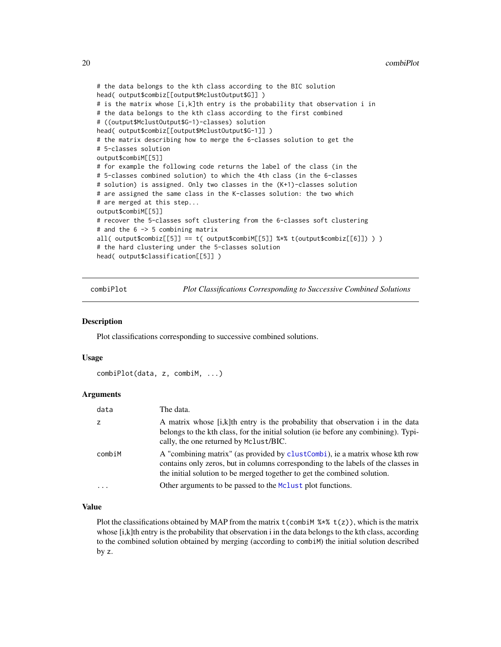```
# the data belongs to the kth class according to the BIC solution
head( output$combiz[[output$MclustOutput$G]] )
# is the matrix whose [i,k]th entry is the probability that observation i in
# the data belongs to the kth class according to the first combined
# ((output$MclustOutput$G-1)-classes) solution
head( output$combiz[[output$MclustOutput$G-1]] )
# the matrix describing how to merge the 6-classes solution to get the
# 5-classes solution
output$combiM[[5]]
# for example the following code returns the label of the class (in the
# 5-classes combined solution) to which the 4th class (in the 6-classes
# solution) is assigned. Only two classes in the (K+1)-classes solution
# are assigned the same class in the K-classes solution: the two which
# are merged at this step...
output$combiM[[5]]
# recover the 5-classes soft clustering from the 6-classes soft clustering
# and the 6 -> 5 combining matrix
all( output$combiz[[5]] == t( output$combiz[[6]]) ) )
# the hard clustering under the 5-classes solution
head( output$classification[[5]] )
```
<span id="page-19-1"></span>combiPlot *Plot Classifications Corresponding to Successive Combined Solutions*

#### Description

Plot classifications corresponding to successive combined solutions.

#### Usage

```
combiPlot(data, z, combiM, ...)
```
### Arguments

| data      | The data.                                                                                                                                                                                                                                     |
|-----------|-----------------------------------------------------------------------------------------------------------------------------------------------------------------------------------------------------------------------------------------------|
| z         | A matrix whose [i,k]th entry is the probability that observation i in the data<br>belongs to the kth class, for the initial solution (ie before any combining). Typi-<br>cally, the one returned by Mclust/BIC.                               |
| combiM    | A "combining matrix" (as provided by clust Combi), ie a matrix whose kth row<br>contains only zeros, but in columns corresponding to the labels of the classes in<br>the initial solution to be merged together to get the combined solution. |
| $\ddotsc$ | Other arguments to be passed to the McLust plot functions.                                                                                                                                                                                    |

#### Value

Plot the classifications obtained by MAP from the matrix  $t$  (combiM  $\frac{1}{2}$ ,  $\frac{1}{2}$ ), which is the matrix whose [i,k]th entry is the probability that observation i in the data belongs to the kth class, according to the combined solution obtained by merging (according to combiM) the initial solution described by z.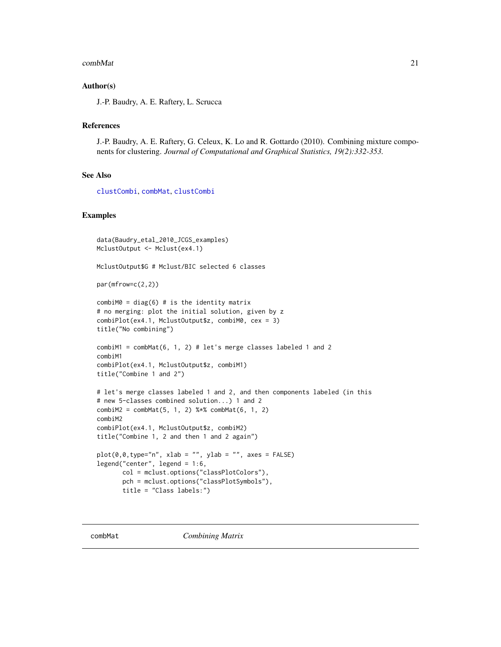#### <span id="page-20-0"></span>combMat 21

### Author(s)

J.-P. Baudry, A. E. Raftery, L. Scrucca

### References

J.-P. Baudry, A. E. Raftery, G. Celeux, K. Lo and R. Gottardo (2010). Combining mixture components for clustering. *Journal of Computational and Graphical Statistics, 19(2):332-353.*

### See Also

[clustCombi](#page-17-1), [combMat](#page-20-1), [clustCombi](#page-17-1)

```
data(Baudry_etal_2010_JCGS_examples)
MclustOutput <- Mclust(ex4.1)
MclustOutput$G # Mclust/BIC selected 6 classes
par(mfrow=c(2,2))
combiM0 = diag(6) # is the identity matrix
# no merging: plot the initial solution, given by z
combiPlot(ex4.1, MclustOutput$z, combiM0, cex = 3)
title("No combining")
combiM1 = combMat(6, 1, 2) # let's merge classes labeled 1 and 2combiM1
combiPlot(ex4.1, MclustOutput$z, combiM1)
title("Combine 1 and 2")
# let's merge classes labeled 1 and 2, and then components labeled (in this
# new 5-classes combined solution...) 1 and 2
combiM2 = combMat(5, 1, 2) %*% combMat(6, 1, 2)
combiM2
combiPlot(ex4.1, MclustOutput$z, combiM2)
title("Combine 1, 2 and then 1 and 2 again")
plot(\emptyset, \emptyset, type="n", xlab = "", ylab = "", axes = FALSE)legend("center", legend = 1:6,
       col = mclust.options("classPlotColors"),
       pch = mclust.options("classPlotSymbols"),
       title = "Class labels:")
```
<span id="page-20-1"></span>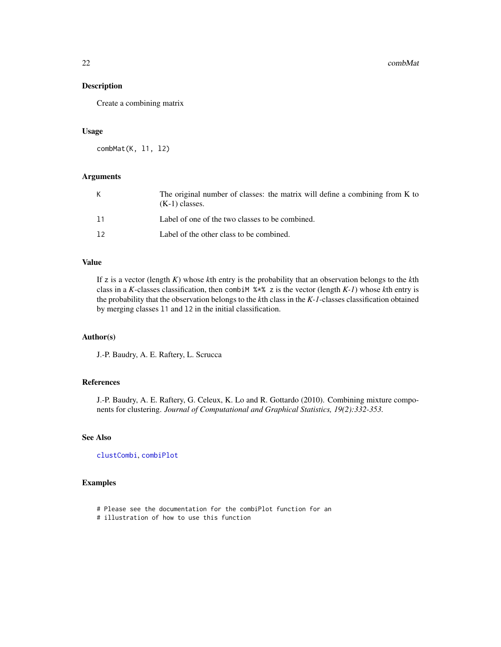Create a combining matrix

#### Usage

combMat(K, l1, l2)

### Arguments

| К  | The original number of classes: the matrix will define a combining from K to<br>$(K-1)$ classes. |
|----|--------------------------------------------------------------------------------------------------|
| 11 | Label of one of the two classes to be combined.                                                  |
| 12 | Label of the other class to be combined.                                                         |

### Value

If z is a vector (length *K*) whose *k*th entry is the probability that an observation belongs to the *k*th class in a *K*-classes classification, then combiM %\*% z is the vector (length *K-1*) whose *k*th entry is the probability that the observation belongs to the *k*th class in the *K-1*-classes classification obtained by merging classes l1 and l2 in the initial classification.

### Author(s)

J.-P. Baudry, A. E. Raftery, L. Scrucca

### References

J.-P. Baudry, A. E. Raftery, G. Celeux, K. Lo and R. Gottardo (2010). Combining mixture components for clustering. *Journal of Computational and Graphical Statistics, 19(2):332-353.*

### See Also

[clustCombi](#page-17-1), [combiPlot](#page-19-1)

- # Please see the documentation for the combiPlot function for an
- # illustration of how to use this function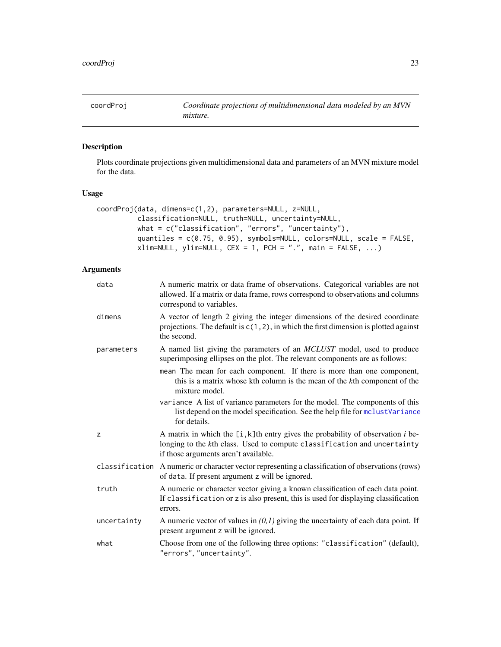<span id="page-22-1"></span><span id="page-22-0"></span>

Plots coordinate projections given multidimensional data and parameters of an MVN mixture model for the data.

### Usage

```
coordProj(data, dimens=c(1,2), parameters=NULL, z=NULL,
          classification=NULL, truth=NULL, uncertainty=NULL,
          what = c("classification", "errors", "uncertainty"),
          quantiles = c(0.75, 0.95), symbols=NULL, colors=NULL, scale = FALSE,
          xlim=NULL, ylim=NULL, CEX = 1, PCH = ".", main = FALSE, ...)
```

| data        | A numeric matrix or data frame of observations. Categorical variables are not<br>allowed. If a matrix or data frame, rows correspond to observations and columns<br>correspond to variables.           |
|-------------|--------------------------------------------------------------------------------------------------------------------------------------------------------------------------------------------------------|
| dimens      | A vector of length 2 giving the integer dimensions of the desired coordinate<br>projections. The default is $c(1, 2)$ , in which the first dimension is plotted against<br>the second.                 |
| parameters  | A named list giving the parameters of an <i>MCLUST</i> model, used to produce<br>superimposing ellipses on the plot. The relevant components are as follows:                                           |
|             | mean The mean for each component. If there is more than one component,<br>this is a matrix whose kth column is the mean of the kth component of the<br>mixture model.                                  |
|             | variance A list of variance parameters for the model. The components of this<br>list depend on the model specification. See the help file for mclustVariance<br>for details.                           |
| z           | A matrix in which the $[i, k]$ th entry gives the probability of observation i be-<br>longing to the kth class. Used to compute classification and uncertainty<br>if those arguments aren't available. |
|             | classification A numeric or character vector representing a classification of observations (rows)<br>of data. If present argument z will be ignored.                                                   |
| truth       | A numeric or character vector giving a known classification of each data point.<br>If classification or z is also present, this is used for displaying classification<br>errors.                       |
| uncertainty | A numeric vector of values in $(0,1)$ giving the uncertainty of each data point. If<br>present argument z will be ignored.                                                                             |
| what        | Choose from one of the following three options: "classification" (default),<br>"errors", "uncertainty".                                                                                                |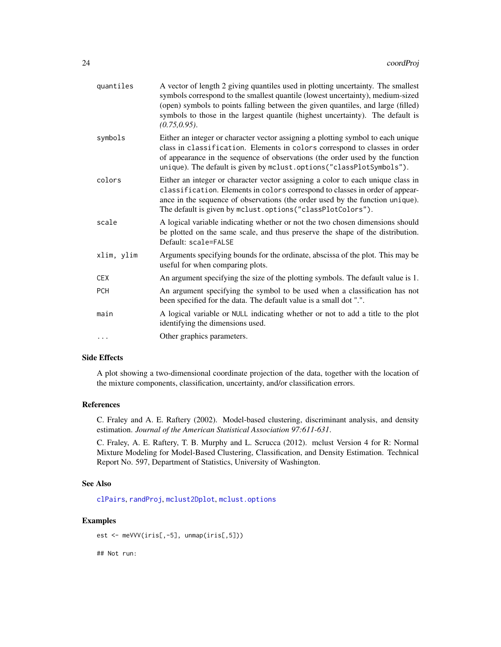| quantiles  | A vector of length 2 giving quantiles used in plotting uncertainty. The smallest<br>symbols correspond to the smallest quantile (lowest uncertainty), medium-sized<br>(open) symbols to points falling between the given quantiles, and large (filled)<br>symbols to those in the largest quantile (highest uncertainty). The default is<br>$(0.75, 0.95)$ . |
|------------|--------------------------------------------------------------------------------------------------------------------------------------------------------------------------------------------------------------------------------------------------------------------------------------------------------------------------------------------------------------|
| symbols    | Either an integer or character vector assigning a plotting symbol to each unique<br>class in classification. Elements in colors correspond to classes in order<br>of appearance in the sequence of observations (the order used by the function<br>unique). The default is given by mclust.options("classPlotSymbols").                                      |
| colors     | Either an integer or character vector assigning a color to each unique class in<br>classification. Elements in colors correspond to classes in order of appear-<br>ance in the sequence of observations (the order used by the function unique).<br>The default is given by mclust.options ("classPlotColors").                                              |
| scale      | A logical variable indicating whether or not the two chosen dimensions should<br>be plotted on the same scale, and thus preserve the shape of the distribution.<br>Default: scale=FALSE                                                                                                                                                                      |
| xlim, ylim | Arguments specifying bounds for the ordinate, abscissa of the plot. This may be<br>useful for when comparing plots.                                                                                                                                                                                                                                          |
| <b>CEX</b> | An argument specifying the size of the plotting symbols. The default value is 1.                                                                                                                                                                                                                                                                             |
| <b>PCH</b> | An argument specifying the symbol to be used when a classification has not<br>been specified for the data. The default value is a small dot ".".                                                                                                                                                                                                             |
| main       | A logical variable or NULL indicating whether or not to add a title to the plot<br>identifying the dimensions used.                                                                                                                                                                                                                                          |
| $\cdots$   | Other graphics parameters.                                                                                                                                                                                                                                                                                                                                   |

#### Side Effects

A plot showing a two-dimensional coordinate projection of the data, together with the location of the mixture components, classification, uncertainty, and/or classification errors.

### References

C. Fraley and A. E. Raftery (2002). Model-based clustering, discriminant analysis, and density estimation. *Journal of the American Statistical Association 97:611-631*.

C. Fraley, A. E. Raftery, T. B. Murphy and L. Scrucca (2012). mclust Version 4 for R: Normal Mixture Modeling for Model-Based Clustering, Classification, and Density Estimation. Technical Report No. 597, Department of Statistics, University of Washington.

### See Also

[clPairs](#page-15-1), [randProj](#page-128-1), [mclust2Dplot](#page-68-1), [mclust.options](#page-63-1)

### Examples

```
est <- meVVV(iris[,-5], unmap(iris[,5]))
```
## Not run: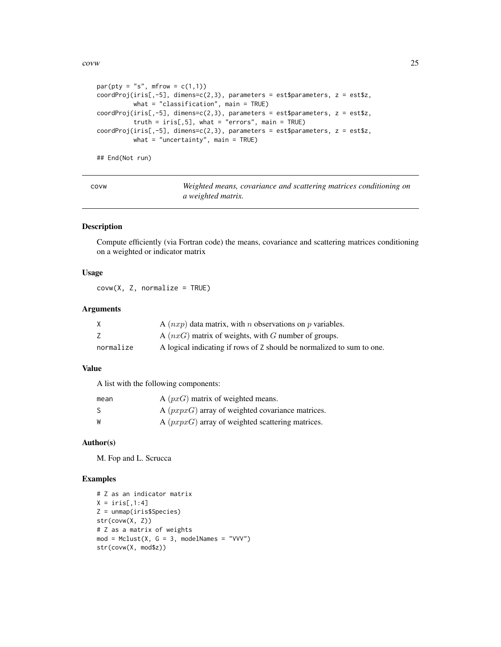<span id="page-24-0"></span>covw 25

```
par(pt = "s", mfrom = c(1,1))coordProj(iris[, -5], dimens=c(2,3), parameters = est$parameters, z = est$z,what = "classification", main = TRUE)
coordProj(iris[, -5], dimens=c(2,3), parameters = estsparameters, z = est$z,truth = iris[,5], what = "errors", main = TRUE)coordProj(iris[, -5], dimens=c(2,3), parameters = est$parameters, z = est$z,what = "uncertainty", main = TRUE)
```
## End(Not run)

covw *Weighted means, covariance and scattering matrices conditioning on a weighted matrix.*

#### Description

Compute efficiently (via Fortran code) the means, covariance and scattering matrices conditioning on a weighted or indicator matrix

### Usage

 $covw(X, Z, normalize = TRUE)$ 

### Arguments

|           | A $(nxp)$ data matrix, with <i>n</i> observations on <i>p</i> variables. |
|-----------|--------------------------------------------------------------------------|
|           | A $(nxG)$ matrix of weights, with G number of groups.                    |
| normalize | A logical indicating if rows of Z should be normalized to sum to one.    |

### Value

A list with the following components:

| mean | A $(pxG)$ matrix of weighted means.                |
|------|----------------------------------------------------|
| - S  | A $(pxyxG)$ array of weighted covariance matrices. |
| W    | A $(pxyxG)$ array of weighted scattering matrices. |

#### Author(s)

M. Fop and L. Scrucca

```
# Z as an indicator matrix
X = \text{iris}[, 1:4]Z = unmap(iris$Species)
str(covw(X, Z))
# Z as a matrix of weights
mod = Mclust(X, G = 3, modelNames = "VVV")str(covw(X, mod$z))
```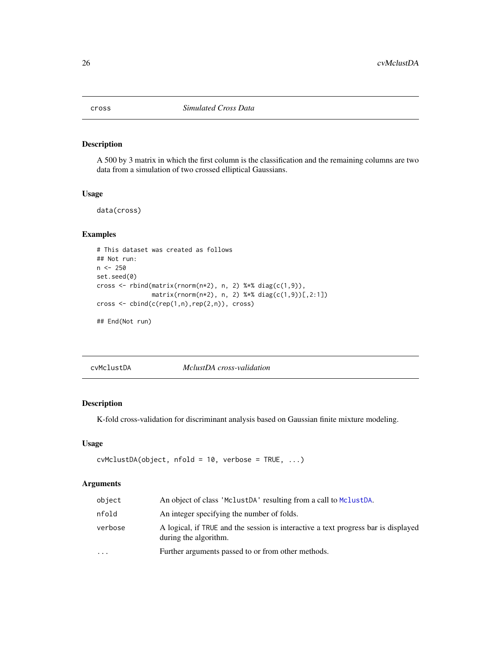<span id="page-25-0"></span>

A 500 by 3 matrix in which the first column is the classification and the remaining columns are two data from a simulation of two crossed elliptical Gaussians.

#### Usage

data(cross)

### Examples

```
# This dataset was created as follows
## Not run:
n < -250set.seed(0)
cross <- rbind(matrix(rnorm(n*2), n, 2) %*% diag(c(1,9)),
               matrix(rnorm(n*2), n, 2) %*% diag(c(1,9))[,2:1])
cross <- cbind(c(rep(1,n),rep(2,n)), cross)
```
## End(Not run)

cvMclustDA *MclustDA cross-validation*

### Description

K-fold cross-validation for discriminant analysis based on Gaussian finite mixture modeling.

### Usage

```
cvMclustDA(object, nfold = 10, verbose = TRUE, ...)
```

| object   | An object of class 'MclustDA' resulting from a call to MclustDA.                                            |
|----------|-------------------------------------------------------------------------------------------------------------|
| nfold    | An integer specifying the number of folds.                                                                  |
| verbose  | A logical, if TRUE and the session is interactive a text progress bar is displayed<br>during the algorithm. |
| $\cdots$ | Further arguments passed to or from other methods.                                                          |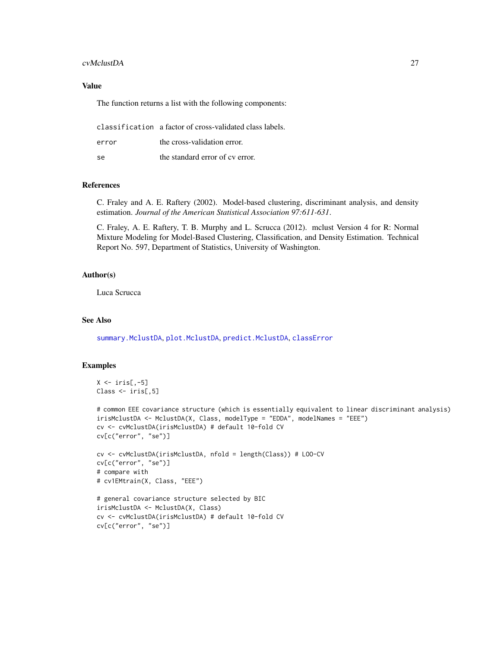#### cvMclustDA 27

### Value

The function returns a list with the following components:

classification a factor of cross-validated class labels.

se the standard error of cv error.

#### References

C. Fraley and A. E. Raftery (2002). Model-based clustering, discriminant analysis, and density estimation. *Journal of the American Statistical Association 97:611-631*.

C. Fraley, A. E. Raftery, T. B. Murphy and L. Scrucca (2012). mclust Version 4 for R: Normal Mixture Modeling for Model-Based Clustering, Classification, and Density Estimation. Technical Report No. 597, Department of Statistics, University of Washington.

### Author(s)

Luca Scrucca

### See Also

[summary.MclustDA](#page-140-1), [plot.MclustDA](#page-114-1), [predict.MclustDA](#page-122-1), [classError](#page-14-1)

```
X \leftarrow \text{iris}[, -5]Class <- iris[,5]
```

```
# common EEE covariance structure (which is essentially equivalent to linear discriminant analysis)
irisMclustDA <- MclustDA(X, Class, modelType = "EDDA", modelNames = "EEE")
cv <- cvMclustDA(irisMclustDA) # default 10-fold CV
cv[c("error", "se")]
```

```
cv <- cvMclustDA(irisMclustDA, nfold = length(Class)) # LOO-CV
cv[c("error", "se")]
# compare with
# cv1EMtrain(X, Class, "EEE")
```

```
# general covariance structure selected by BIC
irisMclustDA <- MclustDA(X, Class)
cv <- cvMclustDA(irisMclustDA) # default 10-fold CV
cv[c("error", "se")]
```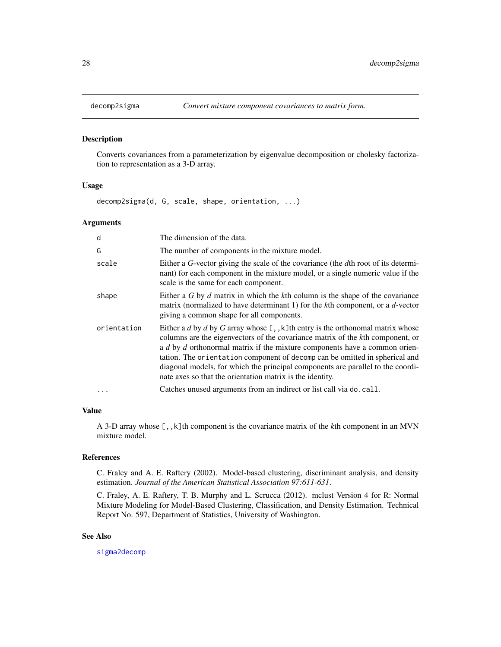Converts covariances from a parameterization by eigenvalue decomposition or cholesky factorization to representation as a 3-D array.

#### Usage

decomp2sigma(d, G, scale, shape, orientation, ...)

### Arguments

| d           | The dimension of the data.                                                                                                                                                                                                                                                                                                                                                                                                                                                         |
|-------------|------------------------------------------------------------------------------------------------------------------------------------------------------------------------------------------------------------------------------------------------------------------------------------------------------------------------------------------------------------------------------------------------------------------------------------------------------------------------------------|
| G           | The number of components in the mixture model.                                                                                                                                                                                                                                                                                                                                                                                                                                     |
| scale       | Either a G-vector giving the scale of the covariance (the dth root of its determi-<br>nant) for each component in the mixture model, or a single numeric value if the<br>scale is the same for each component.                                                                                                                                                                                                                                                                     |
| shape       | Either a G by d matrix in which the kth column is the shape of the covariance<br>matrix (normalized to have determinant 1) for the $k$ th component, or a $d$ -vector<br>giving a common shape for all components.                                                                                                                                                                                                                                                                 |
| orientation | Either a d by d by G array whose $[ , , k]$ th entry is the orthonomal matrix whose<br>columns are the eigenvectors of the covariance matrix of the kth component, or<br>a d by d orthonormal matrix if the mixture components have a common orien-<br>tation. The orientation component of decomp can be omitted in spherical and<br>diagonal models, for which the principal components are parallel to the coordi-<br>nate axes so that the orientation matrix is the identity. |
| .           | Catches unused arguments from an indirect or list call via do. call.                                                                                                                                                                                                                                                                                                                                                                                                               |

### Value

A 3-D array whose [,,k]th component is the covariance matrix of the *k*th component in an MVN mixture model.

### References

C. Fraley and A. E. Raftery (2002). Model-based clustering, discriminant analysis, and density estimation. *Journal of the American Statistical Association 97:611-631*.

C. Fraley, A. E. Raftery, T. B. Murphy and L. Scrucca (2012). mclust Version 4 for R: Normal Mixture Modeling for Model-Based Clustering, Classification, and Density Estimation. Technical Report No. 597, Department of Statistics, University of Washington.

#### See Also

[sigma2decomp](#page-130-1)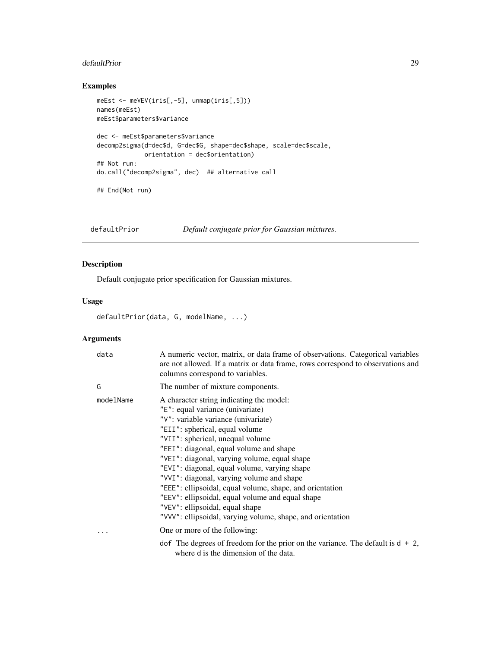#### <span id="page-28-0"></span>defaultPrior 29

### Examples

```
meEst <- meVEV(iris[,-5], unmap(iris[,5]))
names(meEst)
meEst$parameters$variance
dec <- meEst$parameters$variance
decomp2sigma(d=dec$d, G=dec$G, shape=dec$shape, scale=dec$scale,
             orientation = dec$orientation)
## Not run:
do.call("decomp2sigma", dec) ## alternative call
```
## End(Not run)

defaultPrior *Default conjugate prior for Gaussian mixtures.*

### Description

Default conjugate prior specification for Gaussian mixtures.

### Usage

defaultPrior(data, G, modelName, ...)

| data      | A numeric vector, matrix, or data frame of observations. Categorical variables<br>are not allowed. If a matrix or data frame, rows correspond to observations and<br>columns correspond to variables.                                                                                                                                                                                                                                                                                                                                                                                                                               |
|-----------|-------------------------------------------------------------------------------------------------------------------------------------------------------------------------------------------------------------------------------------------------------------------------------------------------------------------------------------------------------------------------------------------------------------------------------------------------------------------------------------------------------------------------------------------------------------------------------------------------------------------------------------|
| G         | The number of mixture components.                                                                                                                                                                                                                                                                                                                                                                                                                                                                                                                                                                                                   |
| modelName | A character string indicating the model:<br>"E": equal variance (univariate)<br>"V": variable variance (univariate)<br>"EII": spherical, equal volume<br>"VII": spherical, unequal volume<br>"EEI": diagonal, equal volume and shape<br>"VEI": diagonal, varying volume, equal shape<br>"EVI": diagonal, equal volume, varying shape<br>"VVI": diagonal, varying volume and shape<br>"EEE": ellipsoidal, equal volume, shape, and orientation<br>"EEV": ellipsoidal, equal volume and equal shape<br>"VEV": ellipsoidal, equal shape<br>"VVV": ellipsoidal, varying volume, shape, and orientation<br>One or more of the following: |
|           | dof The degrees of freedom for the prior on the variance. The default is $d + 2$ ,<br>where d is the dimension of the data.                                                                                                                                                                                                                                                                                                                                                                                                                                                                                                         |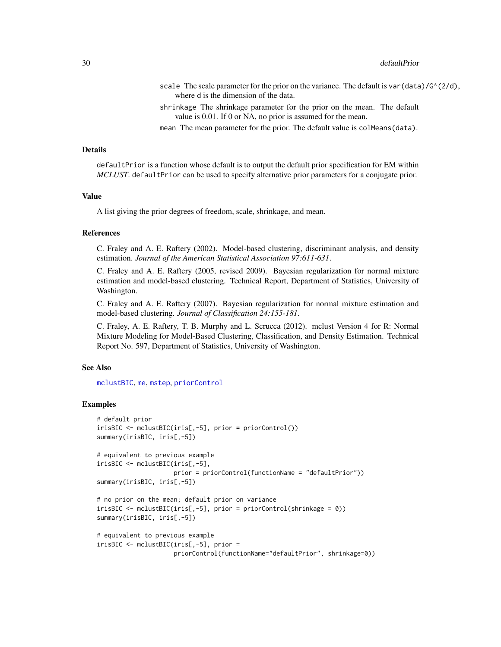- scale The scale parameter for the prior on the variance. The default is var (data)/ $G^{\wedge}(2/d)$ , where d is the dimension of the data.
- shrinkage The shrinkage parameter for the prior on the mean. The default value is 0.01. If 0 or NA, no prior is assumed for the mean.
- mean The mean parameter for the prior. The default value is colMeans(data).

#### Details

defaultPrior is a function whose default is to output the default prior specification for EM within *MCLUST*. defaultPrior can be used to specify alternative prior parameters for a conjugate prior.

#### Value

A list giving the prior degrees of freedom, scale, shrinkage, and mean.

### References

C. Fraley and A. E. Raftery (2002). Model-based clustering, discriminant analysis, and density estimation. *Journal of the American Statistical Association 97:611-631*.

C. Fraley and A. E. Raftery (2005, revised 2009). Bayesian regularization for normal mixture estimation and model-based clustering. Technical Report, Department of Statistics, University of Washington.

C. Fraley and A. E. Raftery (2007). Bayesian regularization for normal mixture estimation and model-based clustering. *Journal of Classification 24:155-181*.

C. Fraley, A. E. Raftery, T. B. Murphy and L. Scrucca (2012). mclust Version 4 for R: Normal Mixture Modeling for Model-Based Clustering, Classification, and Density Estimation. Technical Report No. 597, Department of Statistics, University of Washington.

#### See Also

[mclustBIC](#page-70-1), [me](#page-89-1), [mstep](#page-95-1), [priorControl](#page-126-1)

```
# default prior
irisBIC <- mclustBIC(iris[,-5], prior = priorControl())
summary(irisBIC, iris[,-5])
# equivalent to previous example
irisBIC <- mclustBIC(iris[,-5],
                     prior = priorControl(functionName = "defaultPrior"))
summary(irisBIC, iris[,-5])
# no prior on the mean; default prior on variance
irisBIC <- mclustBIC(iris[,-5], prior = priorControl(shrinkage = 0))
summary(irisBIC, iris[,-5])
# equivalent to previous example
irisBIC <- mclustBIC(iris[,-5], prior =
                     priorControl(functionName="defaultPrior", shrinkage=0))
```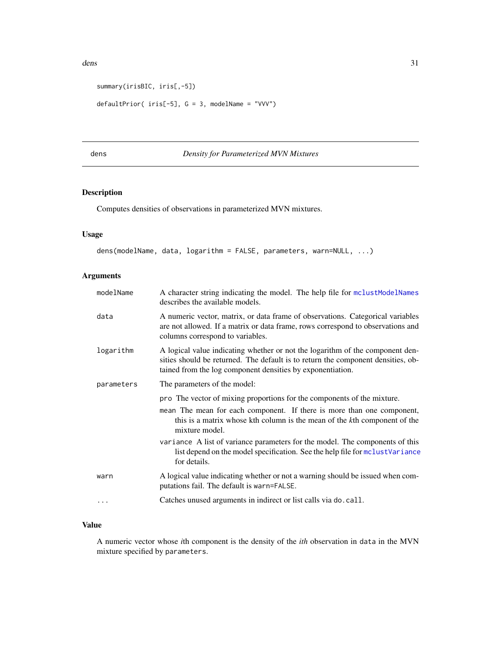```
summary(irisBIC, iris[,-5])
```

```
defaultPrior( iris[-5], G = 3, modelName = "VVV")
```
### <span id="page-30-1"></span>dens *Density for Parameterized MVN Mixtures*

### Description

Computes densities of observations in parameterized MVN mixtures.

### Usage

```
dens(modelName, data, logarithm = FALSE, parameters, warn=NULL, ...)
```
### Arguments

| modelName  | A character string indicating the model. The help file for mclustModelNames<br>describes the available models.                                                                                                                  |
|------------|---------------------------------------------------------------------------------------------------------------------------------------------------------------------------------------------------------------------------------|
| data       | A numeric vector, matrix, or data frame of observations. Categorical variables<br>are not allowed. If a matrix or data frame, rows correspond to observations and<br>columns correspond to variables.                           |
| logarithm  | A logical value indicating whether or not the logarithm of the component den-<br>sities should be returned. The default is to return the component densities, ob-<br>tained from the log component densities by exponentiation. |
| parameters | The parameters of the model:                                                                                                                                                                                                    |
|            | pro The vector of mixing proportions for the components of the mixture.                                                                                                                                                         |
|            | mean The mean for each component. If there is more than one component,<br>this is a matrix whose kth column is the mean of the kth component of the<br>mixture model.                                                           |
|            | variance A list of variance parameters for the model. The components of this<br>list depend on the model specification. See the help file for mclustVariance<br>for details.                                                    |
| warn       | A logical value indicating whether or not a warning should be issued when com-<br>putations fail. The default is warn=FALSE.                                                                                                    |
|            | Catches unused arguments in indirect or list calls via do. call.                                                                                                                                                                |
|            |                                                                                                                                                                                                                                 |

### Value

A numeric vector whose *i*th component is the density of the *ith* observation in data in the MVN mixture specified by parameters.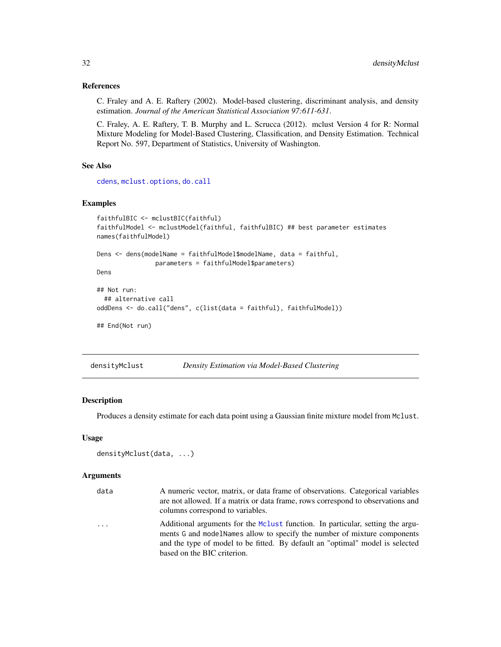#### References

C. Fraley and A. E. Raftery (2002). Model-based clustering, discriminant analysis, and density estimation. *Journal of the American Statistical Association 97:611-631*.

C. Fraley, A. E. Raftery, T. B. Murphy and L. Scrucca (2012). mclust Version 4 for R: Normal Mixture Modeling for Model-Based Clustering, Classification, and Density Estimation. Technical Report No. 597, Department of Statistics, University of Washington.

### See Also

[cdens](#page-9-1), [mclust.options](#page-63-1), [do.call](#page-0-0)

### Examples

```
faithfulBIC <- mclustBIC(faithful)
faithfulModel <- mclustModel(faithful, faithfulBIC) ## best parameter estimates
names(faithfulModel)
Dens <- dens(modelName = faithfulModel$modelName, data = faithful,
                parameters = faithfulModel$parameters)
Dens
## Not run:
 ## alternative call
oddDens <- do.call("dens", c(list(data = faithful), faithfulModel))
## End(Not run)
```
<span id="page-31-1"></span>

| densityMclust | Density Estimation via Model-Based Clustering |  |
|---------------|-----------------------------------------------|--|
|---------------|-----------------------------------------------|--|

### Description

Produces a density estimate for each data point using a Gaussian finite mixture model from Mclust.

#### Usage

```
densityMclust(data, ...)
```

| data     | A numeric vector, matrix, or data frame of observations. Categorical variables                                                                              |
|----------|-------------------------------------------------------------------------------------------------------------------------------------------------------------|
|          | are not allowed. If a matrix or data frame, rows correspond to observations and                                                                             |
|          | columns correspond to variables.                                                                                                                            |
| $\cdots$ | Additional arguments for the McLust function. In particular, setting the argu-<br>ments G and model Names allow to specify the number of mixture components |
|          | and the type of model to be fitted. By default an "optimal" model is selected                                                                               |
|          | based on the BIC criterion.                                                                                                                                 |

<span id="page-31-0"></span>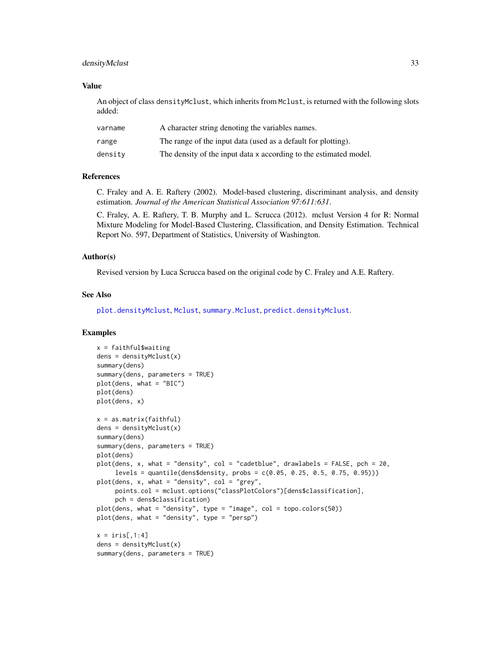### densityMclust 33

#### Value

An object of class densityMclust, which inherits from Mclust, is returned with the following slots added:

| varname | A character string denoting the variables names.                  |
|---------|-------------------------------------------------------------------|
| range   | The range of the input data (used as a default for plotting).     |
| density | The density of the input data x according to the estimated model. |

#### References

C. Fraley and A. E. Raftery (2002). Model-based clustering, discriminant analysis, and density estimation. *Journal of the American Statistical Association 97:611:631*.

C. Fraley, A. E. Raftery, T. B. Murphy and L. Scrucca (2012). mclust Version 4 for R: Normal Mixture Modeling for Model-Based Clustering, Classification, and Density Estimation. Technical Report No. 597, Department of Statistics, University of Washington.

#### Author(s)

Revised version by Luca Scrucca based on the original code by C. Fraley and A.E. Raftery.

#### See Also

[plot.densityMclust](#page-107-1), [Mclust](#page-60-1), [summary.Mclust](#page-136-1), [predict.densityMclust](#page-120-1).

```
x = faithful$waiting
dens = densityMclust(x)
summary(dens)
summary(dens, parameters = TRUE)
plot(dens, what = "BIC")
plot(dens)
plot(dens, x)
x = as.matrix(faithful)
dens = densityMclust(x)
summary(dens)
summary(dens, parameters = TRUE)
plot(dens)
plot(dens, x, what = "density", col = "cadetblue", drawlabels = FALSE, pch = 20,
     levels = quantile(dens$density, probs = c(0.05, 0.25, 0.5, 0.75, 0.95)))
plot(dens, x, what = "density", col = "grey",
     points.col = mclust.options("classPlotColors")[dens$classification],
     pch = dens$classification)
plot(dens, what = "density", type = "image", col = topo.colors(50))
plot(dens, what = "density", type = "persp")
x = \text{iris}[, 1:4]dens = densityMclust(x)summary(dens, parameters = TRUE)
```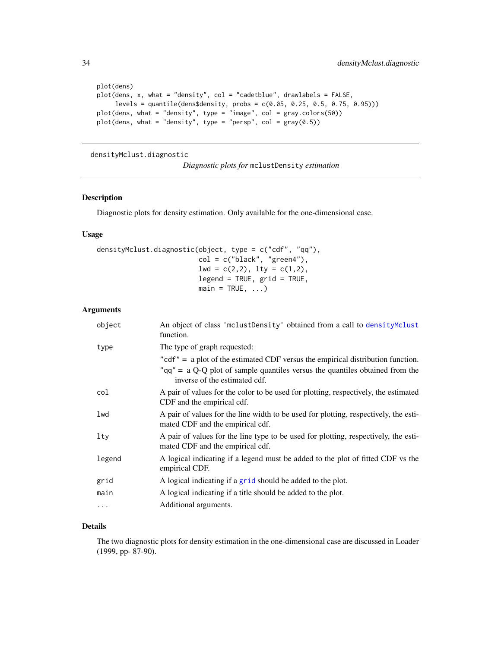```
plot(dens)
plot(dens, x, what = "density", col = "cadetblue", drawlabels = FALSE,
     levels = quantile(dens$density, probs = c(0.05, 0.25, 0.5, 0.75, 0.95)))
plot(dens, what = "density", type = "image", col = gray.colors(50))
plot(dens, what = "density", type = "persp", col = gray(0.5))
```
### densityMclust.diagnostic

### Description

Diagnostic plots for density estimation. Only available for the one-dimensional case.

#### Usage

```
densityMclust.diagnostic(object, type = c("cdf", "qq"),
                         col = c("black", "green4"),
                         1wd = c(2,2), 1ty = c(1,2),legend = TRUE, grid = TRUE,
                         main = TRUE, ...
```
### Arguments

| object     | An object of class 'mclustDensity' obtained from a call to densityMclust<br>function.                                    |
|------------|--------------------------------------------------------------------------------------------------------------------------|
| type       | The type of graph requested:                                                                                             |
|            | " $cdf" = a plot of the estimated CDF versus the empirical distribution function.$                                       |
|            | " $qq$ " = a Q-Q plot of sample quantiles versus the quantiles obtained from the<br>inverse of the estimated cdf.        |
| col        | A pair of values for the color to be used for plotting, respectively, the estimated<br>CDF and the empirical cdf.        |
| lwd        | A pair of values for the line width to be used for plotting, respectively, the esti-<br>mated CDF and the empirical cdf. |
| lty        | A pair of values for the line type to be used for plotting, respectively, the esti-<br>mated CDF and the empirical cdf.  |
| legend     | A logical indicating if a legend must be added to the plot of fitted CDF vs the<br>empirical CDF.                        |
| grid       | A logical indicating if a grid should be added to the plot.                                                              |
| main       | A logical indicating if a title should be added to the plot.                                                             |
| $\ddots$ . | Additional arguments.                                                                                                    |

### Details

The two diagnostic plots for density estimation in the one-dimensional case are discussed in Loader (1999, pp- 87-90).

<span id="page-33-0"></span>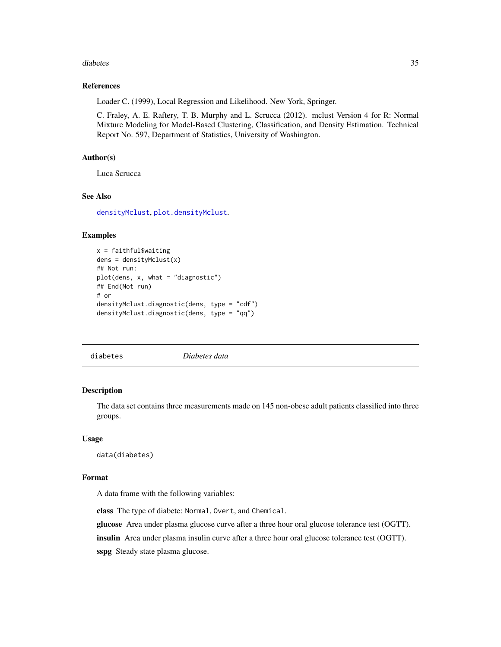#### <span id="page-34-0"></span>diabetes 35

#### References

Loader C. (1999), Local Regression and Likelihood. New York, Springer.

C. Fraley, A. E. Raftery, T. B. Murphy and L. Scrucca (2012). mclust Version 4 for R: Normal Mixture Modeling for Model-Based Clustering, Classification, and Density Estimation. Technical Report No. 597, Department of Statistics, University of Washington.

### Author(s)

Luca Scrucca

### See Also

[densityMclust](#page-31-1), [plot.densityMclust](#page-107-1).

#### Examples

```
x = faithful$waiting
dens = densityMclust(x)
## Not run:
plot(dens, x, what = "diagnostic")
## End(Not run)
# or
densityMclust.diagnostic(dens, type = "cdf")
densityMclust.diagnostic(dens, type = "qq")
```
diabetes *Diabetes data*

#### Description

The data set contains three measurements made on 145 non-obese adult patients classified into three groups.

#### Usage

data(diabetes)

### Format

A data frame with the following variables:

class The type of diabete: Normal, Overt, and Chemical.

glucose Area under plasma glucose curve after a three hour oral glucose tolerance test (OGTT).

insulin Area under plasma insulin curve after a three hour oral glucose tolerance test (OGTT).

sspg Steady state plasma glucose.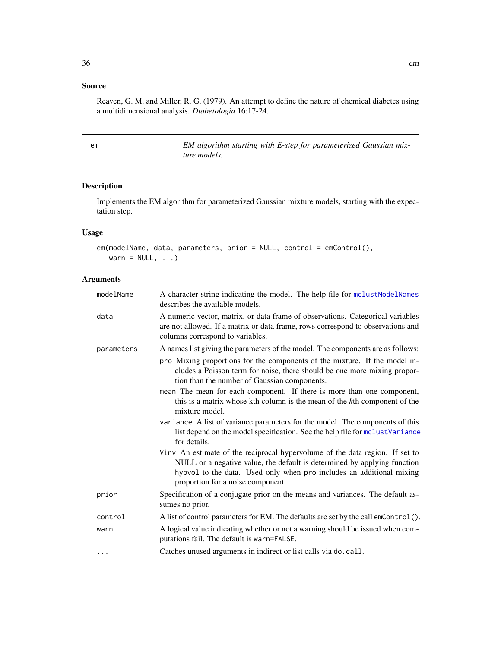### <span id="page-35-0"></span>Source

Reaven, G. M. and Miller, R. G. (1979). An attempt to define the nature of chemical diabetes using a multidimensional analysis. *Diabetologia* 16:17-24.

em *EM algorithm starting with E-step for parameterized Gaussian mixture models.*

### Description

Implements the EM algorithm for parameterized Gaussian mixture models, starting with the expectation step.

### Usage

```
em(modelName, data, parameters, prior = NULL, control = emControl(),
   warn = NULL, \ldots)
```

| modelName  | A character string indicating the model. The help file for mclustModelNames<br>describes the available models.                                                                                                                                                        |
|------------|-----------------------------------------------------------------------------------------------------------------------------------------------------------------------------------------------------------------------------------------------------------------------|
| data       | A numeric vector, matrix, or data frame of observations. Categorical variables<br>are not allowed. If a matrix or data frame, rows correspond to observations and<br>columns correspond to variables.                                                                 |
| parameters | A names list giving the parameters of the model. The components are as follows:                                                                                                                                                                                       |
|            | pro Mixing proportions for the components of the mixture. If the model in-<br>cludes a Poisson term for noise, there should be one more mixing propor-<br>tion than the number of Gaussian components.                                                                |
|            | mean The mean for each component. If there is more than one component,<br>this is a matrix whose kth column is the mean of the kth component of the<br>mixture model.                                                                                                 |
|            | variance A list of variance parameters for the model. The components of this<br>list depend on the model specification. See the help file for mclust Variance<br>for details.                                                                                         |
|            | Vinv An estimate of the reciprocal hypervolume of the data region. If set to<br>NULL or a negative value, the default is determined by applying function<br>hypvol to the data. Used only when pro includes an additional mixing<br>proportion for a noise component. |
| prior      | Specification of a conjugate prior on the means and variances. The default as-<br>sumes no prior.                                                                                                                                                                     |
| control    | A list of control parameters for EM. The defaults are set by the call emControl().                                                                                                                                                                                    |
| warn       | A logical value indicating whether or not a warning should be issued when com-<br>putations fail. The default is warn=FALSE.                                                                                                                                          |
| $\cdots$   | Catches unused arguments in indirect or list calls via do. call.                                                                                                                                                                                                      |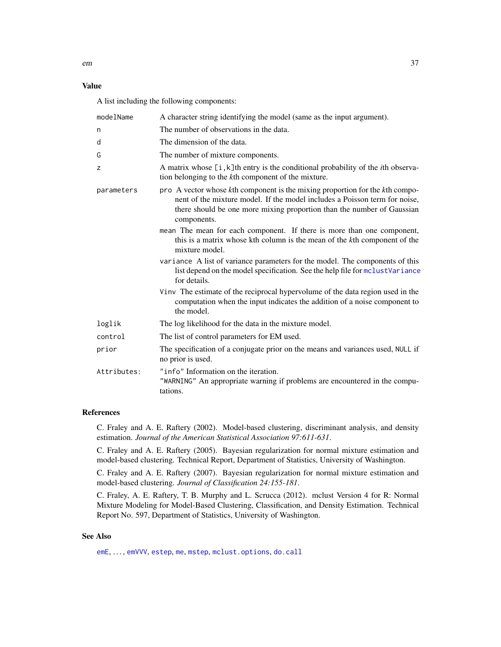### Value

A list including the following components:

| modelName   | A character string identifying the model (same as the input argument).                                                                                                                                                                              |
|-------------|-----------------------------------------------------------------------------------------------------------------------------------------------------------------------------------------------------------------------------------------------------|
| n           | The number of observations in the data.                                                                                                                                                                                                             |
| d           | The dimension of the data.                                                                                                                                                                                                                          |
| G           | The number of mixture components.                                                                                                                                                                                                                   |
| Z           | A matrix whose $[i, k]$ th entry is the conditional probability of the <i>i</i> th observa-<br>tion belonging to the kth component of the mixture.                                                                                                  |
| parameters  | pro A vector whose kth component is the mixing proportion for the kth compo-<br>nent of the mixture model. If the model includes a Poisson term for noise,<br>there should be one more mixing proportion than the number of Gaussian<br>components. |
|             | mean The mean for each component. If there is more than one component,<br>this is a matrix whose kth column is the mean of the kth component of the<br>mixture model.                                                                               |
|             | variance A list of variance parameters for the model. The components of this<br>list depend on the model specification. See the help file for mclustVariance<br>for details.                                                                        |
|             | Vinv The estimate of the reciprocal hypervolume of the data region used in the<br>computation when the input indicates the addition of a noise component to<br>the model.                                                                           |
| loglik      | The log likelihood for the data in the mixture model.                                                                                                                                                                                               |
| control     | The list of control parameters for EM used.                                                                                                                                                                                                         |
| prior       | The specification of a conjugate prior on the means and variances used, NULL if<br>no prior is used.                                                                                                                                                |
| Attributes: | "info" Information on the iteration.<br>"WARNING" An appropriate warning if problems are encountered in the compu-<br>tations.                                                                                                                      |

## References

C. Fraley and A. E. Raftery (2002). Model-based clustering, discriminant analysis, and density estimation. *Journal of the American Statistical Association 97:611-631*.

C. Fraley and A. E. Raftery (2005). Bayesian regularization for normal mixture estimation and model-based clustering. Technical Report, Department of Statistics, University of Washington.

C. Fraley and A. E. Raftery (2007). Bayesian regularization for normal mixture estimation and model-based clustering. *Journal of Classification 24:155-181*.

C. Fraley, A. E. Raftery, T. B. Murphy and L. Scrucca (2012). mclust Version 4 for R: Normal Mixture Modeling for Model-Based Clustering, Classification, and Density Estimation. Technical Report No. 597, Department of Statistics, University of Washington.

#### See Also

[emE](#page-38-0), ..., [emVVV](#page-38-1), [estep](#page-43-0), [me](#page-89-0), [mstep](#page-95-0), [mclust.options](#page-63-0), [do.call](#page-0-0)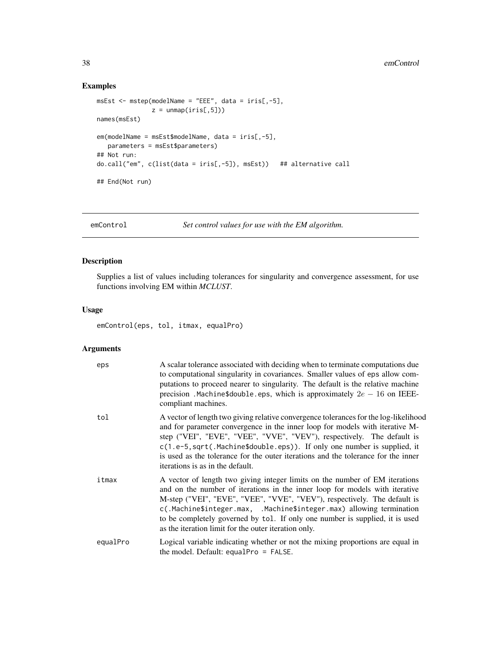## Examples

```
msEst < - mstep(modelName = "EEE", data = iris[, -5],z =unmap(iris[,5]))
names(msEst)
em(modelName = msEst$modelName, data = iris[,-5],
  parameters = msEst$parameters)
## Not run:
do.call("em", c(list(data = iris[,-5]), msEst)) ## alternative call
## End(Not run)
```
<span id="page-37-0"></span>emControl *Set control values for use with the EM algorithm.*

## Description

Supplies a list of values including tolerances for singularity and convergence assessment, for use functions involving EM within *MCLUST*.

## Usage

emControl(eps, tol, itmax, equalPro)

### Arguments

| eps      | A scalar tolerance associated with deciding when to terminate computations due<br>to computational singularity in covariances. Smaller values of eps allow com-<br>putations to proceed nearer to singularity. The default is the relative machine<br>precision. Machine\$double.eps, which is approximately $2e - 16$ on IEEE-<br>compliant machines.                                                                                                 |
|----------|--------------------------------------------------------------------------------------------------------------------------------------------------------------------------------------------------------------------------------------------------------------------------------------------------------------------------------------------------------------------------------------------------------------------------------------------------------|
| tol      | A vector of length two giving relative convergence tolerances for the log-likelihood<br>and for parameter convergence in the inner loop for models with iterative M-<br>step ("VEI", "EVE", "VEE", "VVE", "VEV"), respectively. The default is<br>c(1.e-5, sqrt(.Machine\$double.eps)). If only one number is supplied, it<br>is used as the tolerance for the outer iterations and the tolerance for the inner<br>iterations is as in the default.    |
| itmax    | A vector of length two giving integer limits on the number of EM iterations<br>and on the number of iterations in the inner loop for models with iterative<br>M-step ("VEI", "EVE", "VEE", "VVE", "VEV"), respectively. The default is<br>c(.Machine\$integer.max, .Machine\$integer.max) allowing termination<br>to be completely governed by tol. If only one number is supplied, it is used<br>as the iteration limit for the outer iteration only. |
| equalPro | Logical variable indicating whether or not the mixing proportions are equal in<br>the model. Default: equalPro $=$ FALSE.                                                                                                                                                                                                                                                                                                                              |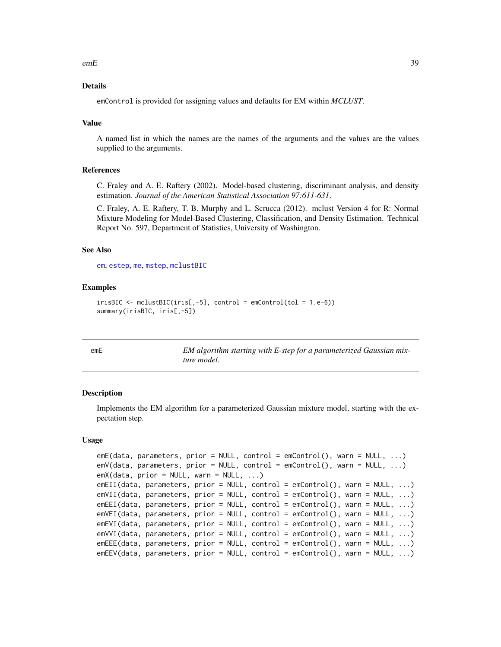$e$ mE 39

### Details

emControl is provided for assigning values and defaults for EM within *MCLUST*.

#### Value

A named list in which the names are the names of the arguments and the values are the values supplied to the arguments.

### References

C. Fraley and A. E. Raftery (2002). Model-based clustering, discriminant analysis, and density estimation. *Journal of the American Statistical Association 97:611-631*.

C. Fraley, A. E. Raftery, T. B. Murphy and L. Scrucca (2012). mclust Version 4 for R: Normal Mixture Modeling for Model-Based Clustering, Classification, and Density Estimation. Technical Report No. 597, Department of Statistics, University of Washington.

#### See Also

[em](#page-35-0), [estep](#page-43-0), [me](#page-89-0), [mstep](#page-95-0), [mclustBIC](#page-70-0)

### Examples

```
irisBIC \leftarrow \text{mclustBIC}(iris[, -5], \text{control} = \text{emControl}(tol = 1.e-6))summary(irisBIC, iris[,-5])
```
<span id="page-38-0"></span>

| ۰. |
|----|
|----|

EM algorithm starting with E-step for a parameterized Gaussian mix*ture model.*

#### <span id="page-38-1"></span>Description

Implements the EM algorithm for a parameterized Gaussian mixture model, starting with the expectation step.

### Usage

```
emE(data, parameters, prior = NULL, control = emControl(), warn = NULL, ...)
emV(data, parameters, prior = NULL, control = emControl(), warn = NULL, ...)
emX(data, prior = NULL, warn = NULL, ...)emEII(data, parameters, prior = NULL, control = emControl(), warn = NULL, ...)
emVII(data, parameters, prior = NULL, control = emControl(), warn = NULL, ...)
emEEI(data, parameters, prior = NULL, control = emControl(), warn = NULL, ...)
emVEI(data, parameters, prior = NULL, control = emControl(), warn = NULL, ...)
emEVI(data, parameters, prior = NULL, control = emControl(), warn = NULL, ...)
emVVI(data, parameters, prior = NULL, control = emControl(), warn = NULL, ...)
emEEE(data, parameters, prior = NULL, control = emControl(), warn = NULL, ...)
emEEV(data, parameters, prior = NULL, control = emControl(), warn = NULL, ...)
```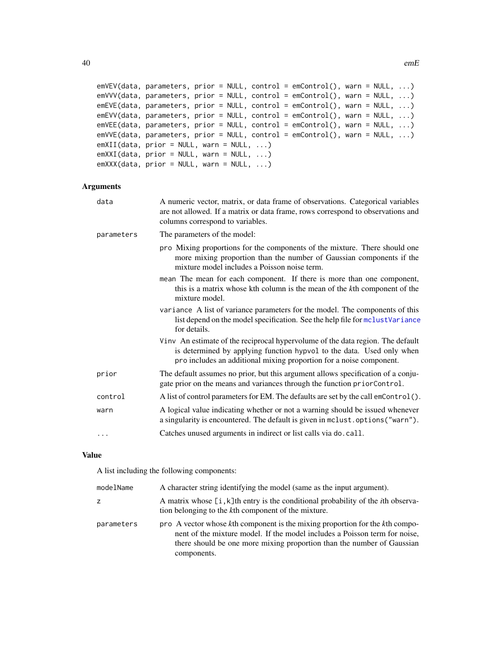```
emVEV(data, parameters, prior = NULL, control = emControl(), warn = NULL, ...)
emVVV(data, parameters, prior = NULL, control = emControl(), warn = NULL, ...)
emEVE(data, parameters, prior = NULL, control = emControl(), warn = NULL, ...)
emEVV(data, parameters, prior = NULL, control = emControl(), warn = NULL, ...)
emVEE(data, parameters, prior = NULL, control = emControl(), warn = NULL, ...)
emVVE(data, parameters, prior = NULL, control = emControl(), warn = NULL, ...)
emXII(data, prior = NULL, warn = NULL, ...)emXXI(data, prior = NULL, warn = NULL, ...)emXXX(data, prior = NULL, warn = NULL, ...)
```
## Arguments

| data       | A numeric vector, matrix, or data frame of observations. Categorical variables<br>are not allowed. If a matrix or data frame, rows correspond to observations and<br>columns correspond to variables.                          |
|------------|--------------------------------------------------------------------------------------------------------------------------------------------------------------------------------------------------------------------------------|
| parameters | The parameters of the model:                                                                                                                                                                                                   |
|            | pro Mixing proportions for the components of the mixture. There should one<br>more mixing proportion than the number of Gaussian components if the<br>mixture model includes a Poisson noise term.                             |
|            | mean The mean for each component. If there is more than one component,<br>this is a matrix whose kth column is the mean of the kth component of the<br>mixture model.                                                          |
|            | variance A list of variance parameters for the model. The components of this<br>list depend on the model specification. See the help file for mclustVariance<br>for details.                                                   |
|            | Vinv An estimate of the reciprocal hypervolume of the data region. The default<br>is determined by applying function hypvol to the data. Used only when<br>pro includes an additional mixing proportion for a noise component. |
| prior      | The default assumes no prior, but this argument allows specification of a conju-<br>gate prior on the means and variances through the function priorControl.                                                                   |
| control    | A list of control parameters for EM. The defaults are set by the call emControl().                                                                                                                                             |
| warn       | A logical value indicating whether or not a warning should be issued whenever<br>a singularity is encountered. The default is given in mclust.options("warn").                                                                 |
| $\cdots$   | Catches unused arguments in indirect or list calls via do. call.                                                                                                                                                               |

#### Value

A list including the following components:

| modelName  | A character string identifying the model (same as the input argument).                                                                                                                                                                              |
|------------|-----------------------------------------------------------------------------------------------------------------------------------------------------------------------------------------------------------------------------------------------------|
| z          | A matrix whose [i, k]th entry is the conditional probability of the <i>i</i> th observa-<br>tion belonging to the kth component of the mixture.                                                                                                     |
| parameters | pro A vector whose kth component is the mixing proportion for the kth compo-<br>nent of the mixture model. If the model includes a Poisson term for noise,<br>there should be one more mixing proportion than the number of Gaussian<br>components. |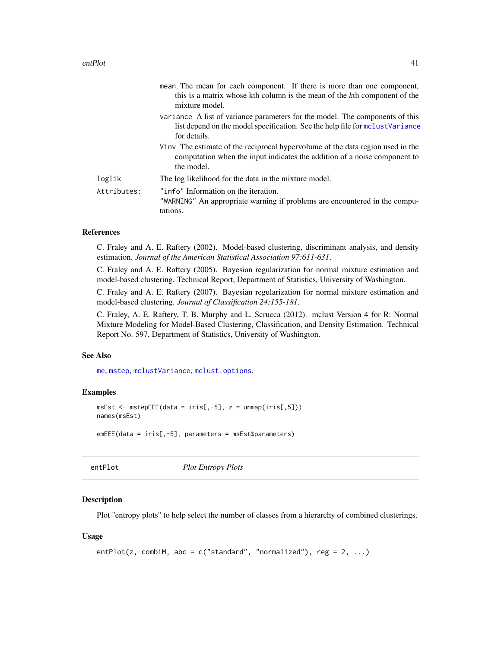|             | mean The mean for each component. If there is more than one component,<br>this is a matrix whose kth column is the mean of the kth component of the<br>mixture model.        |
|-------------|------------------------------------------------------------------------------------------------------------------------------------------------------------------------------|
|             | variance A list of variance parameters for the model. The components of this<br>list depend on the model specification. See the help file for mclustVariance<br>for details. |
|             | Vinv The estimate of the reciprocal hypervolume of the data region used in the<br>computation when the input indicates the addition of a noise component to<br>the model.    |
| loglik      | The log likelihood for the data in the mixture model.                                                                                                                        |
| Attributes: | "info" Information on the iteration.<br>"WARNING" An appropriate warning if problems are encountered in the compu-<br>tations.                                               |

#### References

C. Fraley and A. E. Raftery (2002). Model-based clustering, discriminant analysis, and density estimation. *Journal of the American Statistical Association 97:611-631*.

C. Fraley and A. E. Raftery (2005). Bayesian regularization for normal mixture estimation and model-based clustering. Technical Report, Department of Statistics, University of Washington.

C. Fraley and A. E. Raftery (2007). Bayesian regularization for normal mixture estimation and model-based clustering. *Journal of Classification 24:155-181*.

C. Fraley, A. E. Raftery, T. B. Murphy and L. Scrucca (2012). mclust Version 4 for R: Normal Mixture Modeling for Model-Based Clustering, Classification, and Density Estimation. Technical Report No. 597, Department of Statistics, University of Washington.

### See Also

[me](#page-89-0), [mstep](#page-95-0), [mclustVariance](#page-88-0), [mclust.options](#page-63-0).

#### Examples

```
msEst < -mstepEEE(data = iris[, -5], z = unmap(iris[, 5]))names(msEst)
emEEE(data = iris[,-5], parameters = msEst$parameters)
```
entPlot *Plot Entropy Plots*

#### **Description**

Plot "entropy plots" to help select the number of classes from a hierarchy of combined clusterings.

#### Usage

```
entPlot(z, combiM, abc = c("standard", "normalized"), reg = 2, ...)
```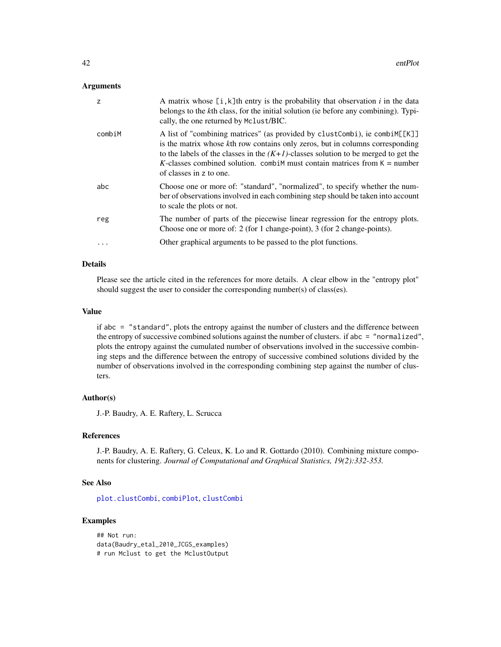#### Arguments

| z         | A matrix whose $[i, k]$ th entry is the probability that observation i in the data<br>belongs to the kth class, for the initial solution (ie before any combining). Typi-<br>cally, the one returned by Mclust/BIC.                                                                                                                                               |
|-----------|-------------------------------------------------------------------------------------------------------------------------------------------------------------------------------------------------------------------------------------------------------------------------------------------------------------------------------------------------------------------|
| combiM    | A list of "combining matrices" (as provided by clustCombi), ie combi $M[[K]]$<br>is the matrix whose kth row contains only zeros, but in columns corresponding<br>to the labels of the classes in the $(K+1)$ -classes solution to be merged to get the<br>K-classes combined solution. combim must contain matrices from $K =$ number<br>of classes in z to one. |
| abc       | Choose one or more of: "standard", "normalized", to specify whether the num-<br>ber of observations involved in each combining step should be taken into account<br>to scale the plots or not.                                                                                                                                                                    |
| reg       | The number of parts of the piecewise linear regression for the entropy plots.<br>Choose one or more of: 2 (for 1 change-point), 3 (for 2 change-points).                                                                                                                                                                                                          |
| $\ddotsc$ | Other graphical arguments to be passed to the plot functions.                                                                                                                                                                                                                                                                                                     |

### Details

Please see the article cited in the references for more details. A clear elbow in the "entropy plot" should suggest the user to consider the corresponding number(s) of class(es).

### Value

if abc = "standard", plots the entropy against the number of clusters and the difference between the entropy of successive combined solutions against the number of clusters. if abc = "normalized", plots the entropy against the cumulated number of observations involved in the successive combining steps and the difference between the entropy of successive combined solutions divided by the number of observations involved in the corresponding combining step against the number of clusters.

### Author(s)

J.-P. Baudry, A. E. Raftery, L. Scrucca

## References

J.-P. Baudry, A. E. Raftery, G. Celeux, K. Lo and R. Gottardo (2010). Combining mixture components for clustering. *Journal of Computational and Graphical Statistics, 19(2):332-353.*

### See Also

[plot.clustCombi](#page-106-0), [combiPlot](#page-19-0), [clustCombi](#page-17-0)

## Examples

## Not run: data(Baudry\_etal\_2010\_JCGS\_examples) # run Mclust to get the MclustOutput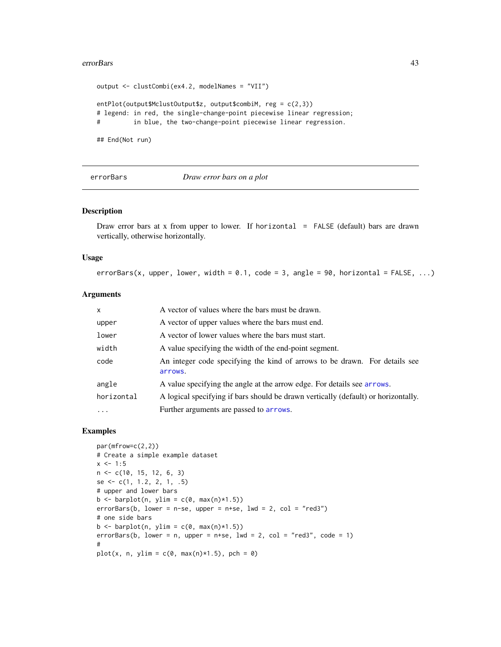#### errorBars 43

```
output <- clustCombi(ex4.2, modelNames = "VII")
entPlot(output$MclustOutput$z, output$combiM, reg = c(2,3))
# legend: in red, the single-change-point piecewise linear regression;
# in blue, the two-change-point piecewise linear regression.
```
## End(Not run)

errorBars *Draw error bars on a plot*

## Description

Draw error bars at x from upper to lower. If horizontal  $=$  FALSE (default) bars are drawn vertically, otherwise horizontally.

#### Usage

```
errorBars(x, upper, lower, width = 0.1, code = 3, angle = 90, horizontal = FALSE, ...)
```
### Arguments

| $\mathsf{x}$ | A vector of values where the bars must be drawn.                                      |
|--------------|---------------------------------------------------------------------------------------|
| upper        | A vector of upper values where the bars must end.                                     |
| lower        | A vector of lower values where the bars must start.                                   |
| width        | A value specifying the width of the end-point segment.                                |
| code         | An integer code specifying the kind of arrows to be drawn. For details see<br>arrows. |
| angle        | A value specifying the angle at the arrow edge. For details see arrows.               |
| horizontal   | A logical specifying if bars should be drawn vertically (default) or horizontally.    |
| $\cdots$     | Further arguments are passed to arrows.                                               |

### Examples

```
par(mfrow=c(2,2))
# Create a simple example dataset
x \le -1:5n <- c(10, 15, 12, 6, 3)
se <- c(1, 1.2, 2, 1, .5)
# upper and lower bars
b \le barplot(n, ylim = c(0, max(n)*1.5))
errorBars(b, lower = n-se, upper = n+se, lwd = 2, col = "red3")
# one side bars
b \le barplot(n, ylim = c(0, max(n)*1.5))
errorBars(b, lower = n, upper = n+se, lwd = 2, col = "red3", code = 1)
#
plot(x, n, ylim = c(0, max(n)*1.5), pch = 0)
```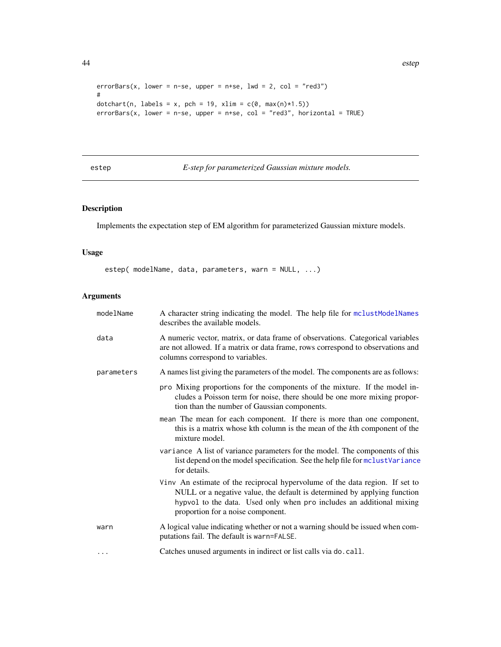```
errorBars(x, lower = n-se, upper = n+se, lwd = 2, col = "red3")
#
dotchart(n, labels = x, pch = 19, xlim = c(\emptyset, max(n)*1.5))
errorBars(x, lower = n-se, upper = n+se, col = "red3", horizontal = TRUE)
```
# <span id="page-43-0"></span>estep *E-step for parameterized Gaussian mixture models.*

## Description

Implements the expectation step of EM algorithm for parameterized Gaussian mixture models.

### Usage

estep( modelName, data, parameters, warn = NULL, ...)

# Arguments

| modelName  | A character string indicating the model. The help file for mclustModelNames<br>describes the available models.                                                                                                                                                        |
|------------|-----------------------------------------------------------------------------------------------------------------------------------------------------------------------------------------------------------------------------------------------------------------------|
| data       | A numeric vector, matrix, or data frame of observations. Categorical variables<br>are not allowed. If a matrix or data frame, rows correspond to observations and<br>columns correspond to variables.                                                                 |
| parameters | A names list giving the parameters of the model. The components are as follows:                                                                                                                                                                                       |
|            | pro Mixing proportions for the components of the mixture. If the model in-<br>cludes a Poisson term for noise, there should be one more mixing propor-<br>tion than the number of Gaussian components.                                                                |
|            | mean The mean for each component. If there is more than one component,<br>this is a matrix whose kth column is the mean of the kth component of the<br>mixture model.                                                                                                 |
|            | variance A list of variance parameters for the model. The components of this<br>list depend on the model specification. See the help file for mclustVariance<br>for details.                                                                                          |
|            | Vinv An estimate of the reciprocal hypervolume of the data region. If set to<br>NULL or a negative value, the default is determined by applying function<br>hypvol to the data. Used only when pro includes an additional mixing<br>proportion for a noise component. |
| warn       | A logical value indicating whether or not a warning should be issued when com-<br>putations fail. The default is warn=FALSE.                                                                                                                                          |
| $\cdots$   | Catches unused arguments in indirect or list calls via do. call.                                                                                                                                                                                                      |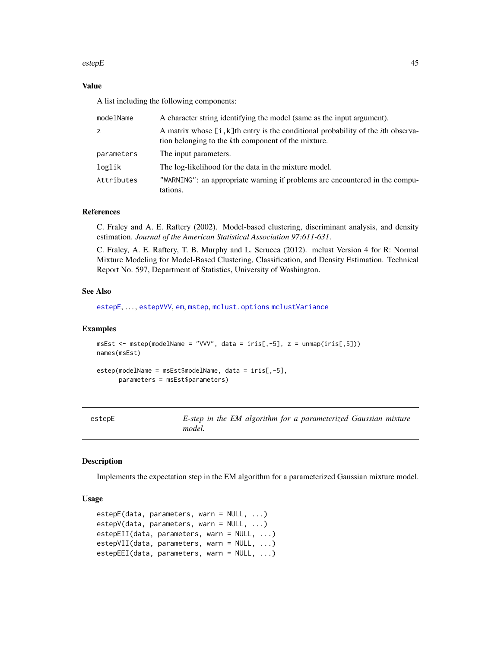#### estepE  $\sim$  45

### Value

A list including the following components:

| modelName  | A character string identifying the model (same as the input argument).                                                                             |
|------------|----------------------------------------------------------------------------------------------------------------------------------------------------|
| z          | A matrix whose $[i, k]$ th entry is the conditional probability of the <i>i</i> th observa-<br>tion belonging to the kth component of the mixture. |
| parameters | The input parameters.                                                                                                                              |
| loglik     | The log-likelihood for the data in the mixture model.                                                                                              |
| Attributes | "WARNING": an appropriate warning if problems are encountered in the compu-<br>tations.                                                            |

## References

C. Fraley and A. E. Raftery (2002). Model-based clustering, discriminant analysis, and density estimation. *Journal of the American Statistical Association 97:611-631*.

C. Fraley, A. E. Raftery, T. B. Murphy and L. Scrucca (2012). mclust Version 4 for R: Normal Mixture Modeling for Model-Based Clustering, Classification, and Density Estimation. Technical Report No. 597, Department of Statistics, University of Washington.

## See Also

[estepE](#page-44-0), ..., [estepVVV](#page-44-1), [em](#page-35-0), [mstep](#page-95-0), [mclust.options](#page-63-0) [mclustVariance](#page-88-0)

#### Examples

```
msEst < - mstep(modelName = "VVV", data = iris[, -5], z = unmap(iris[, 5]))names(msEst)
estep(modelName = msEst$modelName, data = iris[,-5],
```

```
parameters = msEst$parameters)
```
<span id="page-44-0"></span>

| ep⊦ |
|-----|
|-----|

E-step in the EM algorithm for a parameterized Gaussian mixture *model.*

#### <span id="page-44-1"></span>Description

Implements the expectation step in the EM algorithm for a parameterized Gaussian mixture model.

### Usage

```
estepE(data, parameters, warn = NULL, ...)
estepV(data, parameters, warn = NULL, ...)
estepEII(data, parameters, warn = NULL, ...)
estepVII(data, parameters, warn = NULL, ...)
estepEEI(data, parameters, warn = NULL, ...)
```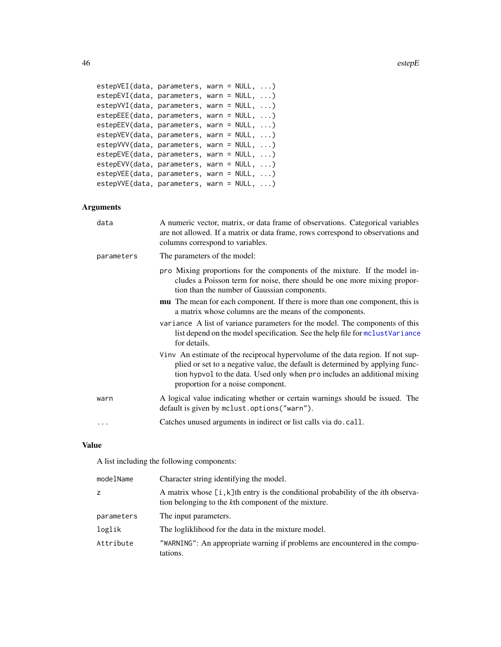```
estepVEI(data, parameters, warn = NULL, ...)
estepEVI(data, parameters, warn = NULL, ...)
estepVVI(data, parameters, warn = NULL, ...)
estepEEE(data, parameters, warn = NULL, ...)
estepEEV(data, parameters, warn = NULL, ...)
estepVEV(data, parameters, warn = NULL, ...)
estepVVV(data, parameters, warn = NULL, ...)
estepEVE(data, parameters, warn = NULL, ...)
estepEVV(data, parameters, warn = NULL, ...)
estepVEE(data, parameters, warn = NULL, ...)
estepVVE(data, parameters, warn = NULL, ...)
```
## Arguments

| data       | A numeric vector, matrix, or data frame of observations. Categorical variables<br>are not allowed. If a matrix or data frame, rows correspond to observations and<br>columns correspond to variables.                                                                             |
|------------|-----------------------------------------------------------------------------------------------------------------------------------------------------------------------------------------------------------------------------------------------------------------------------------|
| parameters | The parameters of the model:                                                                                                                                                                                                                                                      |
|            | pro Mixing proportions for the components of the mixture. If the model in-<br>cludes a Poisson term for noise, there should be one more mixing propor-<br>tion than the number of Gaussian components.                                                                            |
|            | mu The mean for each component. If there is more than one component, this is<br>a matrix whose columns are the means of the components.                                                                                                                                           |
|            | variance A list of variance parameters for the model. The components of this<br>list depend on the model specification. See the help file for molust Variance<br>for details.                                                                                                     |
|            | Vinv An estimate of the reciprocal hypervolume of the data region. If not sup-<br>plied or set to a negative value, the default is determined by applying func-<br>tion hypvol to the data. Used only when pro includes an additional mixing<br>proportion for a noise component. |
| warn       | A logical value indicating whether or certain warnings should be issued. The<br>default is given by mclust.options ("warn").                                                                                                                                                      |
| .          | Catches unused arguments in indirect or list calls via do. call.                                                                                                                                                                                                                  |

## Value

A list including the following components:

| modelName  | Character string identifying the model.                                                                                                         |
|------------|-------------------------------------------------------------------------------------------------------------------------------------------------|
| Z.         | A matrix whose [i, k]th entry is the conditional probability of the <i>i</i> th observa-<br>tion belonging to the kth component of the mixture. |
| parameters | The input parameters.                                                                                                                           |
| loglik     | The logliklihood for the data in the mixture model.                                                                                             |
| Attribute  | "WARNING": An appropriate warning if problems are encountered in the compu-<br>tations.                                                         |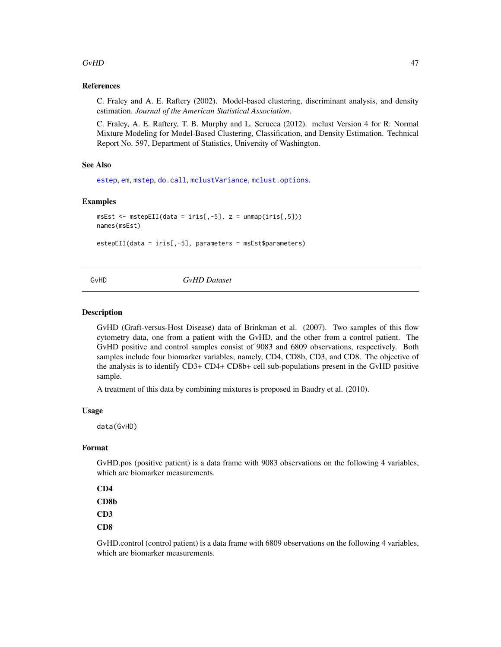### $GvHD$  and  $47$

### References

C. Fraley and A. E. Raftery (2002). Model-based clustering, discriminant analysis, and density estimation. *Journal of the American Statistical Association*.

C. Fraley, A. E. Raftery, T. B. Murphy and L. Scrucca (2012). mclust Version 4 for R: Normal Mixture Modeling for Model-Based Clustering, Classification, and Density Estimation. Technical Report No. 597, Department of Statistics, University of Washington.

### See Also

[estep](#page-43-0), [em](#page-35-0), [mstep](#page-95-0), [do.call](#page-0-0), [mclustVariance](#page-88-0), [mclust.options](#page-63-0).

#### Examples

```
msEst <- msE1(data = iris[, -5], z = unmap(iris[, 5]))names(msEst)
```
estepEII(data = iris[,-5], parameters = msEst\$parameters)

### GvHD *GvHD Dataset*

#### Description

GvHD (Graft-versus-Host Disease) data of Brinkman et al. (2007). Two samples of this flow cytometry data, one from a patient with the GvHD, and the other from a control patient. The GvHD positive and control samples consist of 9083 and 6809 observations, respectively. Both samples include four biomarker variables, namely, CD4, CD8b, CD3, and CD8. The objective of the analysis is to identify CD3+ CD4+ CD8b+ cell sub-populations present in the GvHD positive sample.

A treatment of this data by combining mixtures is proposed in Baudry et al. (2010).

#### Usage

data(GvHD)

### Format

GvHD.pos (positive patient) is a data frame with 9083 observations on the following 4 variables, which are biomarker measurements.

```
CD4
CD8b
CD3
CD8
```
GvHD.control (control patient) is a data frame with 6809 observations on the following 4 variables, which are biomarker measurements.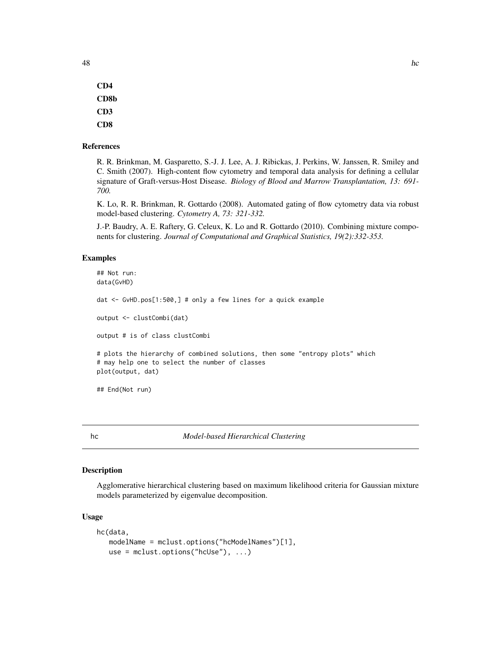CD4 CD8b CD3 CD8

#### References

R. R. Brinkman, M. Gasparetto, S.-J. J. Lee, A. J. Ribickas, J. Perkins, W. Janssen, R. Smiley and C. Smith (2007). High-content flow cytometry and temporal data analysis for defining a cellular signature of Graft-versus-Host Disease. *Biology of Blood and Marrow Transplantation, 13: 691- 700.*

K. Lo, R. R. Brinkman, R. Gottardo (2008). Automated gating of flow cytometry data via robust model-based clustering. *Cytometry A, 73: 321-332.*

J.-P. Baudry, A. E. Raftery, G. Celeux, K. Lo and R. Gottardo (2010). Combining mixture components for clustering. *Journal of Computational and Graphical Statistics, 19(2):332-353.*

### Examples

```
## Not run:
data(GvHD)
dat <- GvHD.pos[1:500,] # only a few lines for a quick example
output <- clustCombi(dat)
output # is of class clustCombi
# plots the hierarchy of combined solutions, then some "entropy plots" which
# may help one to select the number of classes
plot(output, dat)
## End(Not run)
```
<span id="page-47-0"></span>hc *Model-based Hierarchical Clustering*

### Description

Agglomerative hierarchical clustering based on maximum likelihood criteria for Gaussian mixture models parameterized by eigenvalue decomposition.

### Usage

```
hc(data,
  modelName = mclust.options("hcModelNames")[1],
   use = mclust.options("hcUse"), ...)
```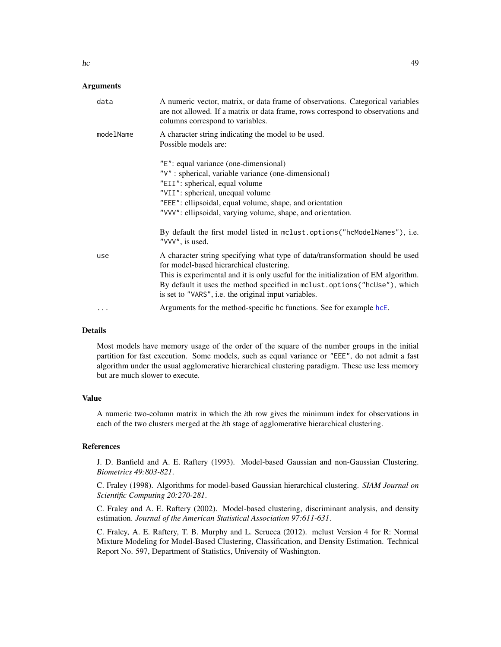### Arguments

| data      | A numeric vector, matrix, or data frame of observations. Categorical variables<br>are not allowed. If a matrix or data frame, rows correspond to observations and<br>columns correspond to variables.                                                                                                                                                 |
|-----------|-------------------------------------------------------------------------------------------------------------------------------------------------------------------------------------------------------------------------------------------------------------------------------------------------------------------------------------------------------|
| modelName | A character string indicating the model to be used.<br>Possible models are:                                                                                                                                                                                                                                                                           |
|           | "E": equal variance (one-dimensional)<br>"V" : spherical, variable variance (one-dimensional)<br>"EII": spherical, equal volume<br>"VII": spherical, unequal volume<br>"EEE": ellipsoidal, equal volume, shape, and orientation<br>"VVV": ellipsoidal, varying volume, shape, and orientation.                                                        |
|           | By default the first model listed in mclust.options ("hcModelNames"), i.e.<br>"VVV", is used.                                                                                                                                                                                                                                                         |
| use       | A character string specifying what type of data/transformation should be used<br>for model-based hierarchical clustering.<br>This is experimental and it is only useful for the initialization of EM algorithm.<br>By default it uses the method specified in mclust.options ("hcUse"), which<br>is set to "VARS", i.e. the original input variables. |
| .         | Arguments for the method-specific hc functions. See for example hcE.                                                                                                                                                                                                                                                                                  |

## Details

Most models have memory usage of the order of the square of the number groups in the initial partition for fast execution. Some models, such as equal variance or "EEE", do not admit a fast algorithm under the usual agglomerative hierarchical clustering paradigm. These use less memory but are much slower to execute.

### Value

A numeric two-column matrix in which the *i*th row gives the minimum index for observations in each of the two clusters merged at the *i*th stage of agglomerative hierarchical clustering.

### References

J. D. Banfield and A. E. Raftery (1993). Model-based Gaussian and non-Gaussian Clustering. *Biometrics 49:803-821*.

C. Fraley (1998). Algorithms for model-based Gaussian hierarchical clustering. *SIAM Journal on Scientific Computing 20:270-281*.

C. Fraley and A. E. Raftery (2002). Model-based clustering, discriminant analysis, and density estimation. *Journal of the American Statistical Association 97:611-631*.

C. Fraley, A. E. Raftery, T. B. Murphy and L. Scrucca (2012). mclust Version 4 for R: Normal Mixture Modeling for Model-Based Clustering, Classification, and Density Estimation. Technical Report No. 597, Department of Statistics, University of Washington.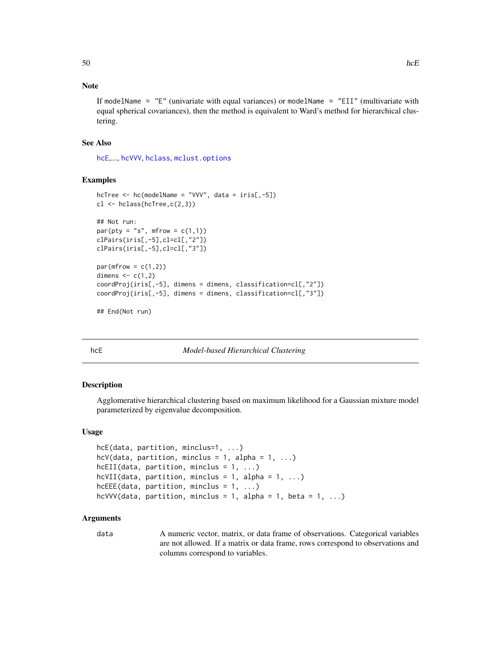## Note

If modelName =  $"E"$  (univariate with equal variances) or modelName =  $"EII"$  (multivariate with equal spherical covariances), then the method is equivalent to Ward's method for hierarchical clustering.

### See Also

[hcE](#page-49-0),..., [hcVVV](#page-49-1), [hclass](#page-51-0), [mclust.options](#page-63-0)

### Examples

```
hcTree \leq hc(modelName = "VVV", data = iris[,-5])
cl \leftarrow hclass(hcTree,c(2,3))
## Not run:
par(pt = "s", mfrom = c(1,1))clPairs(iris[,-5],cl=cl[,"2"])
clPairs(iris[,-5],cl=cl[,"3"])
par(mfrow = c(1,2))dimens \leq c(1,2)coordProj(iris[,-5], dimens = dimens, classification=cl[,"2"])
coordProj(iris[,-5], dimens = dimens, classification=cl[,"3"])
## End(Not run)
```
<span id="page-49-0"></span>

#### hcE *Model-based Hierarchical Clustering*

#### <span id="page-49-1"></span>Description

Agglomerative hierarchical clustering based on maximum likelihood for a Gaussian mixture model parameterized by eigenvalue decomposition.

### Usage

```
hcE(data, partition, minclus=1, ...)
hcV(data, partition, minclus = 1, alpha = 1, \dots)
hcEII(data, partition, minclus = 1, ...)hcVII(data, partition, minclus = 1, alpha = 1, ...)
hcEEE(data, partition, minclus = 1, ...)
hcVVV(data, partition, minclus = 1, alpha = 1, beta = 1, ...)
```
#### Arguments

data A numeric vector, matrix, or data frame of observations. Categorical variables are not allowed. If a matrix or data frame, rows correspond to observations and columns correspond to variables.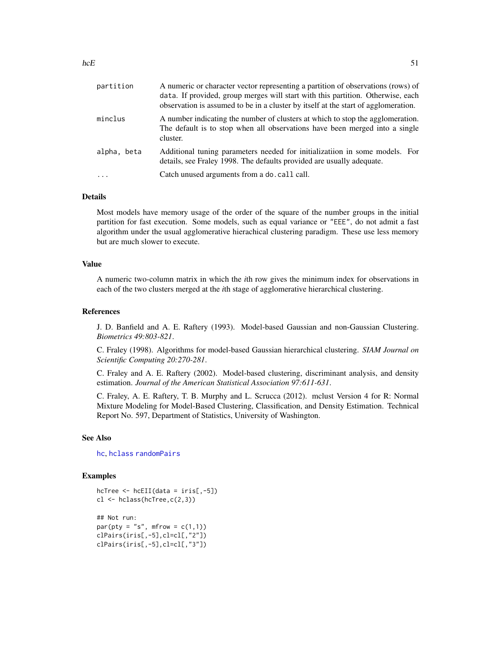| partition   | A numeric or character vector representing a partition of observations (rows) of<br>data. If provided, group merges will start with this partition. Otherwise, each<br>observation is assumed to be in a cluster by itself at the start of agglomeration. |
|-------------|-----------------------------------------------------------------------------------------------------------------------------------------------------------------------------------------------------------------------------------------------------------|
| minclus     | A number indicating the number of clusters at which to stop the agglomeration.<br>The default is to stop when all observations have been merged into a single<br>cluster.                                                                                 |
| alpha, beta | Additional tuning parameters needed for initializatiion in some models. For<br>details, see Fraley 1998. The defaults provided are usually adequate.                                                                                                      |
| $\ddots$ .  | Catch unused arguments from a do. call call.                                                                                                                                                                                                              |

### Details

Most models have memory usage of the order of the square of the number groups in the initial partition for fast execution. Some models, such as equal variance or "EEE", do not admit a fast algorithm under the usual agglomerative hierachical clustering paradigm. These use less memory but are much slower to execute.

### Value

A numeric two-column matrix in which the *i*th row gives the minimum index for observations in each of the two clusters merged at the *i*th stage of agglomerative hierarchical clustering.

#### References

J. D. Banfield and A. E. Raftery (1993). Model-based Gaussian and non-Gaussian Clustering. *Biometrics 49:803-821*.

C. Fraley (1998). Algorithms for model-based Gaussian hierarchical clustering. *SIAM Journal on Scientific Computing 20:270-281*.

C. Fraley and A. E. Raftery (2002). Model-based clustering, discriminant analysis, and density estimation. *Journal of the American Statistical Association 97:611-631*.

C. Fraley, A. E. Raftery, T. B. Murphy and L. Scrucca (2012). mclust Version 4 for R: Normal Mixture Modeling for Model-Based Clustering, Classification, and Density Estimation. Technical Report No. 597, Department of Statistics, University of Washington.

#### See Also

[hc](#page-47-0), [hclass](#page-51-0) [randomPairs](#page-127-0)

#### Examples

```
hcTree \leq hcEII(data = iris[,-5])
cl \leftarrow hclass(hcTree,c(2,3))
## Not run:
par(pty = "s", mfrom = c(1,1))clPairs(iris[,-5],cl=cl[,"2"])
clPairs(iris[,-5],cl=cl[,"3"])
```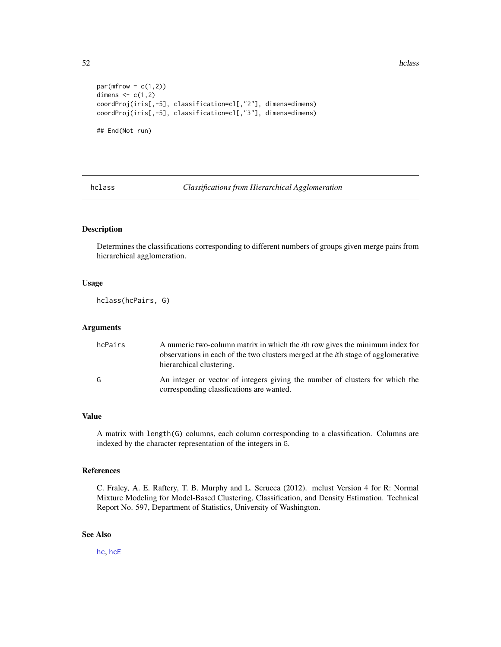52 hclass has been a set of the set of the set of the set of the set of the set of the set of the set of the set of the set of the set of the set of the set of the set of the set of the set of the set of the set of the set

```
par(mfrow = c(1,2))dimens \leq c(1,2)coordProj(iris[,-5], classification=cl[,"2"], dimens=dimens)
coordProj(iris[,-5], classification=cl[,"3"], dimens=dimens)
## End(Not run)
```
<span id="page-51-0"></span>hclass *Classifications from Hierarchical Agglomeration*

## Description

Determines the classifications corresponding to different numbers of groups given merge pairs from hierarchical agglomeration.

## Usage

hclass(hcPairs, G)

### Arguments

| hcPairs | A numeric two-column matrix in which the <i>i</i> th row gives the minimum index for<br>observations in each of the two clusters merged at the <i>i</i> th stage of agglomerative<br>hierarchical clustering. |
|---------|---------------------------------------------------------------------------------------------------------------------------------------------------------------------------------------------------------------|
| G       | An integer or vector of integers giving the number of clusters for which the<br>corresponding classfications are wanted.                                                                                      |

### Value

A matrix with length(G) columns, each column corresponding to a classification. Columns are indexed by the character representation of the integers in G.

### References

C. Fraley, A. E. Raftery, T. B. Murphy and L. Scrucca (2012). mclust Version 4 for R: Normal Mixture Modeling for Model-Based Clustering, Classification, and Density Estimation. Technical Report No. 597, Department of Statistics, University of Washington.

## See Also

[hc](#page-47-0), [hcE](#page-49-0)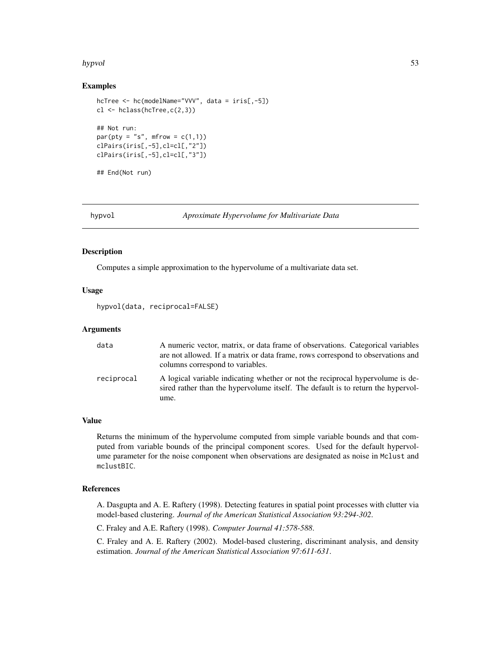#### hypvol 53

### Examples

```
hcTree <- hc(modelName="VVV", data = iris[,-5])
cl <- hclass(hcTree,c(2,3))
## Not run:
par(pty = "s", mfrom = c(1,1))clPairs(iris[,-5],cl=cl[,"2"])
clPairs(iris[,-5],cl=cl[,"3"])
## End(Not run)
```
<span id="page-52-0"></span>hypvol *Aproximate Hypervolume for Multivariate Data*

## Description

Computes a simple approximation to the hypervolume of a multivariate data set.

### Usage

hypvol(data, reciprocal=FALSE)

### Arguments

| data       | A numeric vector, matrix, or data frame of observations. Categorical variables<br>are not allowed. If a matrix or data frame, rows correspond to observations and<br>columns correspond to variables. |
|------------|-------------------------------------------------------------------------------------------------------------------------------------------------------------------------------------------------------|
| reciprocal | A logical variable indicating whether or not the reciprocal hypervolume is de-<br>sired rather than the hypervolume itself. The default is to return the hypervol-<br>ume.                            |

#### Value

Returns the minimum of the hypervolume computed from simple variable bounds and that computed from variable bounds of the principal component scores. Used for the default hypervolume parameter for the noise component when observations are designated as noise in Mclust and mclustBIC.

#### References

A. Dasgupta and A. E. Raftery (1998). Detecting features in spatial point processes with clutter via model-based clustering. *Journal of the American Statistical Association 93:294-302*.

C. Fraley and A.E. Raftery (1998). *Computer Journal 41:578-588*.

C. Fraley and A. E. Raftery (2002). Model-based clustering, discriminant analysis, and density estimation. *Journal of the American Statistical Association 97:611-631*.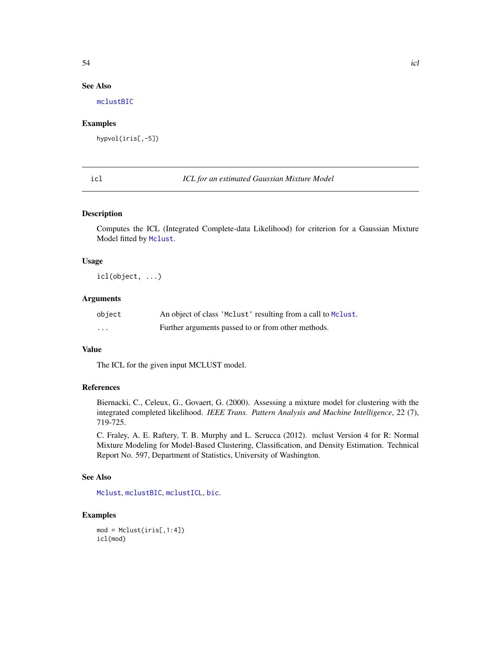## See Also

[mclustBIC](#page-70-0)

## Examples

hypvol(iris[,-5])

icl *ICL for an estimated Gaussian Mixture Model*

#### Description

Computes the ICL (Integrated Complete-data Likelihood) for criterion for a Gaussian Mixture Model fitted by [Mclust](#page-60-0).

#### Usage

icl(object, ...)

## Arguments

| object  | An object of class 'Mclust' resulting from a call to Mclust. |
|---------|--------------------------------------------------------------|
| $\cdot$ | Further arguments passed to or from other methods.           |

### Value

The ICL for the given input MCLUST model.

## References

Biernacki, C., Celeux, G., Govaert, G. (2000). Assessing a mixture model for clustering with the integrated completed likelihood. *IEEE Trans. Pattern Analysis and Machine Intelligence*, 22 (7), 719-725.

C. Fraley, A. E. Raftery, T. B. Murphy and L. Scrucca (2012). mclust Version 4 for R: Normal Mixture Modeling for Model-Based Clustering, Classification, and Density Estimation. Technical Report No. 597, Department of Statistics, University of Washington.

## See Also

[Mclust](#page-60-0), [mclustBIC](#page-70-0), [mclustICL](#page-83-0), [bic](#page-7-0).

### Examples

```
mod = Mclust(iris[, 1:4])icl(mod)
```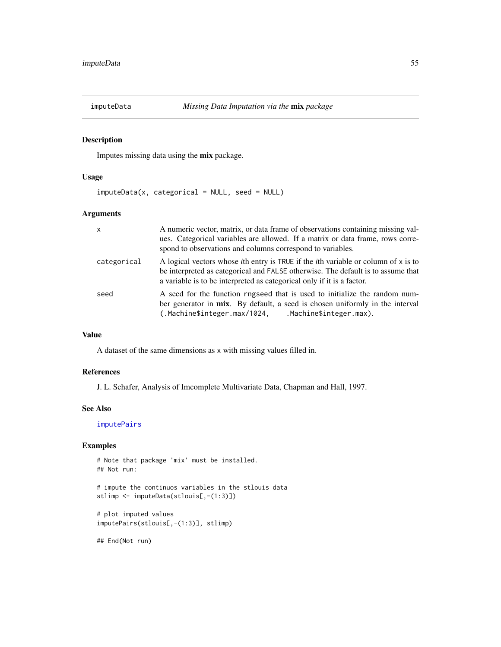<span id="page-54-0"></span>

## Description

Imputes missing data using the mix package.

#### Usage

imputeData(x, categorical = NULL, seed = NULL)

## Arguments

| $\mathsf{x}$ | A numeric vector, matrix, or data frame of observations containing missing val-<br>ues. Categorical variables are allowed. If a matrix or data frame, rows corre-<br>spond to observations and columns correspond to variables.                                    |
|--------------|--------------------------------------------------------------------------------------------------------------------------------------------------------------------------------------------------------------------------------------------------------------------|
| categorical  | A logical vectors whose <i>i</i> th entry is TRUE if the <i>i</i> th variable or column of $x$ is to<br>be interpreted as categorical and FALSE otherwise. The default is to assume that<br>a variable is to be interpreted as categorical only if it is a factor. |
| seed         | A seed for the function rngseed that is used to initialize the random num-<br>ber generator in mix. By default, a seed is chosen uniformly in the interval<br>(.Machine\$integer.max/1024, Machine\$integer.max).                                                  |

#### Value

A dataset of the same dimensions as x with missing values filled in.

## References

J. L. Schafer, Analysis of Imcomplete Multivariate Data, Chapman and Hall, 1997.

### See Also

[imputePairs](#page-55-0)

### Examples

```
# Note that package 'mix' must be installed.
## Not run:
```

```
# impute the continuos variables in the stlouis data
stlimp <- imputeData(stlouis[,-(1:3)])
```

```
# plot imputed values
imputePairs(stlouis[,-(1:3)], stlimp)
```
## End(Not run)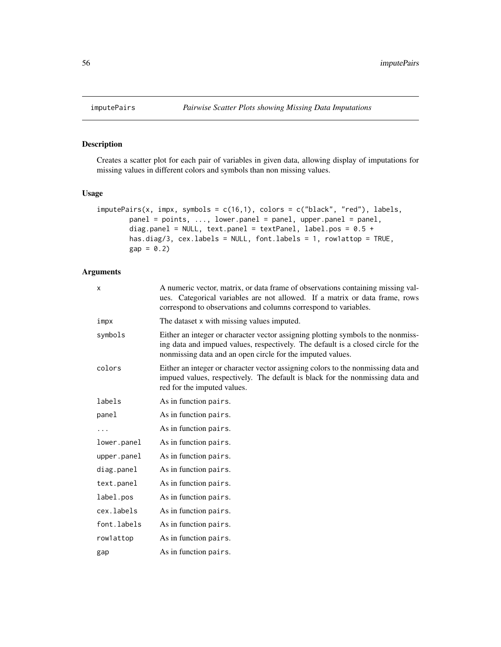<span id="page-55-0"></span>

## Description

Creates a scatter plot for each pair of variables in given data, allowing display of imputations for missing values in different colors and symbols than non missing values.

## Usage

```
imputePairs(x, impx, symbols = c(16,1), colors = c("black", "red"), labels,
       panel = points, ..., lower.panel = panel, upper.panel = panel,
       diag.panel = NULL, text.panel = textPanel, label.pos = 0.5 +
       has.diag/3, cex.labels = NULL, font.labels = 1, row1attop = TRUE,
       gap = 0.2
```
### Arguments

| X           | A numeric vector, matrix, or data frame of observations containing missing val-<br>ues. Categorical variables are not allowed. If a matrix or data frame, rows<br>correspond to observations and columns correspond to variables.  |
|-------------|------------------------------------------------------------------------------------------------------------------------------------------------------------------------------------------------------------------------------------|
| impx        | The dataset x with missing values imputed.                                                                                                                                                                                         |
| symbols     | Either an integer or character vector assigning plotting symbols to the nonmiss-<br>ing data and impued values, respectively. The default is a closed circle for the<br>nonmissing data and an open circle for the imputed values. |
| colors      | Either an integer or character vector assigning colors to the nonmissing data and<br>impued values, respectively. The default is black for the nonmissing data and<br>red for the imputed values.                                  |
| labels      | As in function pairs.                                                                                                                                                                                                              |
| panel       | As in function pairs.                                                                                                                                                                                                              |
| .           | As in function pairs.                                                                                                                                                                                                              |
| lower.panel | As in function pairs.                                                                                                                                                                                                              |
| upper.panel | As in function pairs.                                                                                                                                                                                                              |
| diag.panel  | As in function pairs.                                                                                                                                                                                                              |
| text.panel  | As in function pairs.                                                                                                                                                                                                              |
| label.pos   | As in function pairs.                                                                                                                                                                                                              |
| cex.labels  | As in function pairs.                                                                                                                                                                                                              |
| font.labels | As in function pairs.                                                                                                                                                                                                              |
| rowlattop   | As in function pairs.                                                                                                                                                                                                              |
| gap         | As in function pairs.                                                                                                                                                                                                              |
|             |                                                                                                                                                                                                                                    |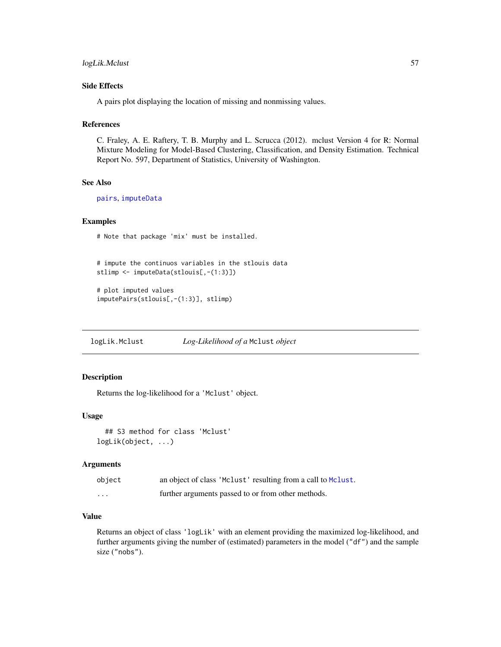## Side Effects

A pairs plot displaying the location of missing and nonmissing values.

#### References

C. Fraley, A. E. Raftery, T. B. Murphy and L. Scrucca (2012). mclust Version 4 for R: Normal Mixture Modeling for Model-Based Clustering, Classification, and Density Estimation. Technical Report No. 597, Department of Statistics, University of Washington.

#### See Also

[pairs](#page-0-0), [imputeData](#page-54-0)

## Examples

# Note that package 'mix' must be installed.

```
# impute the continuos variables in the stlouis data
stlimp <- imputeData(stlouis[,-(1:3)])
```

```
# plot imputed values
imputePairs(stlouis[,-(1:3)], stlimp)
```
logLik.Mclust *Log-Likelihood of a* Mclust *object*

### Description

Returns the log-likelihood for a 'Mclust' object.

### Usage

## S3 method for class 'Mclust' logLik(object, ...)

### Arguments

| object | an object of class 'Mclust' resulting from a call to Mclust. |
|--------|--------------------------------------------------------------|
| .      | further arguments passed to or from other methods.           |

## Value

Returns an object of class 'logLik' with an element providing the maximized log-likelihood, and further arguments giving the number of (estimated) parameters in the model ("df") and the sample size ("nobs").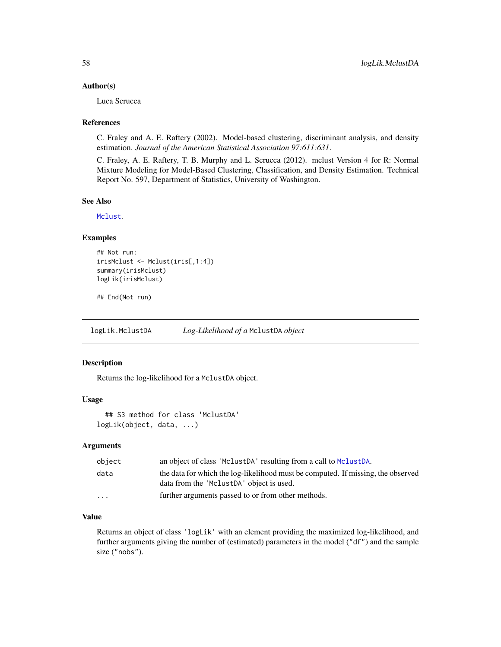#### Author(s)

Luca Scrucca

#### References

C. Fraley and A. E. Raftery (2002). Model-based clustering, discriminant analysis, and density estimation. *Journal of the American Statistical Association 97:611:631*.

C. Fraley, A. E. Raftery, T. B. Murphy and L. Scrucca (2012). mclust Version 4 for R: Normal Mixture Modeling for Model-Based Clustering, Classification, and Density Estimation. Technical Report No. 597, Department of Statistics, University of Washington.

#### See Also

[Mclust](#page-60-0).

### Examples

```
## Not run:
irisMclust <- Mclust(iris[,1:4])
summary(irisMclust)
logLik(irisMclust)
```
## End(Not run)

logLik.MclustDA *Log-Likelihood of a* MclustDA *object*

## Description

Returns the log-likelihood for a MclustDA object.

## Usage

```
## S3 method for class 'MclustDA'
logLik(object, data, ...)
```
#### Arguments

| object   | an object of class 'MclustDA' resulting from a call to MclustDA.                                                             |
|----------|------------------------------------------------------------------------------------------------------------------------------|
| data     | the data for which the log-likelihood must be computed. If missing, the observed<br>data from the 'MclustDA' object is used. |
| $\cdots$ | further arguments passed to or from other methods.                                                                           |

## Value

Returns an object of class 'logLik' with an element providing the maximized log-likelihood, and further arguments giving the number of (estimated) parameters in the model ("df") and the sample size ("nobs").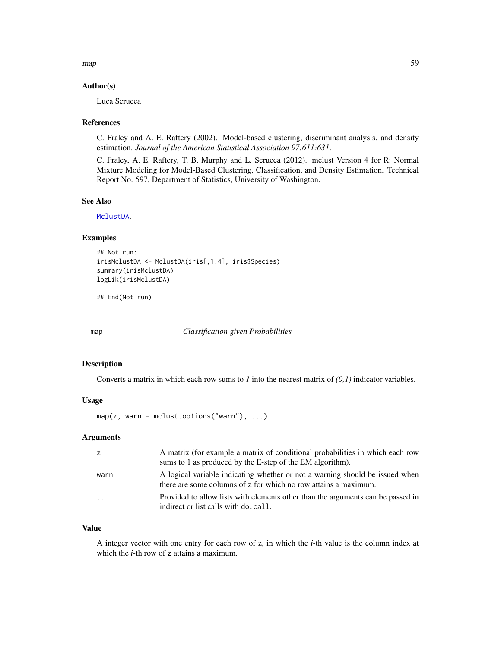map 59

#### Author(s)

Luca Scrucca

#### References

C. Fraley and A. E. Raftery (2002). Model-based clustering, discriminant analysis, and density estimation. *Journal of the American Statistical Association 97:611:631*.

C. Fraley, A. E. Raftery, T. B. Murphy and L. Scrucca (2012). mclust Version 4 for R: Normal Mixture Modeling for Model-Based Clustering, Classification, and Density Estimation. Technical Report No. 597, Department of Statistics, University of Washington.

## See Also

[MclustDA](#page-76-0).

### Examples

```
## Not run:
irisMclustDA <- MclustDA(iris[,1:4], iris$Species)
summary(irisMclustDA)
logLik(irisMclustDA)
```
## End(Not run)

map *Classification given Probabilities*

## Description

Converts a matrix in which each row sums to *1* into the nearest matrix of *(0,1)* indicator variables.

#### Usage

 $map(z, warn = molust.options("warn"), ...)$ 

### Arguments

|                         | A matrix (for example a matrix of conditional probabilities in which each row                                                                   |
|-------------------------|-------------------------------------------------------------------------------------------------------------------------------------------------|
|                         | sums to 1 as produced by the E-step of the EM algorithm).                                                                                       |
| warn                    | A logical variable indicating whether or not a warning should be issued when<br>there are some columns of z for which no row attains a maximum. |
| $\cdot$ $\cdot$ $\cdot$ | Provided to allow lists with elements other than the arguments can be passed in<br>indirect or list calls with do. call.                        |

#### Value

A integer vector with one entry for each row of z, in which the *i*-th value is the column index at which the *i*-th row of z attains a maximum.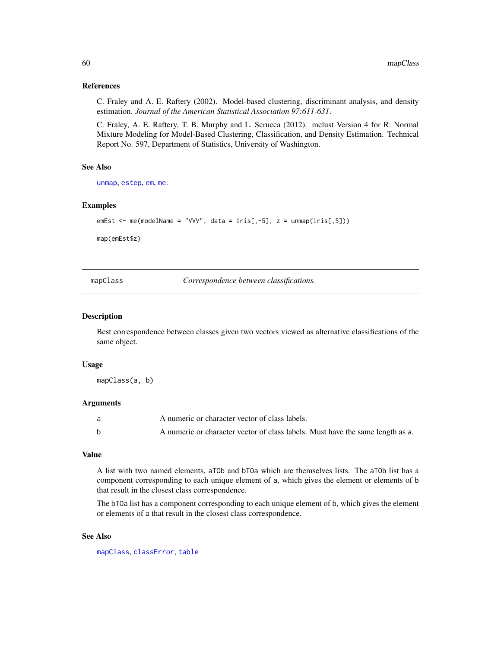### References

C. Fraley and A. E. Raftery (2002). Model-based clustering, discriminant analysis, and density estimation. *Journal of the American Statistical Association 97:611-631*.

C. Fraley, A. E. Raftery, T. B. Murphy and L. Scrucca (2012). mclust Version 4 for R: Normal Mixture Modeling for Model-Based Clustering, Classification, and Density Estimation. Technical Report No. 597, Department of Statistics, University of Washington.

## See Also

[unmap](#page-146-0), [estep](#page-43-0), [em](#page-35-0), [me](#page-89-0).

## Examples

```
emEst <- me(modelName = "VVV", data = iris[,-5], z = unmap(iris[,5]))
```
map(emEst\$z)

<span id="page-59-0"></span>mapClass *Correspondence between classifications.*

### Description

Best correspondence between classes given two vectors viewed as alternative classifications of the same object.

#### Usage

mapClass(a, b)

#### Arguments

| A numeric or character vector of class labels.                                 |
|--------------------------------------------------------------------------------|
| A numeric or character vector of class labels. Must have the same length as a. |

#### Value

A list with two named elements, aTOb and bTOa which are themselves lists. The aTOb list has a component corresponding to each unique element of a, which gives the element or elements of b that result in the closest class correspondence.

The bTOa list has a component corresponding to each unique element of b, which gives the element or elements of a that result in the closest class correspondence.

### See Also

[mapClass](#page-59-0), [classError](#page-14-0), [table](#page-0-0)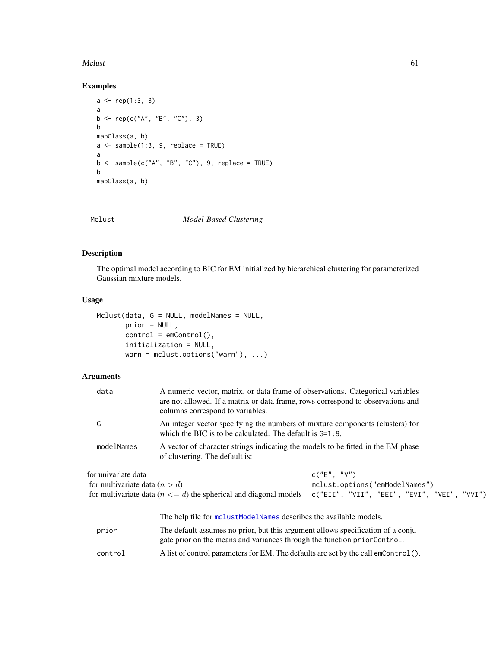#### Mclust 61

## Examples

```
a \leftarrow rep(1:3, 3)a
b <- rep(c("A", "B", "C"), 3)b
mapClass(a, b)
a \leftarrow sample(1:3, 9, replace = TRUE)a
b \leq - sample(c("A", "B", "C"), 9, replace = TRUE)
b
mapClass(a, b)
```
### <span id="page-60-0"></span>Mclust *Model-Based Clustering*

## Description

The optimal model according to BIC for EM initialized by hierarchical clustering for parameterized Gaussian mixture models.

## Usage

```
Mclust(data, G = NULL, modelNames = NULL,
       prior = NULL,
       control = emControl(),
       initialization = NULL,
       warn = mclust.options("warn"), ...)
```
## Arguments

| data                                                   | A numeric vector, matrix, or data frame of observations. Categorical variables<br>are not allowed. If a matrix or data frame, rows correspond to observations and<br>columns correspond to variables. |                                                                                                |
|--------------------------------------------------------|-------------------------------------------------------------------------------------------------------------------------------------------------------------------------------------------------------|------------------------------------------------------------------------------------------------|
| G                                                      | An integer vector specifying the numbers of mixture components (clusters) for<br>which the BIC is to be calculated. The default is $G=1:9$ .                                                          |                                                                                                |
| modelNames                                             | A vector of character strings indicating the models to be fitted in the EM phase<br>of clustering. The default is:                                                                                    |                                                                                                |
| for univariate data<br>for multivariate data $(n > d)$ | for multivariate data ( $n \leq d$ ) the spherical and diagonal models                                                                                                                                | c("E", "V")<br>mclust.options("emModelNames")<br>$c("EII", "VII", "EEI", "EVI", "VEI", "VVI")$ |
|                                                        | The help file for mclust Model Names describes the available models.                                                                                                                                  |                                                                                                |
| prior                                                  | The default assumes no prior, but this argument allows specification of a conju-<br>gate prior on the means and variances through the function priorControl.                                          |                                                                                                |
| control                                                | A list of control parameters for EM. The defaults are set by the call emControl().                                                                                                                    |                                                                                                |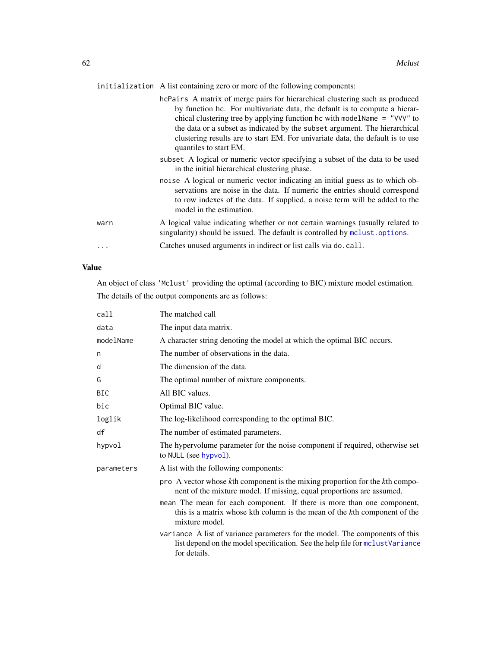initialization A list containing zero or more of the following components:

|          | hcPairs A matrix of merge pairs for hierarchical clustering such as produced<br>by function hc. For multivariate data, the default is to compute a hierar-<br>chical clustering tree by applying function hc with modelName $=$ "VVV" to<br>the data or a subset as indicated by the subset argument. The hierarchical<br>clustering results are to start EM. For univariate data, the default is to use<br>quantiles to start EM. |
|----------|------------------------------------------------------------------------------------------------------------------------------------------------------------------------------------------------------------------------------------------------------------------------------------------------------------------------------------------------------------------------------------------------------------------------------------|
|          | subset A logical or numeric vector specifying a subset of the data to be used<br>in the initial hierarchical clustering phase.                                                                                                                                                                                                                                                                                                     |
|          | noise A logical or numeric vector indicating an initial guess as to which ob-<br>servations are noise in the data. If numeric the entries should correspond<br>to row indexes of the data. If supplied, a noise term will be added to the<br>model in the estimation.                                                                                                                                                              |
| warn     | A logical value indicating whether or not certain warnings (usually related to<br>singularity) should be issued. The default is controlled by molust options.                                                                                                                                                                                                                                                                      |
| $\cdots$ | Catches unused arguments in indirect or list calls via do. call.                                                                                                                                                                                                                                                                                                                                                                   |

### Value

An object of class 'Mclust' providing the optimal (according to BIC) mixture model estimation. The details of the output components are as follows:

| call       | The matched call                                                                                                                                                             |
|------------|------------------------------------------------------------------------------------------------------------------------------------------------------------------------------|
| data       | The input data matrix.                                                                                                                                                       |
| modelName  | A character string denoting the model at which the optimal BIC occurs.                                                                                                       |
| n          | The number of observations in the data.                                                                                                                                      |
| d          | The dimension of the data.                                                                                                                                                   |
| G          | The optimal number of mixture components.                                                                                                                                    |
| <b>BIC</b> | All BIC values.                                                                                                                                                              |
| bic        | Optimal BIC value.                                                                                                                                                           |
| loglik     | The log-likelihood corresponding to the optimal BIC.                                                                                                                         |
| df         | The number of estimated parameters.                                                                                                                                          |
| hypvol     | The hypervolume parameter for the noise component if required, otherwise set<br>to NULL (see hypvol).                                                                        |
| parameters | A list with the following components:                                                                                                                                        |
|            | pro A vector whose kth component is the mixing proportion for the kth compo-<br>nent of the mixture model. If missing, equal proportions are assumed.                        |
|            | mean The mean for each component. If there is more than one component,<br>this is a matrix whose kth column is the mean of the kth component of the<br>mixture model.        |
|            | variance A list of variance parameters for the model. The components of this<br>list depend on the model specification. See the help file for mclustVariance<br>for details. |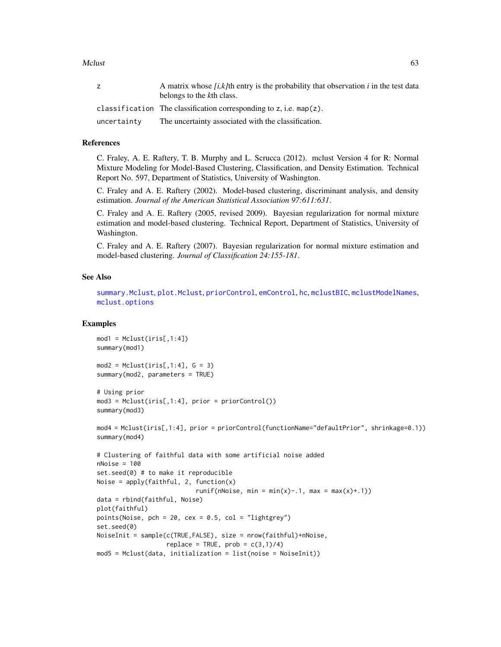Mclust 63

| z.          | A matrix whose $[i, k]$ th entry is the probability that observation i in the test data<br>belongs to the kth class. |
|-------------|----------------------------------------------------------------------------------------------------------------------|
|             | classification The classification corresponding to z, i.e. $map(z)$ .                                                |
| uncertainty | The uncertainty associated with the classification.                                                                  |

## References

C. Fraley, A. E. Raftery, T. B. Murphy and L. Scrucca (2012). mclust Version 4 for R: Normal Mixture Modeling for Model-Based Clustering, Classification, and Density Estimation. Technical Report No. 597, Department of Statistics, University of Washington.

C. Fraley and A. E. Raftery (2002). Model-based clustering, discriminant analysis, and density estimation. *Journal of the American Statistical Association 97:611:631*.

C. Fraley and A. E. Raftery (2005, revised 2009). Bayesian regularization for normal mixture estimation and model-based clustering. Technical Report, Department of Statistics, University of Washington.

C. Fraley and A. E. Raftery (2007). Bayesian regularization for normal mixture estimation and model-based clustering. *Journal of Classification 24:155-181*.

#### See Also

[summary.Mclust](#page-136-0), [plot.Mclust](#page-110-0), [priorControl](#page-126-0), [emControl](#page-37-0), [hc](#page-47-0), [mclustBIC](#page-70-0), [mclustModelNames](#page-86-0), [mclust.options](#page-63-0)

#### Examples

```
mod1 = Mclust(iris[, 1:4])summary(mod1)
mod2 = Mclust(iris[, 1:4], G = 3)summary(mod2, parameters = TRUE)
# Using prior
mod3 = Mclust(iris[, 1:4], prior = priorControl())summary(mod3)
mod4 = Mclust(iris[,1:4], prior = priorControl(functionName="defaultPrior", shrinkage=0.1))
summary(mod4)
# Clustering of faithful data with some artificial noise added
nNoise = 100
set.seed(0) # to make it reproducible
Noise = apply(faithful, 2, function(x))runif(nNoise, min = min(x)-.1, max = max(x)+.1))
data = rbind(faithful, Noise)
plot(faithful)
points(Noise, pch = 20, cex = 0.5, col = "lightgrey")
set.seed(0)
NoiseInit = sample(c(TRUE,FALSE), size = nrow(faithful)+nNoise,
                   replace = TRUE, prob = c(3,1)/4)
mod5 = Mclust(data, initialization = list(noise = NoiseInit))
```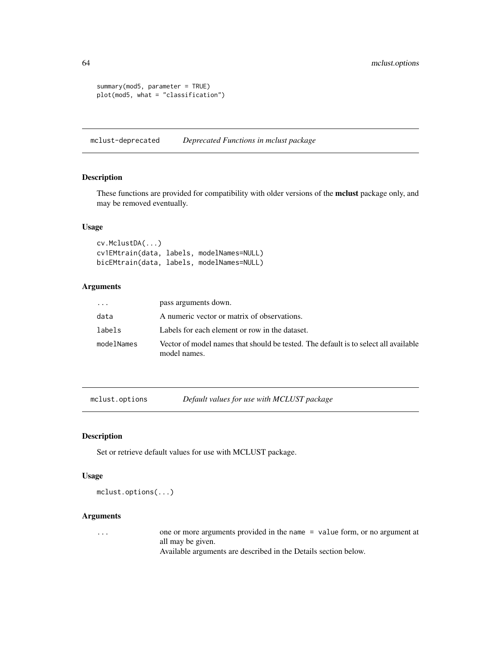```
summary(mod5, parameter = TRUE)
plot(mod5, what = "classification")
```
mclust-deprecated *Deprecated Functions in mclust package*

## Description

These functions are provided for compatibility with older versions of the **mclust** package only, and may be removed eventually.

#### Usage

```
cv.MclustDA(...)
cv1EMtrain(data, labels, modelNames=NULL)
bicEMtrain(data, labels, modelNames=NULL)
```
#### Arguments

| $\cdot$ $\cdot$ $\cdot$ | pass arguments down.                                                                                |
|-------------------------|-----------------------------------------------------------------------------------------------------|
| data                    | A numeric vector or matrix of observations.                                                         |
| labels                  | Labels for each element or row in the dataset.                                                      |
| modelNames              | Vector of model names that should be tested. The default is to select all available<br>model names. |

<span id="page-63-0"></span>mclust.options *Default values for use with MCLUST package*

### Description

Set or retrieve default values for use with MCLUST package.

## Usage

mclust.options(...)

#### Arguments

... one or more arguments provided in the name = value form, or no argument at all may be given.

Available arguments are described in the Details section below.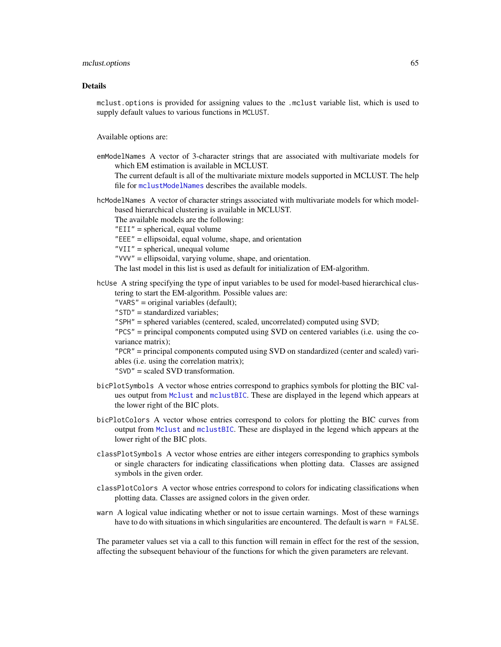#### mclust.options 65

#### Details

mclust.options is provided for assigning values to the .mclust variable list, which is used to supply default values to various functions in MCLUST.

Available options are:

emModelNames A vector of 3-character strings that are associated with multivariate models for which EM estimation is available in MCLUST.

The current default is all of the multivariate mixture models supported in MCLUST. The help file for [mclustModelNames](#page-86-0) describes the available models.

hcModelNames A vector of character strings associated with multivariate models for which modelbased hierarchical clustering is available in MCLUST.

The available models are the following:

"EII" = spherical, equal volume

"EEE" = ellipsoidal, equal volume, shape, and orientation

"VII" = spherical, unequal volume

"VVV" = ellipsoidal, varying volume, shape, and orientation.

The last model in this list is used as default for initialization of EM-algorithm.

hcUse A string specifying the type of input variables to be used for model-based hierarchical clustering to start the EM-algorithm. Possible values are:

"VARS" = original variables (default);

- "STD" = standardized variables;
- "SPH" = sphered variables (centered, scaled, uncorrelated) computed using SVD;
- "PCS" = principal components computed using SVD on centered variables (i.e. using the covariance matrix);

"PCR" = principal components computed using SVD on standardized (center and scaled) variables (i.e. using the correlation matrix);

- "SVD" = scaled SVD transformation.
- bicPlotSymbols A vector whose entries correspond to graphics symbols for plotting the BIC values output from [Mclust](#page-60-0) and [mclustBIC](#page-70-0). These are displayed in the legend which appears at the lower right of the BIC plots.
- bicPlotColors A vector whose entries correspond to colors for plotting the BIC curves from output from [Mclust](#page-60-0) and [mclustBIC](#page-70-0). These are displayed in the legend which appears at the lower right of the BIC plots.
- classPlotSymbols A vector whose entries are either integers corresponding to graphics symbols or single characters for indicating classifications when plotting data. Classes are assigned symbols in the given order.
- classPlotColors A vector whose entries correspond to colors for indicating classifications when plotting data. Classes are assigned colors in the given order.
- warn A logical value indicating whether or not to issue certain warnings. Most of these warnings have to do with situations in which singularities are encountered. The default is warn = FALSE.

The parameter values set via a call to this function will remain in effect for the rest of the session, affecting the subsequent behaviour of the functions for which the given parameters are relevant.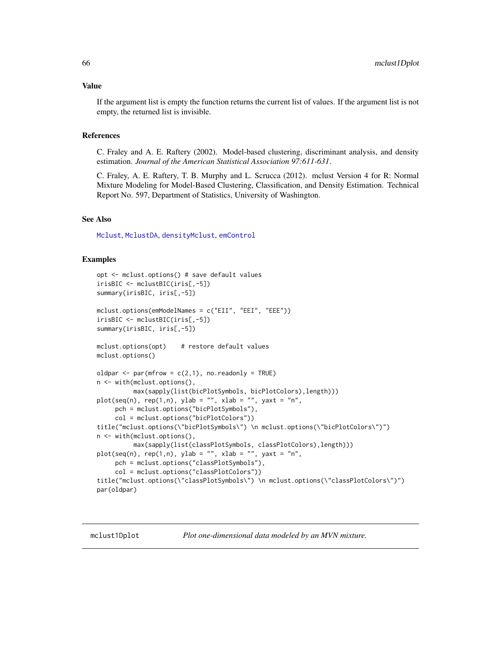#### Value

If the argument list is empty the function returns the current list of values. If the argument list is not empty, the returned list is invisible.

#### References

C. Fraley and A. E. Raftery (2002). Model-based clustering, discriminant analysis, and density estimation. *Journal of the American Statistical Association 97:611-631*.

C. Fraley, A. E. Raftery, T. B. Murphy and L. Scrucca (2012). mclust Version 4 for R: Normal Mixture Modeling for Model-Based Clustering, Classification, and Density Estimation. Technical Report No. 597, Department of Statistics, University of Washington.

### See Also

[Mclust](#page-60-0), [MclustDA](#page-76-0), [densityMclust](#page-31-0), [emControl](#page-37-0)

### Examples

```
opt <- mclust.options() # save default values
irisBIC <- mclustBIC(iris[,-5])
summary(irisBIC, iris[,-5])
mclust.options(emModelNames = c("EII", "EEI", "EEE"))
irisBIC <- mclustBIC(iris[,-5])
summary(irisBIC, iris[,-5])
mclust.options(opt) # restore default values
mclust.options()
oldpar \leq par(mfrow = c(2,1), no.readonly = TRUE)
n <- with(mclust.options(),
          max(sapply(list(bicPlotSymbols, bicPlotColors),length)))
plot(seq(n), rep(1,n), ylab = "", xlab = "", yaxt = "n",
     pch = mclust.options("bicPlotSymbols"),
     col = mclust.options("bicPlotColors"))
title("mclust.options(\"bicPlotSymbols\") \n mclust.options(\"bicPlotColors\")")
n <- with(mclust.options(),
          max(sapply(list(classPlotSymbols, classPlotColors),length)))
plot(seq(n), rep(1,n), ylab = "", xlab = "", yaxt = "n",pch = mclust.options("classPlotSymbols"),
     col = mclust.options("classPlotColors"))
title("mclust.options(\"classPlotSymbols\") \n mclust.options(\"classPlotColors\")")
par(oldpar)
```
mclust1Dplot *Plot one-dimensional data modeled by an MVN mixture.*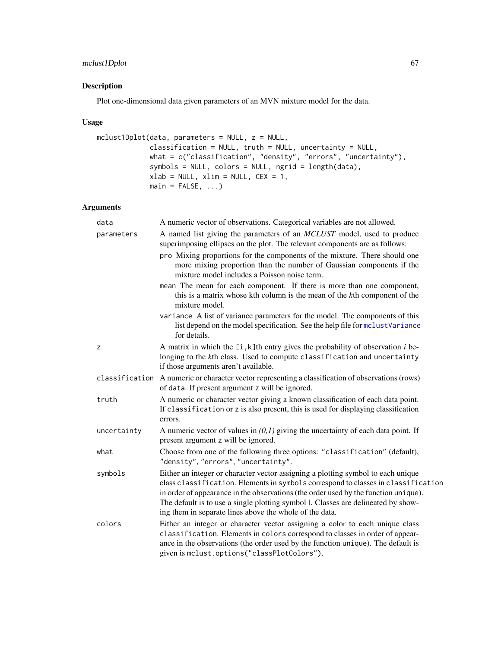## mclust1Dplot 67

## Description

Plot one-dimensional data given parameters of an MVN mixture model for the data.

### Usage

```
mclust1Dplot(data, parameters = NULL, z = NULL,
            classification = NULL, truth = NULL, uncertainty = NULL,
            what = c("classification", "density", "errors", "uncertainty"),
            symbols = NULL, colors = NULL, ngrid = length(data),
            xlab = NULL, xlim = NULL, CEX = 1,main = FALSE, ...)
```
## Arguments

| data           | A numeric vector of observations. Categorical variables are not allowed.                                                                                                                                                                                                                                                                                                                                            |
|----------------|---------------------------------------------------------------------------------------------------------------------------------------------------------------------------------------------------------------------------------------------------------------------------------------------------------------------------------------------------------------------------------------------------------------------|
| parameters     | A named list giving the parameters of an <i>MCLUST</i> model, used to produce<br>superimposing ellipses on the plot. The relevant components are as follows:                                                                                                                                                                                                                                                        |
|                | pro Mixing proportions for the components of the mixture. There should one<br>more mixing proportion than the number of Gaussian components if the<br>mixture model includes a Poisson noise term.                                                                                                                                                                                                                  |
|                | mean The mean for each component. If there is more than one component,<br>this is a matrix whose kth column is the mean of the kth component of the<br>mixture model.                                                                                                                                                                                                                                               |
|                | variance A list of variance parameters for the model. The components of this<br>list depend on the model specification. See the help file for mclustVariance<br>for details.                                                                                                                                                                                                                                        |
| z              | A matrix in which the $[i, k]$ th entry gives the probability of observation i be-<br>longing to the kth class. Used to compute classification and uncertainty<br>if those arguments aren't available.                                                                                                                                                                                                              |
| classification | A numeric or character vector representing a classification of observations (rows)<br>of data. If present argument z will be ignored.                                                                                                                                                                                                                                                                               |
| truth          | A numeric or character vector giving a known classification of each data point.<br>If classification or z is also present, this is used for displaying classification<br>errors.                                                                                                                                                                                                                                    |
| uncertainty    | A numeric vector of values in $(0,1)$ giving the uncertainty of each data point. If<br>present argument z will be ignored.                                                                                                                                                                                                                                                                                          |
| what           | Choose from one of the following three options: "classification" (default),<br>"density", "errors", "uncertainty".                                                                                                                                                                                                                                                                                                  |
| symbols        | Either an integer or character vector assigning a plotting symbol to each unique<br>class classification. Elements in symbols correspond to classes in classification<br>in order of appearance in the observations (the order used by the function unique).<br>The default is to use a single plotting symbol $\vert$ . Classes are delineated by show-<br>ing them in separate lines above the whole of the data. |
| colors         | Either an integer or character vector assigning a color to each unique class<br>classification. Elements in colors correspond to classes in order of appear-<br>ance in the observations (the order used by the function unique). The default is<br>given is mclust.options("classPlotColors").                                                                                                                     |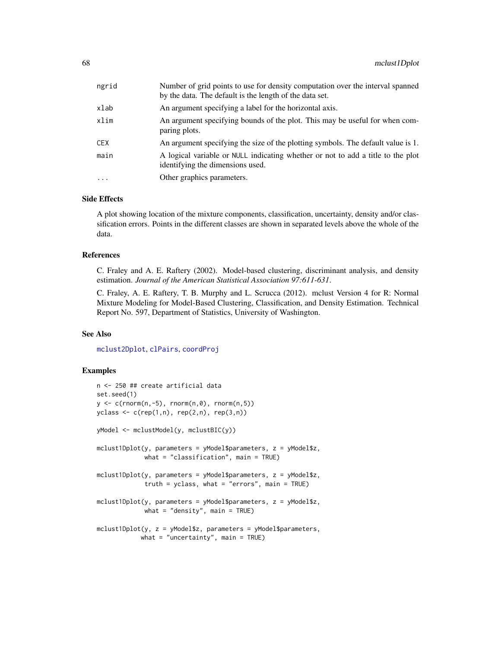| ngrid    | Number of grid points to use for density computation over the interval spanned<br>by the data. The default is the length of the data set. |
|----------|-------------------------------------------------------------------------------------------------------------------------------------------|
| xlab     | An argument specifying a label for the horizontal axis.                                                                                   |
| xlim     | An argument specifying bounds of the plot. This may be useful for when com-<br>paring plots.                                              |
| CEX      | An argument specifying the size of the plotting symbols. The default value is 1.                                                          |
| main     | A logical variable or NULL indicating whether or not to add a title to the plot<br>identifying the dimensions used.                       |
| $\cdots$ | Other graphics parameters.                                                                                                                |
|          |                                                                                                                                           |

### Side Effects

A plot showing location of the mixture components, classification, uncertainty, density and/or classification errors. Points in the different classes are shown in separated levels above the whole of the data.

## References

C. Fraley and A. E. Raftery (2002). Model-based clustering, discriminant analysis, and density estimation. *Journal of the American Statistical Association 97:611-631*.

C. Fraley, A. E. Raftery, T. B. Murphy and L. Scrucca (2012). mclust Version 4 for R: Normal Mixture Modeling for Model-Based Clustering, Classification, and Density Estimation. Technical Report No. 597, Department of Statistics, University of Washington.

## See Also

[mclust2Dplot](#page-68-0), [clPairs](#page-15-0), [coordProj](#page-22-0)

### Examples

```
n <- 250 ## create artificial data
set.seed(1)
y \leq c(\text{rnorm}(n,-5), \text{rnorm}(n,0), \text{rnorm}(n,5))yclass <- c(rep(1,n), rep(2,n), rep(3,n))
yModel <- mclustModel(y, mclustBIC(y))
mclust1Dplot(y, parameters = yModel$parameters, z = yModel$z,
             what = "classification", main = TRUE)
mclust1Dplot(y, parameters = yModel$parameters, z = yModel$z,
             truth = yclass, what = "errors", main = TRUE)
mclust1Dplot(y, parameters = yModel$parameters, z = yModel$z,
             what = "density", main = TRUE)
mclust1Dplot(y, z = yModel$z, parameters = yModel$parameters,
            what = "uncertainty", main = TRUE)
```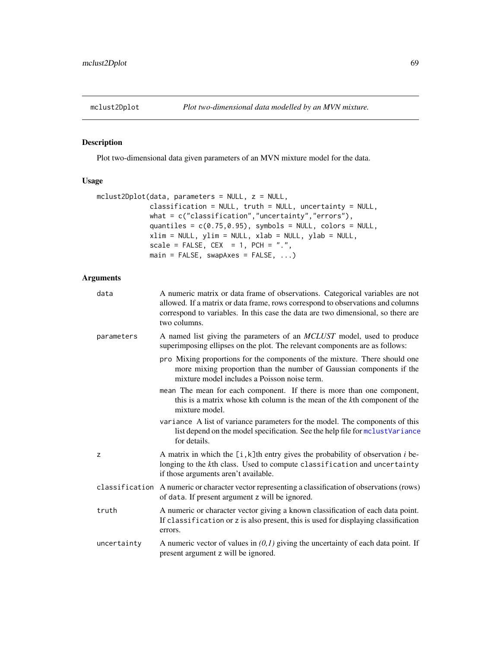<span id="page-68-0"></span>

## Description

Plot two-dimensional data given parameters of an MVN mixture model for the data.

### Usage

```
mclust2Dplot(data, parameters = NULL, z = NULL,
            classification = NULL, truth = NULL, uncertainty = NULL,
            what = c("classification","uncertainty","errors"),
            quantiles = c(0.75, 0.95), symbols = NULL, colors = NULL,
            xlim = NULL, ylim = NULL, xlab = NULL, ylab = NULL,
             scale = FALSE, CEX = 1, PCH = "."main = FALSE, swapAxes = FALSE, ...)
```
## Arguments

| data        | A numeric matrix or data frame of observations. Categorical variables are not<br>allowed. If a matrix or data frame, rows correspond to observations and columns<br>correspond to variables. In this case the data are two dimensional, so there are<br>two columns. |
|-------------|----------------------------------------------------------------------------------------------------------------------------------------------------------------------------------------------------------------------------------------------------------------------|
| parameters  | A named list giving the parameters of an <i>MCLUST</i> model, used to produce<br>superimposing ellipses on the plot. The relevant components are as follows:                                                                                                         |
|             | pro Mixing proportions for the components of the mixture. There should one<br>more mixing proportion than the number of Gaussian components if the<br>mixture model includes a Poisson noise term.                                                                   |
|             | mean The mean for each component. If there is more than one component,<br>this is a matrix whose kth column is the mean of the kth component of the<br>mixture model.                                                                                                |
|             | variance A list of variance parameters for the model. The components of this<br>list depend on the model specification. See the help file for mclustVariance<br>for details.                                                                                         |
| z           | A matrix in which the $[i, k]$ th entry gives the probability of observation i be-<br>longing to the kth class. Used to compute classification and uncertainty<br>if those arguments aren't available.                                                               |
|             | classification A numeric or character vector representing a classification of observations (rows)<br>of data. If present argument z will be ignored.                                                                                                                 |
| truth       | A numeric or character vector giving a known classification of each data point.<br>If classification or z is also present, this is used for displaying classification<br>errors.                                                                                     |
| uncertainty | A numeric vector of values in $(0,1)$ giving the uncertainty of each data point. If<br>present argument z will be ignored.                                                                                                                                           |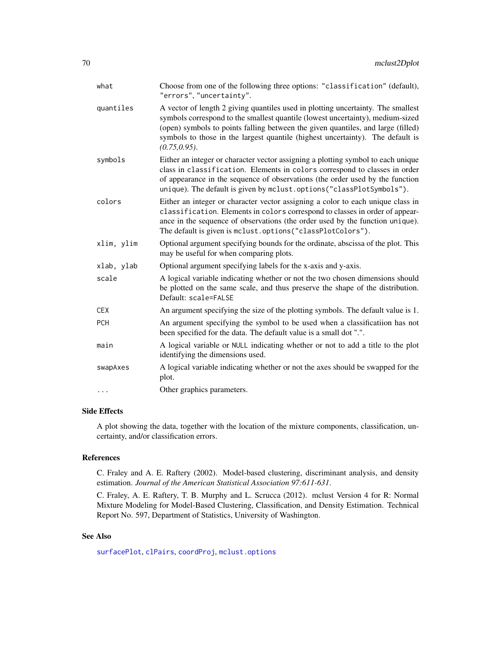| what       | Choose from one of the following three options: "classification" (default),<br>"errors", "uncertainty".                                                                                                                                                                                                                                                   |
|------------|-----------------------------------------------------------------------------------------------------------------------------------------------------------------------------------------------------------------------------------------------------------------------------------------------------------------------------------------------------------|
| quantiles  | A vector of length 2 giving quantiles used in plotting uncertainty. The smallest<br>symbols correspond to the smallest quantile (lowest uncertainty), medium-sized<br>(open) symbols to points falling between the given quantiles, and large (filled)<br>symbols to those in the largest quantile (highest uncertainty). The default is<br>(0.75, 0.95). |
| symbols    | Either an integer or character vector assigning a plotting symbol to each unique<br>class in classification. Elements in colors correspond to classes in order<br>of appearance in the sequence of observations (the order used by the function<br>unique). The default is given by mclust.options("classPlotSymbols").                                   |
| colors     | Either an integer or character vector assigning a color to each unique class in<br>classification. Elements in colors correspond to classes in order of appear-<br>ance in the sequence of observations (the order used by the function unique).<br>The default is given is mclust.options ("classPlotColors").                                           |
| xlim, ylim | Optional argument specifying bounds for the ordinate, abscissa of the plot. This<br>may be useful for when comparing plots.                                                                                                                                                                                                                               |
| xlab, ylab | Optional argument specifying labels for the x-axis and y-axis.                                                                                                                                                                                                                                                                                            |
| scale      | A logical variable indicating whether or not the two chosen dimensions should<br>be plotted on the same scale, and thus preserve the shape of the distribution.<br>Default: scale=FALSE                                                                                                                                                                   |
| <b>CEX</b> | An argument specifying the size of the plotting symbols. The default value is 1.                                                                                                                                                                                                                                                                          |
| <b>PCH</b> | An argument specifying the symbol to be used when a classification has not<br>been specified for the data. The default value is a small dot ".".                                                                                                                                                                                                          |
| main       | A logical variable or NULL indicating whether or not to add a title to the plot<br>identifying the dimensions used.                                                                                                                                                                                                                                       |
| swapAxes   | A logical variable indicating whether or not the axes should be swapped for the<br>plot.                                                                                                                                                                                                                                                                  |
|            | Other graphics parameters.                                                                                                                                                                                                                                                                                                                                |

## Side Effects

A plot showing the data, together with the location of the mixture components, classification, uncertainty, and/or classification errors.

## References

C. Fraley and A. E. Raftery (2002). Model-based clustering, discriminant analysis, and density estimation. *Journal of the American Statistical Association 97:611-631*.

C. Fraley, A. E. Raftery, T. B. Murphy and L. Scrucca (2012). mclust Version 4 for R: Normal Mixture Modeling for Model-Based Clustering, Classification, and Density Estimation. Technical Report No. 597, Department of Statistics, University of Washington.

# See Also

[surfacePlot](#page-142-0), [clPairs](#page-15-0), [coordProj](#page-22-0), [mclust.options](#page-63-0)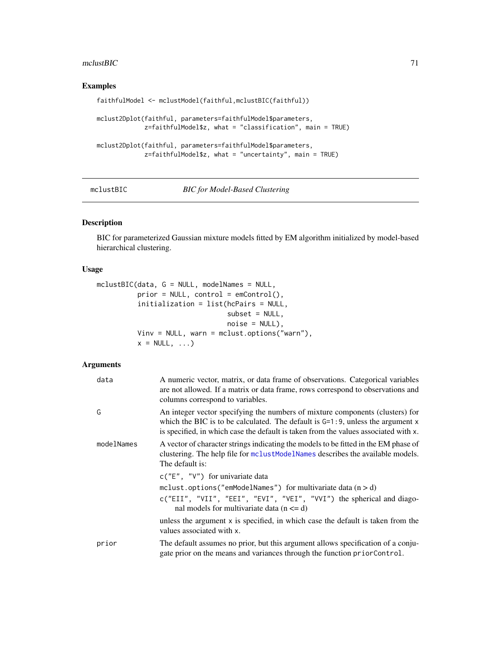### $mclustBIC$  71

## Examples

```
faithfulModel <- mclustModel(faithful,mclustBIC(faithful))
mclust2Dplot(faithful, parameters=faithfulModel$parameters,
             z=faithfulModel$z, what = "classification", main = TRUE)
mclust2Dplot(faithful, parameters=faithfulModel$parameters,
             z=faithfulModel$z, what = "uncertainty", main = TRUE)
```
<span id="page-70-0"></span>

#### mclustBIC *BIC for Model-Based Clustering*

## Description

BIC for parameterized Gaussian mixture models fitted by EM algorithm initialized by model-based hierarchical clustering.

### Usage

```
mclustBIC(data, G = NULL, modelNames = NULL,
          prior = NULL, control = emControl(),
          initialization = list(hcPairs = NULL,
                                subset = NULL,
                                noise = NULL),
          Vinv = NULL, warn = mclust.options("warn"),
          x = NULL, \ldots
```
# Arguments

| data       | A numeric vector, matrix, or data frame of observations. Categorical variables<br>are not allowed. If a matrix or data frame, rows correspond to observations and<br>columns correspond to variables.                                                     |
|------------|-----------------------------------------------------------------------------------------------------------------------------------------------------------------------------------------------------------------------------------------------------------|
| G          | An integer vector specifying the numbers of mixture components (clusters) for<br>which the BIC is to be calculated. The default is $G=1:9$ , unless the argument x<br>is specified, in which case the default is taken from the values associated with x. |
| modelNames | A vector of character strings indicating the models to be fitted in the EM phase of<br>clustering. The help file for mclustModelNames describes the available models.<br>The default is:                                                                  |
|            | $c("E", "V")$ for univariate data<br>mclust.options("emModelNames") for multivariate data $(n > d)$<br>c("EII", "VII", "EEI", "EVI", "VEI", "VVI") the spherical and diago-<br>nal models for multivariate data $(n \le d)$                               |
|            | unless the argument $x$ is specified, in which case the default is taken from the<br>values associated with x.                                                                                                                                            |
| prior      | The default assumes no prior, but this argument allows specification of a conju-<br>gate prior on the means and variances through the function priorControl.                                                                                              |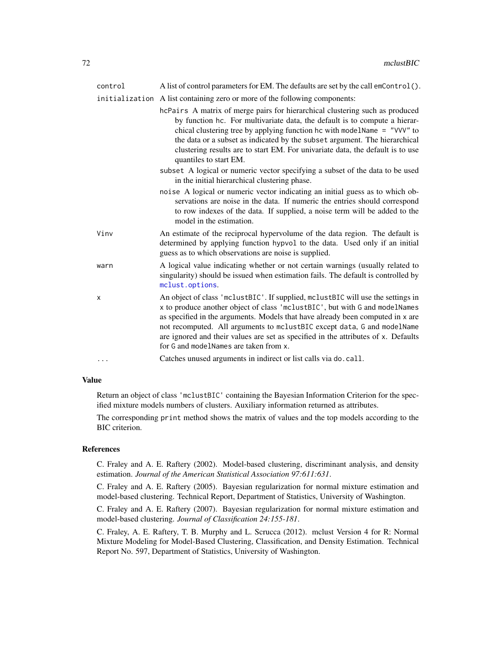| control  | A list of control parameters for EM. The defaults are set by the call emControl().                                                                                                                                                                                                                                                                                                                                                                          |
|----------|-------------------------------------------------------------------------------------------------------------------------------------------------------------------------------------------------------------------------------------------------------------------------------------------------------------------------------------------------------------------------------------------------------------------------------------------------------------|
|          | initialization A list containing zero or more of the following components:                                                                                                                                                                                                                                                                                                                                                                                  |
|          | hcPairs A matrix of merge pairs for hierarchical clustering such as produced<br>by function hc. For multivariate data, the default is to compute a hierar-<br>chical clustering tree by applying function hc with modelName = "VVV" to<br>the data or a subset as indicated by the subset argument. The hierarchical<br>clustering results are to start EM. For univariate data, the default is to use<br>quantiles to start EM.                            |
|          | subset A logical or numeric vector specifying a subset of the data to be used<br>in the initial hierarchical clustering phase.                                                                                                                                                                                                                                                                                                                              |
|          | noise A logical or numeric vector indicating an initial guess as to which ob-<br>servations are noise in the data. If numeric the entries should correspond<br>to row indexes of the data. If supplied, a noise term will be added to the<br>model in the estimation.                                                                                                                                                                                       |
| Vinv     | An estimate of the reciprocal hypervolume of the data region. The default is<br>determined by applying function hypvol to the data. Used only if an initial<br>guess as to which observations are noise is supplied.                                                                                                                                                                                                                                        |
| warn     | A logical value indicating whether or not certain warnings (usually related to<br>singularity) should be issued when estimation fails. The default is controlled by<br>mclust.options.                                                                                                                                                                                                                                                                      |
| X        | An object of class 'mclustBIC'. If supplied, mclustBIC will use the settings in<br>x to produce another object of class 'mclustBIC', but with G and modelNames<br>as specified in the arguments. Models that have already been computed in x are<br>not recomputed. All arguments to mclustBIC except data, G and modelName<br>are ignored and their values are set as specified in the attributes of x. Defaults<br>for G and modelNames are taken from x. |
| $\cdots$ | Catches unused arguments in indirect or list calls via do. call.                                                                                                                                                                                                                                                                                                                                                                                            |

## Value

Return an object of class 'mclustBIC' containing the Bayesian Information Criterion for the specified mixture models numbers of clusters. Auxiliary information returned as attributes.

The corresponding print method shows the matrix of values and the top models according to the BIC criterion.

## References

C. Fraley and A. E. Raftery (2002). Model-based clustering, discriminant analysis, and density estimation. *Journal of the American Statistical Association 97:611:631*.

C. Fraley and A. E. Raftery (2005). Bayesian regularization for normal mixture estimation and model-based clustering. Technical Report, Department of Statistics, University of Washington.

C. Fraley and A. E. Raftery (2007). Bayesian regularization for normal mixture estimation and model-based clustering. *Journal of Classification 24:155-181*.

C. Fraley, A. E. Raftery, T. B. Murphy and L. Scrucca (2012). mclust Version 4 for R: Normal Mixture Modeling for Model-Based Clustering, Classification, and Density Estimation. Technical Report No. 597, Department of Statistics, University of Washington.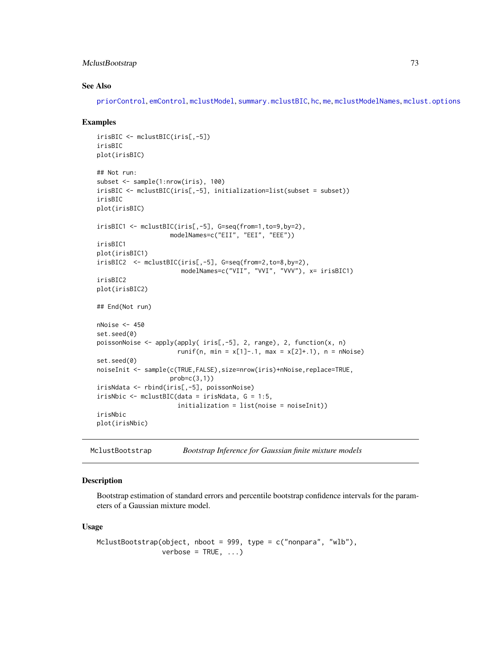## MclustBootstrap 73

#### See Also

[priorControl](#page-126-0), [emControl](#page-37-0), [mclustModel](#page-84-0), [summary.mclustBIC](#page-137-0), [hc](#page-47-0), [me](#page-89-0), [mclustModelNames](#page-86-0), [mclust.options](#page-63-0)

## Examples

```
irisBIC <- mclustBIC(iris[,-5])
irisBIC
plot(irisBIC)
## Not run:
subset <- sample(1:nrow(iris), 100)
irisBIC <- mclustBIC(iris[,-5], initialization=list(subset = subset))
irisBIC
plot(irisBIC)
irisBIC1 <- mclustBIC(iris[,-5], G=seq(from=1,to=9,by=2),
                    modelNames=c("EII", "EEI", "EEE"))
irisBIC1
plot(irisBIC1)
irisBIC2 <- mclustBIC(iris[,-5], G=seq(from=2,to=8,by=2),
                       modelNames=c("VII", "VVI", "VVV"), x= irisBIC1)
irisBIC2
plot(irisBIC2)
## End(Not run)
nNoise < -450set.seed(0)
poissonNoise <- apply(apply( iris[,-5], 2, range), 2, function(x, n)
                      runif(n, min = x[1]-.1, max = x[2]+.1), n = nNoise)
set.seed(0)
noiseInit <- sample(c(TRUE,FALSE),size=nrow(iris)+nNoise,replace=TRUE,
                    prob=c(3,1)irisNdata <- rbind(iris[,-5], poissonNoise)
irisNbic <- mclustBIC(data = irisNdata, G = 1:5,
                      initialization = list(noise = noiseInit))
irisNbic
plot(irisNbic)
```
#### Description

Bootstrap estimation of standard errors and percentile bootstrap confidence intervals for the parameters of a Gaussian mixture model.

#### Usage

```
MclustBootstrap(object, nboot = 999, type = c("nonpara", "wlb"),
                verbose = TRUE, ...)
```
MclustBootstrap *Bootstrap Inference for Gaussian finite mixture models*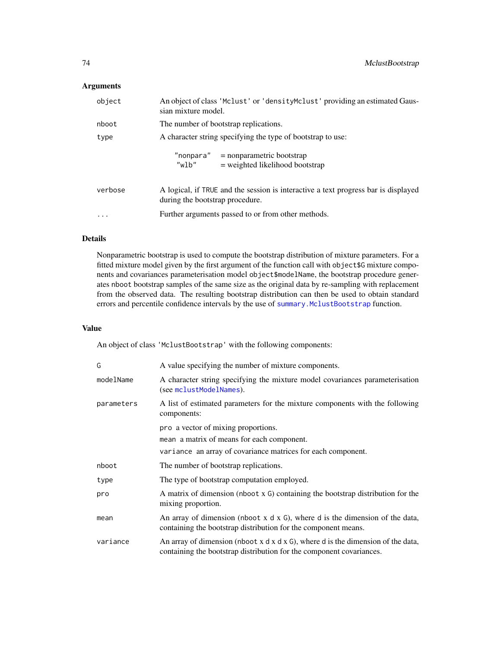## Arguments

| object   | An object of class 'Mclust' or 'densityMclust' providing an estimated Gaus-<br>sian mixture model.                    |  |  |
|----------|-----------------------------------------------------------------------------------------------------------------------|--|--|
| nboot    | The number of bootstrap replications.                                                                                 |  |  |
| type     | A character string specifying the type of bootstrap to use:                                                           |  |  |
|          | $"nonpara" = nonparametric bootstrap$<br>$"$ wlb"<br>$=$ weighted likelihood bootstrap                                |  |  |
| verbose  | A logical, if TRUE and the session is interactive a text progress bar is displayed<br>during the bootstrap procedure. |  |  |
| $\cdots$ | Further arguments passed to or from other methods.                                                                    |  |  |

# Details

Nonparametric bootstrap is used to compute the bootstrap distribution of mixture parameters. For a fitted mixture model given by the first argument of the function call with object\$G mixture components and covariances parameterisation model object\$modelName, the bootstrap procedure generates nboot bootstrap samples of the same size as the original data by re-sampling with replacement from the observed data. The resulting bootstrap distribution can then be used to obtain standard errors and percentile confidence intervals by the use of [summary.MclustBootstrap](#page-139-0) function.

# Value

An object of class 'MclustBootstrap' with the following components:

| G          | A value specifying the number of mixture components.                                                                                                           |  |  |  |
|------------|----------------------------------------------------------------------------------------------------------------------------------------------------------------|--|--|--|
| modelName  | A character string specifying the mixture model covariances parameterisation<br>(see mclustModelNames).                                                        |  |  |  |
| parameters | A list of estimated parameters for the mixture components with the following<br>components:                                                                    |  |  |  |
|            | pro a vector of mixing proportions.                                                                                                                            |  |  |  |
|            | mean a matrix of means for each component.                                                                                                                     |  |  |  |
|            | variance an array of covariance matrices for each component.                                                                                                   |  |  |  |
| nboot      | The number of bootstrap replications.                                                                                                                          |  |  |  |
| type       | The type of bootstrap computation employed.                                                                                                                    |  |  |  |
| pro        | A matrix of dimension (nboot x G) containing the bootstrap distribution for the<br>mixing proportion.                                                          |  |  |  |
| mean       | An array of dimension (nboot $x \, dx$ G), where d is the dimension of the data,<br>containing the bootstrap distribution for the component means.             |  |  |  |
| variance   | An array of dimension (nboot $x$ d $x$ d $x$ G), where d is the dimension of the data,<br>containing the bootstrap distribution for the component covariances. |  |  |  |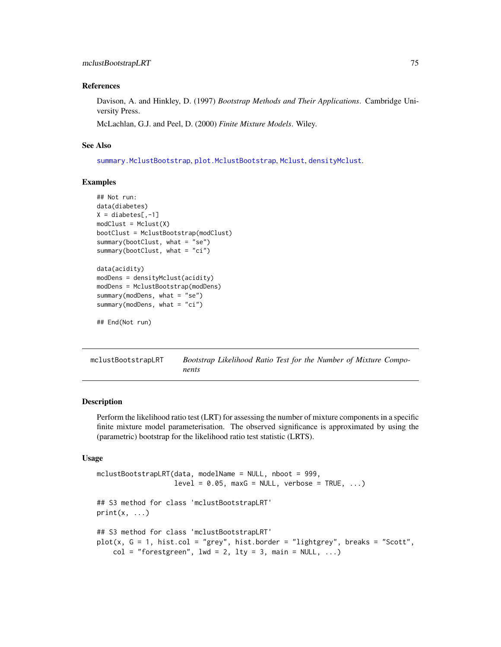## References

Davison, A. and Hinkley, D. (1997) *Bootstrap Methods and Their Applications*. Cambridge University Press.

McLachlan, G.J. and Peel, D. (2000) *Finite Mixture Models*. Wiley.

## See Also

[summary.MclustBootstrap](#page-139-0), [plot.MclustBootstrap](#page-113-0), [Mclust](#page-60-0), [densityMclust](#page-31-0).

#### Examples

```
## Not run:
data(diabetes)
X = diabetes[, -1]modCluster = Mclust(X)bootClust = MclustBootstrap(modClust)
summary(bootClust, what = "se")
summary(bootClust, what = "ci")
data(acidity)
modDens = densityMclust(acidity)
modDens = MclustBootstrap(modDens)
summary(modDens, what = "se")
summary(modDens, what = "ci")
```

```
## End(Not run)
```
<span id="page-74-0"></span>mclustBootstrapLRT *Bootstrap Likelihood Ratio Test for the Number of Mixture Components*

#### Description

Perform the likelihood ratio test (LRT) for assessing the number of mixture components in a specific finite mixture model parameterisation. The observed significance is approximated by using the (parametric) bootstrap for the likelihood ratio test statistic (LRTS).

## Usage

```
mclustBootstrapLRT(data, modelName = NULL, nboot = 999,
                   level = 0.05, maxG = NULL, verbose = TRUE, ...)
## S3 method for class 'mclustBootstrapLRT'
print(x, \ldots)## S3 method for class 'mclustBootstrapLRT'
plot(x, G = 1, hist.col = "grey", hist.border = "lightgrey", breaks = "Scott",
    col = "forestgreen", 1wd = 2, 1ty = 3, main = NULL, ...)
```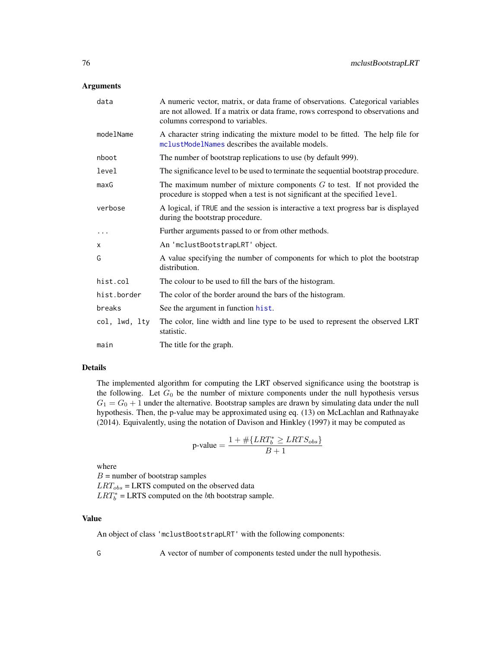## Arguments

| data          | A numeric vector, matrix, or data frame of observations. Categorical variables<br>are not allowed. If a matrix or data frame, rows correspond to observations and<br>columns correspond to variables. |  |  |  |
|---------------|-------------------------------------------------------------------------------------------------------------------------------------------------------------------------------------------------------|--|--|--|
| modelName     | A character string indicating the mixture model to be fitted. The help file for<br>mclustModelNames describes the available models.                                                                   |  |  |  |
| nboot         | The number of bootstrap replications to use (by default 999).                                                                                                                                         |  |  |  |
| level         | The significance level to be used to terminate the sequential bootstrap procedure.                                                                                                                    |  |  |  |
| maxG          | The maximum number of mixture components $G$ to test. If not provided the<br>procedure is stopped when a test is not significant at the specified level.                                              |  |  |  |
| verbose       | A logical, if TRUE and the session is interactive a text progress bar is displayed<br>during the bootstrap procedure.                                                                                 |  |  |  |
|               | Further arguments passed to or from other methods.                                                                                                                                                    |  |  |  |
| X             | An 'mclustBootstrapLRT' object.                                                                                                                                                                       |  |  |  |
| G             | A value specifying the number of components for which to plot the bootstrap<br>distribution.                                                                                                          |  |  |  |
| hist.col      | The colour to be used to fill the bars of the histogram.                                                                                                                                              |  |  |  |
| hist.border   | The color of the border around the bars of the histogram.                                                                                                                                             |  |  |  |
| breaks        | See the argument in function hist.                                                                                                                                                                    |  |  |  |
| col, lwd, lty | The color, line width and line type to be used to represent the observed LRT<br>statistic.                                                                                                            |  |  |  |
| main          | The title for the graph.                                                                                                                                                                              |  |  |  |

## Details

The implemented algorithm for computing the LRT observed significance using the bootstrap is the following. Let  $G_0$  be the number of mixture components under the null hypothesis versus  $G_1 = G_0 + 1$  under the alternative. Bootstrap samples are drawn by simulating data under the null hypothesis. Then, the p-value may be approximated using eq. (13) on McLachlan and Rathnayake (2014). Equivalently, using the notation of Davison and Hinkley (1997) it may be computed as

$$
p\text{-value} = \frac{1 + \#\{LRT_b^* \ge LRTS_{obs}\}}{B+1}
$$

where

 $B =$  number of bootstrap samples  $LRT_{obs}$  = LRTS computed on the observed data  $LRT_b^*$  = LRTS computed on the *b*th bootstrap sample.

## Value

An object of class 'mclustBootstrapLRT' with the following components:

G A vector of number of components tested under the null hypothesis.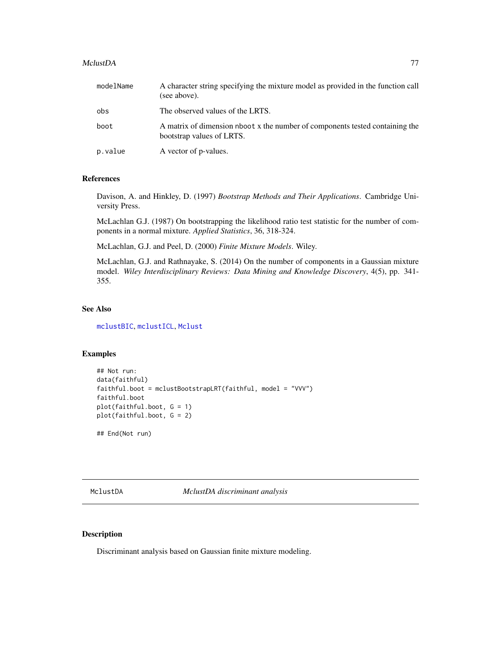#### MclustDA 77

| modelName | A character string specifying the mixture model as provided in the function call<br>(see above).          |
|-----------|-----------------------------------------------------------------------------------------------------------|
| obs       | The observed values of the LRTS.                                                                          |
| boot      | A matrix of dimension nboot x the number of components tested containing the<br>bootstrap values of LRTS. |
| p.value   | A vector of p-values.                                                                                     |

#### References

Davison, A. and Hinkley, D. (1997) *Bootstrap Methods and Their Applications*. Cambridge University Press.

McLachlan G.J. (1987) On bootstrapping the likelihood ratio test statistic for the number of components in a normal mixture. *Applied Statistics*, 36, 318-324.

McLachlan, G.J. and Peel, D. (2000) *Finite Mixture Models*. Wiley.

McLachlan, G.J. and Rathnayake, S. (2014) On the number of components in a Gaussian mixture model. *Wiley Interdisciplinary Reviews: Data Mining and Knowledge Discovery*, 4(5), pp. 341- 355.

## See Also

[mclustBIC](#page-70-0), [mclustICL](#page-83-0), [Mclust](#page-60-0)

## Examples

```
## Not run:
data(faithful)
faithful.boot = mclustBootstrapLRT(faithful, model = "VVV")
faithful.boot
plot(faithful.boot, G = 1)
plot(faithful.boot, G = 2)
```
## End(Not run)

<span id="page-76-0"></span>MclustDA *MclustDA discriminant analysis*

## Description

Discriminant analysis based on Gaussian finite mixture modeling.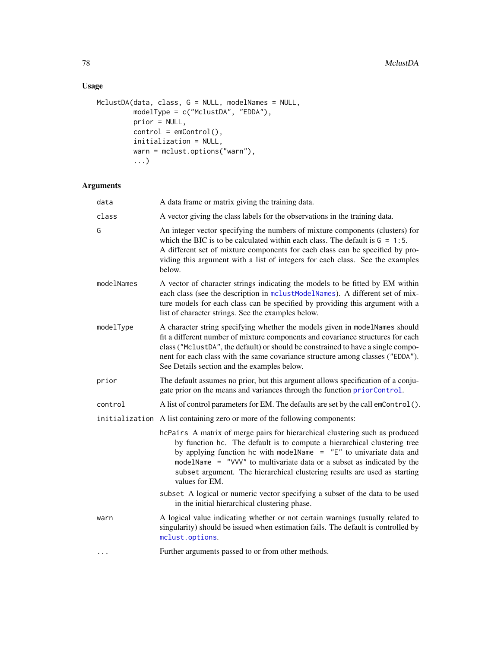# Usage

```
MclustDA(data, class, G = NULL, modelNames = NULL,
        modelType = c("MclustDA", "EDDA"),
         prior = NULL,
         control = emControl(),
         initialization = NULL,
         warn = mclust.options("warn"),
         ...)
```

| data       | A data frame or matrix giving the training data.                                                                                                                                                                                                                                                                                                                                                         |  |  |  |
|------------|----------------------------------------------------------------------------------------------------------------------------------------------------------------------------------------------------------------------------------------------------------------------------------------------------------------------------------------------------------------------------------------------------------|--|--|--|
| class      | A vector giving the class labels for the observations in the training data.                                                                                                                                                                                                                                                                                                                              |  |  |  |
| G          | An integer vector specifying the numbers of mixture components (clusters) for<br>which the BIC is to be calculated within each class. The default is $G = 1:5$ .<br>A different set of mixture components for each class can be specified by pro-<br>viding this argument with a list of integers for each class. See the examples<br>below.                                                             |  |  |  |
| modelNames | A vector of character strings indicating the models to be fitted by EM within<br>each class (see the description in mclustModelNames). A different set of mix-<br>ture models for each class can be specified by providing this argument with a<br>list of character strings. See the examples below.                                                                                                    |  |  |  |
| modelType  | A character string specifying whether the models given in modelNames should<br>fit a different number of mixture components and covariance structures for each<br>class ("MclustDA", the default) or should be constrained to have a single compo-<br>nent for each class with the same covariance structure among classes ("EDDA").<br>See Details section and the examples below.                      |  |  |  |
| prior      | The default assumes no prior, but this argument allows specification of a conju-<br>gate prior on the means and variances through the function priorControl.                                                                                                                                                                                                                                             |  |  |  |
| control    | A list of control parameters for EM. The defaults are set by the call emControl().                                                                                                                                                                                                                                                                                                                       |  |  |  |
|            | initialization A list containing zero or more of the following components:                                                                                                                                                                                                                                                                                                                               |  |  |  |
|            | hcPairs A matrix of merge pairs for hierarchical clustering such as produced<br>by function hc. The default is to compute a hierarchical clustering tree<br>by applying function hc with modelName = "E" to univariate data and<br>modelName = "VVV" to multivariate data or a subset as indicated by the<br>subset argument. The hierarchical clustering results are used as starting<br>values for EM. |  |  |  |
|            | subset A logical or numeric vector specifying a subset of the data to be used<br>in the initial hierarchical clustering phase.                                                                                                                                                                                                                                                                           |  |  |  |
| warn       | A logical value indicating whether or not certain warnings (usually related to<br>singularity) should be issued when estimation fails. The default is controlled by<br>mclust.options.                                                                                                                                                                                                                   |  |  |  |
| .          | Further arguments passed to or from other methods.                                                                                                                                                                                                                                                                                                                                                       |  |  |  |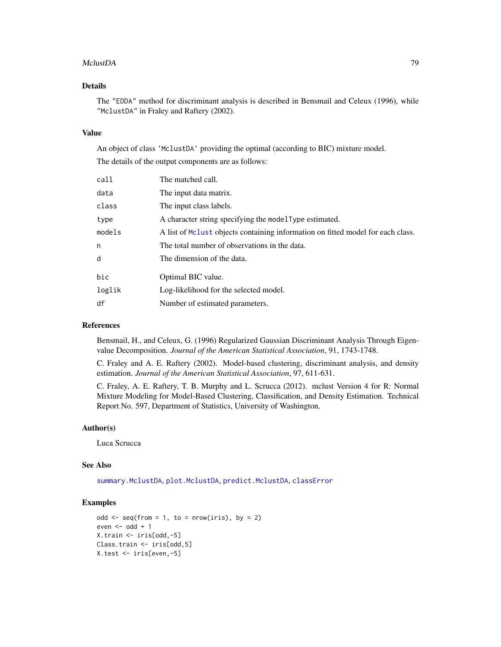#### MclustDA 79

## Details

The "EDDA" method for discriminant analysis is described in Bensmail and Celeux (1996), while "MclustDA" in Fraley and Raftery (2002).

## Value

An object of class 'MclustDA' providing the optimal (according to BIC) mixture model. The details of the output components are as follows:

| call   | The matched call.                                                               |  |  |  |
|--------|---------------------------------------------------------------------------------|--|--|--|
| data   | The input data matrix.                                                          |  |  |  |
| class  | The input class labels.                                                         |  |  |  |
| type   | A character string specifying the modelType estimated.                          |  |  |  |
| models | A list of McLust objects containing information on fitted model for each class. |  |  |  |
| n      | The total number of observations in the data.                                   |  |  |  |
| d      | The dimension of the data.                                                      |  |  |  |
| bic    | Optimal BIC value.                                                              |  |  |  |
| loglik | Log-likelihood for the selected model.                                          |  |  |  |
| df     | Number of estimated parameters.                                                 |  |  |  |
|        |                                                                                 |  |  |  |

#### References

Bensmail, H., and Celeux, G. (1996) Regularized Gaussian Discriminant Analysis Through Eigenvalue Decomposition. *Journal of the American Statistical Association*, 91, 1743-1748.

C. Fraley and A. E. Raftery (2002). Model-based clustering, discriminant analysis, and density estimation. *Journal of the American Statistical Association*, 97, 611-631.

C. Fraley, A. E. Raftery, T. B. Murphy and L. Scrucca (2012). mclust Version 4 for R: Normal Mixture Modeling for Model-Based Clustering, Classification, and Density Estimation. Technical Report No. 597, Department of Statistics, University of Washington.

## Author(s)

Luca Scrucca

## See Also

[summary.MclustDA](#page-140-0), [plot.MclustDA](#page-114-0), [predict.MclustDA](#page-122-0), [classError](#page-14-0)

# Examples

```
odd \leq seq(from = 1, to = nrow(iris), by = 2)
even <- odd +1X.train <- iris[odd,-5]
Class.train <- iris[odd,5]
X.test <- iris[even,-5]
```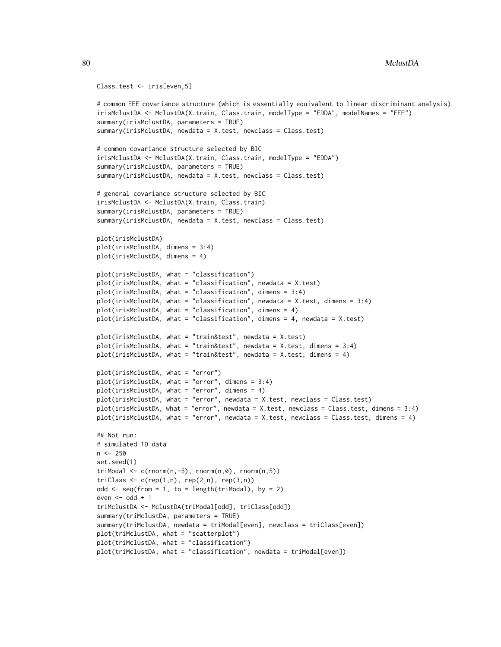```
Class.test <- iris[even,5]
# common EEE covariance structure (which is essentially equivalent to linear discriminant analysis)
irisMclustDA <- MclustDA(X.train, Class.train, modelType = "EDDA", modelNames = "EEE")
summary(irisMclustDA, parameters = TRUE)
summary(irisMclustDA, newdata = X.test, newclass = Class.test)
# common covariance structure selected by BIC
irisMclustDA <- MclustDA(X.train, Class.train, modelType = "EDDA")
summary(irisMclustDA, parameters = TRUE)
summary(irisMclustDA, newdata = X.test, newclass = Class.test)
# general covariance structure selected by BIC
irisMclustDA <- MclustDA(X.train, Class.train)
summary(irisMclustDA, parameters = TRUE)
summary(irisMclustDA, newdata = X.test, newclass = Class.test)
plot(irisMclustDA)
plot(irisMclustDA, dimens = 3:4)
plot(irisMclustDA, dimens = 4)
plot(irisMclustDA, what = "classification")
plot(irisMclustDA, what = "classification", newdata = X.test)
plot(irisMclustDA, what = "classification", dimens = 3:4)
plot(irisMclustDA, what = "classification", newdata = X.test, dimens = 3:4)
plot(irisMclustDA, what = "classification", dimens = 4)
plot(irisMclustDA, what = "classification", dimens = 4, newdata = X.test)
plot(irisMclustDA, what = "train&test", newdata = X.test)
plot(irisMclustDA, what = "train&test", newdata = X.test, dimens = 3:4)
plot(irisMclustDA, what = "train&test", newdata = X.test, dimens = 4)
plot(irisMclustDA, what = "error")
plot(irisMclustDA, what = "error", dimens = 3:4)
plot(irisMclustDA, what = "error", dimens = 4)
plot(irisMclustDA, what = "error", newdata = X.test, newclass = Class.test)
plot(irisMclustDA, what = "error", newdata = X.test, newclass = Class.test, dimens = 3:4)
plot(irisMclustDA, what = "error", newdata = X.test, newclass = Class.test, dimens = 4)
## Not run:
# simulated 1D data
n < -250set.seed(1)
triModal \leq c(rnorm(n,-5), rnorm(n,0), rnorm(n,5))
triClass \leq c(rep(1,n), rep(2,n), rep(3,n))
odd \leq seq(from = 1, to = length(triModal), by = 2)
even <- odd +1triMclustDA <- MclustDA(triModal[odd], triClass[odd])
summary(triMclustDA, parameters = TRUE)
summary(triMclustDA, newdata = triModal[even], newclass = triClass[even])
plot(triMclustDA, what = "scatterplot")
plot(triMclustDA, what = "classification")
plot(triMclustDA, what = "classification", newdata = triModal[even])
```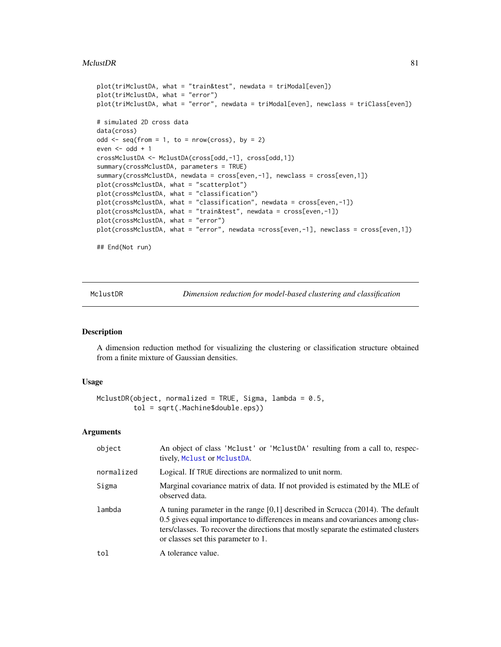#### $MclustDR$  81

```
plot(triMclustDA, what = "train&test", newdata = triModal[even])
plot(triMclustDA, what = "error")
plot(triMclustDA, what = "error", newdata = triModal[even], newclass = triClass[even])
# simulated 2D cross data
data(cross)
odd \leq seq(from = 1, to = nrow(cross), by = 2)
even <- odd +1crossMclustDA <- MclustDA(cross[odd,-1], cross[odd,1])
summary(crossMclustDA, parameters = TRUE)
summary(crossMclustDA, newdata = cross[even,-1], newclass = cross[even,1])
plot(crossMclustDA, what = "scatterplot")
plot(crossMclustDA, what = "classification")
plot(crossMclustDA, what = "classification", newdata = cross[even,-1])
plot(crossMclustDA, what = "train&test", newdata = cross[even,-1])
plot(crossMclustDA, what = "error")
plot(crossMclustDA, what = "error", newdata =cross[even,-1], newclass = cross[even,1])
## End(Not run)
```
MclustDR *Dimension reduction for model-based clustering and classification*

# Description

A dimension reduction method for visualizing the clustering or classification structure obtained from a finite mixture of Gaussian densities.

# Usage

```
MclustDR(object, normalized = TRUE, Sigma, lambda = 0.5,
         tol = sqrt(.Machine$double.eps))
```

| object     | An object of class 'Mclust' or 'MclustDA' resulting from a call to, respec-<br>tively, Mclust or MclustDA.                                                                                                                                                                                       |  |  |  |
|------------|--------------------------------------------------------------------------------------------------------------------------------------------------------------------------------------------------------------------------------------------------------------------------------------------------|--|--|--|
| normalized | Logical. If TRUE directions are normalized to unit norm.                                                                                                                                                                                                                                         |  |  |  |
| Sigma      | Marginal covariance matrix of data. If not provided is estimated by the MLE of<br>observed data.                                                                                                                                                                                                 |  |  |  |
| lambda     | A tuning parameter in the range $[0,1]$ described in Scrucca (2014). The default<br>0.5 gives equal importance to differences in means and covariances among clus-<br>ters/classes. To recover the directions that mostly separate the estimated clusters<br>or classes set this parameter to 1. |  |  |  |
| tol        | A tolerance value.                                                                                                                                                                                                                                                                               |  |  |  |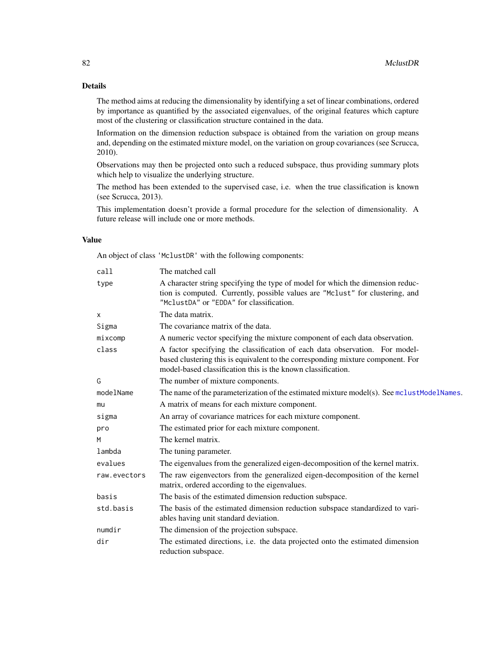## Details

The method aims at reducing the dimensionality by identifying a set of linear combinations, ordered by importance as quantified by the associated eigenvalues, of the original features which capture most of the clustering or classification structure contained in the data.

Information on the dimension reduction subspace is obtained from the variation on group means and, depending on the estimated mixture model, on the variation on group covariances (see Scrucca, 2010).

Observations may then be projected onto such a reduced subspace, thus providing summary plots which help to visualize the underlying structure.

The method has been extended to the supervised case, i.e. when the true classification is known (see Scrucca, 2013).

This implementation doesn't provide a formal procedure for the selection of dimensionality. A future release will include one or more methods.

## Value

An object of class 'MclustDR' with the following components:

| call         | The matched call                                                                                                                                                                                                               |  |  |  |
|--------------|--------------------------------------------------------------------------------------------------------------------------------------------------------------------------------------------------------------------------------|--|--|--|
| type         | A character string specifying the type of model for which the dimension reduc-<br>tion is computed. Currently, possible values are "Mclust" for clustering, and<br>"MclustDA" or "EDDA" for classification.                    |  |  |  |
| x            | The data matrix.                                                                                                                                                                                                               |  |  |  |
| Sigma        | The covariance matrix of the data.                                                                                                                                                                                             |  |  |  |
| mixcomp      | A numeric vector specifying the mixture component of each data observation.                                                                                                                                                    |  |  |  |
| class        | A factor specifying the classification of each data observation. For model-<br>based clustering this is equivalent to the corresponding mixture component. For<br>model-based classification this is the known classification. |  |  |  |
| G            | The number of mixture components.                                                                                                                                                                                              |  |  |  |
| modelName    | The name of the parameterization of the estimated mixture model(s). See mclustModelNames.                                                                                                                                      |  |  |  |
| mu           | A matrix of means for each mixture component.                                                                                                                                                                                  |  |  |  |
| sigma        | An array of covariance matrices for each mixture component.                                                                                                                                                                    |  |  |  |
| pro          | The estimated prior for each mixture component.                                                                                                                                                                                |  |  |  |
| M            | The kernel matrix.                                                                                                                                                                                                             |  |  |  |
| lambda       | The tuning parameter.                                                                                                                                                                                                          |  |  |  |
| evalues      | The eigenvalues from the generalized eigen-decomposition of the kernel matrix.                                                                                                                                                 |  |  |  |
| raw.evectors | The raw eigenvectors from the generalized eigen-decomposition of the kernel<br>matrix, ordered according to the eigenvalues.                                                                                                   |  |  |  |
| basis        | The basis of the estimated dimension reduction subspace.                                                                                                                                                                       |  |  |  |
| std.basis    | The basis of the estimated dimension reduction subspace standardized to vari-<br>ables having unit standard deviation.                                                                                                         |  |  |  |
| numdir       | The dimension of the projection subspace.                                                                                                                                                                                      |  |  |  |
| dir          | The estimated directions, i.e. the data projected onto the estimated dimension<br>reduction subspace.                                                                                                                          |  |  |  |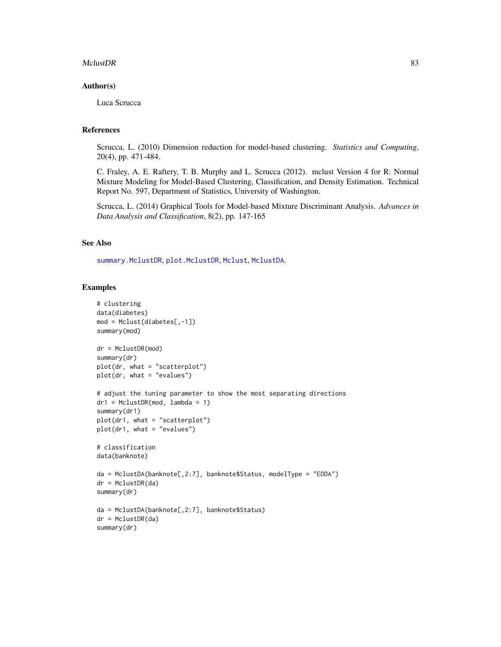#### $MclustDR$  83

#### Author(s)

Luca Scrucca

## References

Scrucca, L. (2010) Dimension reduction for model-based clustering. *Statistics and Computing*, 20(4), pp. 471-484.

C. Fraley, A. E. Raftery, T. B. Murphy and L. Scrucca (2012). mclust Version 4 for R: Normal Mixture Modeling for Model-Based Clustering, Classification, and Density Estimation. Technical Report No. 597, Department of Statistics, University of Washington.

Scrucca, L. (2014) Graphical Tools for Model-based Mixture Discriminant Analysis. *Advances in Data Analysis and Classification*, 8(2), pp. 147-165

#### See Also

[summary.MclustDR](#page-141-0), [plot.MclustDR](#page-117-0), [Mclust](#page-60-0), [MclustDA](#page-76-0).

## Examples

```
# clustering
data(diabetes)
mod = Mclust(diabetes[,-1])
summary(mod)
dr = MclustDR(mod)
summary(dr)
plot(dr, what = "scatterplot")
plot(dr, what = "evalues")
# adjust the tuning parameter to show the most separating directions
dr1 = MclustDR(mod, lambda = 1)
summary(dr1)
plot(dr1, what = "scatterplot")plot(dr1, what = "evalues")# classification
data(banknote)
da = MclustDA(banknote[,2:7], banknote$Status, modelType = "EDDA")
dr = MclustDR(da)
summary(dr)
da = MclustDA(banknote[,2:7], banknote$Status)
dr = MclustDR(da)
summary(dr)
```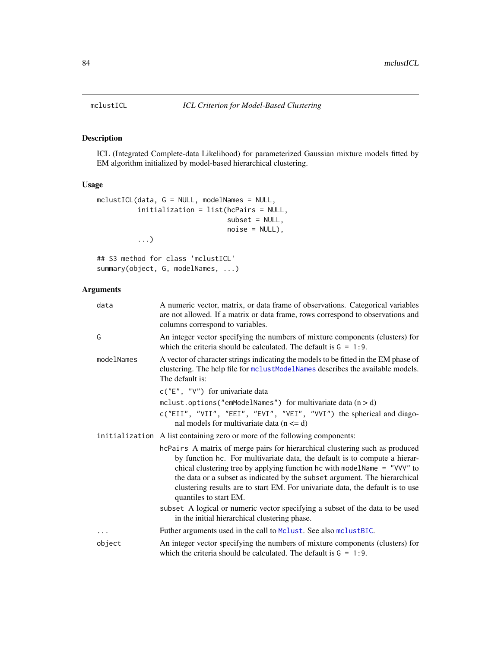<span id="page-83-0"></span>

## Description

ICL (Integrated Complete-data Likelihood) for parameterized Gaussian mixture models fitted by EM algorithm initialized by model-based hierarchical clustering.

## Usage

```
mclustICL(data, G = NULL, modelNames = NULL,
          initialization = list(hcPairs = NULL,
                                subset = NULL,
                                noise = NULL),
          ...)
```

```
## S3 method for class 'mclustICL'
summary(object, G, modelNames, ...)
```

| data       | A numeric vector, matrix, or data frame of observations. Categorical variables<br>are not allowed. If a matrix or data frame, rows correspond to observations and<br>columns correspond to variables.                                                                                                                                                                                                                              |  |  |  |
|------------|------------------------------------------------------------------------------------------------------------------------------------------------------------------------------------------------------------------------------------------------------------------------------------------------------------------------------------------------------------------------------------------------------------------------------------|--|--|--|
| G          | An integer vector specifying the numbers of mixture components (clusters) for<br>which the criteria should be calculated. The default is $G = 1:9$ .                                                                                                                                                                                                                                                                               |  |  |  |
| modelNames | A vector of character strings indicating the models to be fitted in the EM phase of<br>clustering. The help file for mclustModelNames describes the available models.<br>The default is:                                                                                                                                                                                                                                           |  |  |  |
|            | $c("E", "V")$ for univariate data                                                                                                                                                                                                                                                                                                                                                                                                  |  |  |  |
|            | mclust.options("emModelNames") for multivariate data $(n > d)$                                                                                                                                                                                                                                                                                                                                                                     |  |  |  |
|            | c("EII", "VII", "EEI", "EVI", "VEI", "VVI") the spherical and diago-<br>nal models for multivariate data $(n \le d)$                                                                                                                                                                                                                                                                                                               |  |  |  |
|            | initialization A list containing zero or more of the following components:                                                                                                                                                                                                                                                                                                                                                         |  |  |  |
|            | hcPairs A matrix of merge pairs for hierarchical clustering such as produced<br>by function hc. For multivariate data, the default is to compute a hierar-<br>chical clustering tree by applying function hc with modelName $=$ "VVV" to<br>the data or a subset as indicated by the subset argument. The hierarchical<br>clustering results are to start EM. For univariate data, the default is to use<br>quantiles to start EM. |  |  |  |
|            | subset A logical or numeric vector specifying a subset of the data to be used<br>in the initial hierarchical clustering phase.                                                                                                                                                                                                                                                                                                     |  |  |  |
| .          | Futher arguments used in the call to Mclust. See also mclustBIC.                                                                                                                                                                                                                                                                                                                                                                   |  |  |  |
| object     | An integer vector specifying the numbers of mixture components (clusters) for<br>which the criteria should be calculated. The default is $G = 1:9$ .                                                                                                                                                                                                                                                                               |  |  |  |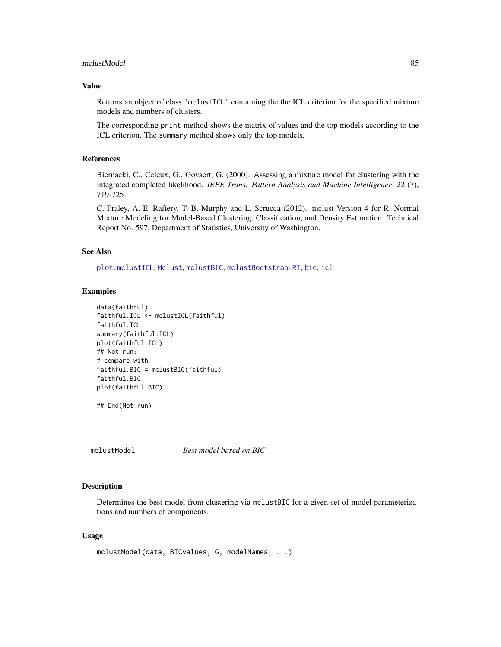#### mclustModel 85

## Value

Returns an object of class 'mclustICL' containing the the ICL criterion for the specified mixture models and numbers of clusters.

The corresponding print method shows the matrix of values and the top models according to the ICL criterion. The summary method shows only the top models.

## References

Biernacki, C., Celeux, G., Govaert, G. (2000). Assessing a mixture model for clustering with the integrated completed likelihood. *IEEE Trans. Pattern Analysis and Machine Intelligence*, 22 (7), 719-725.

C. Fraley, A. E. Raftery, T. B. Murphy and L. Scrucca (2012). mclust Version 4 for R: Normal Mixture Modeling for Model-Based Clustering, Classification, and Density Estimation. Technical Report No. 597, Department of Statistics, University of Washington.

## See Also

[plot.mclustICL](#page-119-0), [Mclust](#page-60-0), [mclustBIC](#page-70-0), [mclustBootstrapLRT](#page-74-0), [bic](#page-7-0), [icl](#page-53-0)

## Examples

```
data(faithful)
faithful.ICL <- mclustICL(faithful)
faithful.ICL
summary(faithful.ICL)
plot(faithful.ICL)
## Not run:
# compare with
faithful.BIC = mclustBIC(faithful)
faithful.BIC
plot(faithful.BIC)
```
## End(Not run)

<span id="page-84-0"></span>mclustModel *Best model based on BIC*

#### Description

Determines the best model from clustering via mclustBIC for a given set of model parameterizations and numbers of components.

#### Usage

```
mclustModel(data, BICvalues, G, modelNames, ...)
```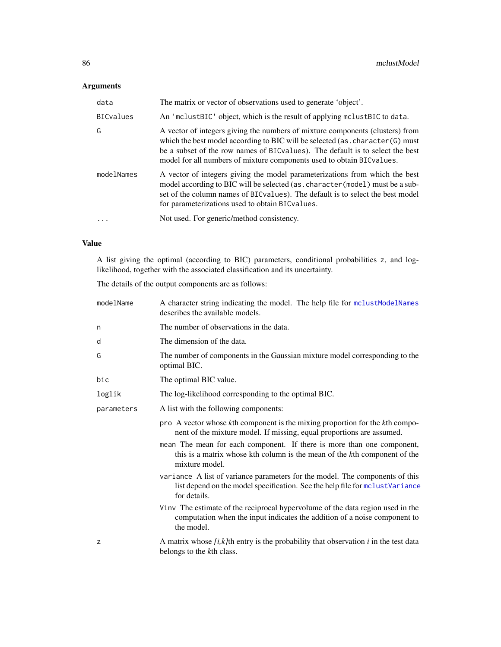# Arguments

| data       | The matrix or vector of observations used to generate 'object'.                                                                                                                                                                                                                                                              |  |  |
|------------|------------------------------------------------------------------------------------------------------------------------------------------------------------------------------------------------------------------------------------------------------------------------------------------------------------------------------|--|--|
| BICvalues  | An 'mclustBIC' object, which is the result of applying mclustBIC to data.                                                                                                                                                                                                                                                    |  |  |
| G          | A vector of integers giving the numbers of mixture components (clusters) from<br>which the best model according to BIC will be selected (as . character (G) must<br>be a subset of the row names of BIC values). The default is to select the best<br>model for all numbers of mixture components used to obtain BIC values. |  |  |
| modelNames | A vector of integers giving the model parameterizations from which the best<br>model according to BIC will be selected (as. character (model) must be a sub-<br>set of the column names of BIC values). The default is to select the best model<br>for parameterizations used to obtain BIC values.                          |  |  |
|            | Not used. For generic/method consistency.                                                                                                                                                                                                                                                                                    |  |  |

# Value

A list giving the optimal (according to BIC) parameters, conditional probabilities z, and loglikelihood, together with the associated classification and its uncertainty.

The details of the output components are as follows:

| modelName  | A character string indicating the model. The help file for mclustModelNames<br>describes the available models.                                                               |  |  |  |  |
|------------|------------------------------------------------------------------------------------------------------------------------------------------------------------------------------|--|--|--|--|
| n          | The number of observations in the data.                                                                                                                                      |  |  |  |  |
| d          | The dimension of the data.                                                                                                                                                   |  |  |  |  |
| G          | The number of components in the Gaussian mixture model corresponding to the<br>optimal BIC.                                                                                  |  |  |  |  |
| bic        | The optimal BIC value.                                                                                                                                                       |  |  |  |  |
| loglik     | The log-likelihood corresponding to the optimal BIC.                                                                                                                         |  |  |  |  |
| parameters | A list with the following components:                                                                                                                                        |  |  |  |  |
|            | pro A vector whose kth component is the mixing proportion for the kth compo-<br>nent of the mixture model. If missing, equal proportions are assumed.                        |  |  |  |  |
|            | mean The mean for each component. If there is more than one component,<br>this is a matrix whose kth column is the mean of the kth component of the<br>mixture model.        |  |  |  |  |
|            | variance A list of variance parameters for the model. The components of this<br>list depend on the model specification. See the help file for mclustVariance<br>for details. |  |  |  |  |
|            | Vinv The estimate of the reciprocal hypervolume of the data region used in the<br>computation when the input indicates the addition of a noise component to<br>the model.    |  |  |  |  |
| z          | A matrix whose $[i, k]$ th entry is the probability that observation i in the test data<br>belongs to the kth class.                                                         |  |  |  |  |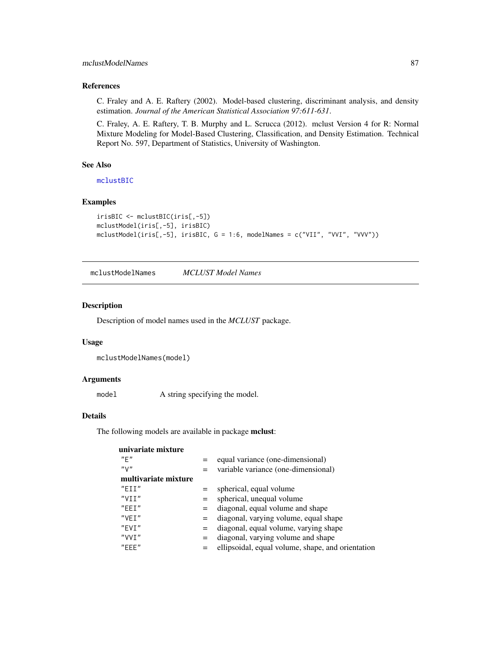## mclustModelNames 87

## References

C. Fraley and A. E. Raftery (2002). Model-based clustering, discriminant analysis, and density estimation. *Journal of the American Statistical Association 97:611-631*.

C. Fraley, A. E. Raftery, T. B. Murphy and L. Scrucca (2012). mclust Version 4 for R: Normal Mixture Modeling for Model-Based Clustering, Classification, and Density Estimation. Technical Report No. 597, Department of Statistics, University of Washington.

## See Also

[mclustBIC](#page-70-0)

## Examples

```
irisBIC <- mclustBIC(iris[,-5])
mclustModel(iris[,-5], irisBIC)
mclustModel(iris[,-5], irisBIC, G = 1:6, modelNames = c("VII", "VVI", "VVV"))
```
<span id="page-86-0"></span>mclustModelNames *MCLUST Model Names*

## Description

Description of model names used in the *MCLUST* package.

#### Usage

```
mclustModelNames(model)
```
#### Arguments

model A string specifying the model.

#### Details

The following models are available in package mclust:

| univariate mixture   |     |                                                   |
|----------------------|-----|---------------------------------------------------|
| "F"                  |     | equal variance (one-dimensional)                  |
| "V"                  |     | variable variance (one-dimensional)               |
| multivariate mixture |     |                                                   |
| $"$ FTT $"$          | $=$ | spherical, equal volume                           |
| "VIT"                | $=$ | spherical, unequal volume                         |
| $"$ FFT $"$          | $=$ | diagonal, equal volume and shape                  |
| "VFT"                | $=$ | diagonal, varying volume, equal shape             |
| "FVT"                | $=$ | diagonal, equal volume, varying shape             |
| "VVT"                | $=$ | diagonal, varying volume and shape                |
| $"$ FFF $"$          | $=$ | ellipsoidal, equal volume, shape, and orientation |
|                      |     |                                                   |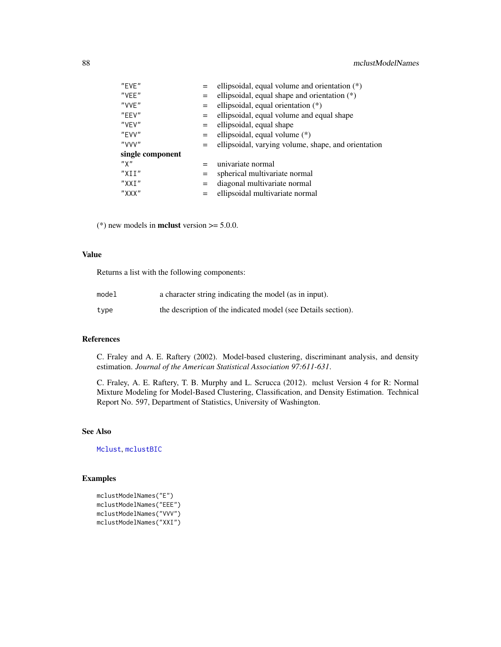| $"$ FVF $"$      |     | ellipsoidal, equal volume and orientation $(*)$     |
|------------------|-----|-----------------------------------------------------|
| "VFF"            |     | ellipsoidal, equal shape and orientation $(*)$      |
| "VVF"            |     | ellipsoidal, equal orientation $(*)$                |
| $"$ FFV"         | $=$ | ellipsoidal, equal volume and equal shape           |
| "VFV"            | $=$ | ellipsoidal, equal shape                            |
| "FVV"            | $=$ | ellipsoidal, equal volume (*)                       |
| "VVV"            | $=$ | ellipsoidal, varying volume, shape, and orientation |
| single component |     |                                                     |
| "X"              | $=$ | univariate normal                                   |
| "XII"            | $=$ | spherical multivariate normal                       |
| $"$ XXT $"$      |     | diagonal multivariate normal                        |
| $"$ $XXX"$       |     | ellipsoidal multivariate normal                     |

(\*) new models in **mclust** version  $>= 5.0.0$ .

#### Value

Returns a list with the following components:

| model | a character string indicating the model (as in input).        |
|-------|---------------------------------------------------------------|
| type  | the description of the indicated model (see Details section). |

## References

C. Fraley and A. E. Raftery (2002). Model-based clustering, discriminant analysis, and density estimation. *Journal of the American Statistical Association 97:611-631*.

C. Fraley, A. E. Raftery, T. B. Murphy and L. Scrucca (2012). mclust Version 4 for R: Normal Mixture Modeling for Model-Based Clustering, Classification, and Density Estimation. Technical Report No. 597, Department of Statistics, University of Washington.

## See Also

[Mclust](#page-60-0), [mclustBIC](#page-70-0)

## Examples

```
mclustModelNames("E")
mclustModelNames("EEE")
mclustModelNames("VVV")
mclustModelNames("XXI")
```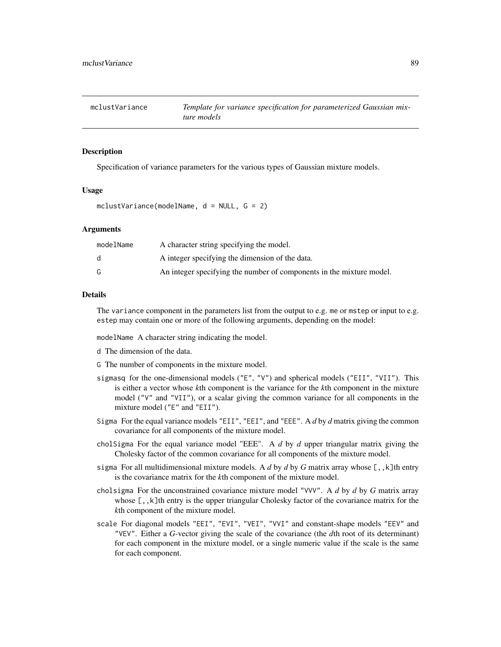<span id="page-88-0"></span>

### Description

Specification of variance parameters for the various types of Gaussian mixture models.

#### Usage

mclustVariance(modelName, d = NULL, G = 2)

#### Arguments

| modelName | A character string specifying the model.                             |
|-----------|----------------------------------------------------------------------|
| d.        | A integer specifying the dimension of the data.                      |
|           | An integer specifying the number of components in the mixture model. |

#### Details

The variance component in the parameters list from the output to e.g. me or mstep or input to e.g. estep may contain one or more of the following arguments, depending on the model:

modelName A character string indicating the model.

- d The dimension of the data.
- G The number of components in the mixture model.
- sigmasq for the one-dimensional models ("E", "V") and spherical models ("EII", "VII"). This is either a vector whose *k*th component is the variance for the *k*th component in the mixture model ("V" and "VII"), or a scalar giving the common variance for all components in the mixture model ("E" and "EII").
- Sigma For the equal variance models "EII", "EEI", and "EEE". A *d* by *d* matrix giving the common covariance for all components of the mixture model.
- cholSigma For the equal variance model "EEE". A *d* by *d* upper triangular matrix giving the Cholesky factor of the common covariance for all components of the mixture model.
- sigma For all multidimensional mixture models. A *d* by *d* by *G* matrix array whose [,,k]th entry is the covariance matrix for the *k*th component of the mixture model.
- cholsigma For the unconstrained covariance mixture model "VVV". A *d* by *d* by *G* matrix array whose  $[,$ , k]th entry is the upper triangular Cholesky factor of the covariance matrix for the *k*th component of the mixture model.
- scale For diagonal models "EEI", "EVI", "VEI", "VVI" and constant-shape models "EEV" and "VEV". Either a *G*-vector giving the scale of the covariance (the *d*th root of its determinant) for each component in the mixture model, or a single numeric value if the scale is the same for each component.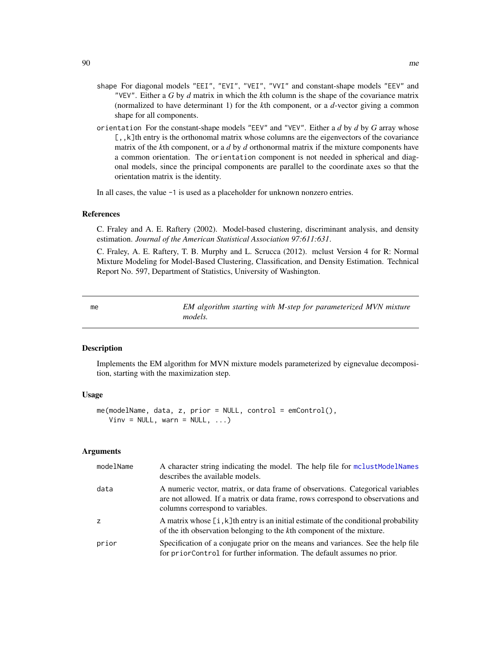- shape For diagonal models "EEI", "EVI", "VEI", "VVI" and constant-shape models "EEV" and "VEV". Either a *G* by *d* matrix in which the *k*th column is the shape of the covariance matrix (normalized to have determinant 1) for the *k*th component, or a *d*-vector giving a common shape for all components.
- orientation For the constant-shape models "EEV" and "VEV". Either a *d* by *d* by *G* array whose [,, k]th entry is the orthonomal matrix whose columns are the eigenvectors of the covariance matrix of the *k*th component, or a *d* by *d* orthonormal matrix if the mixture components have a common orientation. The orientation component is not needed in spherical and diagonal models, since the principal components are parallel to the coordinate axes so that the orientation matrix is the identity.

In all cases, the value -1 is used as a placeholder for unknown nonzero entries.

#### References

C. Fraley and A. E. Raftery (2002). Model-based clustering, discriminant analysis, and density estimation. *Journal of the American Statistical Association 97:611:631*.

C. Fraley, A. E. Raftery, T. B. Murphy and L. Scrucca (2012). mclust Version 4 for R: Normal Mixture Modeling for Model-Based Clustering, Classification, and Density Estimation. Technical Report No. 597, Department of Statistics, University of Washington.

<span id="page-89-0"></span>me *EM algorithm starting with M-step for parameterized MVN mixture models.*

#### Description

Implements the EM algorithm for MVN mixture models parameterized by eignevalue decomposition, starting with the maximization step.

## Usage

```
me(modelName, data, z, prior = NULL, control = emControl(),
   Vinv = NULL, warn = NULL, ...)
```

| modelName | A character string indicating the model. The help file for mclustModelNames<br>describes the available models.                                                                                        |
|-----------|-------------------------------------------------------------------------------------------------------------------------------------------------------------------------------------------------------|
| data      | A numeric vector, matrix, or data frame of observations. Categorical variables<br>are not allowed. If a matrix or data frame, rows correspond to observations and<br>columns correspond to variables. |
| z         | A matrix whose [i, k] then try is an initial estimate of the conditional probability<br>of the ith observation belonging to the kth component of the mixture.                                         |
| prior     | Specification of a conjugate prior on the means and variances. See the help file<br>for priorControl for further information. The default assumes no prior.                                           |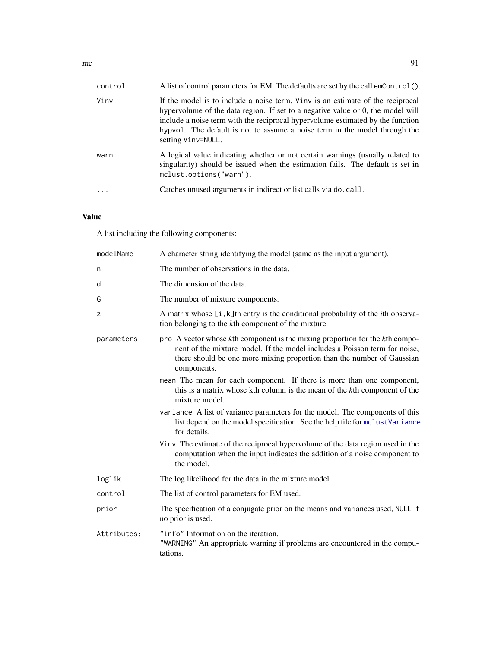| control | A list of control parameters for EM. The defaults are set by the call emControl().                                                                                                                                                                                                                                                                              |
|---------|-----------------------------------------------------------------------------------------------------------------------------------------------------------------------------------------------------------------------------------------------------------------------------------------------------------------------------------------------------------------|
| Vinv    | If the model is to include a noise term, Vinv is an estimate of the reciprocal<br>hypervolume of the data region. If set to a negative value or $\theta$ , the model will<br>include a noise term with the reciprocal hypervolume estimated by the function<br>hypvol. The default is not to assume a noise term in the model through the<br>setting Vinv=NULL. |
| warn    | A logical value indicating whether or not certain warnings (usually related to<br>singularity) should be issued when the estimation fails. The default is set in<br>mclust.options("warn").                                                                                                                                                                     |
|         | Catches unused arguments in indirect or list calls via do. call.                                                                                                                                                                                                                                                                                                |

# Value

A list including the following components:

| modelName   | A character string identifying the model (same as the input argument).                                                                                                                                                                              |
|-------------|-----------------------------------------------------------------------------------------------------------------------------------------------------------------------------------------------------------------------------------------------------|
| n           | The number of observations in the data.                                                                                                                                                                                                             |
| d           | The dimension of the data.                                                                                                                                                                                                                          |
| G           | The number of mixture components.                                                                                                                                                                                                                   |
| z           | A matrix whose $[i, k]$ th entry is the conditional probability of the <i>i</i> th observa-<br>tion belonging to the kth component of the mixture.                                                                                                  |
| parameters  | pro A vector whose kth component is the mixing proportion for the kth compo-<br>nent of the mixture model. If the model includes a Poisson term for noise,<br>there should be one more mixing proportion than the number of Gaussian<br>components. |
|             | mean The mean for each component. If there is more than one component,<br>this is a matrix whose kth column is the mean of the kth component of the<br>mixture model.                                                                               |
|             | variance A list of variance parameters for the model. The components of this<br>list depend on the model specification. See the help file for mclustVariance<br>for details.                                                                        |
|             | Vinv The estimate of the reciprocal hypervolume of the data region used in the<br>computation when the input indicates the addition of a noise component to<br>the model.                                                                           |
| loglik      | The log likelihood for the data in the mixture model.                                                                                                                                                                                               |
| control     | The list of control parameters for EM used.                                                                                                                                                                                                         |
| prior       | The specification of a conjugate prior on the means and variances used, NULL if<br>no prior is used.                                                                                                                                                |
| Attributes: | "info" Information on the iteration.<br>"WARNING" An appropriate warning if problems are encountered in the compu-<br>tations.                                                                                                                      |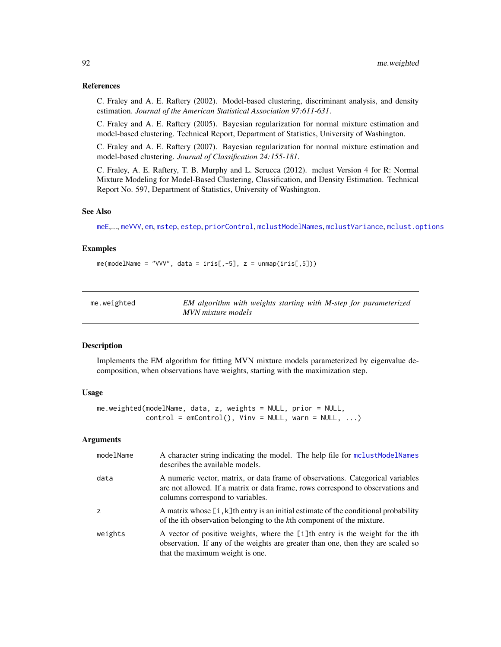#### References

C. Fraley and A. E. Raftery (2002). Model-based clustering, discriminant analysis, and density estimation. *Journal of the American Statistical Association 97:611-631*.

C. Fraley and A. E. Raftery (2005). Bayesian regularization for normal mixture estimation and model-based clustering. Technical Report, Department of Statistics, University of Washington.

C. Fraley and A. E. Raftery (2007). Bayesian regularization for normal mixture estimation and model-based clustering. *Journal of Classification 24:155-181*.

C. Fraley, A. E. Raftery, T. B. Murphy and L. Scrucca (2012). mclust Version 4 for R: Normal Mixture Modeling for Model-Based Clustering, Classification, and Density Estimation. Technical Report No. 597, Department of Statistics, University of Washington.

#### See Also

[meE](#page-93-0),..., [meVVV](#page-93-1), [em](#page-35-0), [mstep](#page-95-0), [estep](#page-43-0), [priorControl](#page-126-0), [mclustModelNames](#page-86-0), [mclustVariance](#page-88-0), [mclust.options](#page-63-0)

#### Examples

 $me(modelName = "VVV", data = iris[, -5], z = unmap(iris[, 5]))$ 

| me.weighted | EM algorithm with weights starting with M-step for parameterized |
|-------------|------------------------------------------------------------------|
|             | MVN mixture models                                               |

## Description

Implements the EM algorithm for fitting MVN mixture models parameterized by eigenvalue decomposition, when observations have weights, starting with the maximization step.

#### Usage

```
me.weighted(modelName, data, z, weights = NULL, prior = NULL,
            control = emControl(), Vinv = NULL, warn = NULL, ...)
```

| modelName | A character string indicating the model. The help file for mclustModelNames<br>describes the available models.                                                                                        |
|-----------|-------------------------------------------------------------------------------------------------------------------------------------------------------------------------------------------------------|
| data      | A numeric vector, matrix, or data frame of observations. Categorical variables<br>are not allowed. If a matrix or data frame, rows correspond to observations and<br>columns correspond to variables. |
| z         | A matrix whose $[i, k]$ th entry is an initial estimate of the conditional probability<br>of the ith observation belonging to the kth component of the mixture.                                       |
| weights   | A vector of positive weights, where the [i]th entry is the weight for the ith<br>observation. If any of the weights are greater than one, then they are scaled so<br>that the maximum weight is one.  |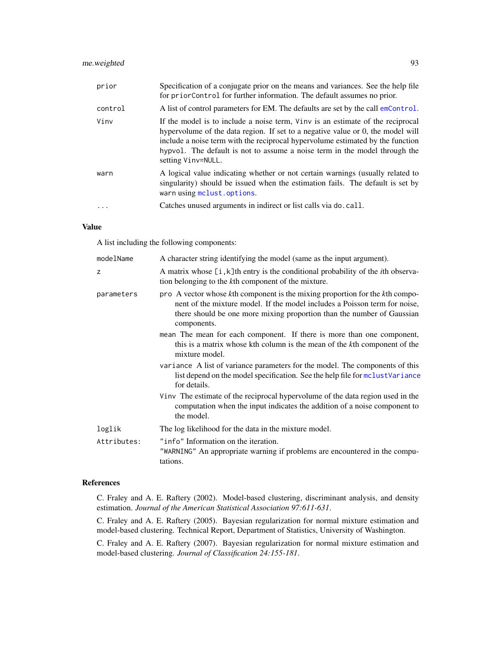## me.weighted 93

| prior   | Specification of a conjugate prior on the means and variances. See the help file<br>for prior Control for further information. The default assumes no prior.                                                                                                                                                                                            |
|---------|---------------------------------------------------------------------------------------------------------------------------------------------------------------------------------------------------------------------------------------------------------------------------------------------------------------------------------------------------------|
| control | A list of control parameters for EM. The defaults are set by the call emControl.                                                                                                                                                                                                                                                                        |
| Vinv    | If the model is to include a noise term, Vinv is an estimate of the reciprocal<br>hypervolume of the data region. If set to a negative value or 0, the model will<br>include a noise term with the reciprocal hypervolume estimated by the function<br>hypvol. The default is not to assume a noise term in the model through the<br>setting Vinv=NULL. |
| warn    | A logical value indicating whether or not certain warnings (usually related to<br>singularity) should be issued when the estimation fails. The default is set by<br>warn using mclust.options.                                                                                                                                                          |
| .       | Catches unused arguments in indirect or list calls via do. call.                                                                                                                                                                                                                                                                                        |

## Value

A list including the following components:

| modelName   | A character string identifying the model (same as the input argument).                                                                                                                                                                              |
|-------------|-----------------------------------------------------------------------------------------------------------------------------------------------------------------------------------------------------------------------------------------------------|
| z           | A matrix whose $[i, k]$ th entry is the conditional probability of the <i>i</i> th observa-<br>tion belonging to the kth component of the mixture.                                                                                                  |
| parameters  | pro A vector whose kth component is the mixing proportion for the kth compo-<br>nent of the mixture model. If the model includes a Poisson term for noise,<br>there should be one more mixing proportion than the number of Gaussian<br>components. |
|             | mean The mean for each component. If there is more than one component,<br>this is a matrix whose kth column is the mean of the kth component of the<br>mixture model.                                                                               |
|             | variance A list of variance parameters for the model. The components of this<br>list depend on the model specification. See the help file for mclust Variance<br>for details.                                                                       |
|             | Vinv The estimate of the reciprocal hypervolume of the data region used in the<br>computation when the input indicates the addition of a noise component to<br>the model.                                                                           |
| loglik      | The log likelihood for the data in the mixture model.                                                                                                                                                                                               |
| Attributes: | "info" Information on the iteration.<br>"WARNING" An appropriate warning if problems are encountered in the compu-<br>tations.                                                                                                                      |

## References

C. Fraley and A. E. Raftery (2002). Model-based clustering, discriminant analysis, and density estimation. *Journal of the American Statistical Association 97:611-631*.

C. Fraley and A. E. Raftery (2005). Bayesian regularization for normal mixture estimation and model-based clustering. Technical Report, Department of Statistics, University of Washington.

C. Fraley and A. E. Raftery (2007). Bayesian regularization for normal mixture estimation and model-based clustering. *Journal of Classification 24:155-181*.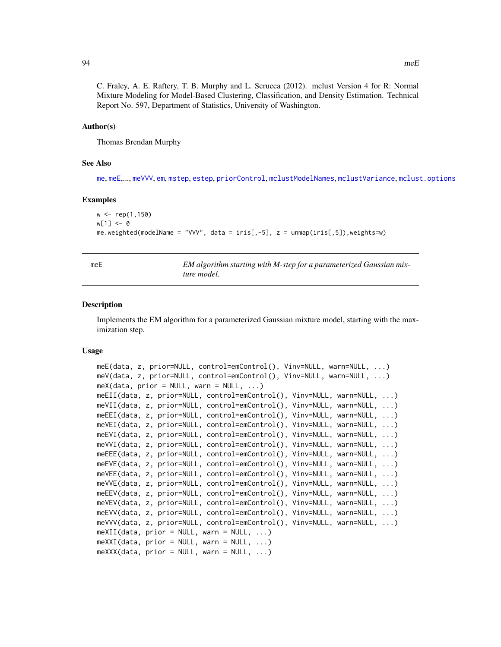#### Author(s)

Thomas Brendan Murphy

#### See Also

[me](#page-89-0), [meE](#page-93-0),..., [meVVV](#page-93-1), [em](#page-35-0), [mstep](#page-95-0), [estep](#page-43-0), [priorControl](#page-126-0), [mclustModelNames](#page-86-0), [mclustVariance](#page-88-0), [mclust.options](#page-63-0)

#### Examples

```
w <- rep(1,150)
w[1] < -0me.weighted(modelName = "VVV", data = iris[,-5], z = unmap(iris[,5]),weights=w)
```
<span id="page-93-0"></span>

| __ | I<br>۰. |  |
|----|---------|--|
|    |         |  |

EM algorithm starting with M-step for a parameterized Gaussian mix*ture model.*

#### <span id="page-93-1"></span>Description

Implements the EM algorithm for a parameterized Gaussian mixture model, starting with the maximization step.

#### Usage

```
meE(data, z, prior=NULL, control=emControl(), Vinv=NULL, warn=NULL, ...)
meV(data, z, prior=NULL, control=emControl(), Vinv=NULL, warn=NULL, ...)
meX(data, prior = NULL, warn = NULL, ...)meEII(data, z, prior=NULL, control=emControl(), Vinv=NULL, warn=NULL, ...)
meVII(data, z, prior=NULL, control=emControl(), Vinv=NULL, warn=NULL, ...)
meEEI(data, z, prior=NULL, control=emControl(), Vinv=NULL, warn=NULL, ...)
meVEI(data, z, prior=NULL, control=emControl(), Vinv=NULL, warn=NULL, ...)
meEVI(data, z, prior=NULL, control=emControl(), Vinv=NULL, warn=NULL, ...)
meVVI(data, z, prior=NULL, control=emControl(), Vinv=NULL, warn=NULL, ...)
meEEE(data, z, prior=NULL, control=emControl(), Vinv=NULL, warn=NULL, ...)
meEVE(data, z, prior=NULL, control=emControl(), Vinv=NULL, warn=NULL, ...)
meVEE(data, z, prior=NULL, control=emControl(), Vinv=NULL, warn=NULL, ...)
meVVE(data, z, prior=NULL, control=emControl(), Vinv=NULL, warn=NULL, ...)
meEEV(data, z, prior=NULL, control=emControl(), Vinv=NULL, warn=NULL, ...)
meVEV(data, z, prior=NULL, control=emControl(), Vinv=NULL, warn=NULL, ...)
meEVV(data, z, prior=NULL, control=emControl(), Vinv=NULL, warn=NULL, ...)
meVVV(data, z, prior=NULL, control=emControl(), Vinv=NULL, warn=NULL, ...)
meXII(data, prior = NULL, warn = NULL, ...)meXXI(data, prior = NULL, warn = NULL, ...)meXXX(data, prior = NULL, warn = NULL, ...)
```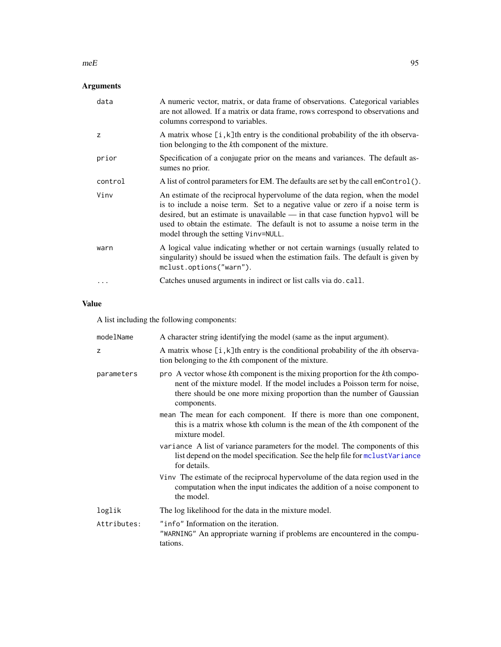#### $m \in \mathbb{R}$  95

# Arguments

| data      | A numeric vector, matrix, or data frame of observations. Categorical variables<br>are not allowed. If a matrix or data frame, rows correspond to observations and<br>columns correspond to variables.                                                                                                                                                                       |
|-----------|-----------------------------------------------------------------------------------------------------------------------------------------------------------------------------------------------------------------------------------------------------------------------------------------------------------------------------------------------------------------------------|
| z         | A matrix whose [i, k]th entry is the conditional probability of the ith observa-<br>tion belonging to the kth component of the mixture.                                                                                                                                                                                                                                     |
| prior     | Specification of a conjugate prior on the means and variances. The default as-<br>sumes no prior.                                                                                                                                                                                                                                                                           |
| control   | A list of control parameters for EM. The defaults are set by the call emControl().                                                                                                                                                                                                                                                                                          |
| Vinv      | An estimate of the reciprocal hypervolume of the data region, when the model<br>is to include a noise term. Set to a negative value or zero if a noise term is<br>desired, but an estimate is unavailable $-$ in that case function hypvol will be<br>used to obtain the estimate. The default is not to assume a noise term in the<br>model through the setting Vinv=NULL. |
| warn      | A logical value indicating whether or not certain warnings (usually related to<br>singularity) should be issued when the estimation fails. The default is given by<br>mclust.options("warn").                                                                                                                                                                               |
| $\ddotsc$ | Catches unused arguments in indirect or list calls via do. call.                                                                                                                                                                                                                                                                                                            |

# Value

A list including the following components:

| modelName   | A character string identifying the model (same as the input argument).                                                                                                                                                                              |
|-------------|-----------------------------------------------------------------------------------------------------------------------------------------------------------------------------------------------------------------------------------------------------|
| Z           | A matrix whose $[i, k]$ th entry is the conditional probability of the <i>i</i> th observa-<br>tion belonging to the kth component of the mixture.                                                                                                  |
| parameters  | pro A vector whose kth component is the mixing proportion for the kth compo-<br>nent of the mixture model. If the model includes a Poisson term for noise,<br>there should be one more mixing proportion than the number of Gaussian<br>components. |
|             | mean The mean for each component. If there is more than one component,<br>this is a matrix whose kth column is the mean of the kth component of the<br>mixture model.                                                                               |
|             | variance A list of variance parameters for the model. The components of this<br>list depend on the model specification. See the help file for mclustVariance<br>for details.                                                                        |
|             | Vinv The estimate of the reciprocal hypervolume of the data region used in the<br>computation when the input indicates the addition of a noise component to<br>the model.                                                                           |
| loglik      | The log likelihood for the data in the mixture model.                                                                                                                                                                                               |
| Attributes: | "info" Information on the iteration.<br>"WARNING" An appropriate warning if problems are encountered in the compu-<br>tations.                                                                                                                      |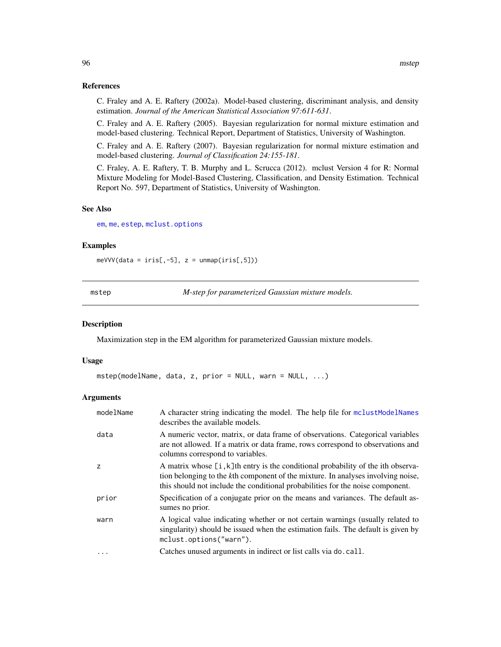C. Fraley and A. E. Raftery (2002a). Model-based clustering, discriminant analysis, and density estimation. *Journal of the American Statistical Association 97:611-631*.

C. Fraley and A. E. Raftery (2005). Bayesian regularization for normal mixture estimation and model-based clustering. Technical Report, Department of Statistics, University of Washington.

C. Fraley and A. E. Raftery (2007). Bayesian regularization for normal mixture estimation and model-based clustering. *Journal of Classification 24:155-181*.

C. Fraley, A. E. Raftery, T. B. Murphy and L. Scrucca (2012). mclust Version 4 for R: Normal Mixture Modeling for Model-Based Clustering, Classification, and Density Estimation. Technical Report No. 597, Department of Statistics, University of Washington.

#### See Also

[em](#page-35-0), [me](#page-89-0), [estep](#page-43-0), [mclust.options](#page-63-0)

#### Examples

 $meVVV(data = iris[, -5], z = unmap(iris[, 5]))$ 

<span id="page-95-0"></span>mstep *M-step for parameterized Gaussian mixture models.*

#### Description

Maximization step in the EM algorithm for parameterized Gaussian mixture models.

#### Usage

```
mstep(modelName, data, z, prior = NULL, warn = NULL, ...)
```

| modelName  | A character string indicating the model. The help file for mclustModelNames<br>describes the available models.                                                                                                                                         |
|------------|--------------------------------------------------------------------------------------------------------------------------------------------------------------------------------------------------------------------------------------------------------|
| data       | A numeric vector, matrix, or data frame of observations. Categorical variables<br>are not allowed. If a matrix or data frame, rows correspond to observations and<br>columns correspond to variables.                                                  |
| z          | A matrix whose [i, k]th entry is the conditional probability of the ith observa-<br>tion belonging to the kth component of the mixture. In analyses involving noise,<br>this should not include the conditional probabilities for the noise component. |
| prior      | Specification of a conjugate prior on the means and variances. The default as-<br>sumes no prior.                                                                                                                                                      |
| warn       | A logical value indicating whether or not certain warnings (usually related to<br>singularity) should be issued when the estimation fails. The default is given by<br>mclust.options("warn").                                                          |
| $\ddots$ . | Catches unused arguments in indirect or list calls via do. call.                                                                                                                                                                                       |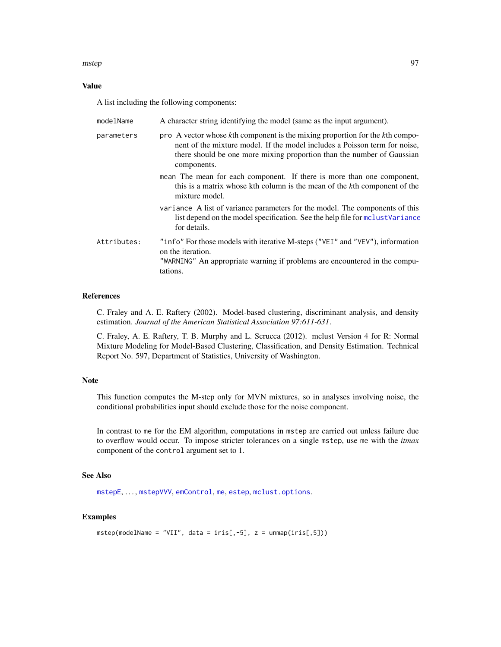#### mstep 37 September 2006 and 2007 September 2007 37 September 2007 37 September 2007 37 September 2007 37 September 2007 37 September 2007 37 September 2007 37 September 2007 37 September 2007 37 September 2007 37 September

## Value

A list including the following components:

| modelName   | A character string identifying the model (same as the input argument).                                                                                                                                                                              |
|-------------|-----------------------------------------------------------------------------------------------------------------------------------------------------------------------------------------------------------------------------------------------------|
| parameters  | pro A vector whose kth component is the mixing proportion for the kth compo-<br>nent of the mixture model. If the model includes a Poisson term for noise,<br>there should be one more mixing proportion than the number of Gaussian<br>components. |
|             | mean The mean for each component. If there is more than one component,<br>this is a matrix whose kth column is the mean of the kth component of the<br>mixture model.                                                                               |
|             | variance A list of variance parameters for the model. The components of this<br>list depend on the model specification. See the help file for mclust Variance<br>for details.                                                                       |
| Attributes: | "info" For those models with iterative M-steps ("VEI" and "VEV"), information<br>on the iteration.<br>"WARNING" An appropriate warning if problems are encountered in the compu-<br>tations.                                                        |

## References

C. Fraley and A. E. Raftery (2002). Model-based clustering, discriminant analysis, and density estimation. *Journal of the American Statistical Association 97:611-631*.

C. Fraley, A. E. Raftery, T. B. Murphy and L. Scrucca (2012). mclust Version 4 for R: Normal Mixture Modeling for Model-Based Clustering, Classification, and Density Estimation. Technical Report No. 597, Department of Statistics, University of Washington.

#### Note

This function computes the M-step only for MVN mixtures, so in analyses involving noise, the conditional probabilities input should exclude those for the noise component.

In contrast to me for the EM algorithm, computations in mstep are carried out unless failure due to overflow would occur. To impose stricter tolerances on a single mstep, use me with the *itmax* component of the control argument set to 1.

#### See Also

[mstepE](#page-97-0), . . . , [mstepVVV](#page-97-1), [emControl](#page-37-0), [me](#page-89-0), [estep](#page-43-0), [mclust.options](#page-63-0).

## Examples

```
mstep(modelName = "VII", data = iris[,-5], z = unmap(iris[,5]))
```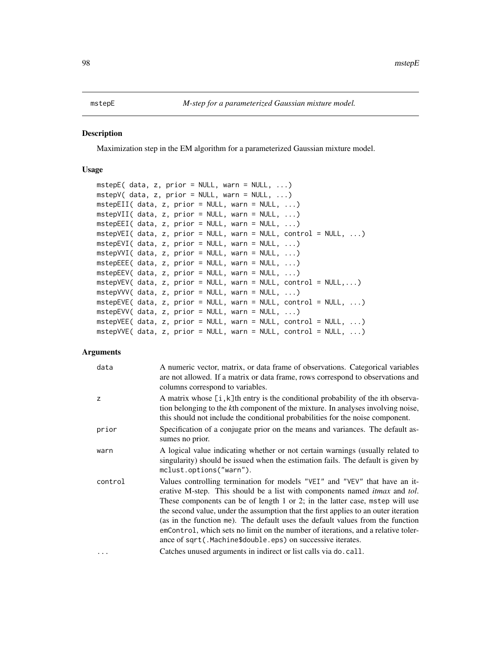#### <span id="page-97-1"></span><span id="page-97-0"></span>**Description**

Maximization step in the EM algorithm for a parameterized Gaussian mixture model.

## Usage

```
mstepE( data, z, prior = NULL, warn = NULL, ...)mstepV( data, z, prior = NULL, warn = NULL, ...)mstepEII( data, z, prior = NULL, warn = NULL, ...)mstepVII( data, z, prior = NULL, warn = NULL, ...)mstepEEI( data, z, prior = NULL, warn = NULL, ...)mstepVEI( data, z, prior = NULL, warn = NULL, control = NULL, ...)
mstepEVI( data, z, prior = NULL, warn = NULL, ...)mstepVVI( data, z, prior = NULL, warn = NULL, ...)mstepEEE (data, z, prior = NULL, warn = NULL, ...)
mstepEEV( data, z, prior = NULL, warn = NULL, ...)mstepVEV( data, z, prior = NULL, warn = NULL, control = NULL, ...)mstepVVV( data, z, prior = NULL, warn = NULL, ...)
mstepEVE( data, z, prior = NULL, warn = NULL, control = NULL, ...)mstepEVV( data, z, prior = NULL, warn = NULL, ...)mstepVEE( data, z, prior = NULL, warn = NULL, control = NULL, ...)mstepVVE( data, z, prior = NULL, warn = NULL, control = NULL, ...)
```

| data       | A numeric vector, matrix, or data frame of observations. Categorical variables<br>are not allowed. If a matrix or data frame, rows correspond to observations and<br>columns correspond to variables.                                                                                                                                                                                                                                                                                                                                                                |
|------------|----------------------------------------------------------------------------------------------------------------------------------------------------------------------------------------------------------------------------------------------------------------------------------------------------------------------------------------------------------------------------------------------------------------------------------------------------------------------------------------------------------------------------------------------------------------------|
| z          | A matrix whose $[i, k]$ th entry is the conditional probability of the ith observa-<br>tion belonging to the kth component of the mixture. In analyses involving noise,<br>this should not include the conditional probabilities for the noise component.                                                                                                                                                                                                                                                                                                            |
| prior      | Specification of a conjugate prior on the means and variances. The default as-<br>sumes no prior.                                                                                                                                                                                                                                                                                                                                                                                                                                                                    |
| warn       | A logical value indicating whether or not certain warnings (usually related to<br>singularity) should be issued when the estimation fails. The default is given by<br>mclust.options("warn").                                                                                                                                                                                                                                                                                                                                                                        |
| control    | Values controlling termination for models "VEI" and "VEV" that have an it-<br>erative M-step. This should be a list with components named itmax and tol.<br>These components can be of length 1 or 2; in the latter case, mstep will use<br>the second value, under the assumption that the first applies to an outer iteration<br>(as in the function me). The default uses the default values from the function<br>emControl, which sets no limit on the number of iterations, and a relative toler-<br>ance of sqrt(.Machine\$double.eps) on successive iterates. |
| $\ddots$ . | Catches unused arguments in indirect or list calls via do. call.                                                                                                                                                                                                                                                                                                                                                                                                                                                                                                     |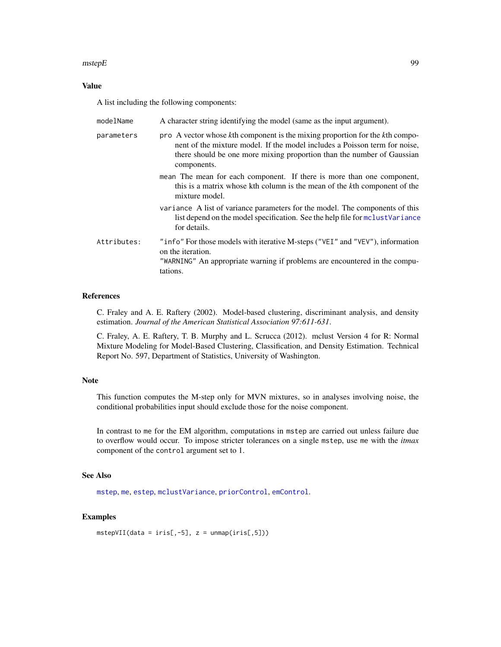#### $mstepE$  99

## Value

A list including the following components:

| modelName   | A character string identifying the model (same as the input argument).                                                                                                                                                                              |
|-------------|-----------------------------------------------------------------------------------------------------------------------------------------------------------------------------------------------------------------------------------------------------|
| parameters  | pro A vector whose kth component is the mixing proportion for the kth compo-<br>nent of the mixture model. If the model includes a Poisson term for noise,<br>there should be one more mixing proportion than the number of Gaussian<br>components. |
|             | mean The mean for each component. If there is more than one component,<br>this is a matrix whose kth column is the mean of the kth component of the<br>mixture model.                                                                               |
|             | variance A list of variance parameters for the model. The components of this<br>list depend on the model specification. See the help file for mclustVariance<br>for details.                                                                        |
| Attributes: | "info" For those models with iterative M-steps ("VEI" and "VEV"), information<br>on the iteration.<br>"WARNING" An appropriate warning if problems are encountered in the compu-<br>tations.                                                        |

## References

C. Fraley and A. E. Raftery (2002). Model-based clustering, discriminant analysis, and density estimation. *Journal of the American Statistical Association 97:611-631*.

C. Fraley, A. E. Raftery, T. B. Murphy and L. Scrucca (2012). mclust Version 4 for R: Normal Mixture Modeling for Model-Based Clustering, Classification, and Density Estimation. Technical Report No. 597, Department of Statistics, University of Washington.

#### Note

This function computes the M-step only for MVN mixtures, so in analyses involving noise, the conditional probabilities input should exclude those for the noise component.

In contrast to me for the EM algorithm, computations in mstep are carried out unless failure due to overflow would occur. To impose stricter tolerances on a single mstep, use me with the *itmax* component of the control argument set to 1.

#### See Also

[mstep](#page-95-0), [me](#page-89-0), [estep](#page-43-0), [mclustVariance](#page-88-0), [priorControl](#page-126-0), [emControl](#page-37-0).

## Examples

 $mstepVII(data = iris[, -5], z = unmap(iris[, 5])$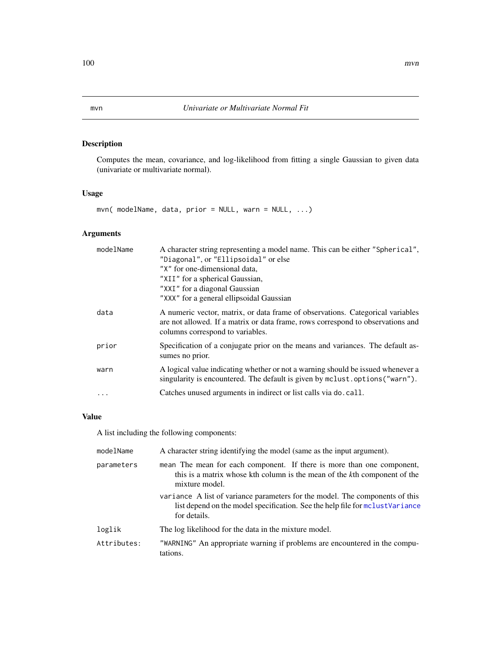# <span id="page-99-0"></span>Description

Computes the mean, covariance, and log-likelihood from fitting a single Gaussian to given data (univariate or multivariate normal).

# Usage

```
mvn( modelName, data, prior = NULL, warn = NULL, ...)
```
## Arguments

| modelName | A character string representing a model name. This can be either "Spherical",<br>"Diagonal", or "Ellipsoidal" or else                                                                                 |
|-----------|-------------------------------------------------------------------------------------------------------------------------------------------------------------------------------------------------------|
|           | "X" for one-dimensional data.<br>"XII" for a spherical Gaussian,                                                                                                                                      |
|           | "XXI" for a diagonal Gaussian                                                                                                                                                                         |
|           | "XXX" for a general ellipsoidal Gaussian                                                                                                                                                              |
| data      | A numeric vector, matrix, or data frame of observations. Categorical variables<br>are not allowed. If a matrix or data frame, rows correspond to observations and<br>columns correspond to variables. |
| prior     | Specification of a conjugate prior on the means and variances. The default as-<br>sumes no prior.                                                                                                     |
| warn      | A logical value indicating whether or not a warning should be issued whenever a<br>singularity is encountered. The default is given by mclust.options ("warn").                                       |
|           | Catches unused arguments in indirect or list calls via do. call.                                                                                                                                      |

## Value

A list including the following components:

| modelName   | A character string identifying the model (same as the input argument).                                                                                                        |
|-------------|-------------------------------------------------------------------------------------------------------------------------------------------------------------------------------|
| parameters  | mean The mean for each component. If there is more than one component,<br>this is a matrix whose kth column is the mean of the kth component of the<br>mixture model.         |
|             | variance A list of variance parameters for the model. The components of this<br>list depend on the model specification. See the help file for molust Variance<br>for details. |
| loglik      | The log likelihood for the data in the mixture model.                                                                                                                         |
| Attributes: | "WARNING" An appropriate warning if problems are encountered in the compu-<br>tations.                                                                                        |
|             |                                                                                                                                                                               |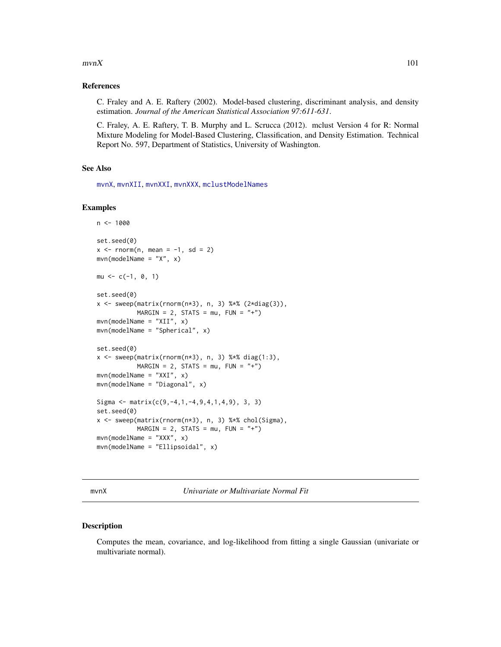#### $mvnX$  and the set of the set of the set of the set of the set of the set of the set of the set of the set of the set of the set of the set of the set of the set of the set of the set of the set of the set of the set of th

## References

C. Fraley and A. E. Raftery (2002). Model-based clustering, discriminant analysis, and density estimation. *Journal of the American Statistical Association 97:611-631*.

C. Fraley, A. E. Raftery, T. B. Murphy and L. Scrucca (2012). mclust Version 4 for R: Normal Mixture Modeling for Model-Based Clustering, Classification, and Density Estimation. Technical Report No. 597, Department of Statistics, University of Washington.

## See Also

[mvnX](#page-100-0), [mvnXII](#page-100-1), [mvnXXI](#page-100-1), [mvnXXX](#page-100-1), [mclustModelNames](#page-86-0)

## Examples

```
n < -1000set.seed(0)
x \le rnorm(n, mean = -1, sd = 2)
mvn(modelName = "X", x)mu \leftarrow c(-1, 0, 1)set.seed(0)
x \leq - sweep(matrix(rnorm(n*3), n, 3) %*% (2*diag(3)),
           MARGIN = 2, STATS = mu, FUN = "+")
mvn(modelName = "XII", x)mvn(modelName = "Spherical", x)
set.seed(0)
x \leq - sweep(matrix(rnorm(n*3), n, 3) %*% diag(1:3),
           MARGIN = 2, STATS = mu, FUN = "+")
mvn(modelName = "XXI", x)mvn(modelName = "Diagonal", x)
Sigma <- matrix(c(9, -4, 1, -4, 9, 4, 1, 4, 9), 3, 3)
set.seed(0)
x <- sweep(matrix(rnorm(n*3), n, 3) %*% chol(Sigma),
           MARGIN = 2, STATS = mu, FUN = "+")
mvn(mode1Name = "XXX", x)mvn(modelName = "Ellipsoidal", x)
```
<span id="page-100-0"></span>mvnX *Univariate or Multivariate Normal Fit*

## <span id="page-100-1"></span>Description

Computes the mean, covariance, and log-likelihood from fitting a single Gaussian (univariate or multivariate normal).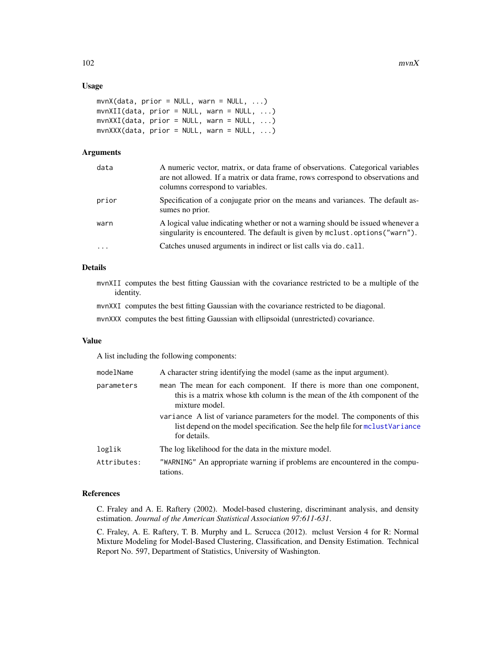## Usage

```
mvnX(data, prior = NULL, warn = NULL, ...)mvnXII(data, prior = NULL, warn = NULL, ...)mvnXXI(data, prior = NULL, warn = NULL, ...)
mvnXXX(data, prior = NULL, warn = NULL, ...)
```
#### Arguments

| data     | A numeric vector, matrix, or data frame of observations. Categorical variables<br>are not allowed. If a matrix or data frame, rows correspond to observations and<br>columns correspond to variables. |
|----------|-------------------------------------------------------------------------------------------------------------------------------------------------------------------------------------------------------|
| prior    | Specification of a conjugate prior on the means and variances. The default as-<br>sumes no prior.                                                                                                     |
| warn     | A logical value indicating whether or not a warning should be issued whenever a<br>singularity is encountered. The default is given by mclust.options ("warn").                                       |
| $\ddots$ | Catches unused arguments in indirect or list calls via do. call.                                                                                                                                      |
|          |                                                                                                                                                                                                       |

## Details

mvnXII computes the best fitting Gaussian with the covariance restricted to be a multiple of the identity.

mvnXXI computes the best fitting Gaussian with the covariance restricted to be diagonal.

mvnXXX computes the best fitting Gaussian with ellipsoidal (unrestricted) covariance.

## Value

A list including the following components:

| modelName   | A character string identifying the model (same as the input argument).                                                                                                        |
|-------------|-------------------------------------------------------------------------------------------------------------------------------------------------------------------------------|
| parameters  | mean The mean for each component. If there is more than one component,<br>this is a matrix whose kth column is the mean of the kth component of the<br>mixture model.         |
|             | variance A list of variance parameters for the model. The components of this<br>list depend on the model specification. See the help file for molust Variance<br>for details. |
| loglik      | The log likelihood for the data in the mixture model.                                                                                                                         |
| Attributes: | "WARNING" An appropriate warning if problems are encountered in the compu-<br>tations.                                                                                        |

#### References

C. Fraley and A. E. Raftery (2002). Model-based clustering, discriminant analysis, and density estimation. *Journal of the American Statistical Association 97:611-631*.

C. Fraley, A. E. Raftery, T. B. Murphy and L. Scrucca (2012). mclust Version 4 for R: Normal Mixture Modeling for Model-Based Clustering, Classification, and Density Estimation. Technical Report No. 597, Department of Statistics, University of Washington.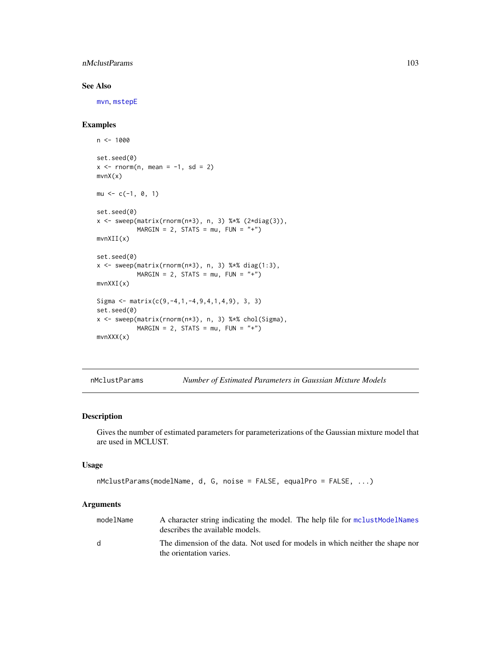## nMclustParams 103

## See Also

[mvn](#page-99-0), [mstepE](#page-97-0)

## Examples

```
n < -1000set.seed(0)
x \le - rnorm(n, mean = -1, sd = 2)
mvnX(x)
mu \leq -c(-1, 0, 1)set.seed(0)
x \leq - sweep(matrix(rnorm(n*3), n, 3) %*% (2*diag(3)),
           MARGIN = 2, STATS = mu, FUN = "+")
mvnXII(x)
set.seed(0)
x \leq - sweep(matrix(rnorm(n*3), n, 3) %*% diag(1:3),
           MARGIN = 2, STATS = mu, FUN = "+")
mvnXXI(x)
Sigma <- matrix(c(9, -4, 1, -4, 9, 4, 1, 4, 9), 3, 3)
set.seed(0)
x <- sweep(matrix(rnorm(n*3), n, 3) %*% chol(Sigma),
           MARGIN = 2, STATS = mu, FUN = "+")
mvnXXX(x)
```
<span id="page-102-0"></span>nMclustParams *Number of Estimated Parameters in Gaussian Mixture Models*

#### Description

Gives the number of estimated parameters for parameterizations of the Gaussian mixture model that are used in MCLUST.

#### Usage

```
nMclustParams(modelName, d, G, noise = FALSE, equalPro = FALSE, ...)
```

| modelName    | A character string indicating the model. The help file for mclust ModelNames<br>describes the available models. |
|--------------|-----------------------------------------------------------------------------------------------------------------|
| <sub>d</sub> | The dimension of the data. Not used for models in which neither the shape nor<br>the orientation varies.        |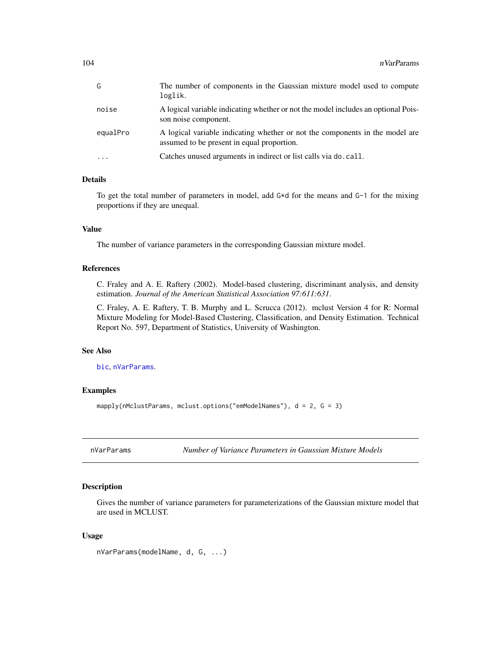| G        | The number of components in the Gaussian mixture model used to compute<br>loglik.                                          |
|----------|----------------------------------------------------------------------------------------------------------------------------|
| noise    | A logical variable indicating whether or not the model includes an optional Pois-<br>son noise component.                  |
| equalPro | A logical variable indicating whether or not the components in the model are<br>assumed to be present in equal proportion. |
| .        | Catches unused arguments in indirect or list calls via do. call.                                                           |

# Details

To get the total number of parameters in model, add G\*d for the means and G-1 for the mixing proportions if they are unequal.

## Value

The number of variance parameters in the corresponding Gaussian mixture model.

#### References

C. Fraley and A. E. Raftery (2002). Model-based clustering, discriminant analysis, and density estimation. *Journal of the American Statistical Association 97:611:631*.

C. Fraley, A. E. Raftery, T. B. Murphy and L. Scrucca (2012). mclust Version 4 for R: Normal Mixture Modeling for Model-Based Clustering, Classification, and Density Estimation. Technical Report No. 597, Department of Statistics, University of Washington.

## See Also

[bic](#page-7-0), [nVarParams](#page-103-0).

## Examples

```
mapply(nMclustParams, mclust.options("emModelNames"), d = 2, G = 3)
```
<span id="page-103-0"></span>nVarParams *Number of Variance Parameters in Gaussian Mixture Models*

#### Description

Gives the number of variance parameters for parameterizations of the Gaussian mixture model that are used in MCLUST.

#### Usage

```
nVarParams(modelName, d, G, ...)
```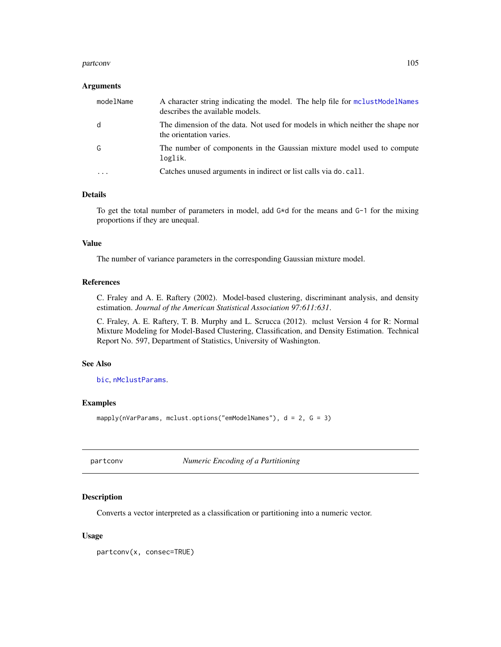#### partconv and the contract of the contract of the contract of the contract of the contract of the contract of the contract of the contract of the contract of the contract of the contract of the contract of the contract of t

#### Arguments

| modelName | A character string indicating the model. The help file for mclust Model Names<br>describes the available models. |
|-----------|------------------------------------------------------------------------------------------------------------------|
| d         | The dimension of the data. Not used for models in which neither the shape nor<br>the orientation varies.         |
| G         | The number of components in the Gaussian mixture model used to compute<br>loglik.                                |
|           | Catches unused arguments in indirect or list calls via do. call.                                                 |

## Details

To get the total number of parameters in model, add G\*d for the means and G-1 for the mixing proportions if they are unequal.

## Value

The number of variance parameters in the corresponding Gaussian mixture model.

## References

C. Fraley and A. E. Raftery (2002). Model-based clustering, discriminant analysis, and density estimation. *Journal of the American Statistical Association 97:611:631*.

C. Fraley, A. E. Raftery, T. B. Murphy and L. Scrucca (2012). mclust Version 4 for R: Normal Mixture Modeling for Model-Based Clustering, Classification, and Density Estimation. Technical Report No. 597, Department of Statistics, University of Washington.

## See Also

[bic](#page-7-0), [nMclustParams](#page-102-0).

#### Examples

mapply(nVarParams, mclust.options("emModelNames"), d = 2, G = 3)

<span id="page-104-0"></span>partconv *Numeric Encoding of a Partitioning*

#### Description

Converts a vector interpreted as a classification or partitioning into a numeric vector.

#### Usage

partconv(x, consec=TRUE)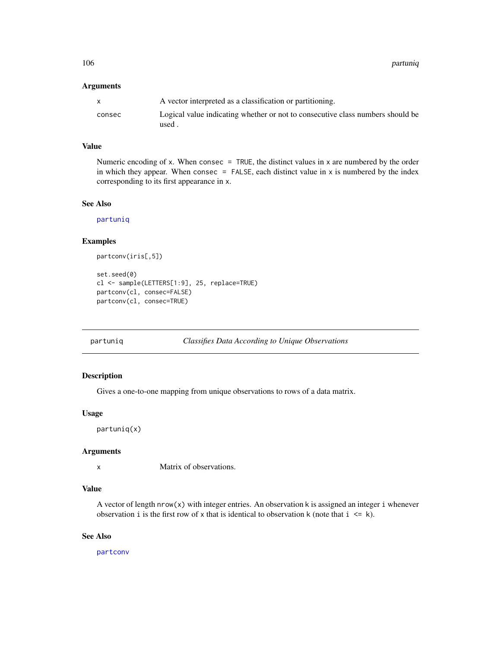106 partuniq

## Arguments

|        | A vector interpreted as a classification or partitioning.                      |
|--------|--------------------------------------------------------------------------------|
| consec | Logical value indicating whether or not to consecutive class numbers should be |
|        | used.                                                                          |

## Value

Numeric encoding of x. When consec  $=$  TRUE, the distinct values in x are numbered by the order in which they appear. When consec  $=$  FALSE, each distinct value in  $x$  is numbered by the index corresponding to its first appearance in x.

## See Also

[partuniq](#page-105-0)

## Examples

```
partconv(iris[,5])
set.seed(0)
cl <- sample(LETTERS[1:9], 25, replace=TRUE)
partconv(cl, consec=FALSE)
partconv(cl, consec=TRUE)
```
<span id="page-105-0"></span>

## partuniq *Classifies Data According to Unique Observations*

#### Description

Gives a one-to-one mapping from unique observations to rows of a data matrix.

## Usage

partuniq(x)

## Arguments

x Matrix of observations.

## Value

A vector of length  $nrow(x)$  with integer entries. An observation k is assigned an integer i whenever observation i is the first row of x that is identical to observation k (note that  $i \le k$ ).

## See Also

[partconv](#page-104-0)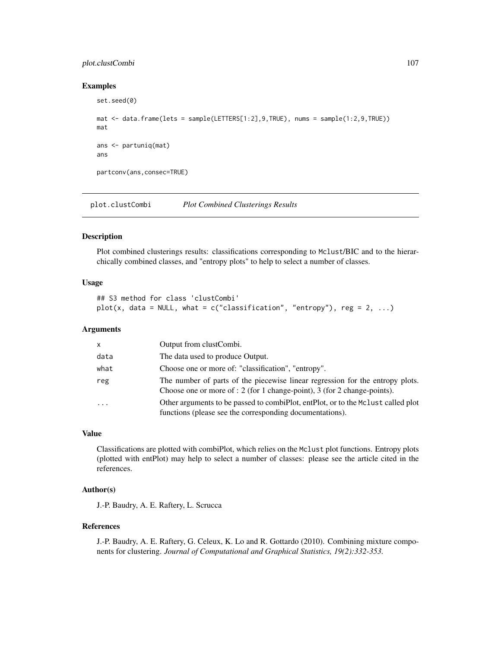## plot.clustCombi 107

#### Examples

```
set.seed(0)
mat <- data.frame(lets = sample(LETTERS[1:2],9,TRUE), nums = sample(1:2,9,TRUE))
mat
ans <- partuniq(mat)
ans
partconv(ans,consec=TRUE)
```
plot.clustCombi *Plot Combined Clusterings Results*

#### Description

Plot combined clusterings results: classifications corresponding to Mclust/BIC and to the hierarchically combined classes, and "entropy plots" to help to select a number of classes.

## Usage

```
## S3 method for class 'clustCombi'
plot(x, data = NULL, what = c("classification", "entropy"), reg = 2, ...)
```
## **Arguments**

| X       | Output from clustCombi.                                                                                                                                       |
|---------|---------------------------------------------------------------------------------------------------------------------------------------------------------------|
| data    | The data used to produce Output.                                                                                                                              |
| what    | Choose one or more of: "classification", "entropy".                                                                                                           |
| reg     | The number of parts of the piecewise linear regression for the entropy plots.<br>Choose one or more of : $2$ (for 1 change-point), $3$ (for 2 change-points). |
| $\cdot$ | Other arguments to be passed to combiplot, entitled, or to the Mclust called plot<br>functions (please see the corresponding documentations).                 |

#### Value

Classifications are plotted with combiPlot, which relies on the Mclust plot functions. Entropy plots (plotted with entPlot) may help to select a number of classes: please see the article cited in the references.

# Author(s)

J.-P. Baudry, A. E. Raftery, L. Scrucca

#### References

J.-P. Baudry, A. E. Raftery, G. Celeux, K. Lo and R. Gottardo (2010). Combining mixture components for clustering. *Journal of Computational and Graphical Statistics, 19(2):332-353.*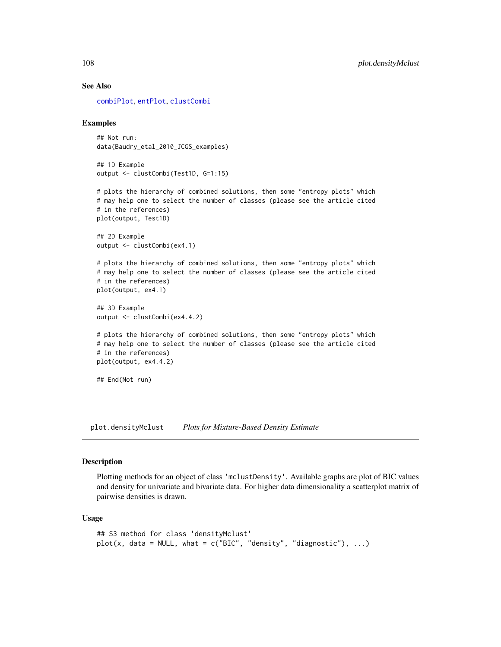#### See Also

[combiPlot](#page-19-0), [entPlot](#page-40-0), [clustCombi](#page-17-0)

#### Examples

```
## Not run:
data(Baudry_etal_2010_JCGS_examples)
```
## 1D Example output <- clustCombi(Test1D, G=1:15)

# plots the hierarchy of combined solutions, then some "entropy plots" which # may help one to select the number of classes (please see the article cited # in the references) plot(output, Test1D)

```
## 2D Example
output <- clustCombi(ex4.1)
```
# plots the hierarchy of combined solutions, then some "entropy plots" which # may help one to select the number of classes (please see the article cited # in the references) plot(output, ex4.1)

```
## 3D Example
output <- clustCombi(ex4.4.2)
```

```
# plots the hierarchy of combined solutions, then some "entropy plots" which
# may help one to select the number of classes (please see the article cited
# in the references)
plot(output, ex4.4.2)
```
## End(Not run)

plot.densityMclust *Plots for Mixture-Based Density Estimate*

#### Description

Plotting methods for an object of class 'mclustDensity'. Available graphs are plot of BIC values and density for univariate and bivariate data. For higher data dimensionality a scatterplot matrix of pairwise densities is drawn.

#### Usage

```
## S3 method for class 'densityMclust'
plot(x, data = NULL, what = c("BIC", "density", "diagnostic"), ...)
```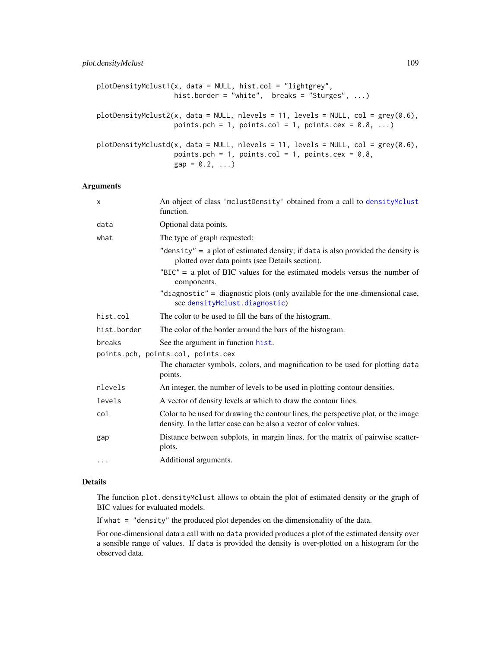# plot.densityMclust 109

```
plotDensityMclust1(x, data = NULL, hist.col = "lightgrey",
                  hist.border = "white", breaks = "Sturges", \dots)
plotDensityMclust2(x, data = NULL, nlevels = 11, levels = NULL, col = grey(0.6),
                   points.pch = 1, points.col = 1, points.cex = 0.8, ...)
plotDensityMclustd(x, data = NULL, nlevels = 11, levels = NULL, col = grey(0.6),points.pch = 1, points.col = 1, points.cex = 0.8,
                   gap = 0.2, ...
```
### Arguments

| X           | An object of class 'mclustDensity' obtained from a call to densityMclust<br>function.                                                                   |
|-------------|---------------------------------------------------------------------------------------------------------------------------------------------------------|
| data        | Optional data points.                                                                                                                                   |
| what        | The type of graph requested:                                                                                                                            |
|             | "density" = $a$ plot of estimated density; if data is also provided the density is<br>plotted over data points (see Details section).                   |
|             | $"BIC" = a plot of BIC values for the estimated models versus the number of$<br>components.                                                             |
|             | "diagnostic" = diagnostic plots (only available for the one-dimensional case,<br>see densityMclust.diagnostic)                                          |
| hist.col    | The color to be used to fill the bars of the histogram.                                                                                                 |
| hist.border | The color of the border around the bars of the histogram.                                                                                               |
| breaks      | See the argument in function hist.                                                                                                                      |
|             | points.pch, points.col, points.cex                                                                                                                      |
|             | The character symbols, colors, and magnification to be used for plotting data<br>points.                                                                |
| nlevels     | An integer, the number of levels to be used in plotting contour densities.                                                                              |
| levels      | A vector of density levels at which to draw the contour lines.                                                                                          |
| col         | Color to be used for drawing the contour lines, the perspective plot, or the image<br>density. In the latter case can be also a vector of color values. |
| gap         | Distance between subplots, in margin lines, for the matrix of pairwise scatter-<br>plots.                                                               |
| $\cdots$    | Additional arguments.                                                                                                                                   |

#### Details

The function plot.densityMclust allows to obtain the plot of estimated density or the graph of BIC values for evaluated models.

If what = "density" the produced plot dependes on the dimensionality of the data.

For one-dimensional data a call with no data provided produces a plot of the estimated density over a sensible range of values. If data is provided the density is over-plotted on a histogram for the observed data.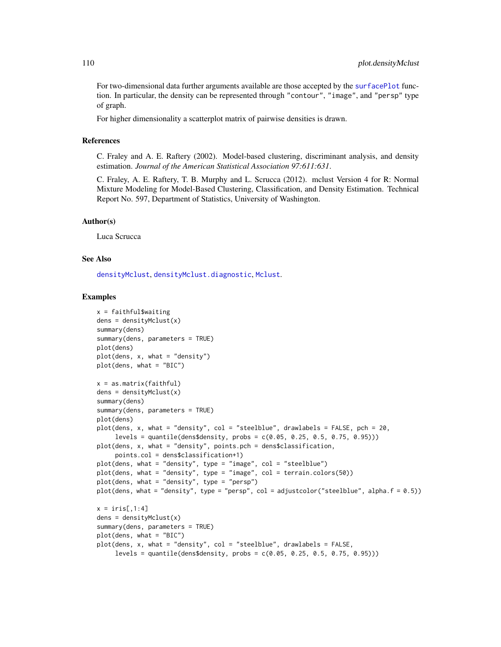For two-dimensional data further arguments available are those accepted by the [surfacePlot](#page-142-0) function. In particular, the density can be represented through "contour", "image", and "persp" type of graph.

For higher dimensionality a scatterplot matrix of pairwise densities is drawn.

#### References

C. Fraley and A. E. Raftery (2002). Model-based clustering, discriminant analysis, and density estimation. *Journal of the American Statistical Association 97:611:631*.

C. Fraley, A. E. Raftery, T. B. Murphy and L. Scrucca (2012). mclust Version 4 for R: Normal Mixture Modeling for Model-Based Clustering, Classification, and Density Estimation. Technical Report No. 597, Department of Statistics, University of Washington.

#### Author(s)

Luca Scrucca

#### See Also

[densityMclust](#page-31-0), [densityMclust.diagnostic](#page-33-0), [Mclust](#page-60-0).

```
x = faithful$waiting
dens = densityMclust(x)summary(dens)
summary(dens, parameters = TRUE)
plot(dens)
plot(dens, x, what = "density")
plot(dens, what = "BIC")
x = as_matrix(faithful)dens = densityMclust(x)summary(dens)
summary(dens, parameters = TRUE)
plot(dens)
plot(dens, x, what = "density", col = "steelblue", drawlabels = FALSE, pch = 20,
     levels = quantile(dens$density, probs = c(0.05, 0.25, 0.5, 0.75, 0.95)))
plot(dens, x, what = "density", points.pch = dens$classification,
     points.col = dens$classification+1)
plot(dens, what = "density", type = "image", col = "steelblue")
plot(dens, what = "density", type = "image", col = terrain.colors(50))
plot(dens, what = "density", type = "persp")
plot(dens, what = "density", type = "persp", col = adjustcolor("steelblue", alpha.f = 0.5))
x = \text{iris}[,1:4]dens = densityMclust(x)
summary(dens, parameters = TRUE)
plot(dens, what = "BIC")
plot(dens, x, what = "density", col = "steelblue", drawlabels = FALSE,
     levels = quantile(dens$density, probs = c(0.05, 0.25, 0.5, 0.75, 0.95)))
```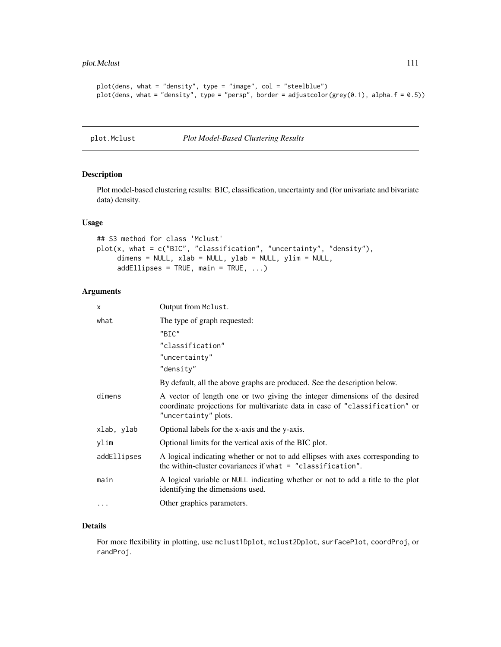```
plot(dens, what = "density", type = "image", col = "steelblue")
plot(dens, what = "density", type = "persp", border = adjustcolor(grey(0.1), alpha.f = 0.5))
```
plot.Mclust *Plot Model-Based Clustering Results*

# Description

Plot model-based clustering results: BIC, classification, uncertainty and (for univariate and bivariate data) density.

#### Usage

```
## S3 method for class 'Mclust'
plot(x, what = c("BIC", "classification", "uncertainty", "density"),
     dimens = NULL, xlab = NULL, ylab = NULL, ylim = NULL,
     addEllipses = TRUE, main = TRUE, ...)
```
#### Arguments

| Output from Mclust.                                                                                                                                                               |
|-----------------------------------------------------------------------------------------------------------------------------------------------------------------------------------|
| The type of graph requested:                                                                                                                                                      |
| "BIC"                                                                                                                                                                             |
| "classification"                                                                                                                                                                  |
| "uncertainty"                                                                                                                                                                     |
| "density"                                                                                                                                                                         |
| By default, all the above graphs are produced. See the description below.                                                                                                         |
| A vector of length one or two giving the integer dimensions of the desired<br>coordinate projections for multivariate data in case of "classification" or<br>"uncertainty" plots. |
| Optional labels for the x-axis and the y-axis.                                                                                                                                    |
| Optional limits for the vertical axis of the BIC plot.                                                                                                                            |
| A logical indicating whether or not to add ellipses with axes corresponding to<br>the within-cluster covariances if what $=$ "classification".                                    |
| A logical variable or NULL indicating whether or not to add a title to the plot<br>identifying the dimensions used.                                                               |
| Other graphics parameters.                                                                                                                                                        |
|                                                                                                                                                                                   |

# Details

For more flexibility in plotting, use mclust1Dplot, mclust2Dplot, surfacePlot, coordProj, or randProj.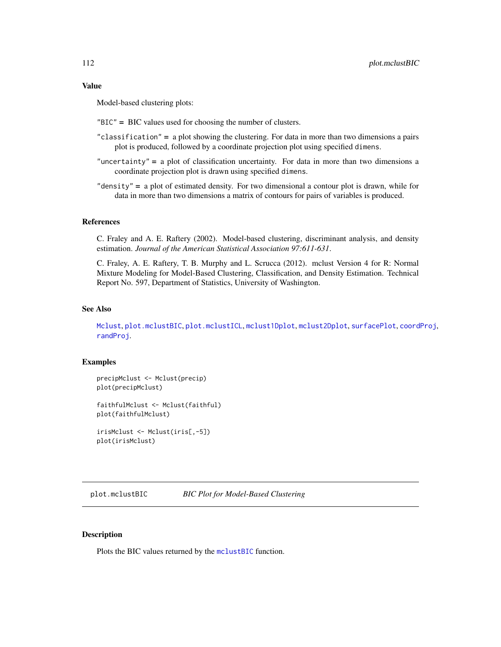## Value

Model-based clustering plots:

"BIC" = BIC values used for choosing the number of clusters.

- "classification" = a plot showing the clustering. For data in more than two dimensions a pairs plot is produced, followed by a coordinate projection plot using specified dimens.
- "uncertainty" = a plot of classification uncertainty. For data in more than two dimensions a coordinate projection plot is drawn using specified dimens.
- "density" = a plot of estimated density. For two dimensional a contour plot is drawn, while for data in more than two dimensions a matrix of contours for pairs of variables is produced.

## References

C. Fraley and A. E. Raftery (2002). Model-based clustering, discriminant analysis, and density estimation. *Journal of the American Statistical Association 97:611-631*.

C. Fraley, A. E. Raftery, T. B. Murphy and L. Scrucca (2012). mclust Version 4 for R: Normal Mixture Modeling for Model-Based Clustering, Classification, and Density Estimation. Technical Report No. 597, Department of Statistics, University of Washington.

# See Also

[Mclust](#page-60-0), [plot.mclustBIC](#page-111-0), [plot.mclustICL](#page-119-0), [mclust1Dplot](#page-65-0), [mclust2Dplot](#page-68-0), [surfacePlot](#page-142-0), [coordProj](#page-22-0), [randProj](#page-128-0).

#### Examples

precipMclust <- Mclust(precip) plot(precipMclust)

faithfulMclust <- Mclust(faithful) plot(faithfulMclust)

irisMclust <- Mclust(iris[,-5]) plot(irisMclust)

<span id="page-111-0"></span>plot.mclustBIC *BIC Plot for Model-Based Clustering*

## Description

Plots the BIC values returned by the [mclustBIC](#page-70-0) function.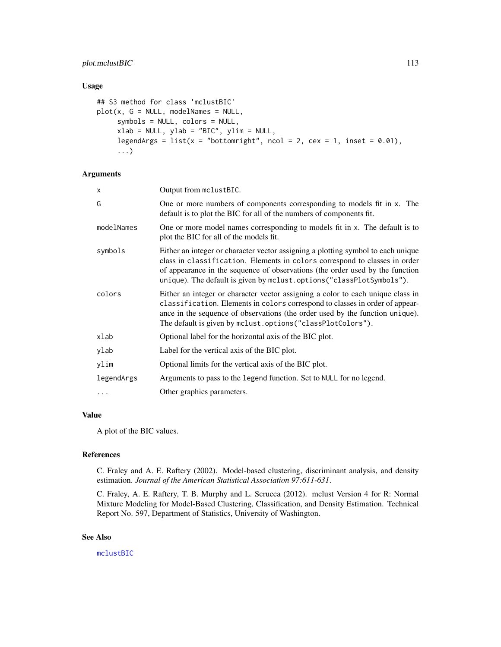# plot.mclustBIC 113

# Usage

```
## S3 method for class 'mclustBIC'
plot(x, G = NULL, modelNames = NULL,symbols = NULL, colors = NULL,
     xlab = NULL, ylab = "BIC", ylim = NULL,
     legendArgs = list(x = "bottomright", ncol = 2, cex = 1, inset = 0.01),
     ...)
```
# Arguments

| x          | Output from mclustBIC.                                                                                                                                                                                                                                                                                                  |
|------------|-------------------------------------------------------------------------------------------------------------------------------------------------------------------------------------------------------------------------------------------------------------------------------------------------------------------------|
| Ġ          | One or more numbers of components corresponding to models fit in x. The<br>default is to plot the BIC for all of the numbers of components fit.                                                                                                                                                                         |
| modelNames | One or more model names corresponding to models fit in x. The default is to<br>plot the BIC for all of the models fit.                                                                                                                                                                                                  |
| symbols    | Either an integer or character vector assigning a plotting symbol to each unique<br>class in classification. Elements in colors correspond to classes in order<br>of appearance in the sequence of observations (the order used by the function<br>unique). The default is given by mclust.options("classPlotSymbols"). |
| colors     | Either an integer or character vector assigning a color to each unique class in<br>classification. Elements in colors correspond to classes in order of appear-<br>ance in the sequence of observations (the order used by the function unique).<br>The default is given by mclust.options ("classPlotColors").         |
| xlab       | Optional label for the horizontal axis of the BIC plot.                                                                                                                                                                                                                                                                 |
| ylab       | Label for the vertical axis of the BIC plot.                                                                                                                                                                                                                                                                            |
| ylim       | Optional limits for the vertical axis of the BIC plot.                                                                                                                                                                                                                                                                  |
| legendArgs | Arguments to pass to the legend function. Set to NULL for no legend.                                                                                                                                                                                                                                                    |
| $\ddots$   | Other graphics parameters.                                                                                                                                                                                                                                                                                              |

# Value

A plot of the BIC values.

## References

C. Fraley and A. E. Raftery (2002). Model-based clustering, discriminant analysis, and density estimation. *Journal of the American Statistical Association 97:611-631*.

C. Fraley, A. E. Raftery, T. B. Murphy and L. Scrucca (2012). mclust Version 4 for R: Normal Mixture Modeling for Model-Based Clustering, Classification, and Density Estimation. Technical Report No. 597, Department of Statistics, University of Washington.

## See Also

[mclustBIC](#page-70-0)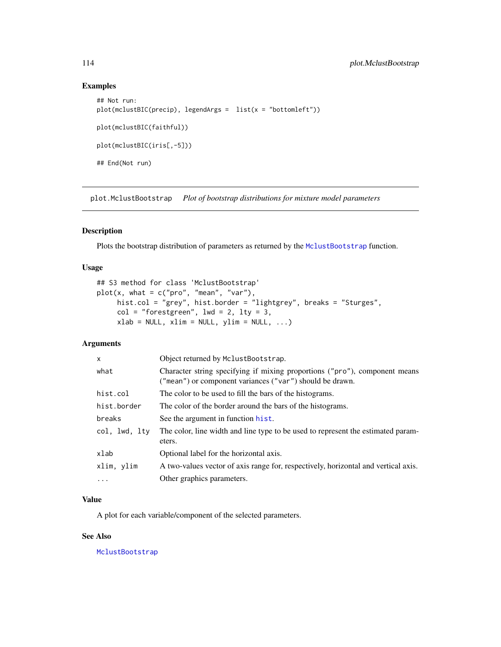# Examples

```
## Not run:
plot(mclustBIC(precip), legendArgs = list(x = "bottomleft"))
plot(mclustBIC(faithful))
plot(mclustBIC(iris[,-5]))
## End(Not run)
```
plot.MclustBootstrap *Plot of bootstrap distributions for mixture model parameters*

# Description

Plots the bootstrap distribution of parameters as returned by the [MclustBootstrap](#page-72-0) function.

#### Usage

```
## S3 method for class 'MclustBootstrap'
plot(x, what = c("pro", "mean", "var"),hist.col = "grey", hist.border = "lightgrey", breaks = "Sturges",
     col = "forestgreen", \text{ lwd} = 2, \text{ lty} = 3,xlab = NULL, xlim = NULL, ylim = NULL, ...)
```
# Arguments

| $\times$      | Object returned by MclustBootstrap.                                                                                                    |
|---------------|----------------------------------------------------------------------------------------------------------------------------------------|
| what          | Character string specifying if mixing proportions ("pro"), component means<br>("mean") or component variances ("var") should be drawn. |
| hist.col      | The color to be used to fill the bars of the histograms.                                                                               |
| hist.border   | The color of the border around the bars of the histograms.                                                                             |
| breaks        | See the argument in function hist.                                                                                                     |
| col, lwd, lty | The color, line width and line type to be used to represent the estimated param-<br>eters.                                             |
| xlab          | Optional label for the horizontal axis.                                                                                                |
| xlim, ylim    | A two-values vector of axis range for, respectively, horizontal and vertical axis.                                                     |
| $\cdot$       | Other graphics parameters.                                                                                                             |

## Value

A plot for each variable/component of the selected parameters.

#### See Also

[MclustBootstrap](#page-72-0)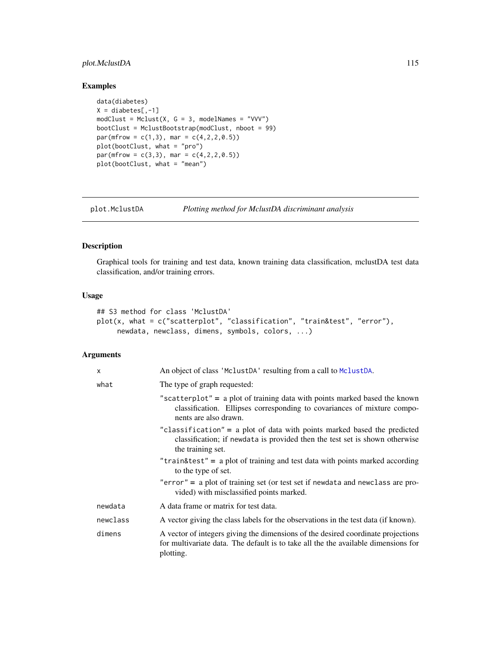# plot.MclustDA 115

# Examples

```
data(diabetes)
X = \text{diabetes}[, -1]modClust = Mclust(X, G = 3, modelNames = "VVV")bootClust = MclustBootstrap(modClust, nboot = 99)
par(mfrow = c(1,3), mar = c(4,2,2,0.5))plot(bootClust, what = "pro")
par(mfrow = c(3,3), mar = c(4,2,2,0.5))
plot(bootClust, what = "mean")
```
<span id="page-114-0"></span>

| plot.MclustDA | Plotting method for MclustDA discriminant analysis |  |
|---------------|----------------------------------------------------|--|
|               |                                                    |  |

#### Description

Graphical tools for training and test data, known training data classification, mclustDA test data classification, and/or training errors.

# Usage

```
## S3 method for class 'MclustDA'
plot(x, what = c("scatterplot", "classification", "train&test", "error"),
     newdata, newclass, dimens, symbols, colors, ...)
```

| $\boldsymbol{\mathsf{x}}$ | An object of class 'MclustDA' resulting from a call to MclustDA.                                                                                                                    |
|---------------------------|-------------------------------------------------------------------------------------------------------------------------------------------------------------------------------------|
| what                      | The type of graph requested:                                                                                                                                                        |
|                           | "scatterplot" = $a$ plot of training data with points marked based the known<br>classification. Ellipses corresponding to covariances of mixture compo-<br>nents are also drawn.    |
|                           | "classification" = a plot of data with points marked based the predicted<br>classification; if newdata is provided then the test set is shown otherwise<br>the training set.        |
|                           | "train&test" = a plot of training and test data with points marked according<br>to the type of set.                                                                                 |
|                           | "error" = $a$ plot of training set (or test set if newdata and newclass are pro-<br>vided) with misclassified points marked.                                                        |
| newdata                   | A data frame or matrix for test data.                                                                                                                                               |
| newclass                  | A vector giving the class labels for the observations in the test data (if known).                                                                                                  |
| dimens                    | A vector of integers giving the dimensions of the desired coordinate projections<br>for multivariate data. The default is to take all the the available dimensions for<br>plotting. |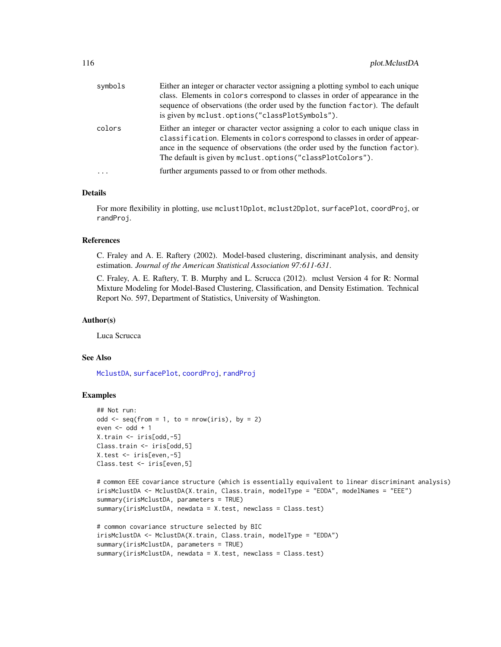| Either an integer or character vector assigning a color to each unique class in<br>colors                                                                                                                                   | Either an integer or character vector assigning a plotting symbol to each unique<br>class. Elements in colors correspond to classes in order of appearance in the<br>sequence of observations (the order used by the function factor). The default |
|-----------------------------------------------------------------------------------------------------------------------------------------------------------------------------------------------------------------------------|----------------------------------------------------------------------------------------------------------------------------------------------------------------------------------------------------------------------------------------------------|
| classification. Elements in colors correspond to classes in order of appear-<br>ance in the sequence of observations (the order used by the function factor).<br>The default is given by mclust.options("classPlotColors"). |                                                                                                                                                                                                                                                    |
| further arguments passed to or from other methods.<br>.                                                                                                                                                                     |                                                                                                                                                                                                                                                    |

# Details

For more flexibility in plotting, use mclust1Dplot, mclust2Dplot, surfacePlot, coordProj, or randProj.

#### References

C. Fraley and A. E. Raftery (2002). Model-based clustering, discriminant analysis, and density estimation. *Journal of the American Statistical Association 97:611-631*.

C. Fraley, A. E. Raftery, T. B. Murphy and L. Scrucca (2012). mclust Version 4 for R: Normal Mixture Modeling for Model-Based Clustering, Classification, and Density Estimation. Technical Report No. 597, Department of Statistics, University of Washington.

#### Author(s)

Luca Scrucca

#### See Also

[MclustDA](#page-76-0), [surfacePlot](#page-142-0), [coordProj](#page-22-0), [randProj](#page-128-0)

```
## Not run:
odd \leq seq(from = 1, to = nrow(iris), by = 2)
even <- odd +1X.train <- iris[odd,-5]
Class.train <- iris[odd,5]
X.test <- iris[even,-5]
Class.test <- iris[even,5]
# common EEE covariance structure (which is essentially equivalent to linear discriminant analysis)
irisMclustDA <- MclustDA(X.train, Class.train, modelType = "EDDA", modelNames = "EEE")
```

```
summary(irisMclustDA, parameters = TRUE)
summary(irisMclustDA, newdata = X.test, newclass = Class.test)
# common covariance structure selected by BIC
```

```
irisMclustDA <- MclustDA(X.train, Class.train, modelType = "EDDA")
summary(irisMclustDA, parameters = TRUE)
summary(irisMclustDA, newdata = X.test, newclass = Class.test)
```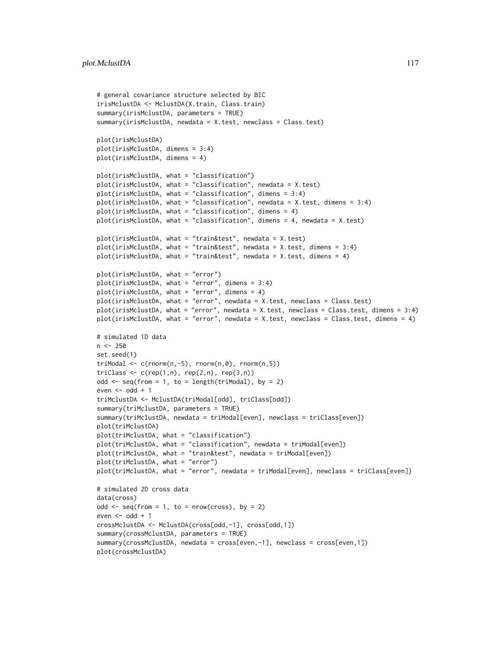```
# general covariance structure selected by BIC
irisMclustDA <- MclustDA(X.train, Class.train)
summary(irisMclustDA, parameters = TRUE)
summary(irisMclustDA, newdata = X.test, newclass = Class.test)
plot(irisMclustDA)
plot(irisMclustDA, dimens = 3:4)
plot(irisMclustDA, dimens = 4)
plot(irisMclustDA, what = "classification")
plot(irisMclustDA, what = "classification", newdata = X.test)
plot(irisMclustDA, what = "classification", dimens = 3:4)
plot(irisMclustDA, what = "classification", newdata = X.test, dimens = 3:4)
plot(irisMclustDA, what = "classification", dimens = 4)
plot(irisMclustDA, what = "classification", dimens = 4, newdata = X.test)
plot(irisMclustDA, what = "train&test", newdata = X.test)
plot(irisMclustDA, what = "train&test", newdata = X.test, dimens = 3:4)
plot(irisMclustDA, what = "train&test", newdata = X.test, dimens = 4)
plot(irisMclustDA, what = "error")
plot(irisMclustDA, what = "error", dimens = 3:4)
plot(irisMclustDA, what = "error", dimens = 4)
plot(irisMclustDA, what = "error", newdata = X.test, newclass = Class.test)
plot(irisMclustDA, what = "error", newdata = X.test, newclass = Class.test, dimens = 3:4)
plot(irisMclustDA, what = "error", newdata = X.test, newclass = Class.test, dimens = 4)
# simulated 1D data
n < -250set.seed(1)
triModal \leq c(rnorm(n,-5), rnorm(n,0), rnorm(n,5))
triClass \leq c(rep(1,n), rep(2,n), rep(3,n))
odd \leq seq(from = 1, to = length(triModal), by = 2)
even <- odd +1triMclustDA <- MclustDA(triModal[odd], triClass[odd])
summary(triMclustDA, parameters = TRUE)
summary(triMclustDA, newdata = triModal[even], newclass = triClass[even])
plot(triMclustDA)
plot(triMclustDA, what = "classification")
plot(triMclustDA, what = "classification", newdata = triModal[even])
plot(triMclustDA, what = "train&test", newdata = triModal[even])
plot(triMclustDA, what = "error")
plot(triMclustDA, what = "error", newdata = triModal[even], newclass = triClass[even])
# simulated 2D cross data
data(cross)
odd \leq seq(from = 1, to = nrow(cross), by = 2)
even \leq odd + 1
crossMclustDA <- MclustDA(cross[odd,-1], cross[odd,1])
summary(crossMclustDA, parameters = TRUE)
summary(crossMclustDA, newdata = cross[even,-1], newclass = cross[even,1])
plot(crossMclustDA)
```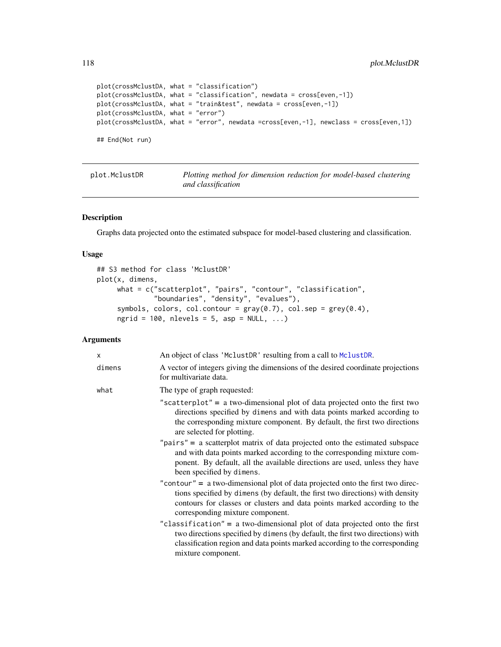```
plot(crossMclustDA, what = "classification")
plot(crossMclustDA, what = "classification", newdata = cross[even,-1])
plot(crossMclustDA, what = "train&test", newdata = cross[even,-1])
plot(crossMclustDA, what = "error")
plot(crossMclustDA, what = "error", newdata =cross[even,-1], newclass = cross[even,1])
## End(Not run)
```
<span id="page-117-0"></span>

| plot.MclustDR | Plotting method for dimension reduction for model-based clustering |  |  |  |
|---------------|--------------------------------------------------------------------|--|--|--|
|               | and classification                                                 |  |  |  |

## Description

Graphs data projected onto the estimated subspace for model-based clustering and classification.

#### Usage

```
## S3 method for class 'MclustDR'
plot(x, dimens,
     what = c("scatterplot", "pairs", "contour", "classification",
              "boundaries", "density", "evalues"),
     symbols, colors, col.contour = gray(0.7), col.sep = grey(0.4),
     ngrid = 100, nlevels = 5, asp = NULL, ...)
```

| X      | An object of class 'MclustDR' resulting from a call to MclustDR.                                                                                                                                                                                                                  |
|--------|-----------------------------------------------------------------------------------------------------------------------------------------------------------------------------------------------------------------------------------------------------------------------------------|
| dimens | A vector of integers giving the dimensions of the desired coordinate projections<br>for multivariate data.                                                                                                                                                                        |
| what   | The type of graph requested:                                                                                                                                                                                                                                                      |
|        | "scatterplot" = a two-dimensional plot of data projected onto the first two<br>directions specified by dimens and with data points marked according to<br>the corresponding mixture component. By default, the first two directions<br>are selected for plotting.                 |
|        | " $pairs$ " = a scatterplot matrix of data projected onto the estimated subspace<br>and with data points marked according to the corresponding mixture com-<br>ponent. By default, all the available directions are used, unless they have<br>been specified by dimens.           |
|        | "contour" = $a$ two-dimensional plot of data projected onto the first two direc-<br>tions specified by dimens (by default, the first two directions) with density<br>contours for classes or clusters and data points marked according to the<br>corresponding mixture component. |
|        | "classification" = a two-dimensional plot of data projected onto the first<br>two directions specified by dimens (by default, the first two directions) with<br>classification region and data points marked according to the corresponding<br>mixture component.                 |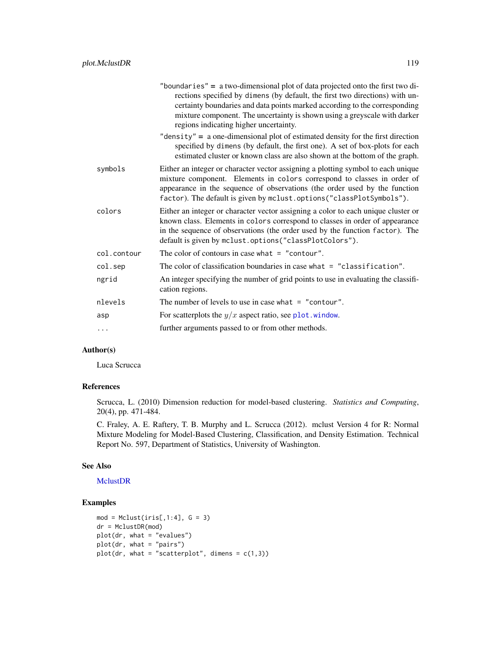| "boundaries" $=$ a two-dimensional plot of data projected onto the first two di-<br>rections specified by dimens (by default, the first two directions) with un-<br>certainty boundaries and data points marked according to the corresponding<br>mixture component. The uncertainty is shown using a greyscale with darker<br>regions indicating higher uncertainty. |
|-----------------------------------------------------------------------------------------------------------------------------------------------------------------------------------------------------------------------------------------------------------------------------------------------------------------------------------------------------------------------|
| "density" = $a$ one-dimensional plot of estimated density for the first direction<br>specified by dimens (by default, the first one). A set of box-plots for each<br>estimated cluster or known class are also shown at the bottom of the graph.                                                                                                                      |
| Either an integer or character vector assigning a plotting symbol to each unique<br>mixture component. Elements in colors correspond to classes in order of<br>appearance in the sequence of observations (the order used by the function<br>factor). The default is given by mclust.options("classPlotSymbols").                                                     |
| Either an integer or character vector assigning a color to each unique cluster or<br>known class. Elements in colors correspond to classes in order of appearance<br>in the sequence of observations (the order used by the function factor). The<br>default is given by mclust.options("classPlotColors").                                                           |
| The color of contours in case what $=$ "contour".                                                                                                                                                                                                                                                                                                                     |
| The color of classification boundaries in case what $=$ "classification".                                                                                                                                                                                                                                                                                             |
| An integer specifying the number of grid points to use in evaluating the classifi-                                                                                                                                                                                                                                                                                    |
| cation regions.                                                                                                                                                                                                                                                                                                                                                       |
| The number of levels to use in case what $=$ "contour".                                                                                                                                                                                                                                                                                                               |
| For scatterplots the $y/x$ aspect ratio, see plot. window.                                                                                                                                                                                                                                                                                                            |
|                                                                                                                                                                                                                                                                                                                                                                       |

# Author(s)

Luca Scrucca

# References

Scrucca, L. (2010) Dimension reduction for model-based clustering. *Statistics and Computing*, 20(4), pp. 471-484.

C. Fraley, A. E. Raftery, T. B. Murphy and L. Scrucca (2012). mclust Version 4 for R: Normal Mixture Modeling for Model-Based Clustering, Classification, and Density Estimation. Technical Report No. 597, Department of Statistics, University of Washington.

#### See Also

[MclustDR](#page-80-0)

```
mod = Mclust(iris[, 1:4], G = 3)dr = MclustDR(mod)
plot(dr, what = "evalues")
plot(dr, what = "pairs")
plot(dr, what = "scatterplot", dimens = c(1,3))
```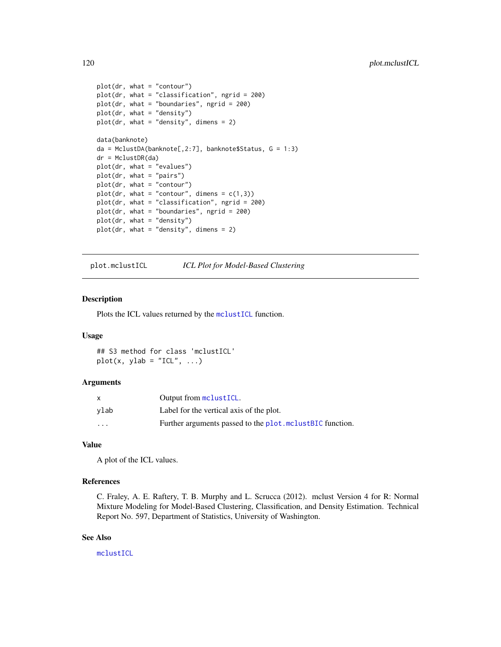```
plot(dr, what = "contour")
plot(dr, what = "classification", ngrid = 200)
plot(dr, what = "boundaries", ngrid = 200)
plot(dr, what = "density")
plot(dr, what = "density", dimens = 2)data(banknote)
da = MclustDA(banknote[,2:7], banknote$Status, G = 1:3)
dr = MclustDR(da)
plot(dr, what = "evalues")
plot(dr, what = "pairs")
plot(dr, what = "contour")
plot(dr, what = "contour", dimens = c(1,3))plot(dr, what = "classification", ngrid = 200)
plot(dr, what = "boundaries", ngrid = 200)
plot(dr, what = "density")
plot(dr, what = "density", dimens = 2)
```
<span id="page-119-0"></span>plot.mclustICL *ICL Plot for Model-Based Clustering*

#### Description

Plots the ICL values returned by the [mclustICL](#page-83-0) function.

#### Usage

## S3 method for class 'mclustICL'  $plot(x, ylab = "ICL", ...)$ 

# Arguments

| X    | Output from mclustICL.                                    |
|------|-----------------------------------------------------------|
| ylab | Label for the vertical axis of the plot.                  |
| .    | Further arguments passed to the plot. mclustBIC function. |

# Value

A plot of the ICL values.

## References

C. Fraley, A. E. Raftery, T. B. Murphy and L. Scrucca (2012). mclust Version 4 for R: Normal Mixture Modeling for Model-Based Clustering, Classification, and Density Estimation. Technical Report No. 597, Department of Statistics, University of Washington.

## See Also

[mclustICL](#page-83-0)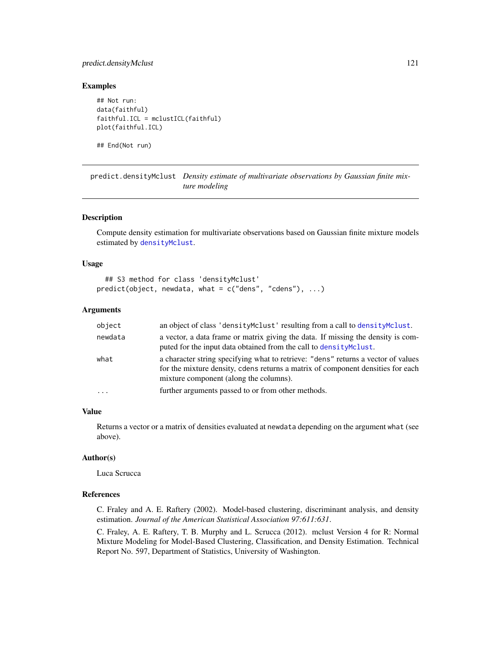# predict.densityMclust 121

#### Examples

## Not run: data(faithful) faithful.ICL = mclustICL(faithful) plot(faithful.ICL)

## End(Not run)

predict.densityMclust *Density estimate of multivariate observations by Gaussian finite mixture modeling*

#### Description

Compute density estimation for multivariate observations based on Gaussian finite mixture models estimated by [densityMclust](#page-31-0).

#### Usage

```
## S3 method for class 'densityMclust'
predict(object, newdata, what = c("dens", "cdens"), ...)
```
#### Arguments

| object  | an object of class 'density Mclust' resulting from a call to density Mclust.                                                                                                                                   |
|---------|----------------------------------------------------------------------------------------------------------------------------------------------------------------------------------------------------------------|
| newdata | a vector, a data frame or matrix giving the data. If missing the density is com-<br>puted for the input data obtained from the call to density Mclust.                                                         |
| what    | a character string specifying what to retrieve: "dens" returns a vector of values<br>for the mixture density, cdens returns a matrix of component densities for each<br>mixture component (along the columns). |
| $\cdot$ | further arguments passed to or from other methods.                                                                                                                                                             |

#### Value

Returns a vector or a matrix of densities evaluated at newdata depending on the argument what (see above).

## Author(s)

Luca Scrucca

# References

C. Fraley and A. E. Raftery (2002). Model-based clustering, discriminant analysis, and density estimation. *Journal of the American Statistical Association 97:611:631*.

C. Fraley, A. E. Raftery, T. B. Murphy and L. Scrucca (2012). mclust Version 4 for R: Normal Mixture Modeling for Model-Based Clustering, Classification, and Density Estimation. Technical Report No. 597, Department of Statistics, University of Washington.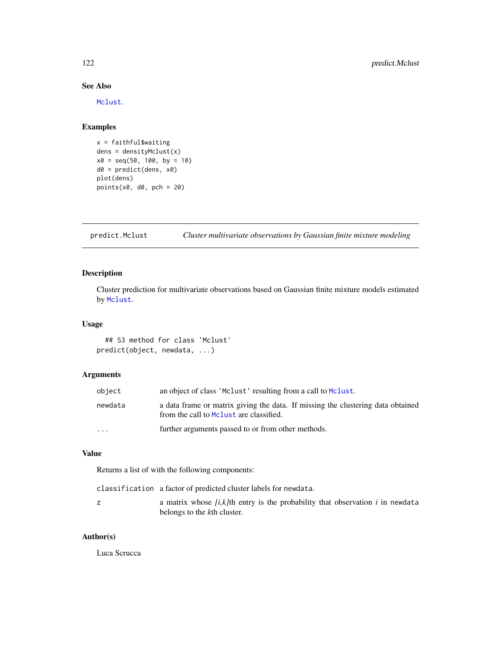# See Also

[Mclust](#page-60-0).

# Examples

```
x = \text{faithful} $waiting
dens = densityMclust(x)
x0 = seq(50, 100, by = 10)d0 = predict(dens, x0)
plot(dens)
points(x0, d0, pch = 20)
```
predict.Mclust *Cluster multivariate observations by Gaussian finite mixture modeling*

# Description

Cluster prediction for multivariate observations based on Gaussian finite mixture models estimated by [Mclust](#page-60-0).

# Usage

## S3 method for class 'Mclust' predict(object, newdata, ...)

## Arguments

| object                  | an object of class 'Mclust' resulting from a call to Mclust.                                                               |
|-------------------------|----------------------------------------------------------------------------------------------------------------------------|
| newdata                 | a data frame or matrix giving the data. If missing the clustering data obtained<br>from the call to Mclust are classified. |
| $\cdot$ $\cdot$ $\cdot$ | further arguments passed to or from other methods.                                                                         |

# Value

Returns a list of with the following components:

classification a factor of predicted cluster labels for newdata.

| a matrix whose $[i, k]$ th entry is the probability that observation $i$ in newdata |
|-------------------------------------------------------------------------------------|
| belongs to the kth cluster.                                                         |

# Author(s)

Luca Scrucca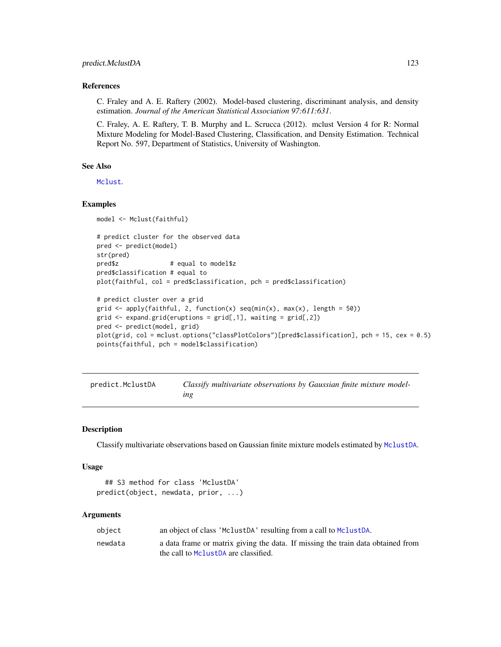#### References

C. Fraley and A. E. Raftery (2002). Model-based clustering, discriminant analysis, and density estimation. *Journal of the American Statistical Association 97:611:631*.

C. Fraley, A. E. Raftery, T. B. Murphy and L. Scrucca (2012). mclust Version 4 for R: Normal Mixture Modeling for Model-Based Clustering, Classification, and Density Estimation. Technical Report No. 597, Department of Statistics, University of Washington.

## See Also

[Mclust](#page-60-0).

#### Examples

```
model <- Mclust(faithful)
# predict cluster for the observed data
pred <- predict(model)
str(pred)
pred$z # equal to model$z
pred$classification # equal to
plot(faithful, col = pred$classification, pch = pred$classification)
# predict cluster over a grid
grid \leq apply(faithful, 2, function(x) seq(min(x), max(x), length = 50))
grid <- expand.grid(eruptions = grid[,1], waiting = grid[,2])
pred <- predict(model, grid)
plot(grid, col = mclust.options("classPlotColors")[pred$classification], pch = 15, cex = 0.5)
points(faithful, pch = model$classification)
```

| predict.MclustDA | Classify multivariate observations by Gaussian finite mixture model- |
|------------------|----------------------------------------------------------------------|
|                  | ıng                                                                  |

#### Description

Classify multivariate observations based on Gaussian finite mixture models estimated by [MclustDA](#page-76-0).

#### Usage

```
## S3 method for class 'MclustDA'
predict(object, newdata, prior, ...)
```

| object  | an object of class 'MclustDA' resulting from a call to MclustDA.                                                        |
|---------|-------------------------------------------------------------------------------------------------------------------------|
| newdata | a data frame or matrix giving the data. If missing the train data obtained from<br>the call to MclustDA are classified. |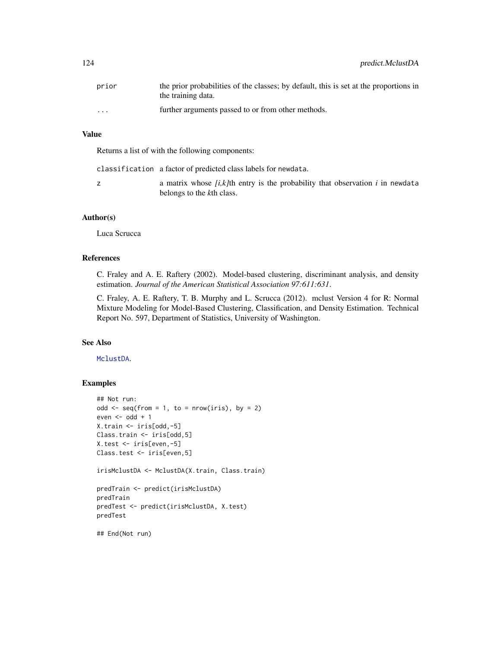| prior                   | the prior probabilities of the classes; by default, this is set at the proportions in<br>the training data. |
|-------------------------|-------------------------------------------------------------------------------------------------------------|
| $\cdot$ $\cdot$ $\cdot$ | further arguments passed to or from other methods.                                                          |

# Value

Returns a list of with the following components:

classification a factor of predicted class labels for newdata.

z a matrix whose *[i,k]*th entry is the probability that observation *i* in newdata belongs to the *k*th class.

#### Author(s)

Luca Scrucca

#### References

C. Fraley and A. E. Raftery (2002). Model-based clustering, discriminant analysis, and density estimation. *Journal of the American Statistical Association 97:611:631*.

C. Fraley, A. E. Raftery, T. B. Murphy and L. Scrucca (2012). mclust Version 4 for R: Normal Mixture Modeling for Model-Based Clustering, Classification, and Density Estimation. Technical Report No. 597, Department of Statistics, University of Washington.

# See Also

# [MclustDA](#page-76-0).

```
## Not run:
odd \leq seq(from = 1, to = nrow(iris), by = 2)
even <- odd + 1
X.train <- iris[odd,-5]
Class.train <- iris[odd,5]
X.test <- iris[even,-5]
Class.test <- iris[even,5]
irisMclustDA <- MclustDA(X.train, Class.train)
predTrain <- predict(irisMclustDA)
predTrain
predTest <- predict(irisMclustDA, X.test)
predTest
## End(Not run)
```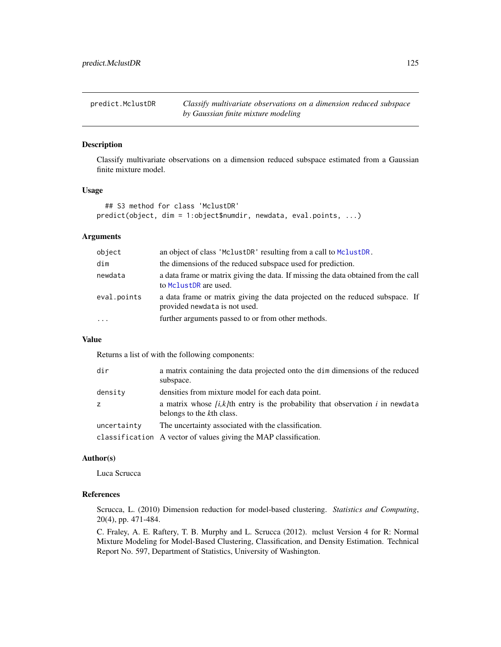predict.MclustDR *Classify multivariate observations on a dimension reduced subspace by Gaussian finite mixture modeling*

# Description

Classify multivariate observations on a dimension reduced subspace estimated from a Gaussian finite mixture model.

#### Usage

```
## S3 method for class 'MclustDR'
predict(object, dim = 1:object$numdir, newdata, eval.points, ...)
```
## Arguments

| object      | an object of class 'MclustDR' resulting from a call to MclustDR.                                                        |
|-------------|-------------------------------------------------------------------------------------------------------------------------|
| dim         | the dimensions of the reduced subspace used for prediction.                                                             |
| newdata     | a data frame or matrix giving the data. If missing the data obtained from the call<br>to Mclust <sub>DR</sub> are used. |
| eval.points | a data frame or matrix giving the data projected on the reduced subspace. If<br>provided newdata is not used.           |
| $\ddots$ .  | further arguments passed to or from other methods.                                                                      |

## Value

Returns a list of with the following components:

| dir         | a matrix containing the data projected onto the dim dimensions of the reduced<br>subspace.                     |
|-------------|----------------------------------------------------------------------------------------------------------------|
| density     | densities from mixture model for each data point.                                                              |
| Z.          | a matrix whose $(i, k)$ th entry is the probability that observation i in newdata<br>belongs to the kth class. |
| uncertainty | The uncertainty associated with the classification.                                                            |
|             | classification A vector of values giving the MAP classification.                                               |

## Author(s)

Luca Scrucca

### References

Scrucca, L. (2010) Dimension reduction for model-based clustering. *Statistics and Computing*, 20(4), pp. 471-484.

C. Fraley, A. E. Raftery, T. B. Murphy and L. Scrucca (2012). mclust Version 4 for R: Normal Mixture Modeling for Model-Based Clustering, Classification, and Density Estimation. Technical Report No. 597, Department of Statistics, University of Washington.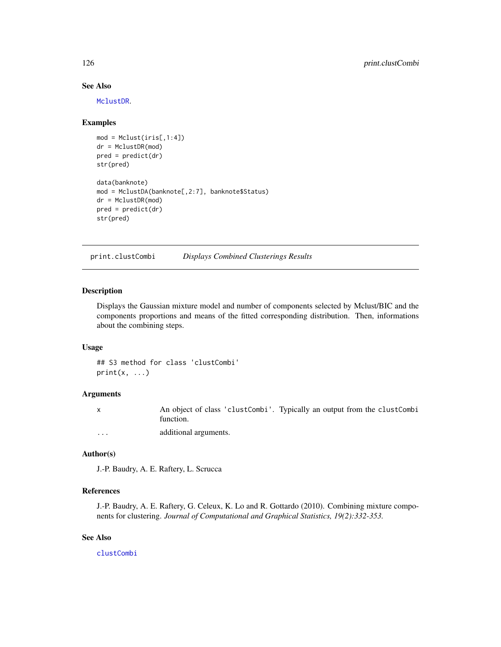## See Also

[MclustDR](#page-80-0).

#### Examples

```
mod = Melust(iris[, 1:4])dr = MclustDR(mod)
pred = predict(dr)
str(pred)
data(banknote)
mod = MclustDA(banknote[,2:7], banknote$Status)
dr = MclustDR(mod)
pred = predict(dr)
str(pred)
```
print.clustCombi *Displays Combined Clusterings Results*

#### Description

Displays the Gaussian mixture model and number of components selected by Mclust/BIC and the components proportions and means of the fitted corresponding distribution. Then, informations about the combining steps.

#### Usage

## S3 method for class 'clustCombi'  $print(x, \ldots)$ 

## Arguments

x An object of class 'clustCombi'. Typically an output from the clustCombi function. ... additional arguments.

# Author(s)

J.-P. Baudry, A. E. Raftery, L. Scrucca

#### References

J.-P. Baudry, A. E. Raftery, G. Celeux, K. Lo and R. Gottardo (2010). Combining mixture components for clustering. *Journal of Computational and Graphical Statistics, 19(2):332-353.*

# See Also

[clustCombi](#page-17-0)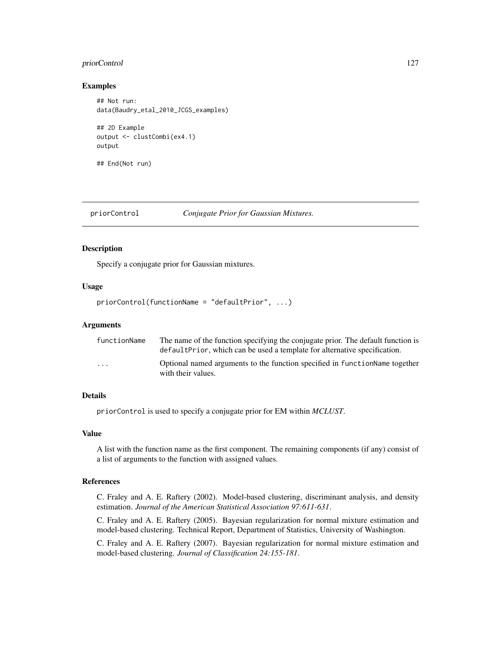# priorControl 127

#### Examples

```
## Not run:
data(Baudry_etal_2010_JCGS_examples)
## 2D Example
output <- clustCombi(ex4.1)
output
## End(Not run)
```
#### priorControl *Conjugate Prior for Gaussian Mixtures.*

# Description

Specify a conjugate prior for Gaussian mixtures.

#### Usage

```
priorControl(functionName = "defaultPrior", ...)
```
#### Arguments

| functionName            | The name of the function specifying the conjugate prior. The default function is<br>default Prior, which can be used a template for alternative specification. |
|-------------------------|----------------------------------------------------------------------------------------------------------------------------------------------------------------|
| $\cdot$ $\cdot$ $\cdot$ | Optional named arguments to the function specified in function Name together<br>with their values.                                                             |

# Details

priorControl is used to specify a conjugate prior for EM within *MCLUST*.

#### Value

A list with the function name as the first component. The remaining components (if any) consist of a list of arguments to the function with assigned values.

# References

C. Fraley and A. E. Raftery (2002). Model-based clustering, discriminant analysis, and density estimation. *Journal of the American Statistical Association 97:611-631*.

C. Fraley and A. E. Raftery (2005). Bayesian regularization for normal mixture estimation and model-based clustering. Technical Report, Department of Statistics, University of Washington.

C. Fraley and A. E. Raftery (2007). Bayesian regularization for normal mixture estimation and model-based clustering. *Journal of Classification 24:155-181*.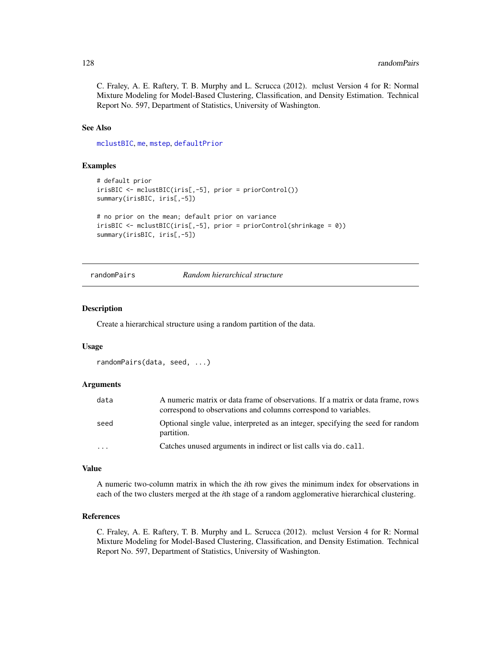C. Fraley, A. E. Raftery, T. B. Murphy and L. Scrucca (2012). mclust Version 4 for R: Normal Mixture Modeling for Model-Based Clustering, Classification, and Density Estimation. Technical Report No. 597, Department of Statistics, University of Washington.

# See Also

[mclustBIC](#page-70-0), [me](#page-89-0), [mstep](#page-95-0), [defaultPrior](#page-28-0)

#### Examples

```
# default prior
irisBIC <- mclustBIC(iris[,-5], prior = priorControl())
summary(irisBIC, iris[,-5])
# no prior on the mean; default prior on variance
irisBIC <- mclustBIC(iris[,-5], prior = priorControl(shrinkage = 0))
summary(irisBIC, iris[,-5])
```
# randomPairs *Random hierarchical structure*

#### Description

Create a hierarchical structure using a random partition of the data.

#### Usage

```
randomPairs(data, seed, ...)
```
## Arguments

| data      | A numeric matrix or data frame of observations. If a matrix or data frame, rows<br>correspond to observations and columns correspond to variables. |
|-----------|----------------------------------------------------------------------------------------------------------------------------------------------------|
| seed      | Optional single value, interpreted as an integer, specifying the seed for random<br>partition.                                                     |
| $\ddotsc$ | Catches unused arguments in indirect or list calls via do. call.                                                                                   |

#### Value

A numeric two-column matrix in which the *i*th row gives the minimum index for observations in each of the two clusters merged at the *i*th stage of a random agglomerative hierarchical clustering.

# References

C. Fraley, A. E. Raftery, T. B. Murphy and L. Scrucca (2012). mclust Version 4 for R: Normal Mixture Modeling for Model-Based Clustering, Classification, and Density Estimation. Technical Report No. 597, Department of Statistics, University of Washington.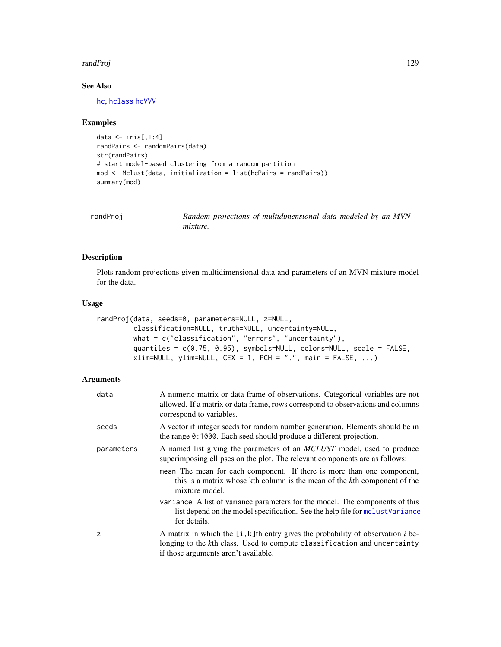#### randProj 129

# See Also

[hc](#page-47-0), [hclass](#page-51-0) [hcVVV](#page-49-0)

# Examples

```
data \le iris[,1:4]
randPairs <- randomPairs(data)
str(randPairs)
# start model-based clustering from a random partition
mod <- Mclust(data, initialization = list(hcPairs = randPairs))
summary(mod)
```
<span id="page-128-0"></span>

| randProj | Random projections of multidimensional data modeled by an MVN |
|----------|---------------------------------------------------------------|
|          | <i>mixture.</i>                                               |

# Description

Plots random projections given multidimensional data and parameters of an MVN mixture model for the data.

#### Usage

```
randProj(data, seeds=0, parameters=NULL, z=NULL,
        classification=NULL, truth=NULL, uncertainty=NULL,
        what = c("classification", "errors", "uncertainty"),
        quantiles = c(0.75, 0.95), symbols=NULL, colors=NULL, scale = FALSE,
        xlim=NULL, ylim=NULL, CEX = 1, PCH = ".", main = FALSE, ...)
```

| data       | A numeric matrix or data frame of observations. Categorical variables are not<br>allowed. If a matrix or data frame, rows correspond to observations and columns<br>correspond to variables.           |
|------------|--------------------------------------------------------------------------------------------------------------------------------------------------------------------------------------------------------|
| seeds      | A vector if integer seeds for random number generation. Elements should be in<br>the range 0:1000. Each seed should produce a different projection.                                                    |
| parameters | A named list giving the parameters of an <i>MCLUST</i> model, used to produce<br>superimposing ellipses on the plot. The relevant components are as follows:                                           |
|            | mean The mean for each component. If there is more than one component,<br>this is a matrix whose kth column is the mean of the kth component of the<br>mixture model.                                  |
|            | variance A list of variance parameters for the model. The components of this<br>list depend on the model specification. See the help file for mclustVariance<br>for details.                           |
| z          | A matrix in which the $[i, k]$ th entry gives the probability of observation i be-<br>longing to the kth class. Used to compute classification and uncertainty<br>if those arguments aren't available. |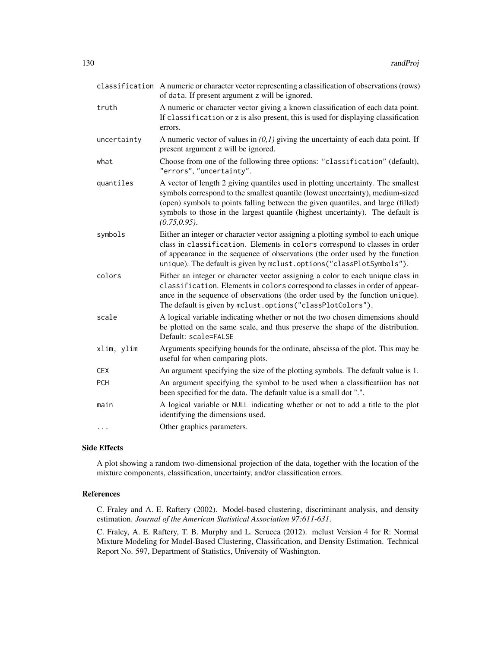|             | classification A numeric or character vector representing a classification of observations (rows)<br>of data. If present argument z will be ignored.                                                                                                                                                                                                      |
|-------------|-----------------------------------------------------------------------------------------------------------------------------------------------------------------------------------------------------------------------------------------------------------------------------------------------------------------------------------------------------------|
| truth       | A numeric or character vector giving a known classification of each data point.<br>If classification or z is also present, this is used for displaying classification<br>errors.                                                                                                                                                                          |
| uncertainty | A numeric vector of values in $(0,1)$ giving the uncertainty of each data point. If<br>present argument z will be ignored.                                                                                                                                                                                                                                |
| what        | Choose from one of the following three options: "classification" (default),<br>"errors", "uncertainty".                                                                                                                                                                                                                                                   |
| quantiles   | A vector of length 2 giving quantiles used in plotting uncertainty. The smallest<br>symbols correspond to the smallest quantile (lowest uncertainty), medium-sized<br>(open) symbols to points falling between the given quantiles, and large (filled)<br>symbols to those in the largest quantile (highest uncertainty). The default is<br>(0.75, 0.95). |
| symbols     | Either an integer or character vector assigning a plotting symbol to each unique<br>class in classification. Elements in colors correspond to classes in order<br>of appearance in the sequence of observations (the order used by the function<br>unique). The default is given by mclust.options("classPlotSymbols").                                   |
| colors      | Either an integer or character vector assigning a color to each unique class in<br>classification. Elements in colors correspond to classes in order of appear-<br>ance in the sequence of observations (the order used by the function unique).<br>The default is given by mclust.options("classPlotColors").                                            |
| scale       | A logical variable indicating whether or not the two chosen dimensions should<br>be plotted on the same scale, and thus preserve the shape of the distribution.<br>Default: scale=FALSE                                                                                                                                                                   |
| xlim, ylim  | Arguments specifying bounds for the ordinate, abscissa of the plot. This may be<br>useful for when comparing plots.                                                                                                                                                                                                                                       |
| CEX         | An argument specifying the size of the plotting symbols. The default value is 1.                                                                                                                                                                                                                                                                          |
| <b>PCH</b>  | An argument specifying the symbol to be used when a classificatiion has not<br>been specified for the data. The default value is a small dot ".".                                                                                                                                                                                                         |
| main        | A logical variable or NULL indicating whether or not to add a title to the plot<br>identifying the dimensions used.                                                                                                                                                                                                                                       |
| $\cdots$    | Other graphics parameters.                                                                                                                                                                                                                                                                                                                                |

## Side Effects

A plot showing a random two-dimensional projection of the data, together with the location of the mixture components, classification, uncertainty, and/or classification errors.

# References

C. Fraley and A. E. Raftery (2002). Model-based clustering, discriminant analysis, and density estimation. *Journal of the American Statistical Association 97:611-631*.

C. Fraley, A. E. Raftery, T. B. Murphy and L. Scrucca (2012). mclust Version 4 for R: Normal Mixture Modeling for Model-Based Clustering, Classification, and Density Estimation. Technical Report No. 597, Department of Statistics, University of Washington.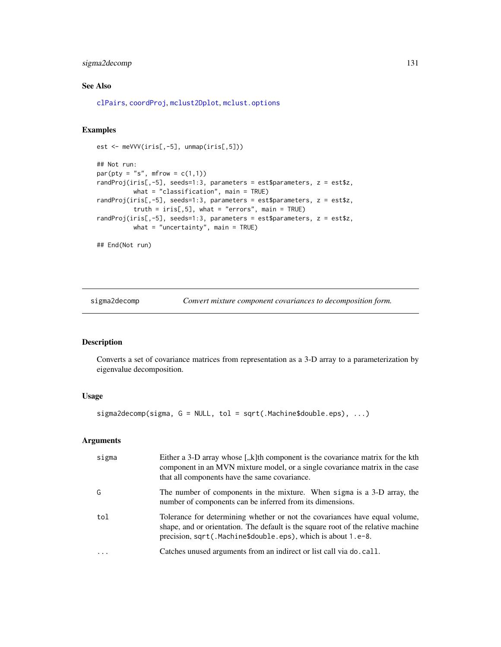# sigma2decomp 131

# See Also

[clPairs](#page-15-0), [coordProj](#page-22-0), [mclust2Dplot](#page-68-0), [mclust.options](#page-63-0)

# Examples

```
est <- meVVV(iris[,-5], unmap(iris[,5]))
## Not run:
par(pty = "s", mfrom = c(1,1))randProj(iris[,-5], seeds=1:3, parameters = est$parameters, z = est$z,
         what = "classification", main = TRUE)
randProj(iris[,-5], seeds=1:3, parameters = est$parameters, z = est$z,
         truth = iris[, 5], what = "errors", main = TRUE)
randProj(iris[,-5], seeds=1:3, parameters = est$parameters, z = est$z,
         what = "uncertainty", main = TRUE)
## End(Not run)
```
sigma2decomp *Convert mixture component covariances to decomposition form.*

### Description

Converts a set of covariance matrices from representation as a 3-D array to a parameterization by eigenvalue decomposition.

#### Usage

sigma2decomp(sigma, G = NULL, tol = sqrt(.Machine\$double.eps), ...)

| sigma | Either a 3-D array whose $\left\lceil x \right\rceil$ k alternative the covariance matrix for the kth<br>component in an MVN mixture model, or a single covariance matrix in the case<br>that all components have the same covariance. |
|-------|----------------------------------------------------------------------------------------------------------------------------------------------------------------------------------------------------------------------------------------|
| G     | The number of components in the mixture. When sigma is a 3-D array, the<br>number of components can be inferred from its dimensions.                                                                                                   |
| tol   | Tolerance for determining whether or not the covariances have equal volume,<br>shape, and or orientation. The default is the square root of the relative machine<br>precision, sqrt(.Machine\$double.eps), which is about 1.e-8.       |
|       | Catches unused arguments from an indirect or list call via do. call.                                                                                                                                                                   |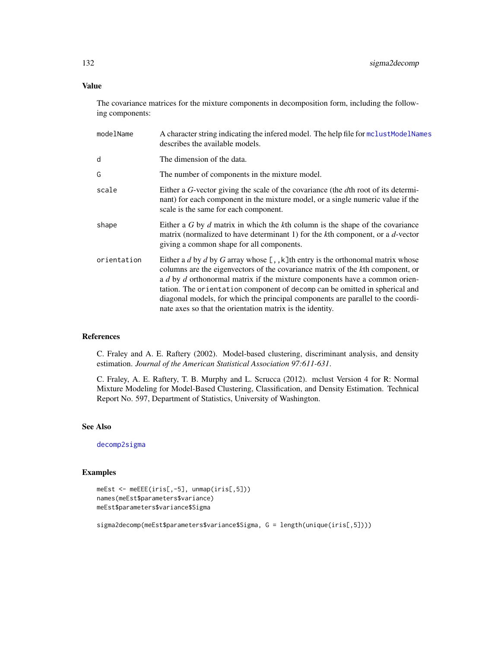Value

The covariance matrices for the mixture components in decomposition form, including the following components:

| modelName   | A character string indicating the infered model. The help file for mclustModelNames<br>describes the available models.                                                                                                                                                                                                                                                                                                                                                             |
|-------------|------------------------------------------------------------------------------------------------------------------------------------------------------------------------------------------------------------------------------------------------------------------------------------------------------------------------------------------------------------------------------------------------------------------------------------------------------------------------------------|
| d           | The dimension of the data.                                                                                                                                                                                                                                                                                                                                                                                                                                                         |
| G           | The number of components in the mixture model.                                                                                                                                                                                                                                                                                                                                                                                                                                     |
| scale       | Either a G-vector giving the scale of the covariance (the dth root of its determi-<br>nant) for each component in the mixture model, or a single numeric value if the<br>scale is the same for each component.                                                                                                                                                                                                                                                                     |
| shape       | Either a $G$ by $d$ matrix in which the $k$ th column is the shape of the covariance<br>matrix (normalized to have determinant 1) for the kth component, or a d-vector<br>giving a common shape for all components.                                                                                                                                                                                                                                                                |
| orientation | Either a d by d by G array whose $[ , , k]$ th entry is the orthonomal matrix whose<br>columns are the eigenvectors of the covariance matrix of the kth component, or<br>a d by d orthonormal matrix if the mixture components have a common orien-<br>tation. The orientation component of decomp can be omitted in spherical and<br>diagonal models, for which the principal components are parallel to the coordi-<br>nate axes so that the orientation matrix is the identity. |

## References

C. Fraley and A. E. Raftery (2002). Model-based clustering, discriminant analysis, and density estimation. *Journal of the American Statistical Association 97:611-631*.

C. Fraley, A. E. Raftery, T. B. Murphy and L. Scrucca (2012). mclust Version 4 for R: Normal Mixture Modeling for Model-Based Clustering, Classification, and Density Estimation. Technical Report No. 597, Department of Statistics, University of Washington.

## See Also

[decomp2sigma](#page-27-0)

# Examples

```
meEst <- meEEE(iris[,-5], unmap(iris[,5]))
names(meEst$parameters$variance)
meEst$parameters$variance$Sigma
```
sigma2decomp(meEst\$parameters\$variance\$Sigma, G = length(unique(iris[,5])))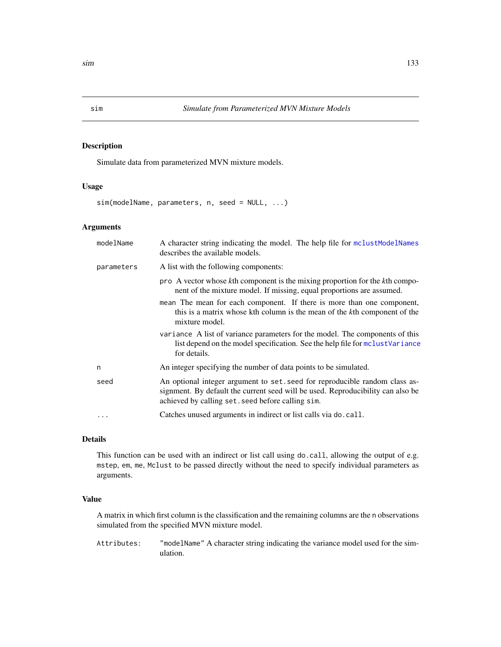#### Description

Simulate data from parameterized MVN mixture models.

## Usage

sim(modelName, parameters, n, seed = NULL, ...)

# Arguments

| modelName  | A character string indicating the model. The help file for mclustModelNames<br>describes the available models.                                                                                                      |
|------------|---------------------------------------------------------------------------------------------------------------------------------------------------------------------------------------------------------------------|
| parameters | A list with the following components:                                                                                                                                                                               |
|            | pro A vector whose kth component is the mixing proportion for the kth compo-<br>nent of the mixture model. If missing, equal proportions are assumed.                                                               |
|            | mean The mean for each component. If there is more than one component,<br>this is a matrix whose kth column is the mean of the kth component of the<br>mixture model.                                               |
|            | variance A list of variance parameters for the model. The components of this<br>list depend on the model specification. See the help file for mclust Variance<br>for details.                                       |
| n          | An integer specifying the number of data points to be simulated.                                                                                                                                                    |
| seed       | An optional integer argument to set. seed for reproducible random class as-<br>signment. By default the current seed will be used. Reproducibility can also be<br>achieved by calling set. seed before calling sim. |
|            | Catches unused arguments in indirect or list calls via do. call.                                                                                                                                                    |

# Details

This function can be used with an indirect or list call using do.call, allowing the output of e.g. mstep, em, me, Mclust to be passed directly without the need to specify individual parameters as arguments.

# Value

A matrix in which first column is the classification and the remaining columns are the n observations simulated from the specified MVN mixture model.

Attributes: "modelName" A character string indicating the variance model used for the simulation.

<span id="page-132-0"></span>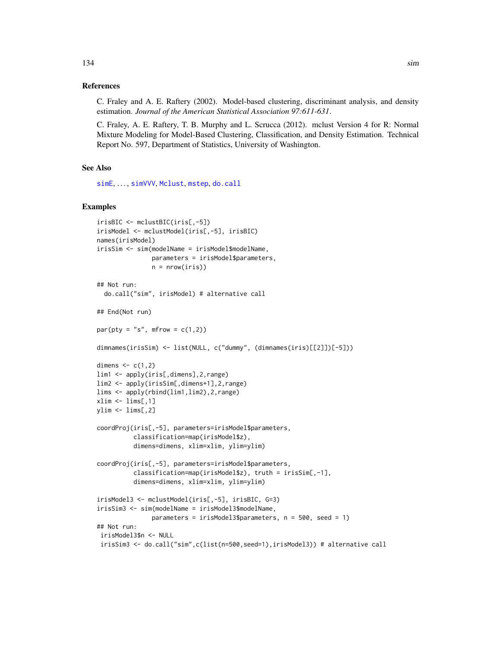# References

C. Fraley and A. E. Raftery (2002). Model-based clustering, discriminant analysis, and density estimation. *Journal of the American Statistical Association 97:611-631*.

C. Fraley, A. E. Raftery, T. B. Murphy and L. Scrucca (2012). mclust Version 4 for R: Normal Mixture Modeling for Model-Based Clustering, Classification, and Density Estimation. Technical Report No. 597, Department of Statistics, University of Washington.

#### See Also

[simE](#page-134-0), ..., [simVVV](#page-134-1), [Mclust](#page-60-0), [mstep](#page-95-0), [do.call](#page-0-0)

```
irisBIC <- mclustBIC(iris[,-5])
irisModel <- mclustModel(iris[,-5], irisBIC)
names(irisModel)
irisSim <- sim(modelName = irisModel$modelName,
               parameters = irisModel$parameters,
               n = nrow(iris)## Not run:
  do.call("sim", irisModel) # alternative call
## End(Not run)
par(pt = "s", mfrom = c(1,2))dimnames(irisSim) <- list(NULL, c("dummy", (dimnames(iris)[[2]])[-5]))
dimens \leq c(1,2)lim1 <- apply(iris[,dimens],2,range)
lim2 <- apply(irisSim[,dimens+1],2,range)
lims <- apply(rbind(lim1,lim2),2,range)
xlim < -1ims[, 1]ylim <- lims[,2]
coordProj(iris[,-5], parameters=irisModel$parameters,
          classification=map(irisModel$z),
          dimens=dimens, xlim=xlim, ylim=ylim)
coordProj(iris[,-5], parameters=irisModel$parameters,
          classification=map(irisModel$z), truth = irisSim[,-1],
          dimens=dimens, xlim=xlim, ylim=ylim)
irisModel3 <- mclustModel(iris[,-5], irisBIC, G=3)
irisSim3 <- sim(modelName = irisModel3$modelName,
               parameters = irisModel3$parameters, n = 500, seed = 1)
## Not run:
 irisModel3$n <- NULL
 irisSim3 <- do.call("sim",c(list(n=500,seed=1),irisModel3)) # alternative call
```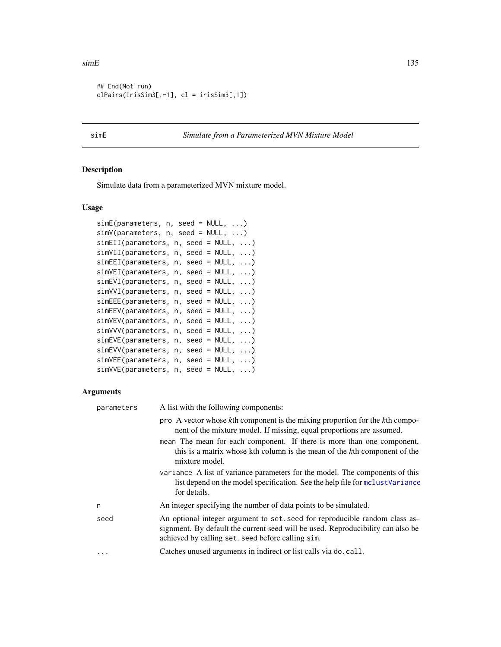#### $\sin E$  135

```
## End(Not run)
clPairs(irisSim3[,-1], cl = irisSim3[,1])
```
# <span id="page-134-0"></span>simE *Simulate from a Parameterized MVN Mixture Model*

# <span id="page-134-1"></span>Description

Simulate data from a parameterized MVN mixture model.

# Usage

| $simE(parameters, n, seed = NULL, )$   |  |  |  |
|----------------------------------------|--|--|--|
| $simV(parameters, n, seed = NULL, )$   |  |  |  |
| $simEII(parameters, n, seed = NULL, )$ |  |  |  |
| $simVII(parameters, n, seed = NULL, )$ |  |  |  |
| $simEEI(parameters, n, seed = NULL, )$ |  |  |  |
| $simVEI(parameters, n, seed = NULL, )$ |  |  |  |
| $simEVI(parameters, n, seed = NULL, )$ |  |  |  |
| $simVVI(parameters, n, seed = NULL, )$ |  |  |  |
| $simEEE(parameters, n, seed = NULL, )$ |  |  |  |
| $simEEV(parameters, n, seed = NULL, )$ |  |  |  |
| $simVEV(parameters, n, seed = NULL, )$ |  |  |  |
| $simVVV(parameters, n, seed = NULL, )$ |  |  |  |
| $simEVE(parameters, n, seed = NULL, )$ |  |  |  |
| $simEVV(parameters, n, seed = NULL, )$ |  |  |  |
| $simVEE(parameters, n, seed = NULL, )$ |  |  |  |
| $simVVE(parameters, n, seed = NULL, )$ |  |  |  |
|                                        |  |  |  |

| parameters | A list with the following components:                                                                                                                                                                               |
|------------|---------------------------------------------------------------------------------------------------------------------------------------------------------------------------------------------------------------------|
|            | pro A vector whose kth component is the mixing proportion for the kth compo-<br>nent of the mixture model. If missing, equal proportions are assumed.                                                               |
|            | mean The mean for each component. If there is more than one component,<br>this is a matrix whose kth column is the mean of the kth component of the<br>mixture model.                                               |
|            | variance A list of variance parameters for the model. The components of this<br>list depend on the model specification. See the help file for mclust Variance<br>for details.                                       |
| n          | An integer specifying the number of data points to be simulated.                                                                                                                                                    |
| seed       | An optional integer argument to set, seed for reproducible random class as-<br>signment. By default the current seed will be used. Reproducibility can also be<br>achieved by calling set. seed before calling sim. |
|            | Catches unused arguments in indirect or list calls via do. call.                                                                                                                                                    |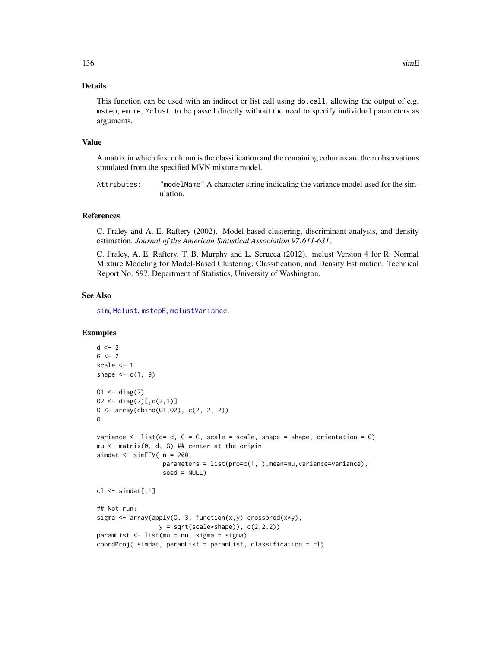#### Details

This function can be used with an indirect or list call using do.call, allowing the output of e.g. mstep, em me, Mclust, to be passed directly without the need to specify individual parameters as arguments.

#### Value

A matrix in which first column is the classification and the remaining columns are the n observations simulated from the specified MVN mixture model.

Attributes: "modelName" A character string indicating the variance model used for the simulation.

# References

C. Fraley and A. E. Raftery (2002). Model-based clustering, discriminant analysis, and density estimation. *Journal of the American Statistical Association 97:611-631*.

C. Fraley, A. E. Raftery, T. B. Murphy and L. Scrucca (2012). mclust Version 4 for R: Normal Mixture Modeling for Model-Based Clustering, Classification, and Density Estimation. Technical Report No. 597, Department of Statistics, University of Washington.

# See Also

[sim](#page-132-0), [Mclust](#page-60-0), [mstepE](#page-97-0), [mclustVariance](#page-88-0).

```
d \leq -2G \le -2scale <- 1
shape \leq c(1, 9)
01 \le - \text{diag}(2)02 \le - \text{diag}(2)[c, c(2, 1)]0 \leq -\arctan(\text{cbind}(01, 02), \text{c}(2, 2, 2))O
variance \le list(d= d, G = G, scale = scale, shape = shape, orientation = 0)
mu \leq matrix(0, d, G) ## center at the origin
simdat \le simEEV( n = 200,
                    parameters = list(pro=c(1,1),mean=mu, variance=variance),
                    seed = NULL)
cl \leftarrow \text{simdat}[, 1]## Not run:
sigma <- array(apply(O, 3, function(x,y) crossprod(x*y),
                   y = sqrt(scale * shape)), c(2,2,2)paramList <- list(mu = mu, sigma = sigma)
coordProj( simdat, paramList = paramList, classification = cl)
```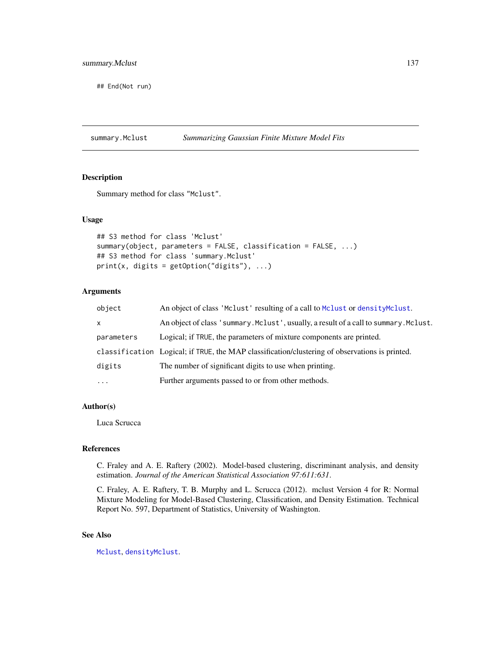## End(Not run)

summary.Mclust *Summarizing Gaussian Finite Mixture Model Fits*

# Description

Summary method for class "Mclust".

#### Usage

```
## S3 method for class 'Mclust'
summary(object, parameters = FALSE, classification = FALSE, ...)
## S3 method for class 'summary.Mclust'
print(x, digits = getOption("digits"), ...)
```
# Arguments

| object     | An object of class 'Mclust' resulting of a call to Mclust or densityMclust.                    |
|------------|------------------------------------------------------------------------------------------------|
| X          | An object of class 'summary. Mclust', usually, a result of a call to summary. Mclust.          |
| parameters | Logical; if TRUE, the parameters of mixture components are printed.                            |
|            | classification Logical; if TRUE, the MAP classification/clustering of observations is printed. |
| digits     | The number of significant digits to use when printing.                                         |
| $\cdots$   | Further arguments passed to or from other methods.                                             |

# Author(s)

Luca Scrucca

## References

C. Fraley and A. E. Raftery (2002). Model-based clustering, discriminant analysis, and density estimation. *Journal of the American Statistical Association 97:611:631*.

C. Fraley, A. E. Raftery, T. B. Murphy and L. Scrucca (2012). mclust Version 4 for R: Normal Mixture Modeling for Model-Based Clustering, Classification, and Density Estimation. Technical Report No. 597, Department of Statistics, University of Washington.

# See Also

[Mclust](#page-60-0), [densityMclust](#page-31-0).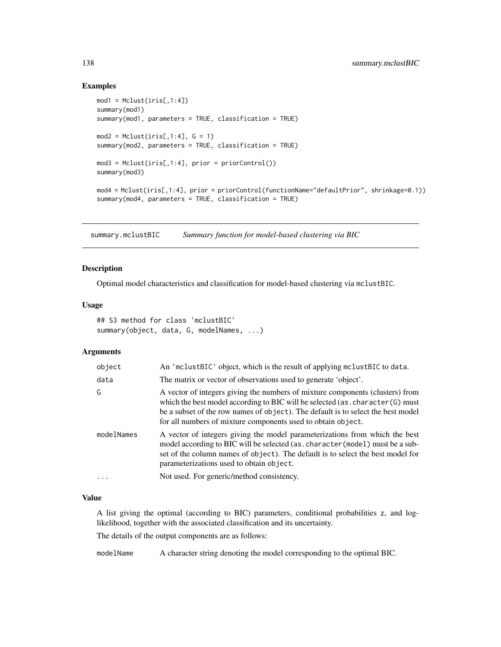## Examples

```
mod1 = Mclust(iris[, 1:4])summary(mod1)
summary(mod1, parameters = TRUE, classification = TRUE)
mod2 = Mclust(iris[, 1:4], G = 1)summary(mod2, parameters = TRUE, classification = TRUE)
mod3 = Mclust(iris[, 1:4], prior = priorControl())summary(mod3)
mod4 = Mclust(iris[,1:4], prior = priorControl(functionName="defaultPrior", shrinkage=0.1))
summary(mod4, parameters = TRUE, classification = TRUE)
```
summary.mclustBIC *Summary function for model-based clustering via BIC*

## Description

Optimal model characteristics and classification for model-based clustering via mclustBIC.

#### Usage

```
## S3 method for class 'mclustBIC'
summary(object, data, G, modelNames, ...)
```
### Arguments

| object     | An 'mclustBIC' object, which is the result of applying mclustBIC to data.                                                                                                                                                                                                                                            |
|------------|----------------------------------------------------------------------------------------------------------------------------------------------------------------------------------------------------------------------------------------------------------------------------------------------------------------------|
| data       | The matrix or vector of observations used to generate 'object'.                                                                                                                                                                                                                                                      |
| G          | A vector of integers giving the numbers of mixture components (clusters) from<br>which the best model according to BIC will be selected (as . character (G) must<br>be a subset of the row names of object). The default is to select the best model<br>for all numbers of mixture components used to obtain object. |
| modelNames | A vector of integers giving the model parameterizations from which the best<br>model according to BIC will be selected (as. character (model) must be a sub-<br>set of the column names of object). The default is to select the best model for<br>parameterizations used to obtain object.                          |
| $\ddots$ . | Not used. For generic/method consistency.                                                                                                                                                                                                                                                                            |
|            |                                                                                                                                                                                                                                                                                                                      |

#### Value

A list giving the optimal (according to BIC) parameters, conditional probabilities z, and loglikelihood, together with the associated classification and its uncertainty.

The details of the output components are as follows:

modelName A character string denoting the model corresponding to the optimal BIC.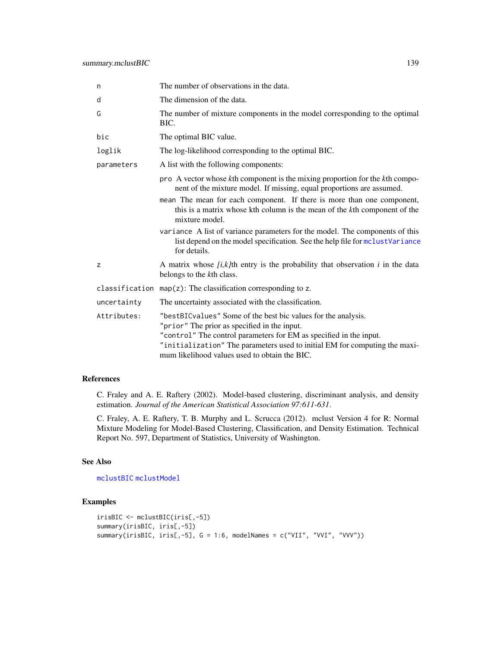| n           | The number of observations in the data.                                                                                                                                                                                                                                                                            |
|-------------|--------------------------------------------------------------------------------------------------------------------------------------------------------------------------------------------------------------------------------------------------------------------------------------------------------------------|
| d           | The dimension of the data.                                                                                                                                                                                                                                                                                         |
| G           | The number of mixture components in the model corresponding to the optimal<br>BIC.                                                                                                                                                                                                                                 |
| bic         | The optimal BIC value.                                                                                                                                                                                                                                                                                             |
| loglik      | The log-likelihood corresponding to the optimal BIC.                                                                                                                                                                                                                                                               |
| parameters  | A list with the following components:                                                                                                                                                                                                                                                                              |
|             | pro A vector whose kth component is the mixing proportion for the kth compo-<br>nent of the mixture model. If missing, equal proportions are assumed.                                                                                                                                                              |
|             | mean The mean for each component. If there is more than one component,<br>this is a matrix whose kth column is the mean of the kth component of the<br>mixture model.                                                                                                                                              |
|             | variance A list of variance parameters for the model. The components of this<br>list depend on the model specification. See the help file for mclustVariance<br>for details.                                                                                                                                       |
| z           | A matrix whose $[i, k]$ th entry is the probability that observation $i$ in the data<br>belongs to the kth class.                                                                                                                                                                                                  |
|             | classification $map(z)$ : The classification corresponding to z.                                                                                                                                                                                                                                                   |
| uncertainty | The uncertainty associated with the classification.                                                                                                                                                                                                                                                                |
| Attributes: | "bestBICvalues" Some of the best bic values for the analysis.<br>"prior" The prior as specified in the input.<br>"control" The control parameters for EM as specified in the input.<br>"initialization" The parameters used to initial EM for computing the maxi-<br>mum likelihood values used to obtain the BIC. |

# References

C. Fraley and A. E. Raftery (2002). Model-based clustering, discriminant analysis, and density estimation. *Journal of the American Statistical Association 97:611-631*.

C. Fraley, A. E. Raftery, T. B. Murphy and L. Scrucca (2012). mclust Version 4 for R: Normal Mixture Modeling for Model-Based Clustering, Classification, and Density Estimation. Technical Report No. 597, Department of Statistics, University of Washington.

#### See Also

[mclustBIC](#page-70-0) [mclustModel](#page-84-0)

```
irisBIC <- mclustBIC(iris[,-5])
summary(irisBIC, iris[,-5])
summary(irisBIC, iris[,-5], G = 1:6, modelNames = c("VII", "VVI", "VVV"))
```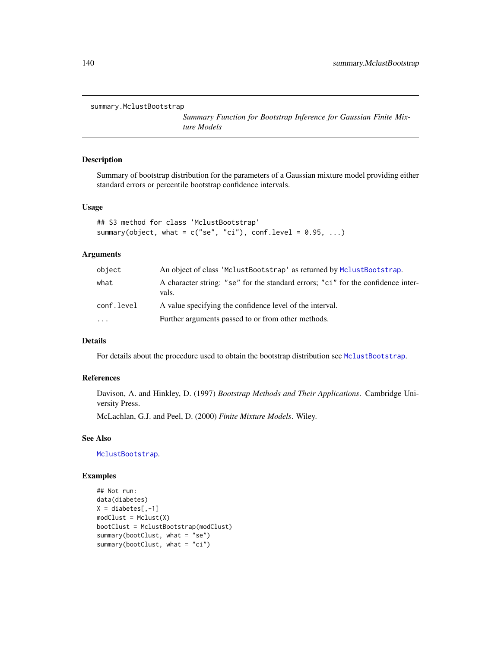```
summary.MclustBootstrap
```
*Summary Function for Bootstrap Inference for Gaussian Finite Mixture Models*

#### Description

Summary of bootstrap distribution for the parameters of a Gaussian mixture model providing either standard errors or percentile bootstrap confidence intervals.

#### Usage

```
## S3 method for class 'MclustBootstrap'
summary(object, what = c("se", "ci"), conf. level = 0.95, ...)
```
#### Arguments

| object                  | An object of class 'MclustBootstrap' as returned by MclustBootstrap.                      |
|-------------------------|-------------------------------------------------------------------------------------------|
| what                    | A character string: "se" for the standard errors; "ci" for the confidence inter-<br>vals. |
| conf.level              | A value specifying the confidence level of the interval.                                  |
| $\cdot$ $\cdot$ $\cdot$ | Further arguments passed to or from other methods.                                        |

# Details

For details about the procedure used to obtain the bootstrap distribution see [MclustBootstrap](#page-72-0).

## References

Davison, A. and Hinkley, D. (1997) *Bootstrap Methods and Their Applications*. Cambridge University Press.

McLachlan, G.J. and Peel, D. (2000) *Finite Mixture Models*. Wiley.

# See Also

[MclustBootstrap](#page-72-0).

```
## Not run:
data(diabetes)
X = diabetes[, -1]modCluster = Mclust(X)bootClust = MclustBootstrap(modClust)
summary(bootClust, what = "se")
summary(bootClust, what = "ci")
```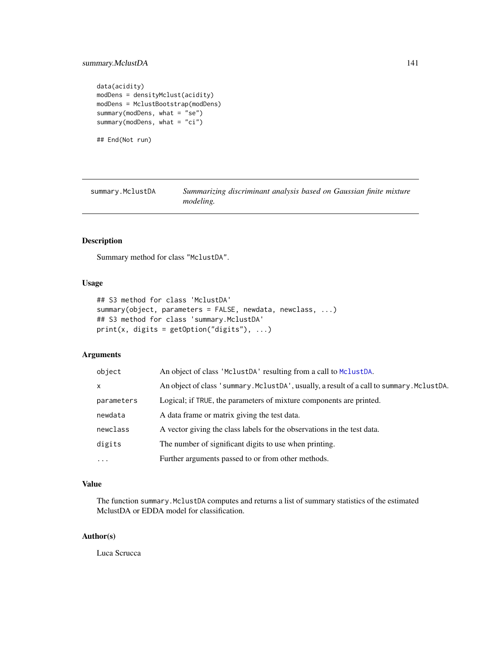```
data(acidity)
modDens = densityMclust(acidity)
modDens = MclustBootstrap(modDens)
summary(modDens, what = "se")
summary(modDens, what = "ci")
```
## End(Not run)

| summary.MclustDA | Summarizing discriminant analysis based on Gaussian finite mixture |  |  |  |  |
|------------------|--------------------------------------------------------------------|--|--|--|--|
|                  | <i>modeling.</i>                                                   |  |  |  |  |

## Description

Summary method for class "MclustDA".

# Usage

```
## S3 method for class 'MclustDA'
summary(object, parameters = FALSE, newdata, newclass, ...)
## S3 method for class 'summary.MclustDA'
print(x, digits = getOption("digits"), \dots)
```
# Arguments

| object     | An object of class 'MclustDA' resulting from a call to MclustDA.                          |
|------------|-------------------------------------------------------------------------------------------|
| X          | An object of class 'summary. MclustDA', usually, a result of a call to summary. MclustDA. |
| parameters | Logical; if TRUE, the parameters of mixture components are printed.                       |
| newdata    | A data frame or matrix giving the test data.                                              |
| newclass   | A vector giving the class labels for the observations in the test data.                   |
| digits     | The number of significant digits to use when printing.                                    |
| $\cdots$   | Further arguments passed to or from other methods.                                        |

# Value

The function summary.MclustDA computes and returns a list of summary statistics of the estimated MclustDA or EDDA model for classification.

## Author(s)

Luca Scrucca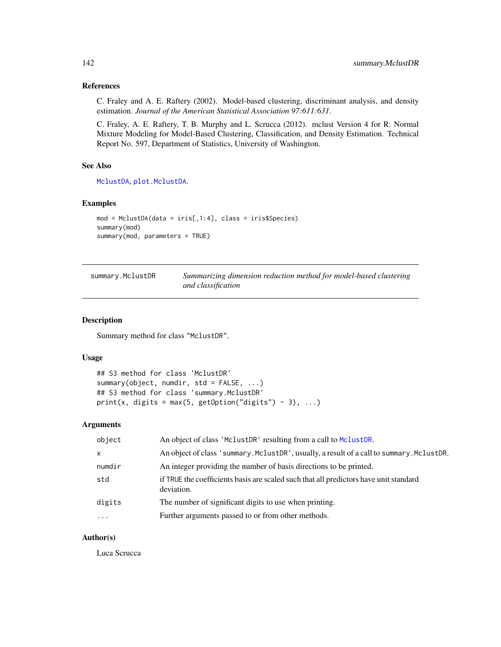# References

C. Fraley and A. E. Raftery (2002). Model-based clustering, discriminant analysis, and density estimation. *Journal of the American Statistical Association 97:611:631*.

C. Fraley, A. E. Raftery, T. B. Murphy and L. Scrucca (2012). mclust Version 4 for R: Normal Mixture Modeling for Model-Based Clustering, Classification, and Density Estimation. Technical Report No. 597, Department of Statistics, University of Washington.

# See Also

[MclustDA](#page-76-0), [plot.MclustDA](#page-114-0).

# Examples

```
mod = MclustDA(data = iris[,1:4], class = iris$Species)
summary(mod)
summary(mod, parameters = TRUE)
```

| summary.MclustDR | Summarizing dimension reduction method for model-based clustering |
|------------------|-------------------------------------------------------------------|
|                  | and classification                                                |

#### Description

Summary method for class "MclustDR".

#### Usage

```
## S3 method for class 'MclustDR'
summary(object, numdir, std = FALSE, ...)
## S3 method for class 'summary.MclustDR'
print(x, digits = max(5, getOption("digits") - 3), ...)
```
#### Arguments

| object  | An object of class 'MclustDR' resulting from a call to MclustDR.                                    |
|---------|-----------------------------------------------------------------------------------------------------|
| X       | An object of class 'summary. MclustDR', usually, a result of a call to summary. MclustDR.           |
| numdir  | An integer providing the number of basis directions to be printed.                                  |
| std     | if TRUE the coefficients basis are scaled such that all predictors have unit standard<br>deviation. |
| digits  | The number of significant digits to use when printing.                                              |
| $\cdot$ | Further arguments passed to or from other methods.                                                  |

# Author(s)

Luca Scrucca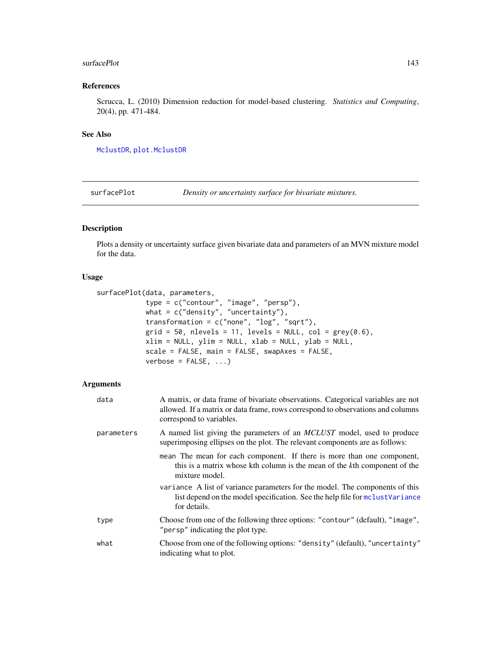#### surfacePlot 143

# References

Scrucca, L. (2010) Dimension reduction for model-based clustering. *Statistics and Computing*, 20(4), pp. 471-484.

#### See Also

[MclustDR](#page-80-0), [plot.MclustDR](#page-117-0)

<span id="page-142-0"></span>surfacePlot *Density or uncertainty surface for bivariate mixtures.*

# Description

Plots a density or uncertainty surface given bivariate data and parameters of an MVN mixture model for the data.

#### Usage

```
surfacePlot(data, parameters,
            type = c("contour", "image", "persp"),
            what = c("density", "uncertainty"),
            transformation = c("none", "log", "sqrt"),
            grid = 50, nlevels = 11, levels = NULL, col = grey(0.6),
            xlim = NULL, ylim = NULL, xlab = NULL, ylab = NULL,
            scale = FALSE, main = FALSE, swapAxes = FALSE,
            verbose = FALSE, ...)
```

| data       | A matrix, or data frame of bivariate observations. Categorical variables are not<br>allowed. If a matrix or data frame, rows correspond to observations and columns<br>correspond to variables. |
|------------|-------------------------------------------------------------------------------------------------------------------------------------------------------------------------------------------------|
| parameters | A named list giving the parameters of an <i>MCLUST</i> model, used to produce<br>superimposing ellipses on the plot. The relevant components are as follows:                                    |
|            | mean The mean for each component. If there is more than one component,<br>this is a matrix whose kth column is the mean of the kth component of the<br>mixture model.                           |
|            | variance A list of variance parameters for the model. The components of this<br>list depend on the model specification. See the help file for monomial variance<br>for details.                 |
| type       | Choose from one of the following three options: "contour" (default), "image",<br>"persp" indicating the plot type.                                                                              |
| what       | Choose from one of the following options: "density" (default), "uncertainty"<br>indicating what to plot.                                                                                        |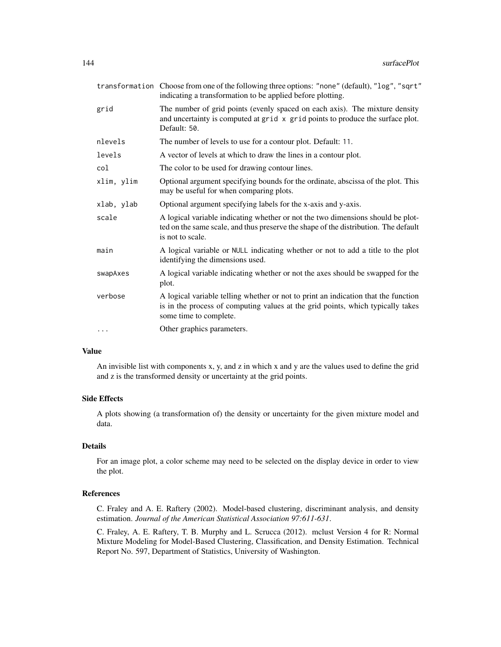|            | transformation Choose from one of the following three options: "none" (default), "log", "sqrt"<br>indicating a transformation to be applied before plotting.                                    |
|------------|-------------------------------------------------------------------------------------------------------------------------------------------------------------------------------------------------|
| grid       | The number of grid points (evenly spaced on each axis). The mixture density<br>and uncertainty is computed at grid x grid points to produce the surface plot.<br>Default: 50.                   |
| nlevels    | The number of levels to use for a contour plot. Default: 11.                                                                                                                                    |
| levels     | A vector of levels at which to draw the lines in a contour plot.                                                                                                                                |
| col        | The color to be used for drawing contour lines.                                                                                                                                                 |
| xlim, ylim | Optional argument specifying bounds for the ordinate, abscissa of the plot. This<br>may be useful for when comparing plots.                                                                     |
| xlab, ylab | Optional argument specifying labels for the x-axis and y-axis.                                                                                                                                  |
| scale      | A logical variable indicating whether or not the two dimensions should be plot-<br>ted on the same scale, and thus preserve the shape of the distribution. The default<br>is not to scale.      |
| main       | A logical variable or NULL indicating whether or not to add a title to the plot<br>identifying the dimensions used.                                                                             |
| swapAxes   | A logical variable indicating whether or not the axes should be swapped for the<br>plot.                                                                                                        |
| verbose    | A logical variable telling whether or not to print an indication that the function<br>is in the process of computing values at the grid points, which typically takes<br>some time to complete. |
| $\cdots$   | Other graphics parameters.                                                                                                                                                                      |

# Value

An invisible list with components x, y, and z in which x and y are the values used to define the grid and z is the transformed density or uncertainty at the grid points.

#### Side Effects

A plots showing (a transformation of) the density or uncertainty for the given mixture model and data.

## Details

For an image plot, a color scheme may need to be selected on the display device in order to view the plot.

#### References

C. Fraley and A. E. Raftery (2002). Model-based clustering, discriminant analysis, and density estimation. *Journal of the American Statistical Association 97:611-631*.

C. Fraley, A. E. Raftery, T. B. Murphy and L. Scrucca (2012). mclust Version 4 for R: Normal Mixture Modeling for Model-Based Clustering, Classification, and Density Estimation. Technical Report No. 597, Department of Statistics, University of Washington.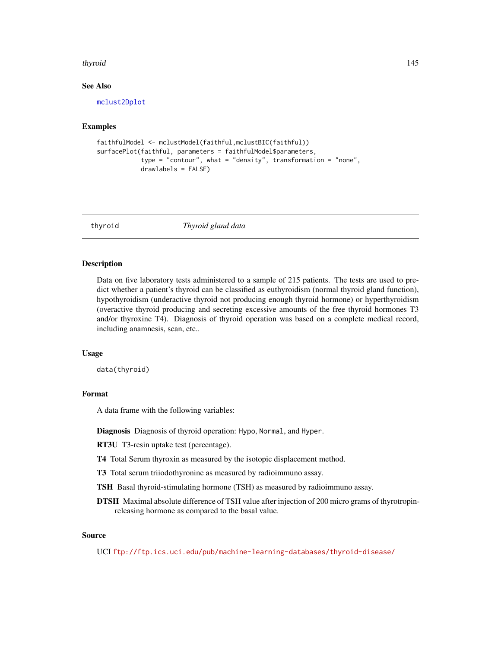#### <span id="page-144-0"></span>thyroid 145

#### See Also

[mclust2Dplot](#page-68-0)

# Examples

```
faithfulModel <- mclustModel(faithful,mclustBIC(faithful))
surfacePlot(faithful, parameters = faithfulModel$parameters,
           type = "contour", what = "density", transformation = "none",
           drawlabels = FALSE)
```
thyroid *Thyroid gland data*

#### Description

Data on five laboratory tests administered to a sample of 215 patients. The tests are used to predict whether a patient's thyroid can be classified as euthyroidism (normal thyroid gland function), hypothyroidism (underactive thyroid not producing enough thyroid hormone) or hyperthyroidism (overactive thyroid producing and secreting excessive amounts of the free thyroid hormones T3 and/or thyroxine T4). Diagnosis of thyroid operation was based on a complete medical record, including anamnesis, scan, etc..

# Usage

data(thyroid)

# Format

A data frame with the following variables:

Diagnosis Diagnosis of thyroid operation: Hypo, Normal, and Hyper.

RT3U T3-resin uptake test (percentage).

T4 Total Serum thyroxin as measured by the isotopic displacement method.

T3 Total serum triiodothyronine as measured by radioimmuno assay.

TSH Basal thyroid-stimulating hormone (TSH) as measured by radioimmuno assay.

DTSH Maximal absolute difference of TSH value after injection of 200 micro grams of thyrotropinreleasing hormone as compared to the basal value.

# Source

UCI <ftp://ftp.ics.uci.edu/pub/machine-learning-databases/thyroid-disease/>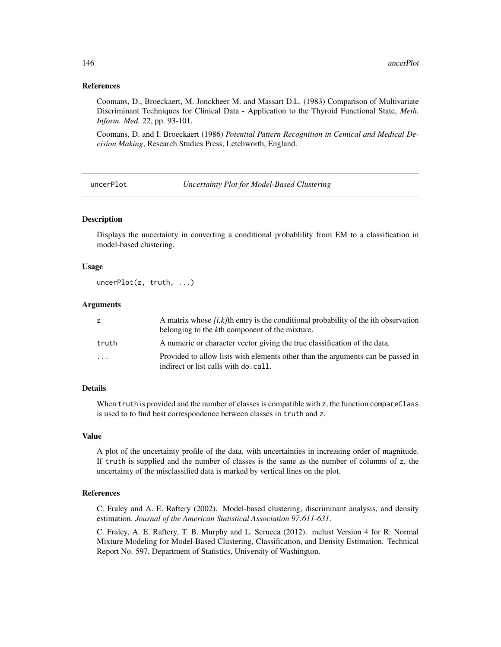#### <span id="page-145-0"></span>References

Coomans, D., Broeckaert, M. Jonckheer M. and Massart D.L. (1983) Comparison of Multivariate Discriminant Techniques for Clinical Data - Application to the Thyroid Functional State, *Meth. Inform. Med.* 22, pp. 93-101.

Coomans, D. and I. Broeckaert (1986) *Potential Pattern Recognition in Cemical and Medical Decision Making*, Research Studies Press, Letchworth, England.

uncerPlot *Uncertainty Plot for Model-Based Clustering*

#### Description

Displays the uncertainty in converting a conditional probablility from EM to a classification in model-based clustering.

## Usage

uncerPlot(z, truth, ...)

# Arguments

| z        | A matrix whose $[i, k]$ th entry is the conditional probability of the ith observation<br>belonging to the kth component of the mixture. |
|----------|------------------------------------------------------------------------------------------------------------------------------------------|
| truth    | A numeric or character vector giving the true classification of the data.                                                                |
| $\cdots$ | Provided to allow lists with elements other than the arguments can be passed in<br>indirect or list calls with do. call.                 |

#### Details

When truth is provided and the number of classes is compatible with z, the function compareClass is used to to find best correspondence between classes in truth and z.

# Value

A plot of the uncertainty profile of the data, with uncertainties in increasing order of magnitude. If truth is supplied and the number of classes is the same as the number of columns of z, the uncertainty of the misclassified data is marked by vertical lines on the plot.

#### References

C. Fraley and A. E. Raftery (2002). Model-based clustering, discriminant analysis, and density estimation. *Journal of the American Statistical Association 97:611-631*.

C. Fraley, A. E. Raftery, T. B. Murphy and L. Scrucca (2012). mclust Version 4 for R: Normal Mixture Modeling for Model-Based Clustering, Classification, and Density Estimation. Technical Report No. 597, Department of Statistics, University of Washington.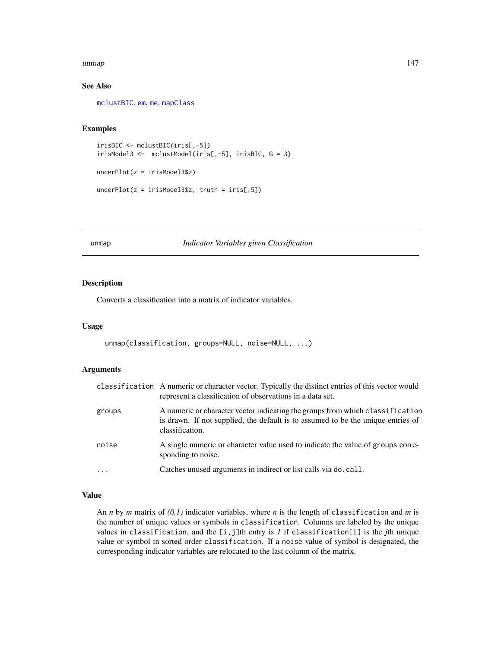#### <span id="page-146-0"></span>unmap 147

# See Also

[mclustBIC](#page-70-0), [em](#page-35-0), [me](#page-89-0), [mapClass](#page-59-0)

#### Examples

```
irisBIC <- mclustBIC(iris[,-5])
irisModel3 <- mclustModel(iris[,-5], irisBIC, G = 3)
uncerPlot(z = irisModel3$z)
uncerPlot(z = irisModel3$z, truth = iris[, 5])
```
unmap *Indicator Variables given Classification*

# Description

Converts a classification into a matrix of indicator variables.

#### Usage

```
unmap(classification, groups=NULL, noise=NULL, ...)
```
# Arguments

|          | classification A numeric or character vector. Typically the distinct entries of this vector would<br>represent a classification of observations in a data set.                       |
|----------|--------------------------------------------------------------------------------------------------------------------------------------------------------------------------------------|
| groups   | A numeric or character vector indicating the groups from which classification<br>is drawn. If not supplied, the default is to assumed to be the unique entries of<br>classification. |
| noise    | A single numeric or character value used to indicate the value of groups corre-<br>sponding to noise.                                                                                |
| $\ddots$ | Catches unused arguments in indirect or list calls via do. call.                                                                                                                     |

# Value

An *n* by *m* matrix of *(0,1)* indicator variables, where *n* is the length of classification and *m* is the number of unique values or symbols in classification. Columns are labeled by the unique values in classification, and the [i,j]th entry is *1* if classification[i] is the *j*th unique value or symbol in sorted order classification. If a noise value of symbol is designated, the corresponding indicator variables are relocated to the last column of the matrix.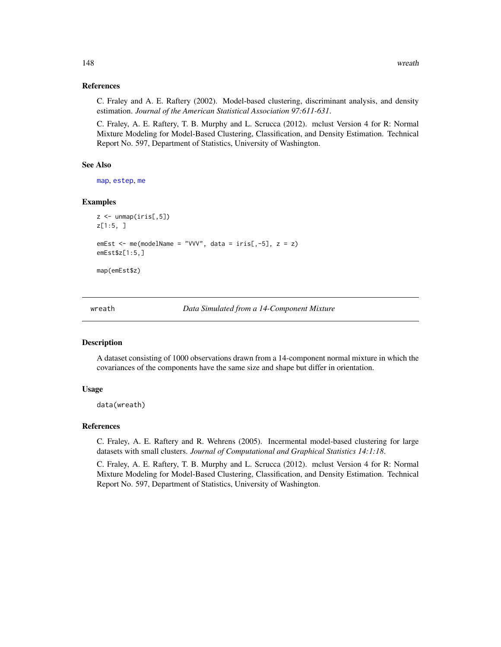#### References

C. Fraley and A. E. Raftery (2002). Model-based clustering, discriminant analysis, and density estimation. *Journal of the American Statistical Association 97:611-631*.

C. Fraley, A. E. Raftery, T. B. Murphy and L. Scrucca (2012). mclust Version 4 for R: Normal Mixture Modeling for Model-Based Clustering, Classification, and Density Estimation. Technical Report No. 597, Department of Statistics, University of Washington.

### See Also

[map](#page-58-0), [estep](#page-43-0), [me](#page-89-0)

#### Examples

```
z \le unmap(iris[,5])
z[1:5, ]
emEst \leq me(modelName = "VVV", data = iris[,-5], z = z)
emEst$z[1:5,]
map(emEst$z)
```
wreath *Data Simulated from a 14-Component Mixture*

#### Description

A dataset consisting of 1000 observations drawn from a 14-component normal mixture in which the covariances of the components have the same size and shape but differ in orientation.

## Usage

data(wreath)

#### References

C. Fraley, A. E. Raftery and R. Wehrens (2005). Incermental model-based clustering for large datasets with small clusters. *Journal of Computational and Graphical Statistics 14:1:18*.

C. Fraley, A. E. Raftery, T. B. Murphy and L. Scrucca (2012). mclust Version 4 for R: Normal Mixture Modeling for Model-Based Clustering, Classification, and Density Estimation. Technical Report No. 597, Department of Statistics, University of Washington.

<span id="page-147-0"></span>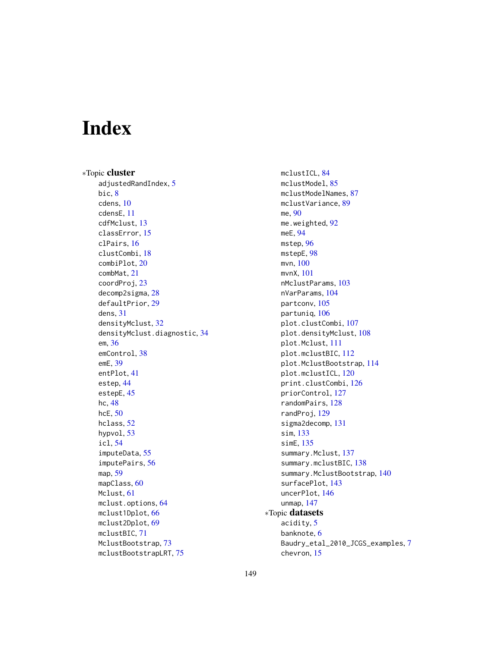# Index

∗Topic cluster adjustedRandIndex, [5](#page-4-0) bic, [8](#page-7-0) cdens, [10](#page-9-0) cdensE, [11](#page-10-0) cdfMclust, [13](#page-12-0) classError, [15](#page-14-0) clPairs, [16](#page-15-0) clustCombi, [18](#page-17-0) combiPlot, [20](#page-19-0) combMat, [21](#page-20-0) coordProj, [23](#page-22-0) decomp2sigma, [28](#page-27-0) defaultPrior, [29](#page-28-0) dens, [31](#page-30-0) densityMclust, [32](#page-31-0) densityMclust.diagnostic, [34](#page-33-0) em, [36](#page-35-1) emControl, [38](#page-37-0) emE, [39](#page-38-0) entPlot, [41](#page-40-0) estep, [44](#page-43-1) estepE, [45](#page-44-0) hc, [48](#page-47-0) hcE, [50](#page-49-0) hclass, [52](#page-51-0) hypvol, [53](#page-52-0) icl, [54](#page-53-0) imputeData, [55](#page-54-0) imputePairs, [56](#page-55-0) map, [59](#page-58-1) mapClass, [60](#page-59-1) Mclust, [61](#page-60-0) mclust.options, [64](#page-63-0) mclust1Dplot, [66](#page-65-0) mclust2Dplot, [69](#page-68-1) mclustBIC, [71](#page-70-1) MclustBootstrap, [73](#page-72-0) mclustBootstrapLRT, [75](#page-74-0)

mclustICL, [84](#page-83-0) mclustModel, [85](#page-84-0) mclustModelNames, [87](#page-86-0) mclustVariance, [89](#page-88-0) me, [90](#page-89-1) me.weighted, [92](#page-91-0) meE, [94](#page-93-0) mstep, [96](#page-95-0) mstepE, [98](#page-97-0) mvn, [100](#page-99-0) mvnX, [101](#page-100-0) nMclustParams, [103](#page-102-0) nVarParams, [104](#page-103-0) partconv, [105](#page-104-0) partuniq, [106](#page-105-0) plot.clustCombi, [107](#page-106-0) plot.densityMclust, [108](#page-107-0) plot.Mclust, [111](#page-110-0) plot.mclustBIC, [112](#page-111-0) plot.MclustBootstrap, [114](#page-113-0) plot.mclustICL, [120](#page-119-0) print.clustCombi, [126](#page-125-0) priorControl, [127](#page-126-0) randomPairs, [128](#page-127-0) randProj, [129](#page-128-0) sigma2decomp, [131](#page-130-0) sim, [133](#page-132-0) simE, [135](#page-134-0) summary.Mclust, [137](#page-136-0) summary.mclustBIC, [138](#page-137-0) summary.MclustBootstrap, [140](#page-139-0) surfacePlot, [143](#page-142-0) uncerPlot, [146](#page-145-0) unmap, [147](#page-146-0) ∗Topic datasets acidity, [5](#page-4-0) banknote, [6](#page-5-0) Baudry\_etal\_2010\_JCGS\_examples, [7](#page-6-0) chevron, [15](#page-14-0)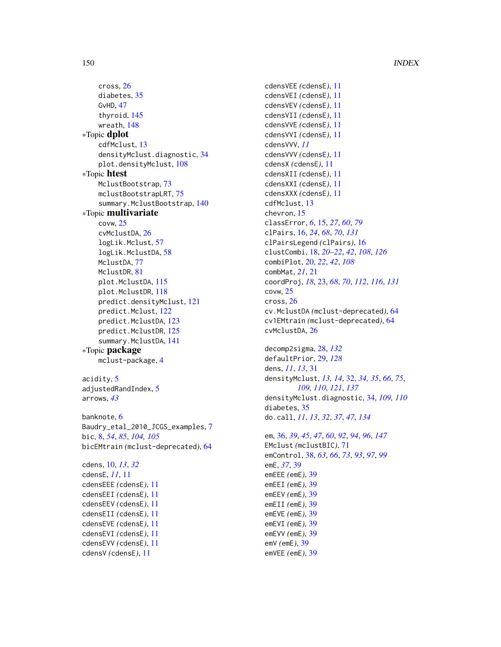cross, [26](#page-25-0) diabetes, [35](#page-34-0) GvHD, [47](#page-46-0) thyroid, [145](#page-144-0) wreath, [148](#page-147-0) ∗Topic dplot cdfMclust, [13](#page-12-0) densityMclust.diagnostic, [34](#page-33-0) plot.densityMclust, [108](#page-107-0) ∗Topic htest MclustBootstrap, [73](#page-72-0) mclustBootstrapLRT, [75](#page-74-0) summary.MclustBootstrap, [140](#page-139-0) ∗Topic multivariate covw, [25](#page-24-0) cvMclustDA, [26](#page-25-0) logLik.Mclust, [57](#page-56-0) logLik.MclustDA, [58](#page-57-0) MclustDA, [77](#page-76-0) MclustDR, [81](#page-80-0) plot.MclustDA, [115](#page-114-0) plot.MclustDR, [118](#page-117-0) predict.densityMclust, [121](#page-120-0) predict.Mclust, [122](#page-121-0) predict.MclustDA, [123](#page-122-0) predict.MclustDR, [125](#page-124-0) summary.MclustDA, [141](#page-140-0) ∗Topic package mclust-package, [4](#page-3-0) acidity, [5](#page-4-0) adjustedRandIndex, [5](#page-4-0) arrows, *[43](#page-42-0)* banknote, [6](#page-5-0) Baudry\_etal\_2010\_JCGS\_examples, [7](#page-6-0) bic, [8,](#page-7-0) *[54](#page-53-0)*, *[85](#page-84-0)*, *[104,](#page-103-0) [105](#page-104-0)* bicEMtrain *(*mclust-deprecated*)*, [64](#page-63-0) cdens, [10,](#page-9-0) *[13](#page-12-0)*, *[32](#page-31-0)* cdensE, *[11](#page-10-0)*, [11](#page-10-0) cdensEEE *(*cdensE*)*, [11](#page-10-0) cdensEEI *(*cdensE*)*, [11](#page-10-0) cdensEEV *(*cdensE*)*, [11](#page-10-0) cdensEII *(*cdensE*)*, [11](#page-10-0) cdensEVE *(*cdensE*)*, [11](#page-10-0) cdensEVI *(*cdensE*)*, [11](#page-10-0) cdensEVV *(*cdensE*)*, [11](#page-10-0)

cdensV *(*cdensE*)*, [11](#page-10-0)

cdensVII *(*cdensE*)*, [11](#page-10-0) cdensVVE *(*cdensE*)*, [11](#page-10-0) cdensVVI *(*cdensE*)*, [11](#page-10-0) cdensVVV, *[11](#page-10-0)* cdensVVV *(*cdensE*)*, [11](#page-10-0) cdensX *(*cdensE*)*, [11](#page-10-0) cdensXII *(*cdensE*)*, [11](#page-10-0) cdensXXI *(*cdensE*)*, [11](#page-10-0) cdensXXX *(*cdensE*)*, [11](#page-10-0) cdfMclust, [13](#page-12-0) chevron, [15](#page-14-0) classError, *[6](#page-5-0)*, [15,](#page-14-0) *[27](#page-26-0)*, *[60](#page-59-1)*, *[79](#page-78-0)* clPairs, [16,](#page-15-0) *[24](#page-23-0)*, *[68](#page-67-0)*, *[70](#page-69-0)*, *[131](#page-130-0)* clPairsLegend *(*clPairs*)*, [16](#page-15-0) clustCombi, [18,](#page-17-0) *[20](#page-19-0)[–22](#page-21-0)*, *[42](#page-41-0)*, *[108](#page-107-0)*, *[126](#page-125-0)* combiPlot, [20,](#page-19-0) *[22](#page-21-0)*, *[42](#page-41-0)*, *[108](#page-107-0)* combMat, *[21](#page-20-0)*, [21](#page-20-0) coordProj, *[18](#page-17-0)*, [23,](#page-22-0) *[68](#page-67-0)*, *[70](#page-69-0)*, *[112](#page-111-0)*, *[116](#page-115-0)*, *[131](#page-130-0)* covw, [25](#page-24-0) cross, [26](#page-25-0) cv.MclustDA *(*mclust-deprecated*)*, [64](#page-63-0) cv1EMtrain *(*mclust-deprecated*)*, [64](#page-63-0) cvMclustDA, [26](#page-25-0)

cdensVEE *(*cdensE*)*, [11](#page-10-0) cdensVEI *(*cdensE*)*, [11](#page-10-0) cdensVEV *(*cdensE*)*, [11](#page-10-0)

decomp2sigma, [28,](#page-27-0) *[132](#page-131-0)* defaultPrior, [29,](#page-28-0) *[128](#page-127-0)* dens, *[11](#page-10-0)*, *[13](#page-12-0)*, [31](#page-30-0) densityMclust, *[13,](#page-12-0) [14](#page-13-0)*, [32,](#page-31-0) *[34,](#page-33-0) [35](#page-34-0)*, *[66](#page-65-0)*, *[75](#page-74-0)*, *[109,](#page-108-0) [110](#page-109-0)*, *[121](#page-120-0)*, *[137](#page-136-0)* densityMclust.diagnostic, [34,](#page-33-0) *[109,](#page-108-0) [110](#page-109-0)* diabetes, [35](#page-34-0) do.call, *[11](#page-10-0)*, *[13](#page-12-0)*, *[32](#page-31-0)*, *[37](#page-36-0)*, *[47](#page-46-0)*, *[134](#page-133-0)*

em, [36,](#page-35-1) *[39](#page-38-0)*, *[45](#page-44-0)*, *[47](#page-46-0)*, *[60](#page-59-1)*, *[92](#page-91-0)*, *[94](#page-93-0)*, *[96](#page-95-0)*, *[147](#page-146-0)* EMclust *(*mclustBIC*)*, [71](#page-70-1) emControl, [38,](#page-37-0) *[63](#page-62-0)*, *[66](#page-65-0)*, *[73](#page-72-0)*, *[93](#page-92-0)*, *[97](#page-96-0)*, *[99](#page-98-0)* emE, *[37](#page-36-0)*, [39](#page-38-0) emEEE *(*emE*)*, [39](#page-38-0) emEEI *(*emE*)*, [39](#page-38-0) emEEV *(*emE*)*, [39](#page-38-0) emEII *(*emE*)*, [39](#page-38-0) emEVE *(*emE*)*, [39](#page-38-0) emEVI *(*emE*)*, [39](#page-38-0) emEVV *(*emE*)*, [39](#page-38-0) emV *(*emE*)*, [39](#page-38-0) emVEE *(*emE*)*, [39](#page-38-0)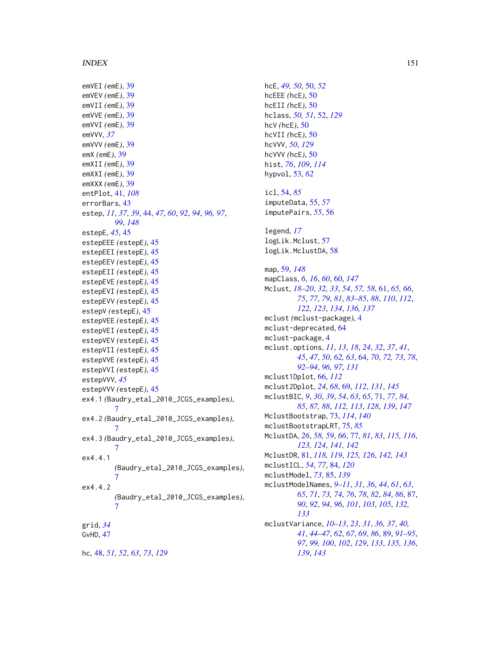emVEI *(*emE*)*, [39](#page-38-0) emVEV *(*emE*)*, [39](#page-38-0) emVII *(*emE*)*, [39](#page-38-0) emVVE *(*emE*)*, [39](#page-38-0) emVVI *(*emE*)*, [39](#page-38-0) emVVV, *[37](#page-36-0)* emVVV *(*emE*)*, [39](#page-38-0) emX *(*emE*)*, [39](#page-38-0) emXII *(*emE*)*, [39](#page-38-0) emXXI *(*emE*)*, [39](#page-38-0) emXXX *(*emE*)*, [39](#page-38-0) entPlot, [41,](#page-40-0) *[108](#page-107-0)* errorBars, [43](#page-42-0) estep, *[11](#page-10-0)*, *[37](#page-36-0)*, *[39](#page-38-0)*, [44,](#page-43-1) *[47](#page-46-0)*, *[60](#page-59-1)*, *[92](#page-91-0)*, *[94](#page-93-0)*, *[96,](#page-95-0) [97](#page-96-0)*, *[99](#page-98-0)*, *[148](#page-147-0)* estepE, *[45](#page-44-0)*, [45](#page-44-0) estepEEE *(*estepE*)*, [45](#page-44-0) estepEEI *(*estepE*)*, [45](#page-44-0) estepEEV *(*estepE*)*, [45](#page-44-0) estepEII *(*estepE*)*, [45](#page-44-0) estepEVE *(*estepE*)*, [45](#page-44-0) estepEVI *(*estepE*)*, [45](#page-44-0) estepEVV *(*estepE*)*, [45](#page-44-0) estepV *(*estepE*)*, [45](#page-44-0) estepVEE *(*estepE*)*, [45](#page-44-0) estepVEI *(*estepE*)*, [45](#page-44-0) estepVEV *(*estepE*)*, [45](#page-44-0) estepVII *(*estepE*)*, [45](#page-44-0) estepVVE *(*estepE*)*, [45](#page-44-0) estepVVI *(*estepE*)*, [45](#page-44-0) estepVVV, *[45](#page-44-0)* estepVVV *(*estepE*)*, [45](#page-44-0) ex4.1 *(*Baudry\_etal\_2010\_JCGS\_examples*)*, [7](#page-6-0) ex4.2 *(*Baudry\_etal\_2010\_JCGS\_examples*)*, [7](#page-6-0) ex4.3 *(*Baudry\_etal\_2010\_JCGS\_examples*)*, [7](#page-6-0) ex4.4.1 *(*Baudry\_etal\_2010\_JCGS\_examples*)*, [7](#page-6-0) ex4.4.2 *(*Baudry\_etal\_2010\_JCGS\_examples*)*, [7](#page-6-0) grid, *[34](#page-33-0)* GvHD, [47](#page-46-0) hc, [48,](#page-47-0) *[51,](#page-50-0) [52](#page-51-0)*, *[63](#page-62-0)*, *[73](#page-72-0)*, *[129](#page-128-0)*

hcE, *[49,](#page-48-0) [50](#page-49-0)*, [50,](#page-49-0) *[52](#page-51-0)* hcEEE *(*hcE*)*, [50](#page-49-0) hcEII *(*hcE*)*, [50](#page-49-0) hclass, *[50,](#page-49-0) [51](#page-50-0)*, [52,](#page-51-0) *[129](#page-128-0)* hcV *(*hcE*)*, [50](#page-49-0) hcVII *(*hcE*)*, [50](#page-49-0) hcVVV, *[50](#page-49-0)*, *[129](#page-128-0)* hcVVV *(*hcE*)*, [50](#page-49-0) hist, *[76](#page-75-0)*, *[109](#page-108-0)*, *[114](#page-113-0)* hypvol, [53,](#page-52-0) *[62](#page-61-0)* icl, [54,](#page-53-0) *[85](#page-84-0)* imputeData, [55,](#page-54-0) *[57](#page-56-0)* imputePairs, *[55](#page-54-0)*, [56](#page-55-0) legend, *[17](#page-16-0)* logLik.Mclust, [57](#page-56-0) logLik.MclustDA, [58](#page-57-0) map, [59,](#page-58-1) *[148](#page-147-0)* mapClass, *[6](#page-5-0)*, *[16](#page-15-0)*, *[60](#page-59-1)*, [60,](#page-59-1) *[147](#page-146-0)* Mclust, *[18](#page-17-0)[–20](#page-19-0)*, *[32,](#page-31-0) [33](#page-32-0)*, *[54](#page-53-0)*, *[57,](#page-56-0) [58](#page-57-0)*, [61,](#page-60-0) *[65,](#page-64-0) [66](#page-65-0)*, *[75](#page-74-0)*, *[77](#page-76-0)*, *[79](#page-78-0)*, *[81](#page-80-0)*, *[83](#page-82-0)[–85](#page-84-0)*, *[88](#page-87-0)*, *[110](#page-109-0)*, *[112](#page-111-0)*, *[122,](#page-121-0) [123](#page-122-0)*, *[134](#page-133-0)*, *[136,](#page-135-0) [137](#page-136-0)* mclust *(*mclust-package*)*, [4](#page-3-0) mclust-deprecated, [64](#page-63-0) mclust-package, [4](#page-3-0) mclust.options, *[11](#page-10-0)*, *[13](#page-12-0)*, *[18](#page-17-0)*, *[24](#page-23-0)*, *[32](#page-31-0)*, *[37](#page-36-0)*, *[41](#page-40-0)*, *[45](#page-44-0)*, *[47](#page-46-0)*, *[50](#page-49-0)*, *[62,](#page-61-0) [63](#page-62-0)*, [64,](#page-63-0) *[70](#page-69-0)*, *[72,](#page-71-0) [73](#page-72-0)*, *[78](#page-77-0)*, *[92](#page-91-0)[–94](#page-93-0)*, *[96,](#page-95-0) [97](#page-96-0)*, *[131](#page-130-0)* mclust1Dplot, [66,](#page-65-0) *[112](#page-111-0)* mclust2Dplot, *[24](#page-23-0)*, *[68](#page-67-0)*, [69,](#page-68-1) *[112](#page-111-0)*, *[131](#page-130-0)*, *[145](#page-144-0)* mclustBIC, *[9](#page-8-0)*, *[30](#page-29-0)*, *[39](#page-38-0)*, *[54](#page-53-0)*, *[63](#page-62-0)*, *[65](#page-64-0)*, [71,](#page-70-1) *[77](#page-76-0)*, *[84,](#page-83-0) [85](#page-84-0)*, *[87,](#page-86-0) [88](#page-87-0)*, *[112,](#page-111-0) [113](#page-112-0)*, *[128](#page-127-0)*, *[139](#page-138-0)*, *[147](#page-146-0)* MclustBootstrap, [73,](#page-72-0) *[114](#page-113-0)*, *[140](#page-139-0)* mclustBootstrapLRT, [75,](#page-74-0) *[85](#page-84-0)* MclustDA, *[26](#page-25-0)*, *[58,](#page-57-0) [59](#page-58-1)*, *[66](#page-65-0)*, [77,](#page-76-0) *[81](#page-80-0)*, *[83](#page-82-0)*, *[115,](#page-114-0) [116](#page-115-0)*, *[123,](#page-122-0) [124](#page-123-0)*, *[141,](#page-140-0) [142](#page-141-0)* MclustDR, [81,](#page-80-0) *[118,](#page-117-0) [119](#page-118-0)*, *[125,](#page-124-0) [126](#page-125-0)*, *[142,](#page-141-0) [143](#page-142-0)* mclustICL, *[54](#page-53-0)*, *[77](#page-76-0)*, [84,](#page-83-0) *[120](#page-119-0)* mclustModel, *[73](#page-72-0)*, [85,](#page-84-0) *[139](#page-138-0)* mclustModelNames, *[9](#page-8-0)[–11](#page-10-0)*, *[31](#page-30-0)*, *[36](#page-35-1)*, *[44](#page-43-1)*, *[61](#page-60-0)*, *[63](#page-62-0)*, *[65](#page-64-0)*, *[71](#page-70-1)*, *[73,](#page-72-0) [74](#page-73-0)*, *[76](#page-75-0)*, *[78](#page-77-0)*, *[82](#page-81-0)*, *[84](#page-83-0)*, *[86](#page-85-0)*, [87,](#page-86-0) *[90](#page-89-1)*, *[92](#page-91-0)*, *[94](#page-93-0)*, *[96](#page-95-0)*, *[101](#page-100-0)*, *[103](#page-102-0)*, *[105](#page-104-0)*, *[132,](#page-131-0) [133](#page-132-0)* mclustVariance, *[10](#page-9-0)[–13](#page-12-0)*, *[23](#page-22-0)*, *[31](#page-30-0)*, *[36,](#page-35-1) [37](#page-36-0)*, *[40,](#page-39-0) [41](#page-40-0)*, *[44](#page-43-1)[–47](#page-46-0)*, *[62](#page-61-0)*, *[67](#page-66-0)*, *[69](#page-68-1)*, *[86](#page-85-0)*, [89,](#page-88-0) *[91](#page-90-0)[–95](#page-94-0)*, *[97](#page-96-0)*, *[99,](#page-98-0) [100](#page-99-0)*, *[102](#page-101-0)*, *[129](#page-128-0)*, *[133](#page-132-0)*, *[135,](#page-134-0) [136](#page-135-0)*, *[139](#page-138-0)*, *[143](#page-142-0)*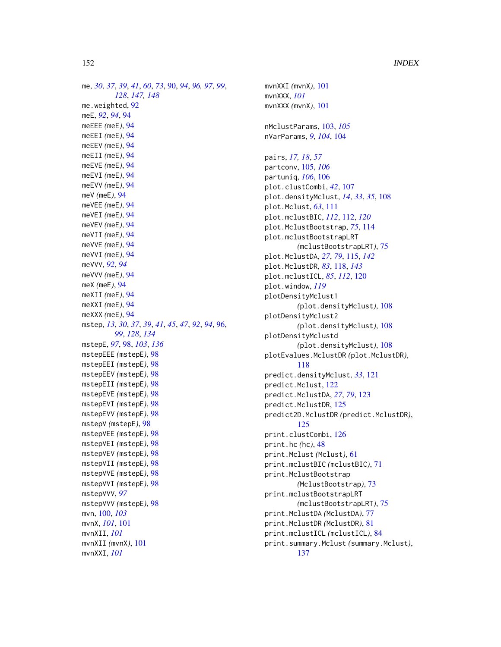me, *[30](#page-29-0)*, *[37](#page-36-0)*, *[39](#page-38-0)*, *[41](#page-40-0)*, *[60](#page-59-1)*, *[73](#page-72-0)*, [90,](#page-89-1) *[94](#page-93-0)*, *[96,](#page-95-0) [97](#page-96-0)*, *[99](#page-98-0)*, *[128](#page-127-0)*, *[147,](#page-146-0) [148](#page-147-0)* me.weighted, [92](#page-91-0) meE, *[92](#page-91-0)*, *[94](#page-93-0)*, [94](#page-93-0) meEEE *(*meE*)*, [94](#page-93-0) meEEI *(*meE*)*, [94](#page-93-0) meEEV *(*meE*)*, [94](#page-93-0) meEII *(*meE*)*, [94](#page-93-0) meEVE *(*meE*)*, [94](#page-93-0) meEVI *(*meE*)*, [94](#page-93-0) meEVV *(*meE*)*, [94](#page-93-0) meV *(*meE*)*, [94](#page-93-0) meVEE *(*meE*)*, [94](#page-93-0) meVEI *(*meE*)*, [94](#page-93-0) meVEV *(*meE*)*, [94](#page-93-0) meVII *(*meE*)*, [94](#page-93-0) meVVE *(*meE*)*, [94](#page-93-0) meVVI *(*meE*)*, [94](#page-93-0) meVVV, *[92](#page-91-0)*, *[94](#page-93-0)* meVVV *(*meE*)*, [94](#page-93-0) meX *(*meE*)*, [94](#page-93-0) meXII *(*meE*)*, [94](#page-93-0) meXXI *(*meE*)*, [94](#page-93-0) meXXX *(*meE*)*, [94](#page-93-0) mstep, *[13](#page-12-0)*, *[30](#page-29-0)*, *[37](#page-36-0)*, *[39](#page-38-0)*, *[41](#page-40-0)*, *[45](#page-44-0)*, *[47](#page-46-0)*, *[92](#page-91-0)*, *[94](#page-93-0)*, [96,](#page-95-0) *[99](#page-98-0)*, *[128](#page-127-0)*, *[134](#page-133-0)* mstepE, *[97](#page-96-0)*, [98,](#page-97-0) *[103](#page-102-0)*, *[136](#page-135-0)* mstepEEE *(*mstepE*)*, [98](#page-97-0) mstepEEI *(*mstepE*)*, [98](#page-97-0) mstepEEV *(*mstepE*)*, [98](#page-97-0) mstepEII *(*mstepE*)*, [98](#page-97-0) mstepEVE *(*mstepE*)*, [98](#page-97-0) mstepEVI *(*mstepE*)*, [98](#page-97-0) mstepEVV *(*mstepE*)*, [98](#page-97-0) mstepV *(*mstepE*)*, [98](#page-97-0) mstepVEE *(*mstepE*)*, [98](#page-97-0) mstepVEI *(*mstepE*)*, [98](#page-97-0) mstepVEV *(*mstepE*)*, [98](#page-97-0) mstepVII *(*mstepE*)*, [98](#page-97-0) mstepVVE *(*mstepE*)*, [98](#page-97-0) mstepVVI *(*mstepE*)*, [98](#page-97-0) mstepVVV, *[97](#page-96-0)* mstepVVV *(*mstepE*)*, [98](#page-97-0) mvn, [100,](#page-99-0) *[103](#page-102-0)* mvnX, *[101](#page-100-0)*, [101](#page-100-0) mvnXII, *[101](#page-100-0)* mvnXII *(*mvnX*)*, [101](#page-100-0) mvnXXI, *[101](#page-100-0)*

mvnXXI *(*mvnX*)*, [101](#page-100-0) mvnXXX, *[101](#page-100-0)* mvnXXX *(*mvnX*)*, [101](#page-100-0) nMclustParams, [103,](#page-102-0) *[105](#page-104-0)* nVarParams, *[9](#page-8-0)*, *[104](#page-103-0)*, [104](#page-103-0) pairs, *[17,](#page-16-0) [18](#page-17-0)*, *[57](#page-56-0)* partconv, [105,](#page-104-0) *[106](#page-105-0)* partuniq, *[106](#page-105-0)*, [106](#page-105-0) plot.clustCombi, *[42](#page-41-0)*, [107](#page-106-0) plot.densityMclust, *[14](#page-13-0)*, *[33](#page-32-0)*, *[35](#page-34-0)*, [108](#page-107-0) plot.Mclust, *[63](#page-62-0)*, [111](#page-110-0) plot.mclustBIC, *[112](#page-111-0)*, [112,](#page-111-0) *[120](#page-119-0)* plot.MclustBootstrap, *[75](#page-74-0)*, [114](#page-113-0) plot.mclustBootstrapLRT *(*mclustBootstrapLRT*)*, [75](#page-74-0) plot.MclustDA, *[27](#page-26-0)*, *[79](#page-78-0)*, [115,](#page-114-0) *[142](#page-141-0)* plot.MclustDR, *[83](#page-82-0)*, [118,](#page-117-0) *[143](#page-142-0)* plot.mclustICL, *[85](#page-84-0)*, *[112](#page-111-0)*, [120](#page-119-0) plot.window, *[119](#page-118-0)* plotDensityMclust1 *(*plot.densityMclust*)*, [108](#page-107-0) plotDensityMclust2 *(*plot.densityMclust*)*, [108](#page-107-0) plotDensityMclustd *(*plot.densityMclust*)*, [108](#page-107-0) plotEvalues.MclustDR *(*plot.MclustDR*)*, [118](#page-117-0) predict.densityMclust, *[33](#page-32-0)*, [121](#page-120-0) predict.Mclust, [122](#page-121-0) predict.MclustDA, *[27](#page-26-0)*, *[79](#page-78-0)*, [123](#page-122-0) predict.MclustDR, [125](#page-124-0) predict2D.MclustDR *(*predict.MclustDR*)*, [125](#page-124-0) print.clustCombi, [126](#page-125-0) print.hc *(*hc*)*, [48](#page-47-0) print.Mclust *(*Mclust*)*, [61](#page-60-0) print.mclustBIC *(*mclustBIC*)*, [71](#page-70-1) print.MclustBootstrap *(*MclustBootstrap*)*, [73](#page-72-0) print.mclustBootstrapLRT *(*mclustBootstrapLRT*)*, [75](#page-74-0) print.MclustDA *(*MclustDA*)*, [77](#page-76-0) print.MclustDR *(*MclustDR*)*, [81](#page-80-0) print.mclustICL *(*mclustICL*)*, [84](#page-83-0) print.summary.Mclust *(*summary.Mclust*)*, [137](#page-136-0)